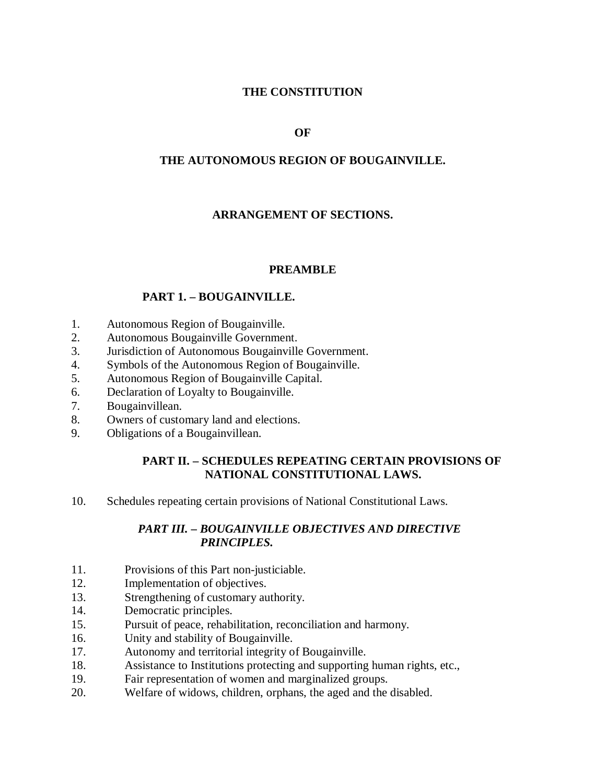#### **THE CONSTITUTION**

#### **OF**

#### **THE AUTONOMOUS REGION OF BOUGAINVILLE.**

#### **ARRANGEMENT OF SECTIONS.**

#### **PREAMBLE**

#### **PART 1. – BOUGAINVILLE.**

- 1. Autonomous Region of Bougainville.
- 2. Autonomous Bougainville Government.
- 3. Jurisdiction of Autonomous Bougainville Government.
- 4. Symbols of the Autonomous Region of Bougainville.
- 5. Autonomous Region of Bougainville Capital.
- 6. Declaration of Loyalty to Bougainville.
- 7. Bougainvillean.
- 8. Owners of customary land and elections.
- 9. Obligations of a Bougainvillean.

#### **PART II. – SCHEDULES REPEATING CERTAIN PROVISIONS OF NATIONAL CONSTITUTIONAL LAWS.**

10. Schedules repeating certain provisions of National Constitutional Laws.

#### *PART III. – BOUGAINVILLE OBJECTIVES AND DIRECTIVE PRINCIPLES.*

- 11. Provisions of this Part non-justiciable.
- 12. Implementation of objectives.
- 13. Strengthening of customary authority.
- 14. Democratic principles.
- 15. Pursuit of peace, rehabilitation, reconciliation and harmony.
- 16. Unity and stability of Bougainville.
- 17. Autonomy and territorial integrity of Bougainville.
- 18. Assistance to Institutions protecting and supporting human rights, etc.,
- 19. Fair representation of women and marginalized groups.
- 20. Welfare of widows, children, orphans, the aged and the disabled.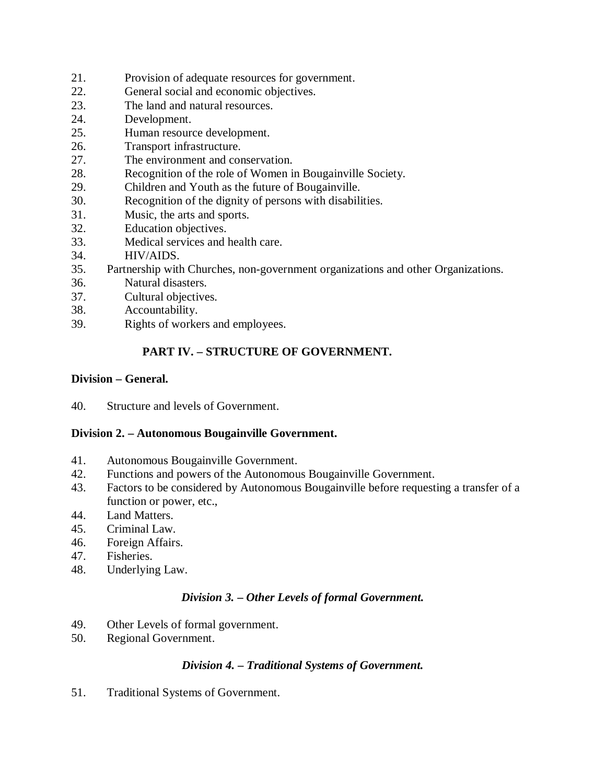- 21. Provision of adequate resources for government.
- 22. General social and economic objectives.
- 23. The land and natural resources.
- 24. Development.
- 25. Human resource development.
- 26. Transport infrastructure.
- 27. The environment and conservation.
- 28. Recognition of the role of Women in Bougainville Society.
- 29. Children and Youth as the future of Bougainville.
- 30. Recognition of the dignity of persons with disabilities.
- 31. Music, the arts and sports.
- 32. Education objectives.
- 33. Medical services and health care.
- 34. HIV/AIDS.
- 35. Partnership with Churches, non-government organizations and other Organizations.
- 36. Natural disasters.
- 37. Cultural objectives.
- 38. Accountability.
- 39. Rights of workers and employees.

# **PART IV. – STRUCTURE OF GOVERNMENT.**

#### **Division – General.**

40. Structure and levels of Government.

#### **Division 2. – Autonomous Bougainville Government.**

- 41. Autonomous Bougainville Government.
- 42. Functions and powers of the Autonomous Bougainville Government.
- 43. Factors to be considered by Autonomous Bougainville before requesting a transfer of a function or power, etc.,
- 44. Land Matters.
- 45. Criminal Law.
- 46. Foreign Affairs.
- 47. Fisheries.
- 48. Underlying Law.

## *Division 3. – Other Levels of formal Government.*

- 49. Other Levels of formal government.
- 50. Regional Government.

#### *Division 4. – Traditional Systems of Government.*

51. Traditional Systems of Government.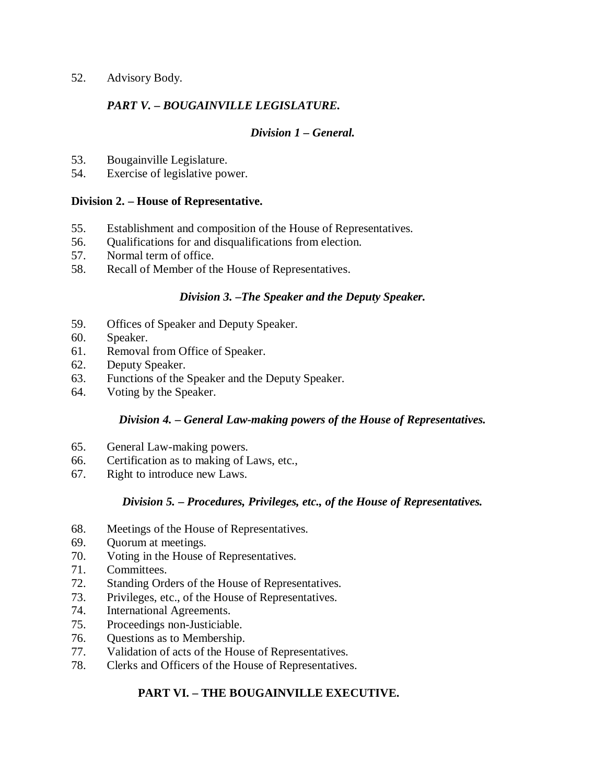52. Advisory Body.

# *PART V. – BOUGAINVILLE LEGISLATURE.*

#### *Division 1 – General.*

- 53. Bougainville Legislature.
- 54. Exercise of legislative power.

#### **Division 2. – House of Representative.**

- 55. Establishment and composition of the House of Representatives.
- 56. Qualifications for and disqualifications from election.
- 57. Normal term of office.
- 58. Recall of Member of the House of Representatives.

#### *Division 3. –The Speaker and the Deputy Speaker.*

- 59. Offices of Speaker and Deputy Speaker.
- 60. Speaker.
- 61. Removal from Office of Speaker.
- 62. Deputy Speaker.
- 63. Functions of the Speaker and the Deputy Speaker.
- 64. Voting by the Speaker.

#### *Division 4. – General Law-making powers of the House of Representatives.*

- 65. General Law-making powers.
- 66. Certification as to making of Laws, etc.,
- 67. Right to introduce new Laws.

## *Division 5. – Procedures, Privileges, etc., of the House of Representatives.*

- 68. Meetings of the House of Representatives.
- 69. Quorum at meetings.
- 70. Voting in the House of Representatives.
- 71. Committees.
- 72. Standing Orders of the House of Representatives.
- 73. Privileges, etc., of the House of Representatives.
- 74. International Agreements.
- 75. Proceedings non-Justiciable.
- 76. Questions as to Membership.
- 77. Validation of acts of the House of Representatives.
- 78. Clerks and Officers of the House of Representatives.

## **PART VI. – THE BOUGAINVILLE EXECUTIVE.**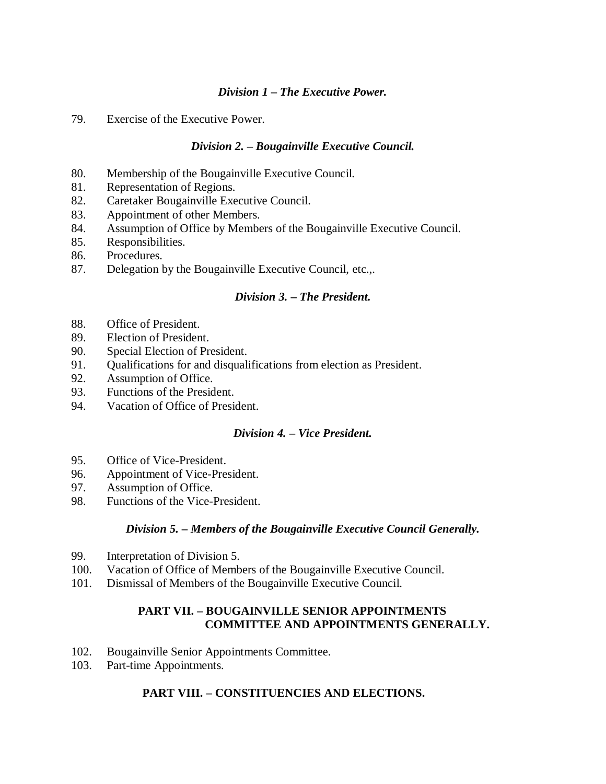#### *Division 1 – The Executive Power.*

79. Exercise of the Executive Power.

#### *Division 2. – Bougainville Executive Council.*

- 80. Membership of the Bougainville Executive Council.
- 81. Representation of Regions.
- 82. Caretaker Bougainville Executive Council.
- 83. Appointment of other Members.
- 84. Assumption of Office by Members of the Bougainville Executive Council.
- 85. Responsibilities.
- 86. Procedures.
- 87. Delegation by the Bougainville Executive Council, etc.,.

#### *Division 3. – The President.*

- 88. Office of President.
- 89. Election of President.
- 90. Special Election of President.
- 91. Qualifications for and disqualifications from election as President.
- 92. Assumption of Office.
- 93. Functions of the President.
- 94. Vacation of Office of President.

#### *Division 4. – Vice President.*

- 95. Office of Vice-President.
- 96. Appointment of Vice-President.
- 97. Assumption of Office.
- 98. Functions of the Vice-President.

#### *Division 5. – Members of the Bougainville Executive Council Generally.*

- 99. Interpretation of Division 5.
- 100. Vacation of Office of Members of the Bougainville Executive Council.
- 101. Dismissal of Members of the Bougainville Executive Council.

#### **PART VII. – BOUGAINVILLE SENIOR APPOINTMENTS COMMITTEE AND APPOINTMENTS GENERALLY.**

- 102. Bougainville Senior Appointments Committee.
- 103. Part-time Appointments.

## **PART VIII. – CONSTITUENCIES AND ELECTIONS.**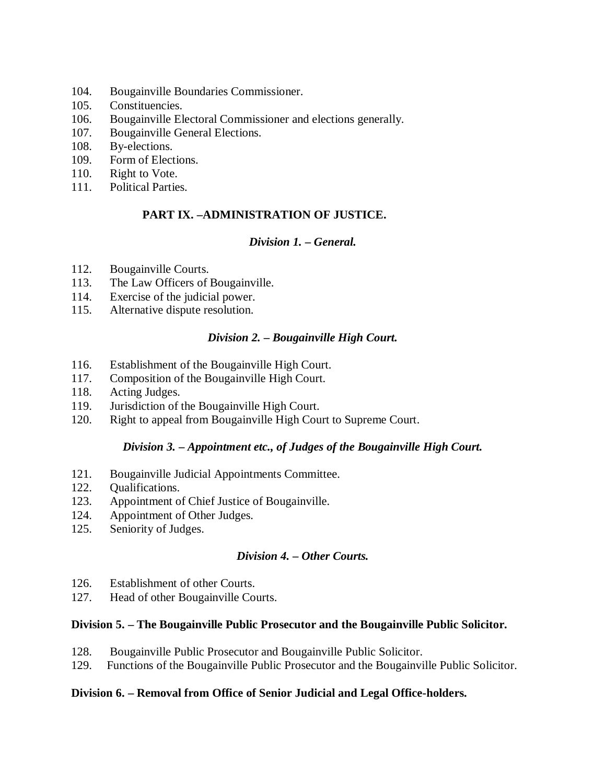- 104. Bougainville Boundaries Commissioner.
- 105. Constituencies.
- 106. Bougainville Electoral Commissioner and elections generally.
- 107. Bougainville General Elections.
- 108. By-elections.
- 109. Form of Elections.
- 110. Right to Vote.
- 111. Political Parties.

#### **PART IX. –ADMINISTRATION OF JUSTICE.**

#### *Division 1. – General.*

- 112. Bougainville Courts.
- 113. The Law Officers of Bougainville.
- 114. Exercise of the judicial power.
- 115. Alternative dispute resolution.

#### *Division 2. – Bougainville High Court.*

- 116. Establishment of the Bougainville High Court.
- 117. Composition of the Bougainville High Court.
- 118. Acting Judges.
- 119. Jurisdiction of the Bougainville High Court.
- 120. Right to appeal from Bougainville High Court to Supreme Court.

#### *Division 3. – Appointment etc., of Judges of the Bougainville High Court.*

- 121. Bougainville Judicial Appointments Committee.
- 122. Qualifications.
- 123. Appointment of Chief Justice of Bougainville.
- 124. Appointment of Other Judges.
- 125. Seniority of Judges.

#### *Division 4. – Other Courts.*

- 126. Establishment of other Courts.
- 127. Head of other Bougainville Courts.

#### **Division 5. – The Bougainville Public Prosecutor and the Bougainville Public Solicitor.**

- 128. Bougainville Public Prosecutor and Bougainville Public Solicitor.
- 129. Functions of the Bougainville Public Prosecutor and the Bougainville Public Solicitor.

#### **Division 6. – Removal from Office of Senior Judicial and Legal Office-holders.**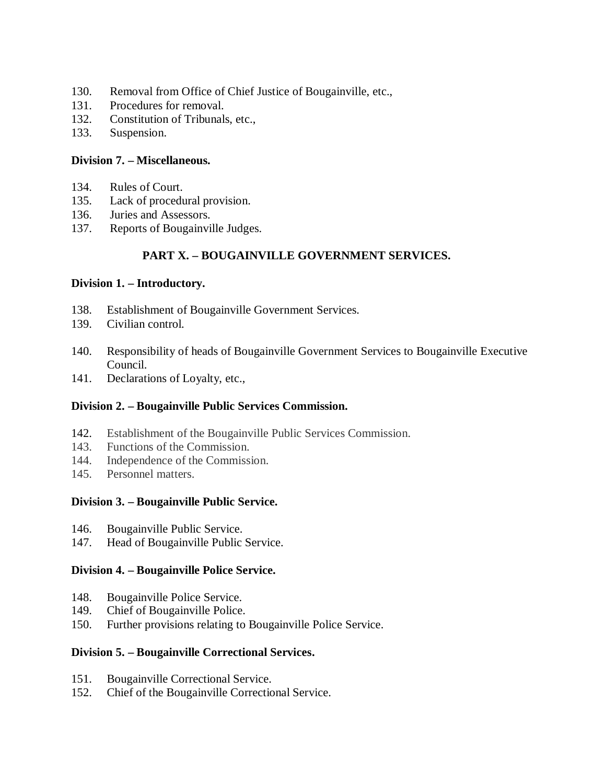- 130. Removal from Office of Chief Justice of Bougainville, etc.,
- 131. Procedures for removal.
- 132. Constitution of Tribunals, etc.,
- 133. Suspension.

#### **Division 7. – Miscellaneous.**

- 134. Rules of Court.
- 135. Lack of procedural provision.
- 136. Juries and Assessors.
- 137. Reports of Bougainville Judges.

## **PART X. – BOUGAINVILLE GOVERNMENT SERVICES.**

#### **Division 1. – Introductory.**

- 138. Establishment of Bougainville Government Services.
- 139. Civilian control.
- 140. Responsibility of heads of Bougainville Government Services to Bougainville Executive Council.
- 141. Declarations of Loyalty, etc.,

#### **Division 2. – Bougainville Public Services Commission.**

- 142. Establishment of the Bougainville Public Services Commission.
- 143. Functions of the Commission.
- 144. Independence of the Commission.
- 145. Personnel matters.

#### **Division 3. – Bougainville Public Service.**

- 146. Bougainville Public Service.
- 147. Head of Bougainville Public Service.

#### **Division 4. – Bougainville Police Service.**

- 148. Bougainville Police Service.
- 149. Chief of Bougainville Police.
- 150. Further provisions relating to Bougainville Police Service.

#### **Division 5. – Bougainville Correctional Services.**

- 151. Bougainville Correctional Service.
- 152. Chief of the Bougainville Correctional Service.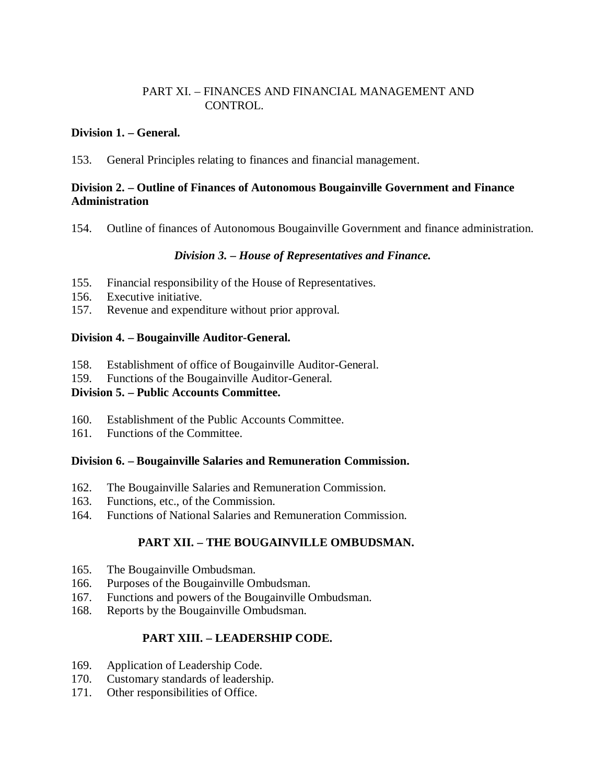#### PART XI. – FINANCES AND FINANCIAL MANAGEMENT AND CONTROL.

#### **Division 1. – General.**

153. General Principles relating to finances and financial management.

#### **Division 2. – Outline of Finances of Autonomous Bougainville Government and Finance Administration**

154. Outline of finances of Autonomous Bougainville Government and finance administration.

## *Division 3. – House of Representatives and Finance.*

- 155. Financial responsibility of the House of Representatives.
- 156. Executive initiative.
- 157. Revenue and expenditure without prior approval.

## **Division 4. – Bougainville Auditor-General.**

- 158. Establishment of office of Bougainville Auditor-General.
- 159. Functions of the Bougainville Auditor-General.

## **Division 5. – Public Accounts Committee.**

- 160. Establishment of the Public Accounts Committee.
- 161. Functions of the Committee.

#### **Division 6. – Bougainville Salaries and Remuneration Commission.**

- 162. The Bougainville Salaries and Remuneration Commission.
- 163. Functions, etc., of the Commission.
- 164. Functions of National Salaries and Remuneration Commission.

## **PART XII. – THE BOUGAINVILLE OMBUDSMAN.**

- 165. The Bougainville Ombudsman.
- 166. Purposes of the Bougainville Ombudsman.
- 167. Functions and powers of the Bougainville Ombudsman.
- 168. Reports by the Bougainville Ombudsman.

## **PART XIII. – LEADERSHIP CODE.**

- 169. Application of Leadership Code.
- 170. Customary standards of leadership.
- 171. Other responsibilities of Office.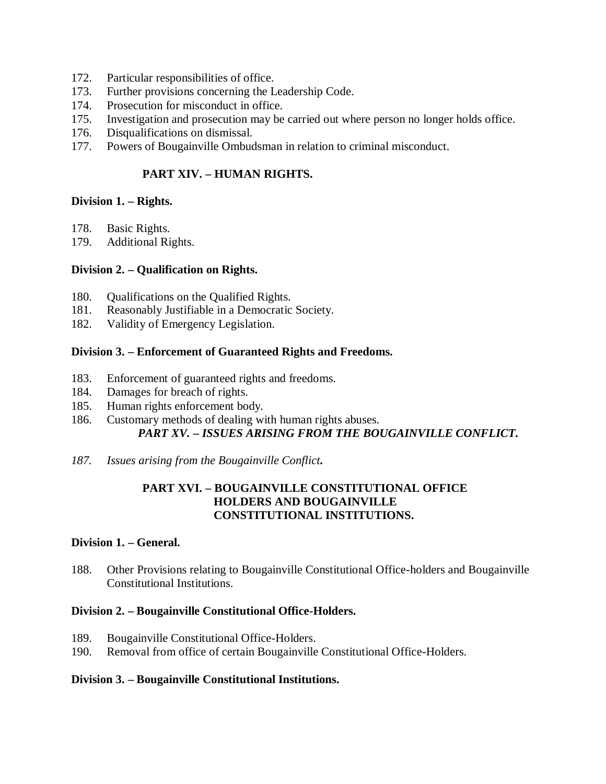- 172. Particular responsibilities of office.
- 173. Further provisions concerning the Leadership Code.
- 174. Prosecution for misconduct in office.
- 175. Investigation and prosecution may be carried out where person no longer holds office.
- 176. Disqualifications on dismissal.
- 177. Powers of Bougainville Ombudsman in relation to criminal misconduct.

# **PART XIV. – HUMAN RIGHTS.**

#### **Division 1. – Rights.**

- 178. Basic Rights.
- 179. Additional Rights.

#### **Division 2. – Qualification on Rights.**

- 180. Qualifications on the Qualified Rights.
- 181. Reasonably Justifiable in a Democratic Society.
- 182. Validity of Emergency Legislation.

#### **Division 3. – Enforcement of Guaranteed Rights and Freedoms.**

- 183. Enforcement of guaranteed rights and freedoms.
- 184. Damages for breach of rights.
- 185. Human rights enforcement body.
- 186. Customary methods of dealing with human rights abuses. *PART XV. – ISSUES ARISING FROM THE BOUGAINVILLE CONFLICT.*
- *187. Issues arising from the Bougainville Conflict.*

# **PART XVI. – BOUGAINVILLE CONSTITUTIONAL OFFICE HOLDERS AND BOUGAINVILLE CONSTITUTIONAL INSTITUTIONS.**

## **Division 1. – General.**

188. Other Provisions relating to Bougainville Constitutional Office-holders and Bougainville Constitutional Institutions.

#### **Division 2. – Bougainville Constitutional Office-Holders.**

- 189. Bougainville Constitutional Office-Holders.
- 190. Removal from office of certain Bougainville Constitutional Office-Holders.

#### **Division 3. – Bougainville Constitutional Institutions.**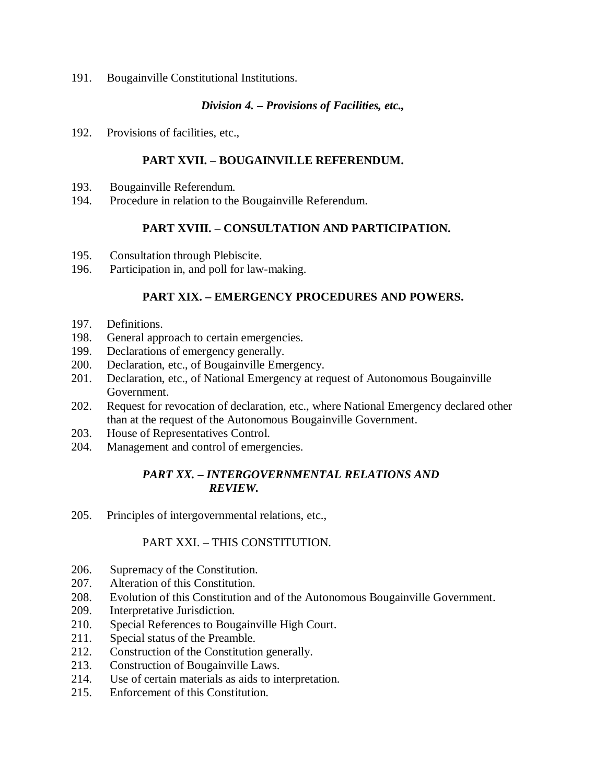191. Bougainville Constitutional Institutions.

#### *Division 4. – Provisions of Facilities, etc.,*

192. Provisions of facilities, etc.,

## **PART XVII. – BOUGAINVILLE REFERENDUM.**

- 193. Bougainville Referendum.
- 194. Procedure in relation to the Bougainville Referendum.

## **PART XVIII. – CONSULTATION AND PARTICIPATION.**

- 195. Consultation through Plebiscite.
- 196. Participation in, and poll for law-making.

# **PART XIX. – EMERGENCY PROCEDURES AND POWERS.**

- 197. Definitions.
- 198. General approach to certain emergencies.
- 199. Declarations of emergency generally.
- 200. Declaration, etc., of Bougainville Emergency.
- 201. Declaration, etc., of National Emergency at request of Autonomous Bougainville Government.
- 202. Request for revocation of declaration, etc., where National Emergency declared other than at the request of the Autonomous Bougainville Government.
- 203. House of Representatives Control.
- 204. Management and control of emergencies.

## *PART XX. – INTERGOVERNMENTAL RELATIONS AND REVIEW.*

205. Principles of intergovernmental relations, etc.,

## PART XXI. – THIS CONSTITUTION.

- 206. Supremacy of the Constitution.
- 207. Alteration of this Constitution.
- 208. Evolution of this Constitution and of the Autonomous Bougainville Government.
- 209. Interpretative Jurisdiction.
- 210. Special References to Bougainville High Court.
- 211. Special status of the Preamble.
- 212. Construction of the Constitution generally.
- 213. Construction of Bougainville Laws.
- 214. Use of certain materials as aids to interpretation.
- 215. Enforcement of this Constitution.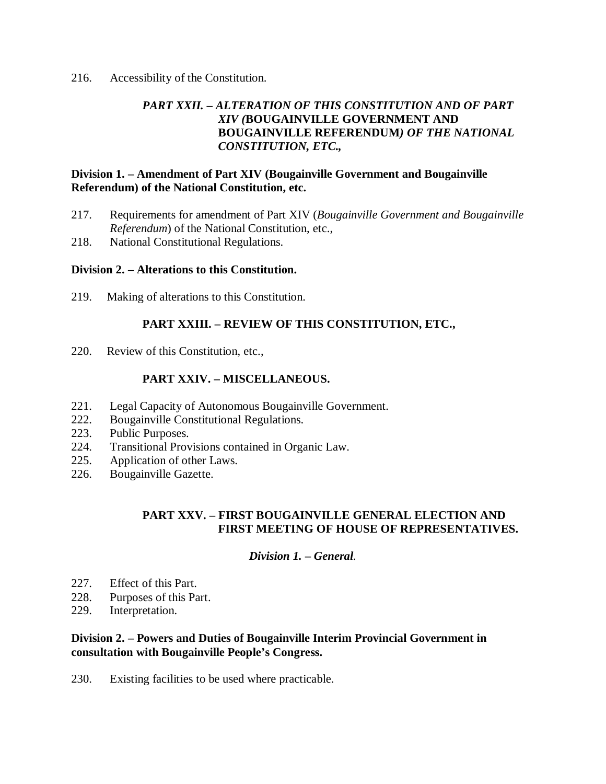#### 216. Accessibility of the Constitution.

## *PART XXII. – ALTERATION OF THIS CONSTITUTION AND OF PART XIV (***BOUGAINVILLE GOVERNMENT AND BOUGAINVILLE REFERENDUM***) OF THE NATIONAL CONSTITUTION, ETC.,*

#### **Division 1. – Amendment of Part XIV (Bougainville Government and Bougainville Referendum) of the National Constitution, etc.**

- 217. Requirements for amendment of Part XIV (*Bougainville Government and Bougainville Referendum*) of the National Constitution, etc.,
- 218. National Constitutional Regulations.

#### **Division 2. – Alterations to this Constitution.**

219. Making of alterations to this Constitution.

# **PART XXIII. – REVIEW OF THIS CONSTITUTION, ETC.,**

220. Review of this Constitution, etc.,

# **PART XXIV. – MISCELLANEOUS.**

- 221. Legal Capacity of Autonomous Bougainville Government.
- 222. Bougainville Constitutional Regulations.
- 223. Public Purposes.
- 224. Transitional Provisions contained in Organic Law.
- 225. Application of other Laws.
- 226. Bougainville Gazette.

## **PART XXV. – FIRST BOUGAINVILLE GENERAL ELECTION AND FIRST MEETING OF HOUSE OF REPRESENTATIVES.**

## *Division 1. – General.*

- 227. Effect of this Part.
- 228. Purposes of this Part.
- 229. Interpretation.

#### **Division 2. – Powers and Duties of Bougainville Interim Provincial Government in consultation with Bougainville People's Congress.**

230. Existing facilities to be used where practicable.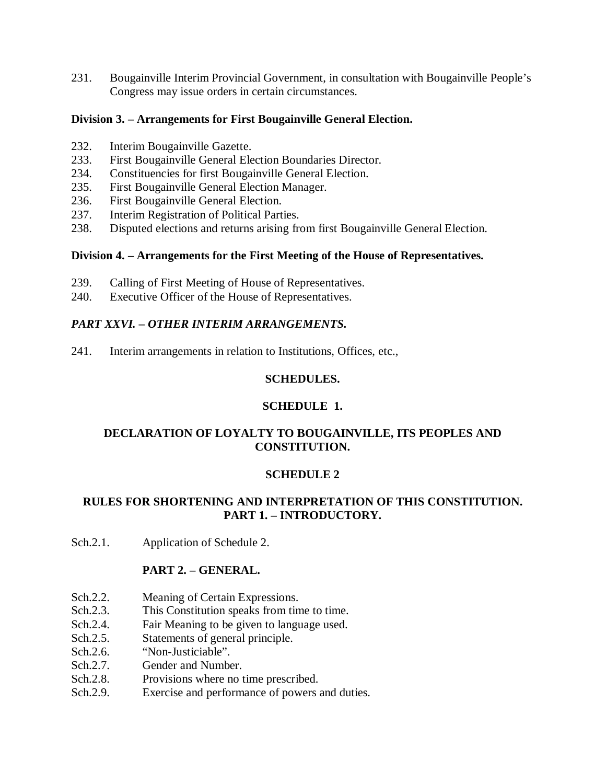231. Bougainville Interim Provincial Government, in consultation with Bougainville People's Congress may issue orders in certain circumstances.

#### **Division 3. – Arrangements for First Bougainville General Election.**

- 232. Interim Bougainville Gazette.
- 233. First Bougainville General Election Boundaries Director.
- 234. Constituencies for first Bougainville General Election.
- 235. First Bougainville General Election Manager.
- 236. First Bougainville General Election.
- 237. Interim Registration of Political Parties.
- 238. Disputed elections and returns arising from first Bougainville General Election.

#### **Division 4. – Arrangements for the First Meeting of the House of Representatives.**

- 239. Calling of First Meeting of House of Representatives.
- 240. Executive Officer of the House of Representatives.

## *PART XXVI. – OTHER INTERIM ARRANGEMENTS.*

241. Interim arrangements in relation to Institutions, Offices, etc.,

#### **SCHEDULES.**

## **SCHEDULE 1.**

## **DECLARATION OF LOYALTY TO BOUGAINVILLE, ITS PEOPLES AND CONSTITUTION.**

## **SCHEDULE 2**

# **RULES FOR SHORTENING AND INTERPRETATION OF THIS CONSTITUTION. PART 1. – INTRODUCTORY.**

Sch.2.1. Application of Schedule 2.

## **PART 2. – GENERAL.**

- Sch.2.2. Meaning of Certain Expressions.
- Sch.2.3. This Constitution speaks from time to time.
- Sch.2.4. Fair Meaning to be given to language used.
- Sch.2.5. Statements of general principle.
- Sch.2.6. "Non-Justiciable".
- Sch.2.7. Gender and Number.
- Sch.2.8. Provisions where no time prescribed.
- Sch.2.9. Exercise and performance of powers and duties.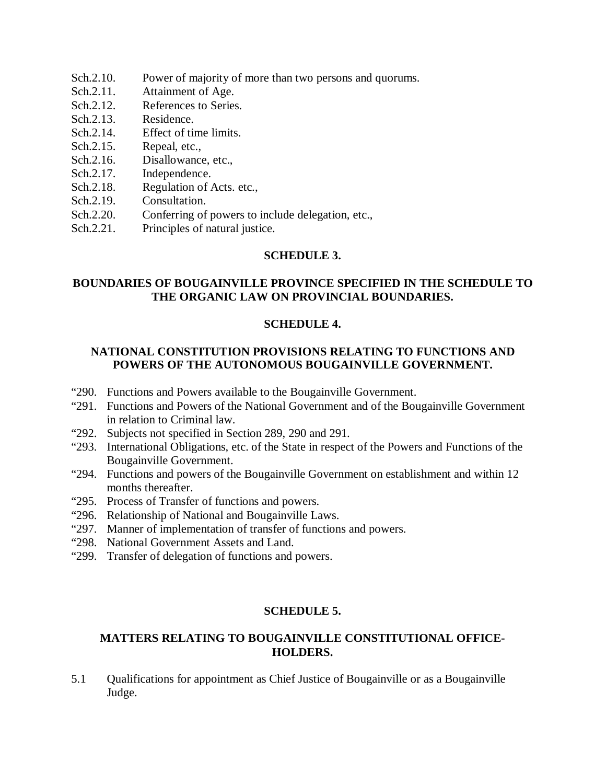- Sch.2.10. Power of majority of more than two persons and quorums.
- Sch.2.11. Attainment of Age.
- Sch.2.12. References to Series.
- Sch.2.13. Residence.
- Sch.2.14. Effect of time limits.
- Sch.2.15. Repeal, etc.,
- Sch.2.16. Disallowance, etc.,
- Sch.2.17. Independence.
- Sch.2.18. Regulation of Acts. etc.,
- Sch.2.19. Consultation.
- Sch.2.20. Conferring of powers to include delegation, etc.,
- Sch.2.21. Principles of natural justice.

#### **SCHEDULE 3.**

#### **BOUNDARIES OF BOUGAINVILLE PROVINCE SPECIFIED IN THE SCHEDULE TO THE ORGANIC LAW ON PROVINCIAL BOUNDARIES.**

#### **SCHEDULE 4.**

#### **NATIONAL CONSTITUTION PROVISIONS RELATING TO FUNCTIONS AND POWERS OF THE AUTONOMOUS BOUGAINVILLE GOVERNMENT.**

- "290. Functions and Powers available to the Bougainville Government.
- "291. Functions and Powers of the National Government and of the Bougainville Government in relation to Criminal law.
- "292. Subjects not specified in Section 289, 290 and 291.
- "293. International Obligations, etc. of the State in respect of the Powers and Functions of the Bougainville Government.
- "294. Functions and powers of the Bougainville Government on establishment and within 12 months thereafter.
- "295. Process of Transfer of functions and powers.
- "296. Relationship of National and Bougainville Laws.
- "297. Manner of implementation of transfer of functions and powers.
- "298. National Government Assets and Land.
- "299. Transfer of delegation of functions and powers.

#### **SCHEDULE 5.**

#### **MATTERS RELATING TO BOUGAINVILLE CONSTITUTIONAL OFFICE-HOLDERS.**

5.1 Qualifications for appointment as Chief Justice of Bougainville or as a Bougainville Judge.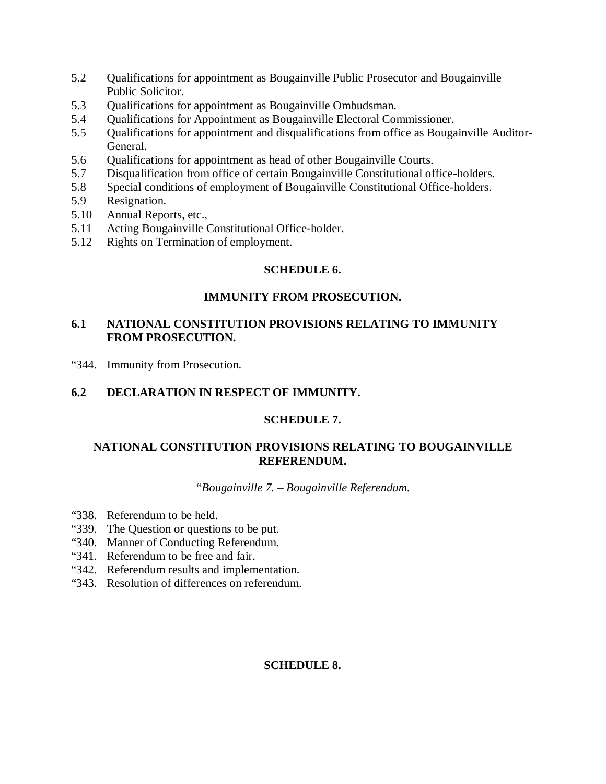- 5.2 Qualifications for appointment as Bougainville Public Prosecutor and Bougainville Public Solicitor.
- 5.3 Qualifications for appointment as Bougainville Ombudsman.
- 5.4 Qualifications for Appointment as Bougainville Electoral Commissioner.
- 5.5 Qualifications for appointment and disqualifications from office as Bougainville Auditor-General.
- 5.6 Qualifications for appointment as head of other Bougainville Courts.
- 5.7 Disqualification from office of certain Bougainville Constitutional office-holders.
- 5.8 Special conditions of employment of Bougainville Constitutional Office-holders.
- 5.9 Resignation.
- 5.10 Annual Reports, etc.,
- 5.11 Acting Bougainville Constitutional Office-holder.
- 5.12 Rights on Termination of employment.

#### **SCHEDULE 6.**

## **IMMUNITY FROM PROSECUTION.**

#### **6.1 NATIONAL CONSTITUTION PROVISIONS RELATING TO IMMUNITY FROM PROSECUTION.**

"344. Immunity from Prosecution.

## **6.2 DECLARATION IN RESPECT OF IMMUNITY.**

## **SCHEDULE 7.**

## **NATIONAL CONSTITUTION PROVISIONS RELATING TO BOUGAINVILLE REFERENDUM.**

*"Bougainville 7. – Bougainville Referendum.*

- "338. Referendum to be held.
- "339. The Question or questions to be put.
- "340. Manner of Conducting Referendum.
- "341. Referendum to be free and fair.
- "342. Referendum results and implementation.
- "343. Resolution of differences on referendum.

#### **SCHEDULE 8.**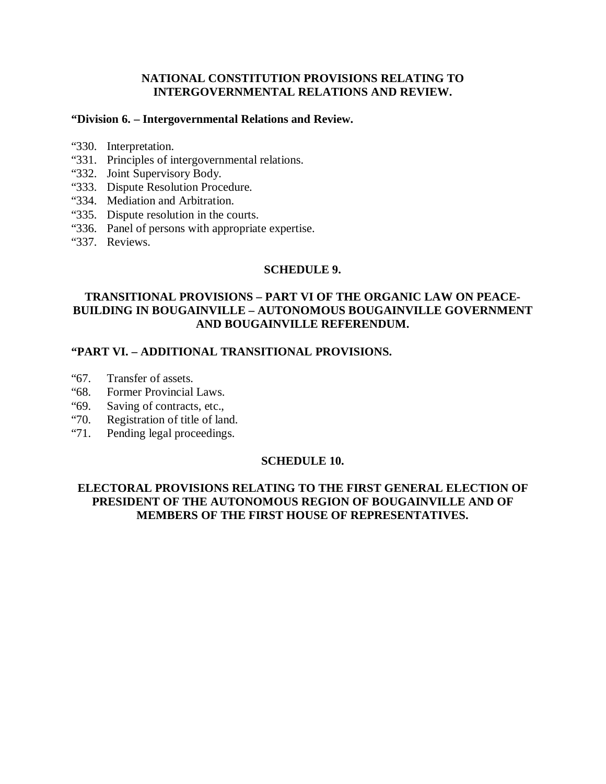#### **NATIONAL CONSTITUTION PROVISIONS RELATING TO INTERGOVERNMENTAL RELATIONS AND REVIEW.**

#### **"Division 6. – Intergovernmental Relations and Review.**

- "330. Interpretation.
- "331. Principles of intergovernmental relations.
- "332. Joint Supervisory Body.
- "333. Dispute Resolution Procedure.
- "334. Mediation and Arbitration.
- "335. Dispute resolution in the courts.
- "336. Panel of persons with appropriate expertise.
- "337. Reviews.

#### **SCHEDULE 9.**

#### **TRANSITIONAL PROVISIONS – PART VI OF THE ORGANIC LAW ON PEACE-BUILDING IN BOUGAINVILLE – AUTONOMOUS BOUGAINVILLE GOVERNMENT AND BOUGAINVILLE REFERENDUM.**

#### **"PART VI. – ADDITIONAL TRANSITIONAL PROVISIONS.**

- "67. Transfer of assets.
- "68. Former Provincial Laws.
- "69. Saving of contracts, etc.,
- "70. Registration of title of land.
- "71. Pending legal proceedings.

#### **SCHEDULE 10.**

#### **ELECTORAL PROVISIONS RELATING TO THE FIRST GENERAL ELECTION OF PRESIDENT OF THE AUTONOMOUS REGION OF BOUGAINVILLE AND OF MEMBERS OF THE FIRST HOUSE OF REPRESENTATIVES.**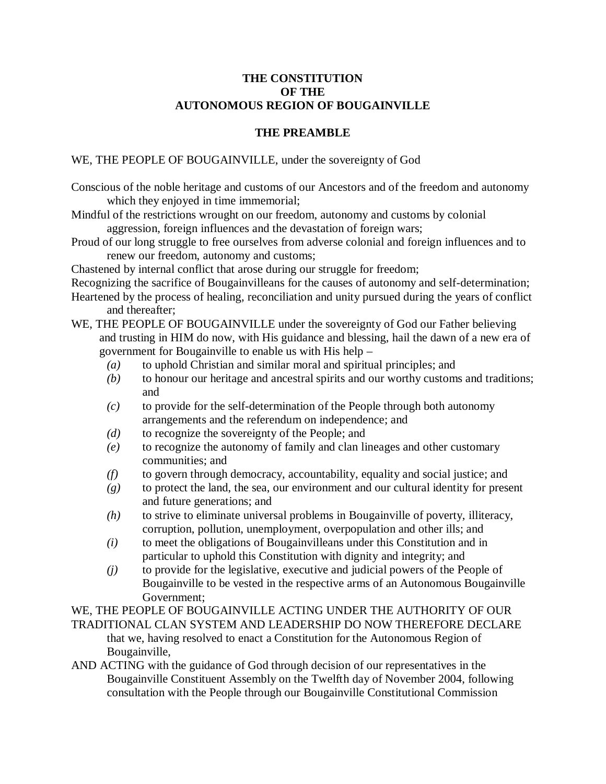#### **THE CONSTITUTION OF THE AUTONOMOUS REGION OF BOUGAINVILLE**

#### **THE PREAMBLE**

#### WE, THE PEOPLE OF BOUGAINVILLE, under the sovereignty of God

- Conscious of the noble heritage and customs of our Ancestors and of the freedom and autonomy which they enjoyed in time immemorial;
- Mindful of the restrictions wrought on our freedom, autonomy and customs by colonial aggression, foreign influences and the devastation of foreign wars;
- Proud of our long struggle to free ourselves from adverse colonial and foreign influences and to renew our freedom, autonomy and customs;
- Chastened by internal conflict that arose during our struggle for freedom;

Recognizing the sacrifice of Bougainvilleans for the causes of autonomy and self-determination;

- Heartened by the process of healing, reconciliation and unity pursued during the years of conflict and thereafter;
- WE, THE PEOPLE OF BOUGAINVILLE under the sovereignty of God our Father believing and trusting in HIM do now, with His guidance and blessing, hail the dawn of a new era of government for Bougainville to enable us with His help –
	- *(a)* to uphold Christian and similar moral and spiritual principles; and
	- *(b)* to honour our heritage and ancestral spirits and our worthy customs and traditions; and
	- *(c)* to provide for the self-determination of the People through both autonomy arrangements and the referendum on independence; and
	- *(d)* to recognize the sovereignty of the People; and
	- *(e)* to recognize the autonomy of family and clan lineages and other customary communities; and
	- *(f)* to govern through democracy, accountability, equality and social justice; and
	- *(g)* to protect the land, the sea, our environment and our cultural identity for present and future generations; and
	- *(h)* to strive to eliminate universal problems in Bougainville of poverty, illiteracy, corruption, pollution, unemployment, overpopulation and other ills; and
	- *(i)* to meet the obligations of Bougainvilleans under this Constitution and in particular to uphold this Constitution with dignity and integrity; and
	- *(j)* to provide for the legislative, executive and judicial powers of the People of Bougainville to be vested in the respective arms of an Autonomous Bougainville Government;

WE, THE PEOPLE OF BOUGAINVILLE ACTING UNDER THE AUTHORITY OF OUR TRADITIONAL CLAN SYSTEM AND LEADERSHIP DO NOW THEREFORE DECLARE that we, having resolved to enact a Constitution for the Autonomous Region of Bougainville,

AND ACTING with the guidance of God through decision of our representatives in the Bougainville Constituent Assembly on the Twelfth day of November 2004, following consultation with the People through our Bougainville Constitutional Commission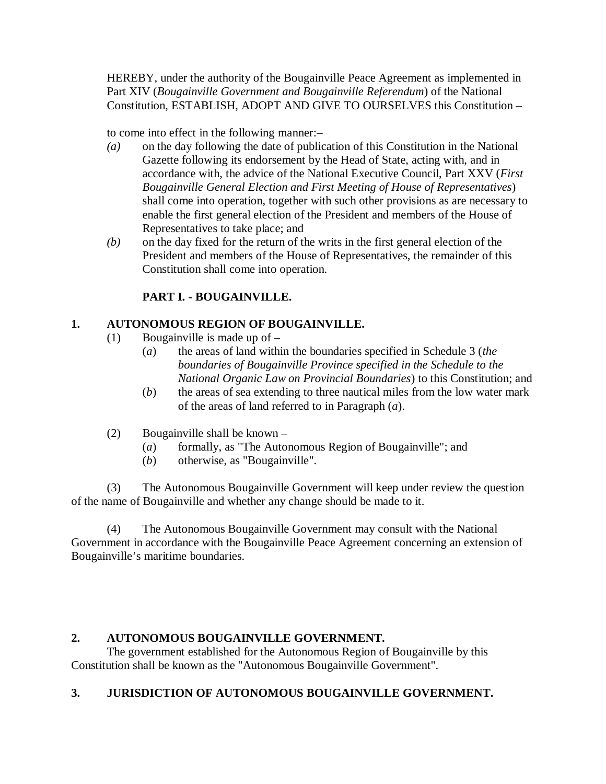HEREBY, under the authority of the Bougainville Peace Agreement as implemented in Part XIV (*Bougainville Government and Bougainville Referendum*) of the National Constitution, ESTABLISH, ADOPT AND GIVE TO OURSELVES this Constitution –

to come into effect in the following manner:–

- *(a)* on the day following the date of publication of this Constitution in the National Gazette following its endorsement by the Head of State, acting with, and in accordance with, the advice of the National Executive Council, Part XXV (*First Bougainville General Election and First Meeting of House of Representatives*) shall come into operation, together with such other provisions as are necessary to enable the first general election of the President and members of the House of Representatives to take place; and
- *(b)* on the day fixed for the return of the writs in the first general election of the President and members of the House of Representatives, the remainder of this Constitution shall come into operation.

# **PART I. - BOUGAINVILLE.**

# **1. AUTONOMOUS REGION OF BOUGAINVILLE.**

- (1) Bougainville is made up of
	- (*a*) the areas of land within the boundaries specified in Schedule 3 (*the boundaries of Bougainville Province specified in the Schedule to the National Organic Law on Provincial Boundaries*) to this Constitution; and
	- (*b*) the areas of sea extending to three nautical miles from the low water mark of the areas of land referred to in Paragraph (*a*).
- (2) Bougainville shall be known
	- (*a*) formally, as "The Autonomous Region of Bougainville"; and
	- (*b*) otherwise, as "Bougainville".

(3) The Autonomous Bougainville Government will keep under review the question of the name of Bougainville and whether any change should be made to it.

(4) The Autonomous Bougainville Government may consult with the National Government in accordance with the Bougainville Peace Agreement concerning an extension of Bougainville's maritime boundaries.

# **2. AUTONOMOUS BOUGAINVILLE GOVERNMENT.**

The government established for the Autonomous Region of Bougainville by this Constitution shall be known as the "Autonomous Bougainville Government".

# **3. JURISDICTION OF AUTONOMOUS BOUGAINVILLE GOVERNMENT.**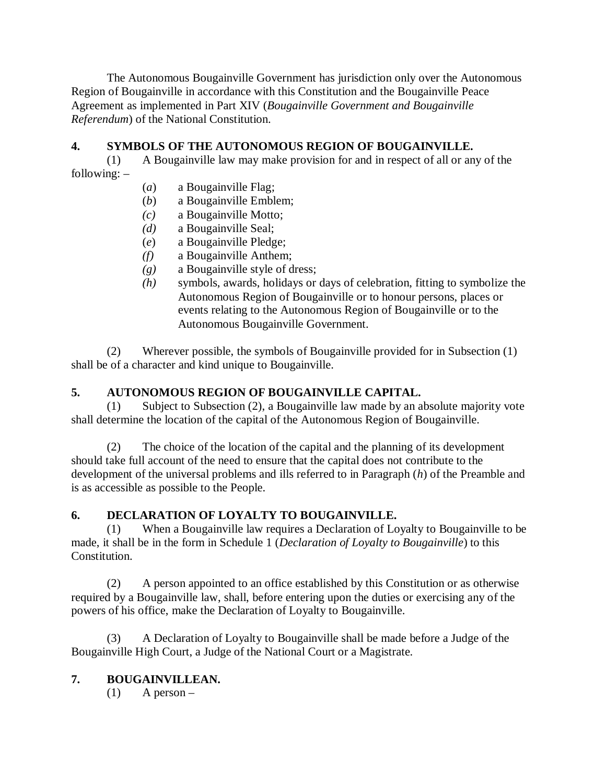The Autonomous Bougainville Government has jurisdiction only over the Autonomous Region of Bougainville in accordance with this Constitution and the Bougainville Peace Agreement as implemented in Part XIV (*Bougainville Government and Bougainville Referendum*) of the National Constitution.

# **4. SYMBOLS OF THE AUTONOMOUS REGION OF BOUGAINVILLE.**

(1) A Bougainville law may make provision for and in respect of all or any of the following: –

- (*a*) a Bougainville Flag;
- (*b*) a Bougainville Emblem;
- *(c)* a Bougainville Motto;
- *(d)* a Bougainville Seal;
- (*e*) a Bougainville Pledge;
- *(f)* a Bougainville Anthem;
- *(g)* a Bougainville style of dress;
- *(h)* symbols, awards, holidays or days of celebration, fitting to symbolize the Autonomous Region of Bougainville or to honour persons, places or events relating to the Autonomous Region of Bougainville or to the Autonomous Bougainville Government.

(2) Wherever possible, the symbols of Bougainville provided for in Subsection (1) shall be of a character and kind unique to Bougainville.

# **5. AUTONOMOUS REGION OF BOUGAINVILLE CAPITAL.**

(1) Subject to Subsection (2), a Bougainville law made by an absolute majority vote shall determine the location of the capital of the Autonomous Region of Bougainville.

(2) The choice of the location of the capital and the planning of its development should take full account of the need to ensure that the capital does not contribute to the development of the universal problems and ills referred to in Paragraph (*h*) of the Preamble and is as accessible as possible to the People.

# **6. DECLARATION OF LOYALTY TO BOUGAINVILLE.**

(1) When a Bougainville law requires a Declaration of Loyalty to Bougainville to be made, it shall be in the form in Schedule 1 (*Declaration of Loyalty to Bougainville*) to this Constitution.

(2) A person appointed to an office established by this Constitution or as otherwise required by a Bougainville law, shall, before entering upon the duties or exercising any of the powers of his office, make the Declaration of Loyalty to Bougainville.

(3) A Declaration of Loyalty to Bougainville shall be made before a Judge of the Bougainville High Court, a Judge of the National Court or a Magistrate.

# **7. BOUGAINVILLEAN.**

 $(1)$  A person –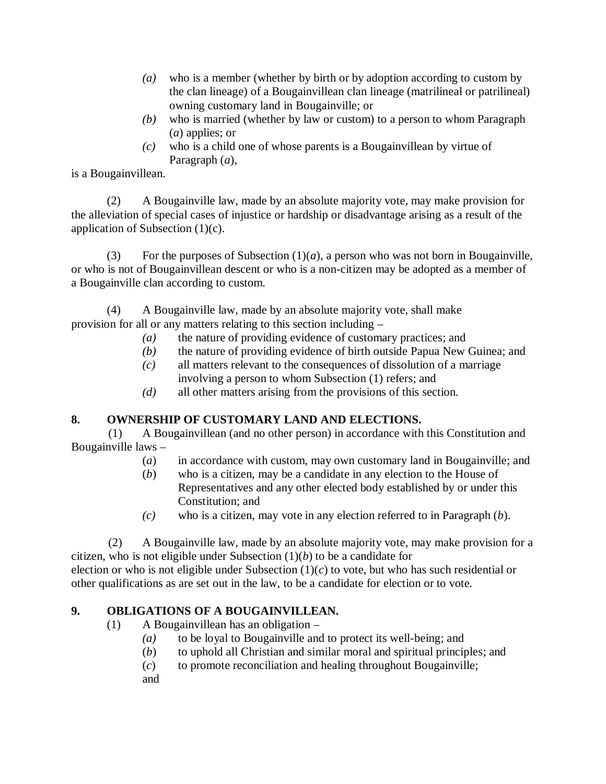- *(a)* who is a member (whether by birth or by adoption according to custom by the clan lineage) of a Bougainvillean clan lineage (matrilineal or patrilineal) owning customary land in Bougainville; or
- *(b)* who is married (whether by law or custom) to a person to whom Paragraph (*a*) applies; or
- *(c)* who is a child one of whose parents is a Bougainvillean by virtue of Paragraph (*a*),

is a Bougainvillean.

(2) A Bougainville law, made by an absolute majority vote, may make provision for the alleviation of special cases of injustice or hardship or disadvantage arising as a result of the application of Subsection (1)(c).

(3) For the purposes of Subsection  $(1)(a)$ , a person who was not born in Bougainville, or who is not of Bougainvillean descent or who is a non-citizen may be adopted as a member of a Bougainville clan according to custom.

(4) A Bougainville law, made by an absolute majority vote, shall make provision for all or any matters relating to this section including –

- *(a)* the nature of providing evidence of customary practices; and
- *(b)* the nature of providing evidence of birth outside Papua New Guinea; and
- *(c)* all matters relevant to the consequences of dissolution of a marriage involving a person to whom Subsection (1) refers; and
- *(d)* all other matters arising from the provisions of this section.

# **8. OWNERSHIP OF CUSTOMARY LAND AND ELECTIONS.**

(1) A Bougainvillean (and no other person) in accordance with this Constitution and Bougainville laws –

- (*a*) in accordance with custom, may own customary land in Bougainville; and
- (*b*) who is a citizen, may be a candidate in any election to the House of Representatives and any other elected body established by or under this Constitution; and
- *(c)* who is a citizen, may vote in any election referred to in Paragraph (*b*).

(2) A Bougainville law, made by an absolute majority vote, may make provision for a citizen, who is not eligible under Subsection  $(1)(b)$  to be a candidate for election or who is not eligible under Subsection (1)(*c*) to vote, but who has such residential or other qualifications as are set out in the law, to be a candidate for election or to vote.

# **9. OBLIGATIONS OF A BOUGAINVILLEAN.**

- (1) A Bougainvillean has an obligation
	- *(a)* to be loyal to Bougainville and to protect its well-being; and
	- (*b*) to uphold all Christian and similar moral and spiritual principles; and
	- (*c*) to promote reconciliation and healing throughout Bougainville;

and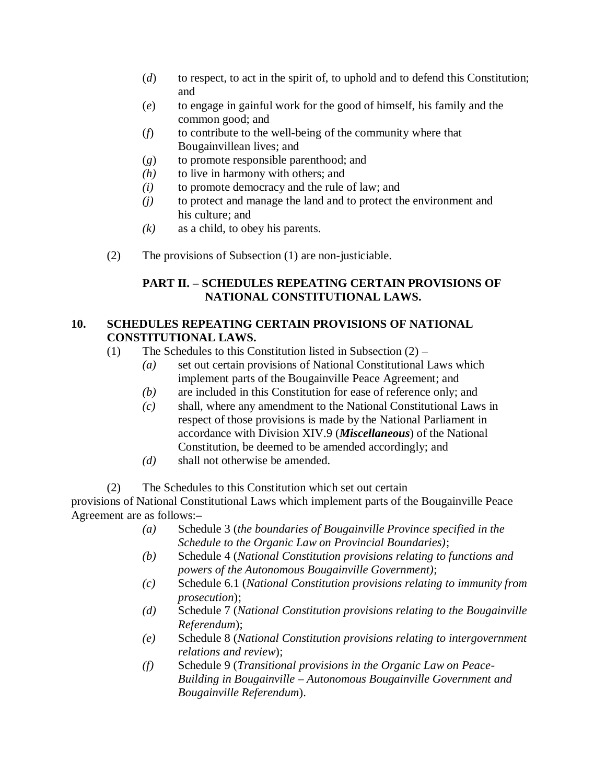- (*d*) to respect, to act in the spirit of, to uphold and to defend this Constitution; and
- (*e*) to engage in gainful work for the good of himself, his family and the common good; and
- (*f*) to contribute to the well-being of the community where that Bougainvillean lives; and
- (*g*) to promote responsible parenthood; and
- *(h)* to live in harmony with others; and
- *(i)* to promote democracy and the rule of law; and
- *(j)* to protect and manage the land and to protect the environment and his culture; and
- *(k)* as a child, to obey his parents.
- (2) The provisions of Subsection (1) are non-justiciable.

# **PART II. – SCHEDULES REPEATING CERTAIN PROVISIONS OF NATIONAL CONSTITUTIONAL LAWS.**

# **10. SCHEDULES REPEATING CERTAIN PROVISIONS OF NATIONAL CONSTITUTIONAL LAWS.**

- (1) The Schedules to this Constitution listed in Subsection  $(2)$ 
	- *(a)* set out certain provisions of National Constitutional Laws which implement parts of the Bougainville Peace Agreement; and
	- *(b)* are included in this Constitution for ease of reference only; and
	- *(c)* shall, where any amendment to the National Constitutional Laws in respect of those provisions is made by the National Parliament in accordance with Division XIV.9 (*Miscellaneous*) of the National Constitution, be deemed to be amended accordingly; and
	- *(d)* shall not otherwise be amended.

(2) The Schedules to this Constitution which set out certain

provisions of National Constitutional Laws which implement parts of the Bougainville Peace Agreement are as follows:**–**

- *(a)* Schedule 3 (*the boundaries of Bougainville Province specified in the Schedule to the Organic Law on Provincial Boundaries)*;
- *(b)* Schedule 4 (*National Constitution provisions relating to functions and powers of the Autonomous Bougainville Government)*;
- *(c)* Schedule 6.1 (*National Constitution provisions relating to immunity from prosecution*);
- *(d)* Schedule 7 (*National Constitution provisions relating to the Bougainville Referendum*);
- *(e)* Schedule 8 (*National Constitution provisions relating to intergovernment relations and review*);
- *(f)* Schedule 9 (*Transitional provisions in the Organic Law on Peace*-*Building in Bougainville – Autonomous Bougainville Government and Bougainville Referendum*).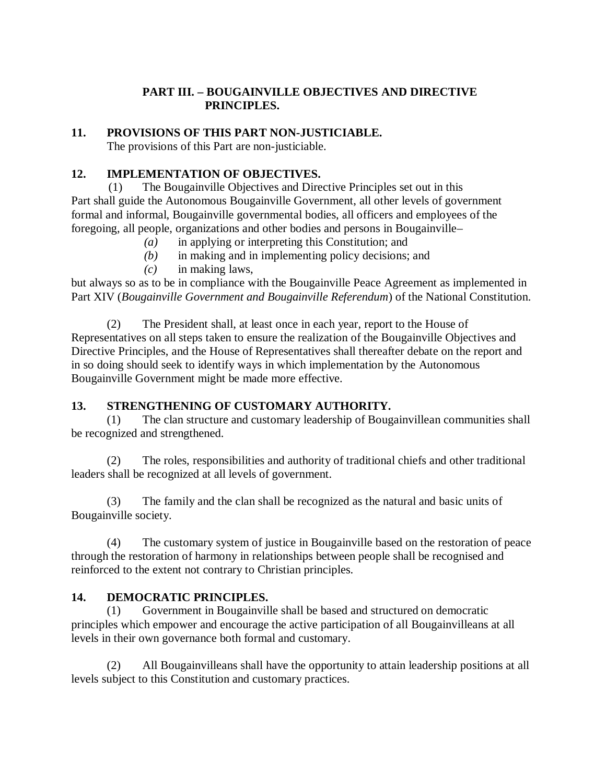# **PART III. – BOUGAINVILLE OBJECTIVES AND DIRECTIVE PRINCIPLES.**

# **11. PROVISIONS OF THIS PART NON-JUSTICIABLE.**

The provisions of this Part are non-justiciable.

# **12. IMPLEMENTATION OF OBJECTIVES.**

(1) The Bougainville Objectives and Directive Principles set out in this Part shall guide the Autonomous Bougainville Government, all other levels of government formal and informal, Bougainville governmental bodies, all officers and employees of the foregoing, all people, organizations and other bodies and persons in Bougainville–

- *(a)* in applying or interpreting this Constitution; and
- *(b)* in making and in implementing policy decisions; and
- *(c)* in making laws,

but always so as to be in compliance with the Bougainville Peace Agreement as implemented in Part XIV (*Bougainville Government and Bougainville Referendum*) of the National Constitution.

(2) The President shall, at least once in each year, report to the House of Representatives on all steps taken to ensure the realization of the Bougainville Objectives and Directive Principles, and the House of Representatives shall thereafter debate on the report and in so doing should seek to identify ways in which implementation by the Autonomous Bougainville Government might be made more effective.

# **13. STRENGTHENING OF CUSTOMARY AUTHORITY.**<br>(1) The clan structure and customary leadership of Boug

The clan structure and customary leadership of Bougainvillean communities shall be recognized and strengthened.

(2) The roles, responsibilities and authority of traditional chiefs and other traditional leaders shall be recognized at all levels of government.

(3) The family and the clan shall be recognized as the natural and basic units of Bougainville society.

(4) The customary system of justice in Bougainville based on the restoration of peace through the restoration of harmony in relationships between people shall be recognised and reinforced to the extent not contrary to Christian principles.

# **14. DEMOCRATIC PRINCIPLES.**

(1) Government in Bougainville shall be based and structured on democratic principles which empower and encourage the active participation of all Bougainvilleans at all levels in their own governance both formal and customary.

(2) All Bougainvilleans shall have the opportunity to attain leadership positions at all levels subject to this Constitution and customary practices.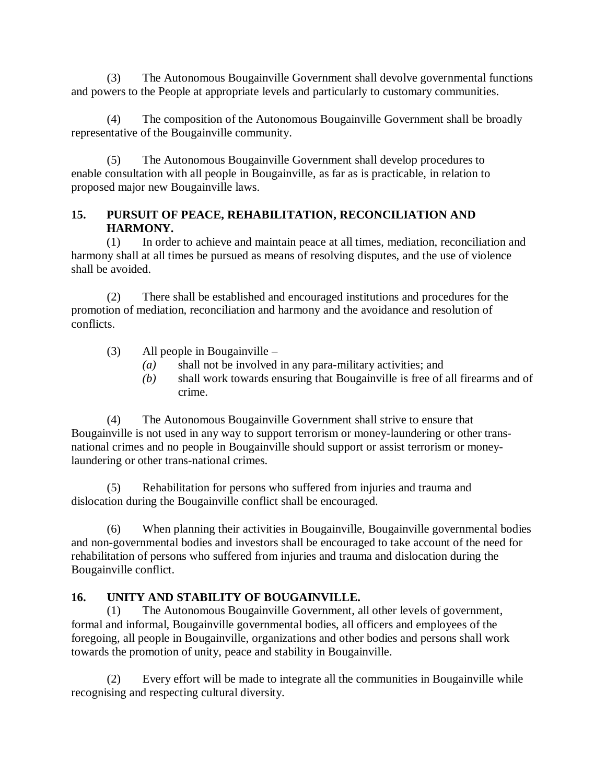(3) The Autonomous Bougainville Government shall devolve governmental functions and powers to the People at appropriate levels and particularly to customary communities.

(4) The composition of the Autonomous Bougainville Government shall be broadly representative of the Bougainville community.

(5) The Autonomous Bougainville Government shall develop procedures to enable consultation with all people in Bougainville, as far as is practicable, in relation to proposed major new Bougainville laws.

# **15. PURSUIT OF PEACE, REHABILITATION, RECONCILIATION AND HARMONY.**

(1) In order to achieve and maintain peace at all times, mediation, reconciliation and harmony shall at all times be pursued as means of resolving disputes, and the use of violence shall be avoided.

(2) There shall be established and encouraged institutions and procedures for the promotion of mediation, reconciliation and harmony and the avoidance and resolution of conflicts.

- (3) All people in Bougainville
	- *(a)* shall not be involved in any para-military activities; and
	- *(b)* shall work towards ensuring that Bougainville is free of all firearms and of crime.

(4) The Autonomous Bougainville Government shall strive to ensure that Bougainville is not used in any way to support terrorism or money-laundering or other transnational crimes and no people in Bougainville should support or assist terrorism or moneylaundering or other trans-national crimes.

(5) Rehabilitation for persons who suffered from injuries and trauma and dislocation during the Bougainville conflict shall be encouraged.

(6) When planning their activities in Bougainville, Bougainville governmental bodies and non-governmental bodies and investors shall be encouraged to take account of the need for rehabilitation of persons who suffered from injuries and trauma and dislocation during the Bougainville conflict.

# **16. UNITY AND STABILITY OF BOUGAINVILLE.**

(1) The Autonomous Bougainville Government, all other levels of government, formal and informal, Bougainville governmental bodies, all officers and employees of the foregoing, all people in Bougainville, organizations and other bodies and persons shall work towards the promotion of unity, peace and stability in Bougainville.

(2) Every effort will be made to integrate all the communities in Bougainville while recognising and respecting cultural diversity.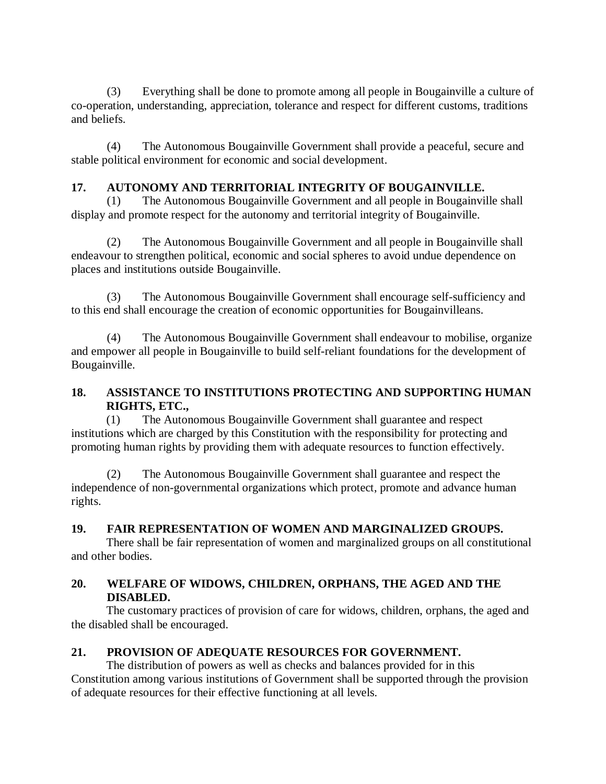(3) Everything shall be done to promote among all people in Bougainville a culture of co-operation, understanding, appreciation, tolerance and respect for different customs, traditions and beliefs.

(4) The Autonomous Bougainville Government shall provide a peaceful, secure and stable political environment for economic and social development.

## **17. AUTONOMY AND TERRITORIAL INTEGRITY OF BOUGAINVILLE.**

(1) The Autonomous Bougainville Government and all people in Bougainville shall display and promote respect for the autonomy and territorial integrity of Bougainville.

(2) The Autonomous Bougainville Government and all people in Bougainville shall endeavour to strengthen political, economic and social spheres to avoid undue dependence on places and institutions outside Bougainville.

(3) The Autonomous Bougainville Government shall encourage self-sufficiency and to this end shall encourage the creation of economic opportunities for Bougainvilleans.

(4) The Autonomous Bougainville Government shall endeavour to mobilise, organize and empower all people in Bougainville to build self-reliant foundations for the development of Bougainville.

#### **18. ASSISTANCE TO INSTITUTIONS PROTECTING AND SUPPORTING HUMAN RIGHTS, ETC.,**

(1) The Autonomous Bougainville Government shall guarantee and respect institutions which are charged by this Constitution with the responsibility for protecting and promoting human rights by providing them with adequate resources to function effectively.

(2) The Autonomous Bougainville Government shall guarantee and respect the independence of non-governmental organizations which protect, promote and advance human rights.

## **19. FAIR REPRESENTATION OF WOMEN AND MARGINALIZED GROUPS.**

There shall be fair representation of women and marginalized groups on all constitutional and other bodies.

# **20. WELFARE OF WIDOWS, CHILDREN, ORPHANS, THE AGED AND THE DISABLED.**

The customary practices of provision of care for widows, children, orphans, the aged and the disabled shall be encouraged.

# **21. PROVISION OF ADEQUATE RESOURCES FOR GOVERNMENT.**

The distribution of powers as well as checks and balances provided for in this Constitution among various institutions of Government shall be supported through the provision of adequate resources for their effective functioning at all levels.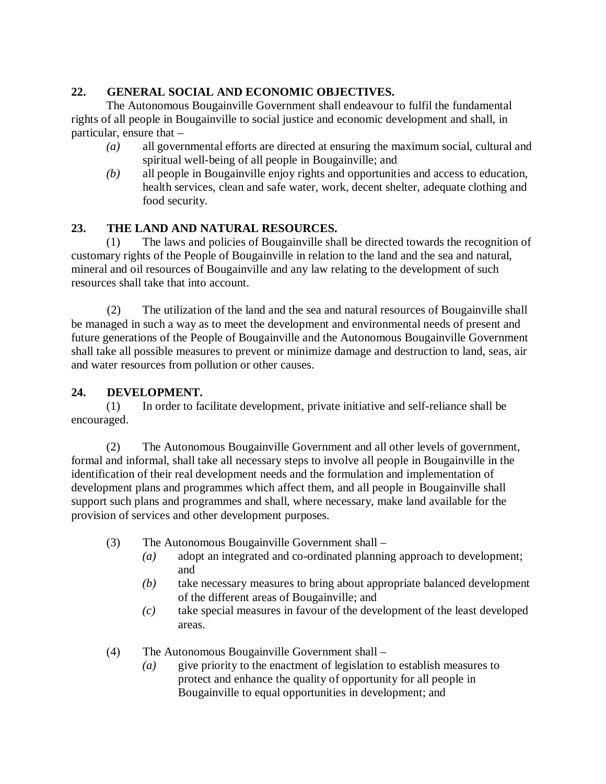# **22. GENERAL SOCIAL AND ECONOMIC OBJECTIVES.**

The Autonomous Bougainville Government shall endeavour to fulfil the fundamental rights of all people in Bougainville to social justice and economic development and shall, in particular, ensure that –

- *(a)* all governmental efforts are directed at ensuring the maximum social, cultural and spiritual well-being of all people in Bougainville; and
- *(b)* all people in Bougainville enjoy rights and opportunities and access to education, health services, clean and safe water, work, decent shelter, adequate clothing and food security.

# **23. THE LAND AND NATURAL RESOURCES.**

(1) The laws and policies of Bougainville shall be directed towards the recognition of customary rights of the People of Bougainville in relation to the land and the sea and natural, mineral and oil resources of Bougainville and any law relating to the development of such resources shall take that into account.

(2) The utilization of the land and the sea and natural resources of Bougainville shall be managed in such a way as to meet the development and environmental needs of present and future generations of the People of Bougainville and the Autonomous Bougainville Government shall take all possible measures to prevent or minimize damage and destruction to land, seas, air and water resources from pollution or other causes.

## **24. DEVELOPMENT.**

(1) In order to facilitate development, private initiative and self-reliance shall be encouraged.

(2) The Autonomous Bougainville Government and all other levels of government, formal and informal, shall take all necessary steps to involve all people in Bougainville in the identification of their real development needs and the formulation and implementation of development plans and programmes which affect them, and all people in Bougainville shall support such plans and programmes and shall, where necessary, make land available for the provision of services and other development purposes.

- (3) The Autonomous Bougainville Government shall
	- *(a)* adopt an integrated and co-ordinated planning approach to development; and
	- *(b)* take necessary measures to bring about appropriate balanced development of the different areas of Bougainville; and
	- *(c)* take special measures in favour of the development of the least developed areas.
- (4) The Autonomous Bougainville Government shall
	- *(a)* give priority to the enactment of legislation to establish measures to protect and enhance the quality of opportunity for all people in Bougainville to equal opportunities in development; and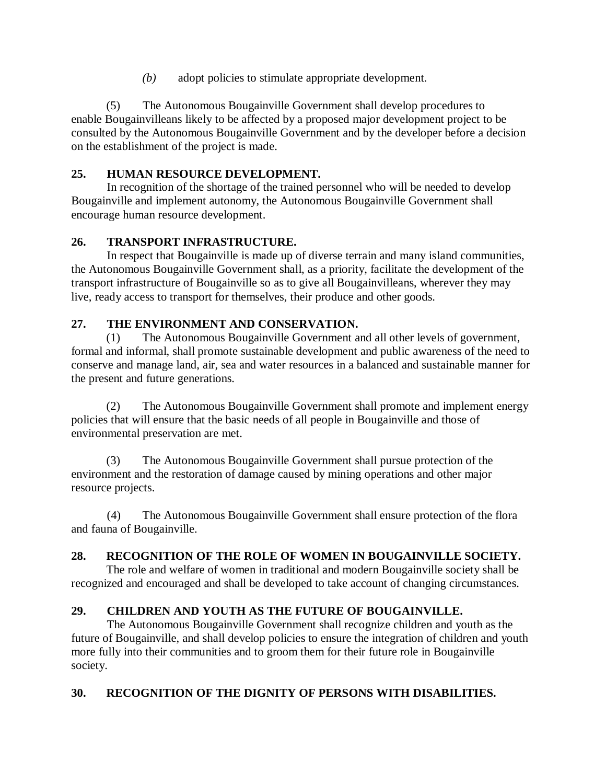*(b)* adopt policies to stimulate appropriate development.

(5) The Autonomous Bougainville Government shall develop procedures to enable Bougainvilleans likely to be affected by a proposed major development project to be consulted by the Autonomous Bougainville Government and by the developer before a decision on the establishment of the project is made.

# **25. HUMAN RESOURCE DEVELOPMENT.**

In recognition of the shortage of the trained personnel who will be needed to develop Bougainville and implement autonomy, the Autonomous Bougainville Government shall encourage human resource development.

# **26. TRANSPORT INFRASTRUCTURE.**

In respect that Bougainville is made up of diverse terrain and many island communities, the Autonomous Bougainville Government shall, as a priority, facilitate the development of the transport infrastructure of Bougainville so as to give all Bougainvilleans, wherever they may live, ready access to transport for themselves, their produce and other goods.

# **27. THE ENVIRONMENT AND CONSERVATION.**

(1) The Autonomous Bougainville Government and all other levels of government, formal and informal, shall promote sustainable development and public awareness of the need to conserve and manage land, air, sea and water resources in a balanced and sustainable manner for the present and future generations.

(2) The Autonomous Bougainville Government shall promote and implement energy policies that will ensure that the basic needs of all people in Bougainville and those of environmental preservation are met.

(3) The Autonomous Bougainville Government shall pursue protection of the environment and the restoration of damage caused by mining operations and other major resource projects.

(4) The Autonomous Bougainville Government shall ensure protection of the flora and fauna of Bougainville.

## **28. RECOGNITION OF THE ROLE OF WOMEN IN BOUGAINVILLE SOCIETY.**

The role and welfare of women in traditional and modern Bougainville society shall be recognized and encouraged and shall be developed to take account of changing circumstances.

# **29. CHILDREN AND YOUTH AS THE FUTURE OF BOUGAINVILLE.**

The Autonomous Bougainville Government shall recognize children and youth as the future of Bougainville, and shall develop policies to ensure the integration of children and youth more fully into their communities and to groom them for their future role in Bougainville society.

# **30. RECOGNITION OF THE DIGNITY OF PERSONS WITH DISABILITIES.**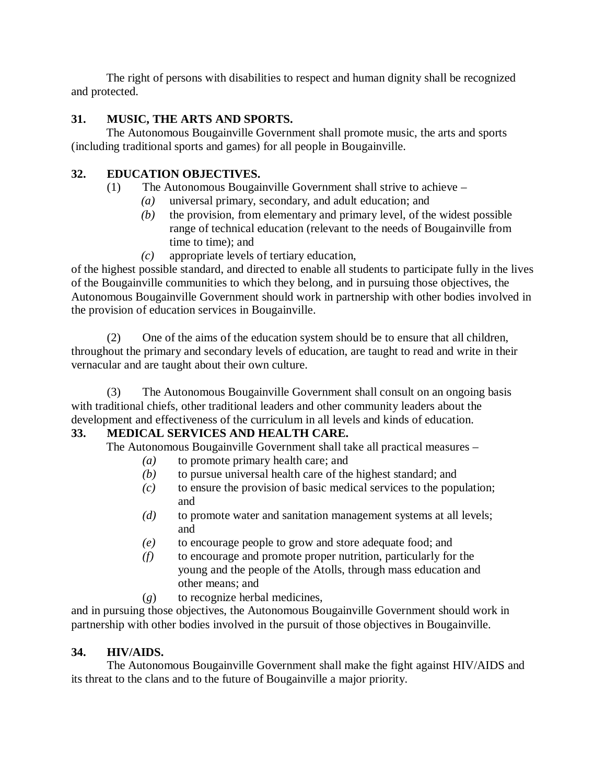The right of persons with disabilities to respect and human dignity shall be recognized and protected.

# **31. MUSIC, THE ARTS AND SPORTS.**

The Autonomous Bougainville Government shall promote music, the arts and sports (including traditional sports and games) for all people in Bougainville.

# **32. EDUCATION OBJECTIVES.**

- (1) The Autonomous Bougainville Government shall strive to achieve
	- *(a)* universal primary, secondary, and adult education; and
	- $(b)$  the provision, from elementary and primary level, of the widest possible range of technical education (relevant to the needs of Bougainville from time to time); and
	- *(c)* appropriate levels of tertiary education,

of the highest possible standard, and directed to enable all students to participate fully in the lives of the Bougainville communities to which they belong, and in pursuing those objectives, the Autonomous Bougainville Government should work in partnership with other bodies involved in the provision of education services in Bougainville.

(2) One of the aims of the education system should be to ensure that all children, throughout the primary and secondary levels of education, are taught to read and write in their vernacular and are taught about their own culture.

(3) The Autonomous Bougainville Government shall consult on an ongoing basis with traditional chiefs, other traditional leaders and other community leaders about the development and effectiveness of the curriculum in all levels and kinds of education.

# **33. MEDICAL SERVICES AND HEALTH CARE.**

The Autonomous Bougainville Government shall take all practical measures –

- *(a)* to promote primary health care; and
- *(b)* to pursue universal health care of the highest standard; and
- *(c)* to ensure the provision of basic medical services to the population; and
- *(d)* to promote water and sanitation management systems at all levels; and
- *(e)* to encourage people to grow and store adequate food; and
- *(f)* to encourage and promote proper nutrition, particularly for the young and the people of the Atolls, through mass education and other means; and
- (*g*) to recognize herbal medicines,

and in pursuing those objectives, the Autonomous Bougainville Government should work in partnership with other bodies involved in the pursuit of those objectives in Bougainville.

## **34. HIV/AIDS.**

The Autonomous Bougainville Government shall make the fight against HIV/AIDS and its threat to the clans and to the future of Bougainville a major priority.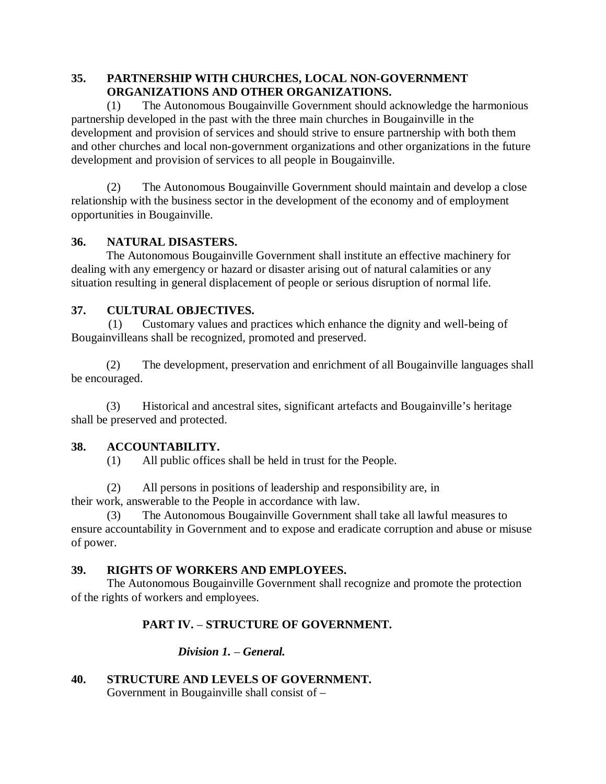## **35. PARTNERSHIP WITH CHURCHES, LOCAL NON-GOVERNMENT ORGANIZATIONS AND OTHER ORGANIZATIONS.**

(1) The Autonomous Bougainville Government should acknowledge the harmonious partnership developed in the past with the three main churches in Bougainville in the development and provision of services and should strive to ensure partnership with both them and other churches and local non-government organizations and other organizations in the future development and provision of services to all people in Bougainville.

(2) The Autonomous Bougainville Government should maintain and develop a close relationship with the business sector in the development of the economy and of employment opportunities in Bougainville.

# **36. NATURAL DISASTERS.**

The Autonomous Bougainville Government shall institute an effective machinery for dealing with any emergency or hazard or disaster arising out of natural calamities or any situation resulting in general displacement of people or serious disruption of normal life.

# **37. CULTURAL OBJECTIVES.**

(1) Customary values and practices which enhance the dignity and well-being of Bougainvilleans shall be recognized, promoted and preserved.

(2) The development, preservation and enrichment of all Bougainville languages shall be encouraged.

(3) Historical and ancestral sites, significant artefacts and Bougainville's heritage shall be preserved and protected.

## **38. ACCOUNTABILITY.**

(1) All public offices shall be held in trust for the People.

(2) All persons in positions of leadership and responsibility are, in their work, answerable to the People in accordance with law.

(3) The Autonomous Bougainville Government shall take all lawful measures to ensure accountability in Government and to expose and eradicate corruption and abuse or misuse of power.

## **39. RIGHTS OF WORKERS AND EMPLOYEES.**

The Autonomous Bougainville Government shall recognize and promote the protection of the rights of workers and employees.

# **PART IV.** – **STRUCTURE OF GOVERNMENT.**

*Division 1.* – *General.*

**40. STRUCTURE AND LEVELS OF GOVERNMENT.** Government in Bougainville shall consist of –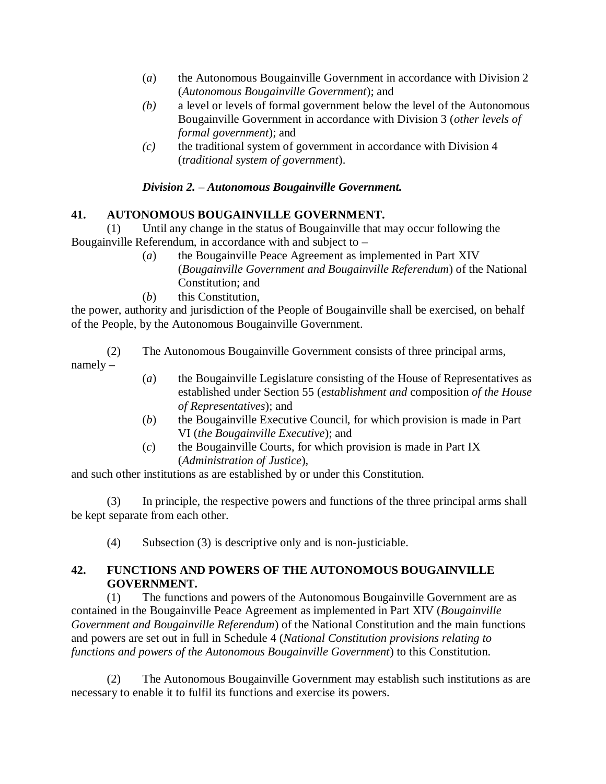- (*a*) the Autonomous Bougainville Government in accordance with Division 2 (*Autonomous Bougainville Government*); and
- *(b)* a level or levels of formal government below the level of the Autonomous Bougainville Government in accordance with Division 3 (*other levels of formal government*); and
- *(c)* the traditional system of government in accordance with Division 4 (*traditional system of government*).

# *Division 2.* – *Autonomous Bougainville Government.*

# **41. AUTONOMOUS BOUGAINVILLE GOVERNMENT.**

(1) Until any change in the status of Bougainville that may occur following the Bougainville Referendum, in accordance with and subject to –

- (*a*) the Bougainville Peace Agreement as implemented in Part XIV (*Bougainville Government and Bougainville Referendum*) of the National Constitution; and
- (*b*) this Constitution,

the power, authority and jurisdiction of the People of Bougainville shall be exercised, on behalf of the People, by the Autonomous Bougainville Government.

(2) The Autonomous Bougainville Government consists of three principal arms, namely –

- (*a*) the Bougainville Legislature consisting of the House of Representatives as established under Section 55 (*establishment and* composition *of the House of Representatives*); and
- (*b*) the Bougainville Executive Council, for which provision is made in Part VI (*the Bougainville Executive*); and
- (*c*) the Bougainville Courts, for which provision is made in Part IX (*Administration of Justice*),

and such other institutions as are established by or under this Constitution.

(3) In principle, the respective powers and functions of the three principal arms shall be kept separate from each other.

(4) Subsection (3) is descriptive only and is non-justiciable.

# **42. FUNCTIONS AND POWERS OF THE AUTONOMOUS BOUGAINVILLE GOVERNMENT.**

(1) The functions and powers of the Autonomous Bougainville Government are as contained in the Bougainville Peace Agreement as implemented in Part XIV (*Bougainville Government and Bougainville Referendum*) of the National Constitution and the main functions and powers are set out in full in Schedule 4 (*National Constitution provisions relating to functions and powers of the Autonomous Bougainville Government*) to this Constitution.

(2) The Autonomous Bougainville Government may establish such institutions as are necessary to enable it to fulfil its functions and exercise its powers.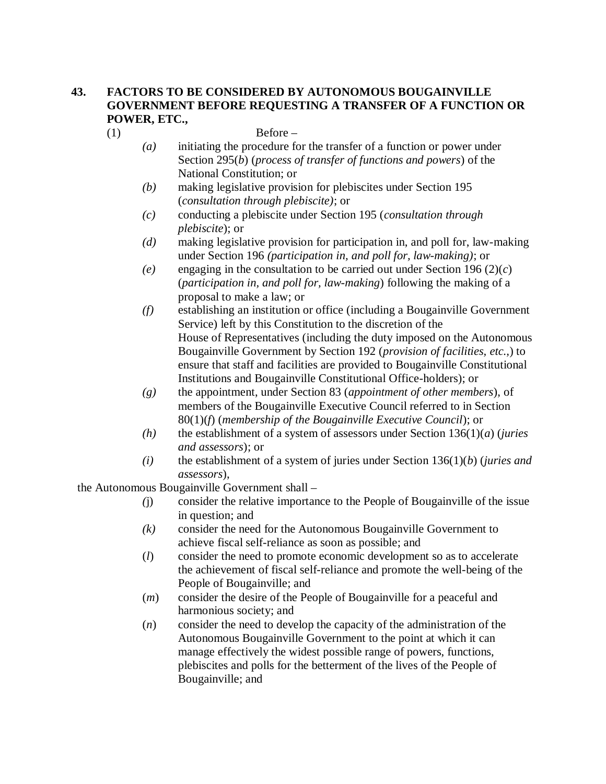# **43. FACTORS TO BE CONSIDERED BY AUTONOMOUS BOUGAINVILLE GOVERNMENT BEFORE REQUESTING A TRANSFER OF A FUNCTION OR POWER, ETC.,**

 $\text{Before} -$ 

- *(a)* initiating the procedure for the transfer of a function or power under Section 295(*b*) (*process of transfer of functions and powers*) of the National Constitution; or
- *(b)* making legislative provision for plebiscites under Section 195 (*consultation through plebiscite)*; or
- *(c)* conducting a plebiscite under Section 195 (*consultation through plebiscite*); or
- *(d)* making legislative provision for participation in, and poll for, law-making under Section 196 *(participation in, and poll for, law-making)*; or
- *(e)* engaging in the consultation to be carried out under Section 196 (2)(*c*) (*participation in, and poll for, law-making*) following the making of a proposal to make a law; or
- *(f)* establishing an institution or office (including a Bougainville Government Service) left by this Constitution to the discretion of the House of Representatives (including the duty imposed on the Autonomous Bougainville Government by Section 192 (*provision of facilities, etc.,*) to ensure that staff and facilities are provided to Bougainville Constitutional Institutions and Bougainville Constitutional Office-holders); or
- *(g)* the appointment, under Section 83 (*appointment of other members*), of members of the Bougainville Executive Council referred to in Section 80(1)(*f*) (*membership of the Bougainville Executive Council*); or
- *(h)* the establishment of a system of assessors under Section  $136(1)(a)$  (*juries and assessors*); or
- *(i)* the establishment of a system of juries under Section 136(1)(*b*) (*juries and assessors*),

the Autonomous Bougainville Government shall –

- *(*j) consider the relative importance to the People of Bougainville of the issue in question; and
- *(k)* consider the need for the Autonomous Bougainville Government to achieve fiscal self-reliance as soon as possible; and
- (*l*) consider the need to promote economic development so as to accelerate the achievement of fiscal self-reliance and promote the well-being of the People of Bougainville; and
- (*m*) consider the desire of the People of Bougainville for a peaceful and harmonious society; and
- (*n*) consider the need to develop the capacity of the administration of the Autonomous Bougainville Government to the point at which it can manage effectively the widest possible range of powers, functions, plebiscites and polls for the betterment of the lives of the People of Bougainville; and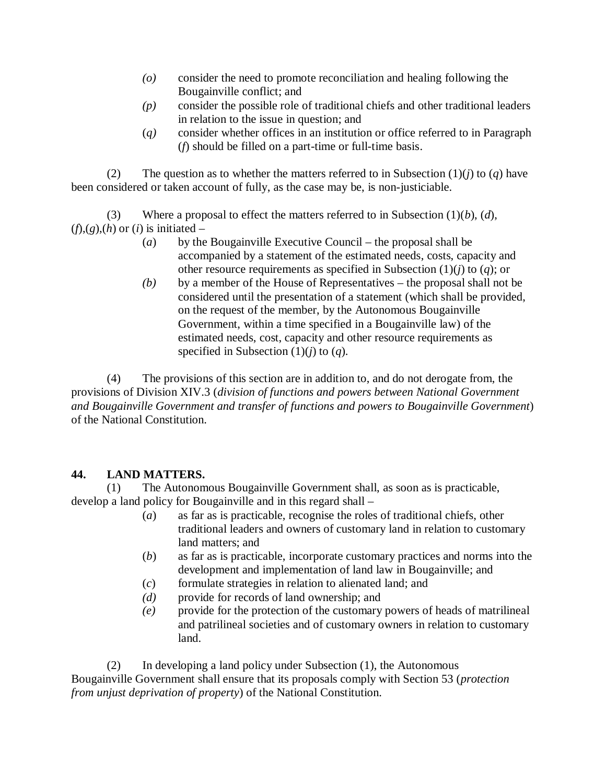- *(o)* consider the need to promote reconciliation and healing following the Bougainville conflict; and
- *(p)* consider the possible role of traditional chiefs and other traditional leaders in relation to the issue in question; and
- (*q)* consider whether offices in an institution or office referred to in Paragraph (*f*) should be filled on a part-time or full-time basis.

(2) The question as to whether the matters referred to in Subsection  $(1)(j)$  to  $(q)$  have been considered or taken account of fully, as the case may be, is non-justiciable.

(3) Where a proposal to effect the matters referred to in Subsection (1)(*b*), (*d*),  $(f),(g),(h)$  or  $(i)$  is initiated –

- (*a*) by the Bougainville Executive Council the proposal shall be accompanied by a statement of the estimated needs, costs, capacity and other resource requirements as specified in Subsection (1)(*j*) to (*q*); or
- *(b)* by a member of the House of Representatives the proposal shall not be considered until the presentation of a statement (which shall be provided, on the request of the member, by the Autonomous Bougainville Government, within a time specified in a Bougainville law) of the estimated needs, cost, capacity and other resource requirements as specified in Subsection (1)(*j*) to (*q*).

(4) The provisions of this section are in addition to, and do not derogate from, the provisions of Division XIV.3 (*division of functions and powers between National Government and Bougainville Government and transfer of functions and powers to Bougainville Government*) of the National Constitution.

# **44. LAND MATTERS.**

(1) The Autonomous Bougainville Government shall, as soon as is practicable, develop a land policy for Bougainville and in this regard shall –

- (*a*) as far as is practicable, recognise the roles of traditional chiefs, other traditional leaders and owners of customary land in relation to customary land matters; and
- (*b*) as far as is practicable, incorporate customary practices and norms into the development and implementation of land law in Bougainville; and
- (*c*) formulate strategies in relation to alienated land; and
- *(d)* provide for records of land ownership; and
- *(e)* provide for the protection of the customary powers of heads of matrilineal and patrilineal societies and of customary owners in relation to customary land.

(2) In developing a land policy under Subsection (1), the Autonomous Bougainville Government shall ensure that its proposals comply with Section 53 (*protection from unjust deprivation of property*) of the National Constitution.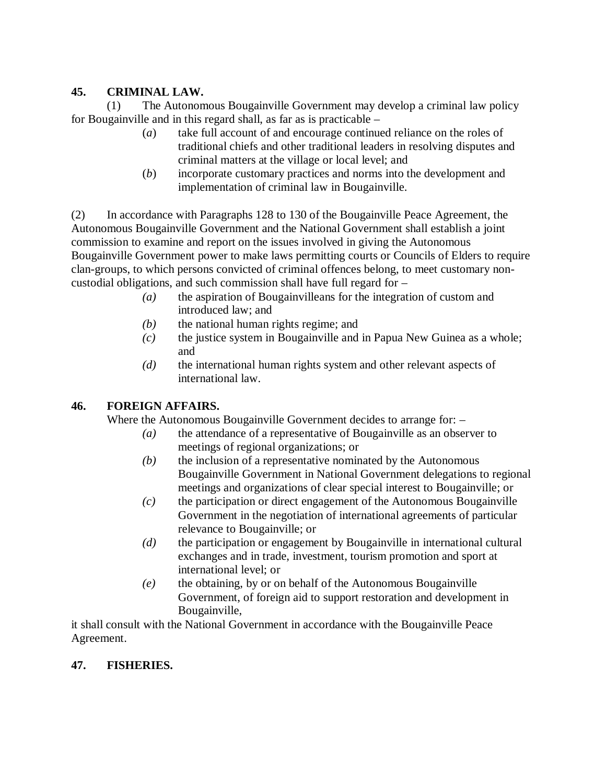## **45. CRIMINAL LAW.**

(1) The Autonomous Bougainville Government may develop a criminal law policy for Bougainville and in this regard shall, as far as is practicable –

- (*a*) take full account of and encourage continued reliance on the roles of traditional chiefs and other traditional leaders in resolving disputes and criminal matters at the village or local level; and
- (*b*) incorporate customary practices and norms into the development and implementation of criminal law in Bougainville.

(2) In accordance with Paragraphs 128 to 130 of the Bougainville Peace Agreement, the Autonomous Bougainville Government and the National Government shall establish a joint commission to examine and report on the issues involved in giving the Autonomous Bougainville Government power to make laws permitting courts or Councils of Elders to require clan-groups, to which persons convicted of criminal offences belong, to meet customary noncustodial obligations, and such commission shall have full regard for –

- *(a)* the aspiration of Bougainvilleans for the integration of custom and introduced law; and
- *(b)* the national human rights regime; and
- *(c)* the justice system in Bougainville and in Papua New Guinea as a whole; and
- *(d)* the international human rights system and other relevant aspects of international law.

# **46. FOREIGN AFFAIRS.**

Where the Autonomous Bougainville Government decides to arrange for:  $-$ 

- *(a)* the attendance of a representative of Bougainville as an observer to meetings of regional organizations; or
- *(b)* the inclusion of a representative nominated by the Autonomous Bougainville Government in National Government delegations to regional meetings and organizations of clear special interest to Bougainville; or
- *(c)* the participation or direct engagement of the Autonomous Bougainville Government in the negotiation of international agreements of particular relevance to Bougainville; or
- *(d)* the participation or engagement by Bougainville in international cultural exchanges and in trade, investment, tourism promotion and sport at international level; or
- *(e)* the obtaining, by or on behalf of the Autonomous Bougainville Government, of foreign aid to support restoration and development in Bougainville,

it shall consult with the National Government in accordance with the Bougainville Peace Agreement.

# **47. FISHERIES.**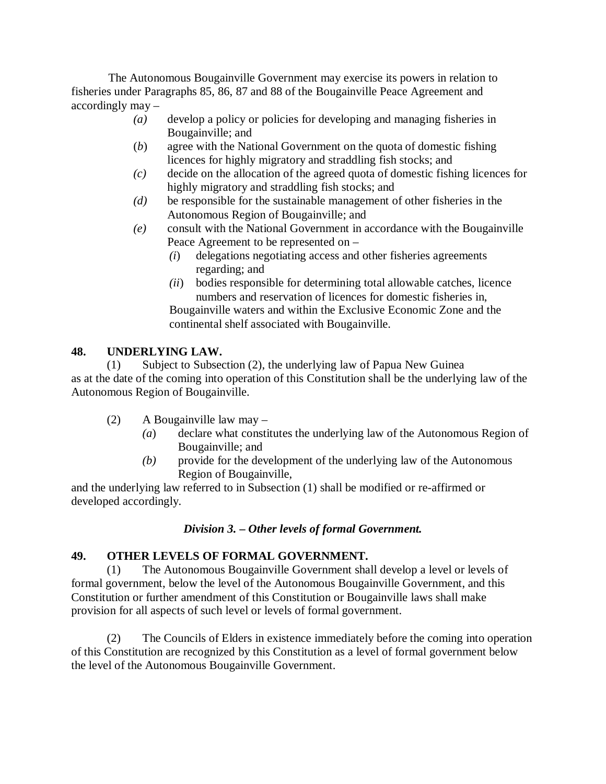The Autonomous Bougainville Government may exercise its powers in relation to fisheries under Paragraphs 85, 86, 87 and 88 of the Bougainville Peace Agreement and accordingly may –

- *(a)* develop a policy or policies for developing and managing fisheries in Bougainville; and
- (*b*) agree with the National Government on the quota of domestic fishing licences for highly migratory and straddling fish stocks; and
- *(c)* decide on the allocation of the agreed quota of domestic fishing licences for highly migratory and straddling fish stocks; and
- *(d)* be responsible for the sustainable management of other fisheries in the Autonomous Region of Bougainville; and
- *(e)* consult with the National Government in accordance with the Bougainville Peace Agreement to be represented on –
	- *(i*) delegations negotiating access and other fisheries agreements regarding; and
	- *(ii*) bodies responsible for determining total allowable catches, licence numbers and reservation of licences for domestic fisheries in,

Bougainville waters and within the Exclusive Economic Zone and the continental shelf associated with Bougainville.

# **48. UNDERLYING LAW.**

(1) Subject to Subsection (2), the underlying law of Papua New Guinea as at the date of the coming into operation of this Constitution shall be the underlying law of the Autonomous Region of Bougainville.

- (2) A Bougainville law may
	- *(a*) declare what constitutes the underlying law of the Autonomous Region of Bougainville; and
	- *(b)* provide for the development of the underlying law of the Autonomous Region of Bougainville,

and the underlying law referred to in Subsection (1) shall be modified or re-affirmed or developed accordingly.

## *Division 3. – Other levels of formal Government.*

## **49. OTHER LEVELS OF FORMAL GOVERNMENT.**

(1) The Autonomous Bougainville Government shall develop a level or levels of formal government, below the level of the Autonomous Bougainville Government, and this Constitution or further amendment of this Constitution or Bougainville laws shall make provision for all aspects of such level or levels of formal government.

(2) The Councils of Elders in existence immediately before the coming into operation of this Constitution are recognized by this Constitution as a level of formal government below the level of the Autonomous Bougainville Government.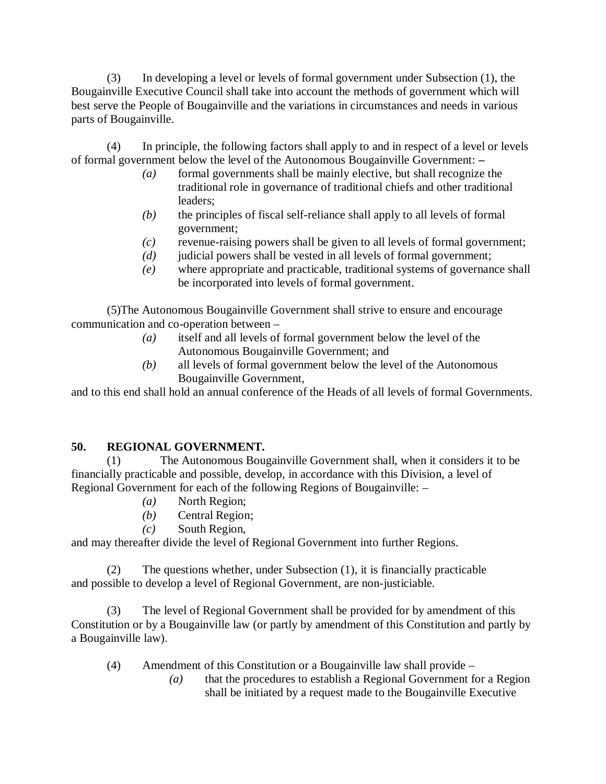(3) In developing a level or levels of formal government under Subsection (1), the Bougainville Executive Council shall take into account the methods of government which will best serve the People of Bougainville and the variations in circumstances and needs in various parts of Bougainville.

(4) In principle, the following factors shall apply to and in respect of a level or levels of formal government below the level of the Autonomous Bougainville Government: **–**

- *(a)* formal governments shall be mainly elective, but shall recognize the traditional role in governance of traditional chiefs and other traditional leaders;
- *(b)* the principles of fiscal self-reliance shall apply to all levels of formal government;
- *(c)* revenue-raising powers shall be given to all levels of formal government;
- *(d)* judicial powers shall be vested in all levels of formal government;
- *(e)* where appropriate and practicable, traditional systems of governance shall be incorporated into levels of formal government.

(5)The Autonomous Bougainville Government shall strive to ensure and encourage communication and co-operation between –

- *(a)* itself and all levels of formal government below the level of the Autonomous Bougainville Government; and
- *(b)* all levels of formal government below the level of the Autonomous Bougainville Government,

and to this end shall hold an annual conference of the Heads of all levels of formal Governments.

# **50. REGIONAL GOVERNMENT.**

(1) The Autonomous Bougainville Government shall, when it considers it to be financially practicable and possible, develop, in accordance with this Division, a level of Regional Government for each of the following Regions of Bougainville: –

- *(a)* North Region;
- *(b)* Central Region;
- *(c)* South Region,

and may thereafter divide the level of Regional Government into further Regions.

(2) The questions whether, under Subsection (1), it is financially practicable and possible to develop a level of Regional Government, are non-justiciable.

(3) The level of Regional Government shall be provided for by amendment of this Constitution or by a Bougainville law (or partly by amendment of this Constitution and partly by a Bougainville law).

(4) Amendment of this Constitution or a Bougainville law shall provide –

*(a)* that the procedures to establish a Regional Government for a Region shall be initiated by a request made to the Bougainville Executive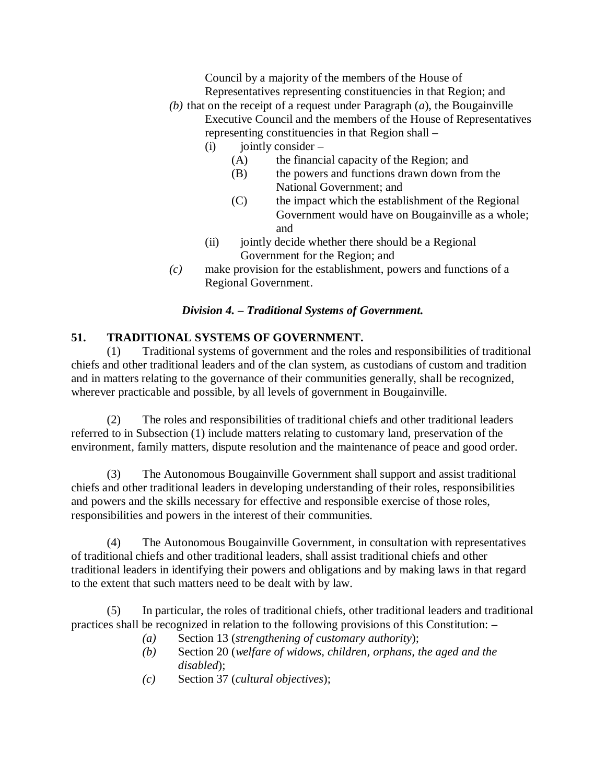Council by a majority of the members of the House of Representatives representing constituencies in that Region; and

- *(b)* that on the receipt of a request under Paragraph (*a*), the Bougainville Executive Council and the members of the House of Representatives representing constituencies in that Region shall –
	- $(i)$  jointly consider
		- (A) the financial capacity of the Region; and
		- (B) the powers and functions drawn down from the National Government; and
		- (C) the impact which the establishment of the Regional Government would have on Bougainville as a whole; and
	- (ii) jointly decide whether there should be a Regional Government for the Region; and
- *(c)* make provision for the establishment, powers and functions of a Regional Government.

## *Division 4. – Traditional Systems of Government.*

# **51. TRADITIONAL SYSTEMS OF GOVERNMENT.**

(1) Traditional systems of government and the roles and responsibilities of traditional chiefs and other traditional leaders and of the clan system, as custodians of custom and tradition and in matters relating to the governance of their communities generally, shall be recognized, wherever practicable and possible, by all levels of government in Bougainville.

(2) The roles and responsibilities of traditional chiefs and other traditional leaders referred to in Subsection (1) include matters relating to customary land, preservation of the environment, family matters, dispute resolution and the maintenance of peace and good order.

(3) The Autonomous Bougainville Government shall support and assist traditional chiefs and other traditional leaders in developing understanding of their roles, responsibilities and powers and the skills necessary for effective and responsible exercise of those roles, responsibilities and powers in the interest of their communities.

(4) The Autonomous Bougainville Government, in consultation with representatives of traditional chiefs and other traditional leaders, shall assist traditional chiefs and other traditional leaders in identifying their powers and obligations and by making laws in that regard to the extent that such matters need to be dealt with by law.

(5) In particular, the roles of traditional chiefs, other traditional leaders and traditional practices shall be recognized in relation to the following provisions of this Constitution: **–**

- *(a)* Section 13 (*strengthening of customary authority*);
- *(b)* Section 20 (*welfare of widows, children, orphans, the aged and the disabled*);
- *(c)* Section 37 (*cultural objectives*);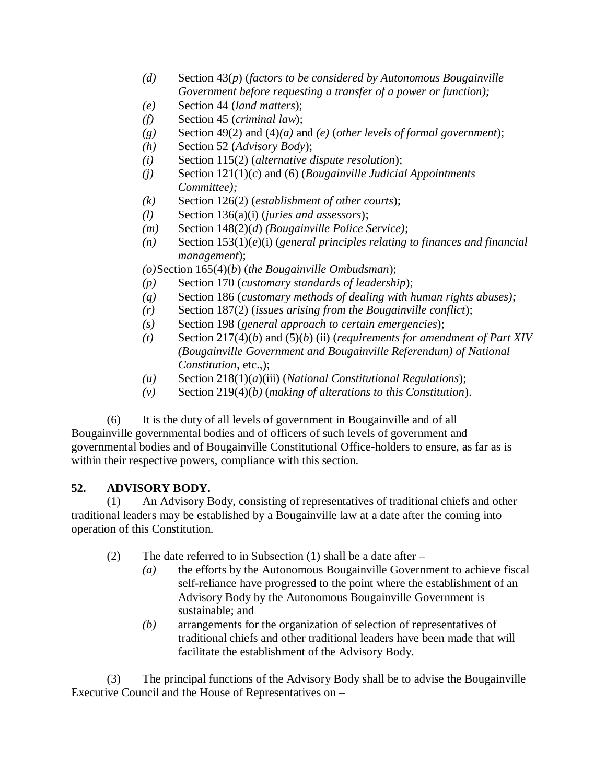- *(d)* Section 43(*p*) (*factors to be considered by Autonomous Bougainville Government before requesting a transfer of a power or function);*
- *(e)* Section 44 (*land matters*);
- *(f)* Section 45 (*criminal law*);
- *(g)* Section 49(2) and (4)*(a)* and *(e)* (*other levels of formal government*);
- *(h)* Section 52 (*Advisory Body*);
- *(i)* Section 115(2) (*alternative dispute resolution*);
- *(j)* Section 121(1)(*c*) and (6) (*Bougainville Judicial Appointments Committee);*
- *(k)* Section 126(2) (*establishment of other courts*);
- *(l)* Section 136(a)(i) (*juries and assessors*);
- *(m)* Section 148(2)(*d*) *(Bougainville Police Service)*;
- *(n)* Section 153(1)(*e*)(i) (*general principles relating to finances and financial management*);
- *(o)*Section 165(4)(*b*) (*the Bougainville Ombudsman*);
- *(p)* Section 170 (*customary standards of leadership*);
- *(q)* Section 186 (*customary methods of dealing with human rights abuses);*
- *(r)* Section 187(2) (*issues arising from the Bougainville conflict*);
- *(s)* Section 198 (*general approach to certain emergencies*);
- *(t)* Section 217(4)(*b*) and (5)(*b*) (ii) (*requirements for amendment of Part XIV (Bougainville Government and Bougainville Referendum) of National Constitution*, etc.,);
- *(u)* Section 218(1)(*a*)(iii) (*National Constitutional Regulations*);
- *(v)* Section 219(4)(*b)* (*making of alterations to this Constitution*).

(6) It is the duty of all levels of government in Bougainville and of all Bougainville governmental bodies and of officers of such levels of government and governmental bodies and of Bougainville Constitutional Office-holders to ensure, as far as is within their respective powers, compliance with this section.

## **52. ADVISORY BODY.**

(1) An Advisory Body, consisting of representatives of traditional chiefs and other traditional leaders may be established by a Bougainville law at a date after the coming into operation of this Constitution.

(2) The date referred to in Subsection (1) shall be a date after –

- *(a)* the efforts by the Autonomous Bougainville Government to achieve fiscal self-reliance have progressed to the point where the establishment of an Advisory Body by the Autonomous Bougainville Government is sustainable; and
- *(b)* arrangements for the organization of selection of representatives of traditional chiefs and other traditional leaders have been made that will facilitate the establishment of the Advisory Body.

(3) The principal functions of the Advisory Body shall be to advise the Bougainville Executive Council and the House of Representatives on –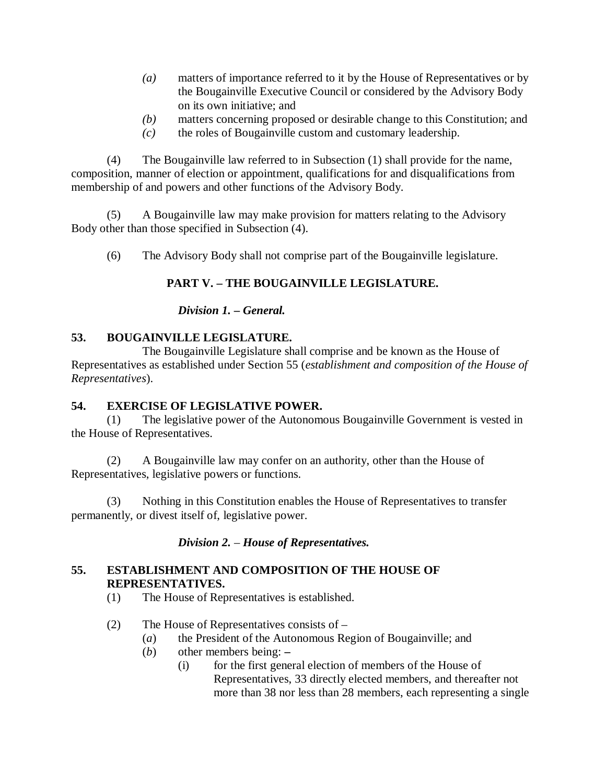- *(a)* matters of importance referred to it by the House of Representatives or by the Bougainville Executive Council or considered by the Advisory Body on its own initiative; and
- *(b)* matters concerning proposed or desirable change to this Constitution; and
- *(c)* the roles of Bougainville custom and customary leadership.

(4) The Bougainville law referred to in Subsection (1) shall provide for the name, composition, manner of election or appointment, qualifications for and disqualifications from membership of and powers and other functions of the Advisory Body.

(5) A Bougainville law may make provision for matters relating to the Advisory Body other than those specified in Subsection (4).

(6) The Advisory Body shall not comprise part of the Bougainville legislature.

# **PART V. – THE BOUGAINVILLE LEGISLATURE.**

# *Division 1. – General.*

# **53. BOUGAINVILLE LEGISLATURE.**

The Bougainville Legislature shall comprise and be known as the House of Representatives as established under Section 55 (*establishment and composition of the House of Representatives*).

# **54. EXERCISE OF LEGISLATIVE POWER.**

(1) The legislative power of the Autonomous Bougainville Government is vested in the House of Representatives.

(2) A Bougainville law may confer on an authority, other than the House of Representatives, legislative powers or functions.

(3) Nothing in this Constitution enables the House of Representatives to transfer permanently, or divest itself of, legislative power.

## *Division 2. – House of Representatives.*

# **55. ESTABLISHMENT AND COMPOSITION OF THE HOUSE OF REPRESENTATIVES.**

- (1) The House of Representatives is established.
- (2) The House of Representatives consists of
	- (*a*) the President of the Autonomous Region of Bougainville; and
	- (*b*) other members being: **–**
		- (i) for the first general election of members of the House of Representatives, 33 directly elected members, and thereafter not more than 38 nor less than 28 members, each representing a single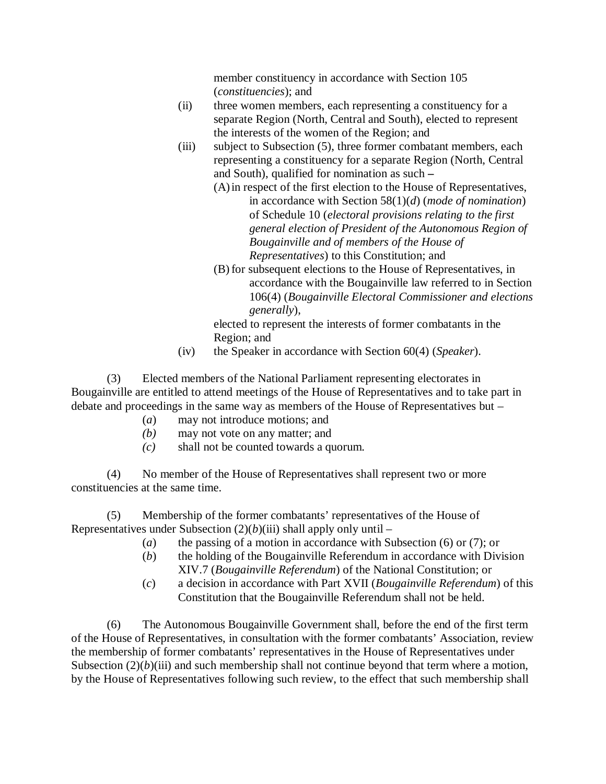member constituency in accordance with Section 105 (*constituencies*); and

- (ii) three women members, each representing a constituency for a separate Region (North, Central and South), elected to represent the interests of the women of the Region; and
- (iii) subject to Subsection (5), three former combatant members, each representing a constituency for a separate Region (North, Central and South), qualified for nomination as such **–**
	- (A)in respect of the first election to the House of Representatives, in accordance with Section 58(1)(*d*) (*mode of nomination*) of Schedule 10 (*electoral provisions relating to the first general election of President of the Autonomous Region of Bougainville and of members of the House of Representatives*) to this Constitution; and
	- (B) for subsequent elections to the House of Representatives, in accordance with the Bougainville law referred to in Section 106(4) (*Bougainville Electoral Commissioner and elections generally*),

elected to represent the interests of former combatants in the Region; and

(iv) the Speaker in accordance with Section 60(4) (*Speaker*).

(3) Elected members of the National Parliament representing electorates in Bougainville are entitled to attend meetings of the House of Representatives and to take part in debate and proceedings in the same way as members of the House of Representatives but –

- (*a*) may not introduce motions; and
- *(b)* may not vote on any matter; and
- *(c)* shall not be counted towards a quorum.

(4) No member of the House of Representatives shall represent two or more constituencies at the same time.

(5) Membership of the former combatants' representatives of the House of Representatives under Subsection  $(2)(b)(iii)$  shall apply only until –

- (*a*) the passing of a motion in accordance with Subsection (6) or (7); or
- (*b*) the holding of the Bougainville Referendum in accordance with Division XIV.7 (*Bougainville Referendum*) of the National Constitution; or
- (*c*) a decision in accordance with Part XVII (*Bougainville Referendum*) of this Constitution that the Bougainville Referendum shall not be held.

(6) The Autonomous Bougainville Government shall, before the end of the first term of the House of Representatives, in consultation with the former combatants' Association, review the membership of former combatants' representatives in the House of Representatives under Subsection  $(2)(b)$ (iii) and such membership shall not continue beyond that term where a motion, by the House of Representatives following such review, to the effect that such membership shall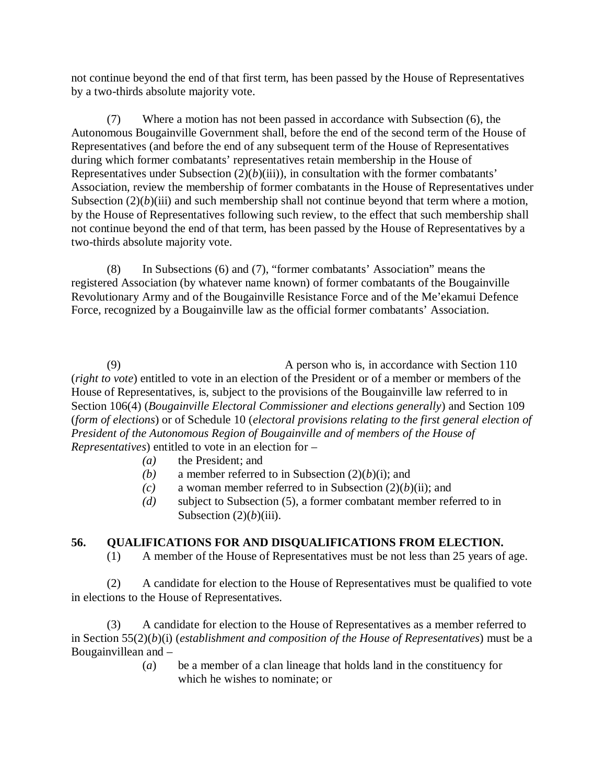not continue beyond the end of that first term, has been passed by the House of Representatives by a two-thirds absolute majority vote.

(7) Where a motion has not been passed in accordance with Subsection (6), the Autonomous Bougainville Government shall, before the end of the second term of the House of Representatives (and before the end of any subsequent term of the House of Representatives during which former combatants' representatives retain membership in the House of Representatives under Subsection  $(2)(b)(iii)$ , in consultation with the former combatants' Association, review the membership of former combatants in the House of Representatives under Subsection  $(2)(b)$ (iii) and such membership shall not continue beyond that term where a motion, by the House of Representatives following such review, to the effect that such membership shall not continue beyond the end of that term, has been passed by the House of Representatives by a two-thirds absolute majority vote.

(8) In Subsections (6) and (7), "former combatants' Association" means the registered Association (by whatever name known) of former combatants of the Bougainville Revolutionary Army and of the Bougainville Resistance Force and of the Me'ekamui Defence Force, recognized by a Bougainville law as the official former combatants' Association.

(9) A person who is, in accordance with Section 110 (*right to vote*) entitled to vote in an election of the President or of a member or members of the House of Representatives, is, subject to the provisions of the Bougainville law referred to in Section 106(4) (*Bougainville Electoral Commissioner and elections generally*) and Section 109 (*form of elections*) or of Schedule 10 (*electoral provisions relating to the first general election of President of the Autonomous Region of Bougainville and of members of the House of Representatives*) entitled to vote in an election for –

- *(a)* the President; and
- *(b)* a member referred to in Subsection  $(2)(b)(i)$ ; and
- $(c)$  a woman member referred to in Subsection  $(2)(b)(ii)$ ; and
- *(d)* subject to Subsection (5), a former combatant member referred to in Subsection  $(2)(b)$ (iii).

## **56. QUALIFICATIONS FOR AND DISQUALIFICATIONS FROM ELECTION.**

(1) A member of the House of Representatives must be not less than 25 years of age.

(2) A candidate for election to the House of Representatives must be qualified to vote in elections to the House of Representatives.

(3) A candidate for election to the House of Representatives as a member referred to in Section 55(2)(*b*)(i) (*establishment and composition of the House of Representatives*) must be a Bougainvillean and –

(*a*) be a member of a clan lineage that holds land in the constituency for which he wishes to nominate; or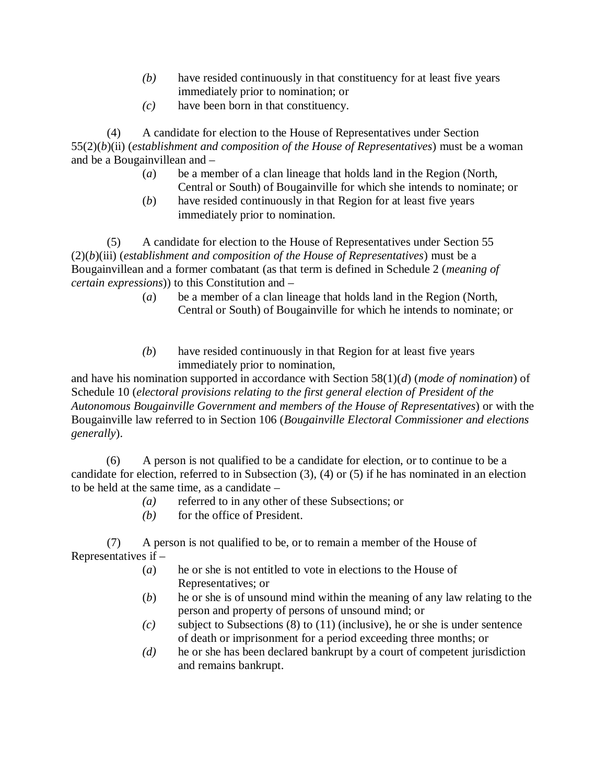- *(b)* have resided continuously in that constituency for at least five years immediately prior to nomination; or
- *(c)* have been born in that constituency.

(4) A candidate for election to the House of Representatives under Section 55(2)(*b*)(ii) (*establishment and composition of the House of Representatives*) must be a woman and be a Bougainvillean and –

- (*a*) be a member of a clan lineage that holds land in the Region (North, Central or South) of Bougainville for which she intends to nominate; or
- (*b*) have resided continuously in that Region for at least five years immediately prior to nomination.

(5) A candidate for election to the House of Representatives under Section 55 (2)(*b*)(iii) (*establishment and composition of the House of Representatives*) must be a Bougainvillean and a former combatant (as that term is defined in Schedule 2 (*meaning of certain expressions*)) to this Constitution and –

- (*a*) be a member of a clan lineage that holds land in the Region (North, Central or South) of Bougainville for which he intends to nominate; or
- *(b*) have resided continuously in that Region for at least five years immediately prior to nomination,

and have his nomination supported in accordance with Section 58(1)(*d*) (*mode of nomination*) of Schedule 10 (*electoral provisions relating to the first general election of President of the Autonomous Bougainville Government and members of the House of Representatives*) or with the Bougainville law referred to in Section 106 (*Bougainville Electoral Commissioner and elections generally*).

(6) A person is not qualified to be a candidate for election, or to continue to be a candidate for election, referred to in Subsection (3), (4) or (5) if he has nominated in an election to be held at the same time, as a candidate –

- *(a)* referred to in any other of these Subsections; or
- *(b)* for the office of President.

(7) A person is not qualified to be, or to remain a member of the House of Representatives if –

- (*a*) he or she is not entitled to vote in elections to the House of Representatives; or
- (*b*) he or she is of unsound mind within the meaning of any law relating to the person and property of persons of unsound mind; or
- *(c)* subject to Subsections (8) to (11) (inclusive), he or she is under sentence of death or imprisonment for a period exceeding three months; or
- *(d)* he or she has been declared bankrupt by a court of competent jurisdiction and remains bankrupt.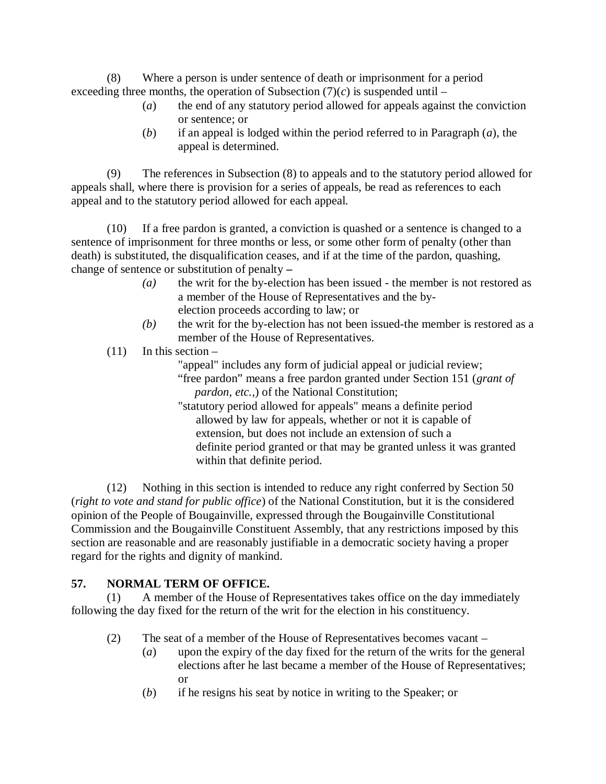(8) Where a person is under sentence of death or imprisonment for a period exceeding three months, the operation of Subsection  $(7)(c)$  is suspended until –

- (*a*) the end of any statutory period allowed for appeals against the conviction or sentence; or
- (*b*) if an appeal is lodged within the period referred to in Paragraph (*a*), the appeal is determined.

(9) The references in Subsection (8) to appeals and to the statutory period allowed for appeals shall, where there is provision for a series of appeals, be read as references to each appeal and to the statutory period allowed for each appeal.

(10) If a free pardon is granted, a conviction is quashed or a sentence is changed to a sentence of imprisonment for three months or less, or some other form of penalty (other than death) is substituted, the disqualification ceases, and if at the time of the pardon, quashing, change of sentence or substitution of penalty **–**

- *(a)* the writ for the by-election has been issued the member is not restored as a member of the House of Representatives and the byelection proceeds according to law; or
- *(b)* the writ for the by-election has not been issued-the member is restored as a member of the House of Representatives.
- $(11)$  In this section
	- "appeal" includes any form of judicial appeal or judicial review; "free pardon" means a free pardon granted under Section 151 (*grant of pardon, etc.,*) of the National Constitution;
	- "statutory period allowed for appeals" means a definite period allowed by law for appeals, whether or not it is capable of extension, but does not include an extension of such a definite period granted or that may be granted unless it was granted within that definite period.

(12) Nothing in this section is intended to reduce any right conferred by Section 50 (*right to vote and stand for public office*) of the National Constitution, but it is the considered opinion of the People of Bougainville, expressed through the Bougainville Constitutional Commission and the Bougainville Constituent Assembly, that any restrictions imposed by this section are reasonable and are reasonably justifiable in a democratic society having a proper regard for the rights and dignity of mankind.

# **57. NORMAL TERM OF OFFICE.**

(1) A member of the House of Representatives takes office on the day immediately following the day fixed for the return of the writ for the election in his constituency.

- (2) The seat of a member of the House of Representatives becomes vacant
	- (*a*) upon the expiry of the day fixed for the return of the writs for the general elections after he last became a member of the House of Representatives; or
	- (*b*) if he resigns his seat by notice in writing to the Speaker; or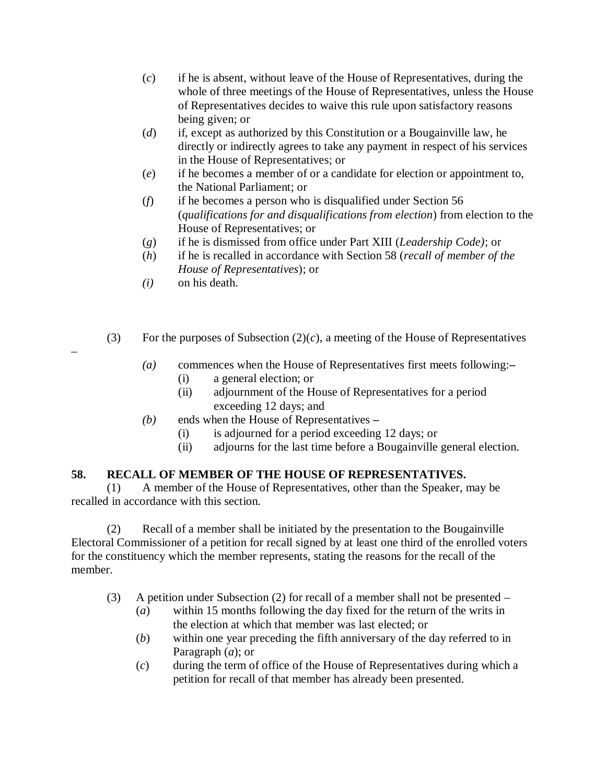- (*c*) if he is absent, without leave of the House of Representatives, during the whole of three meetings of the House of Representatives, unless the House of Representatives decides to waive this rule upon satisfactory reasons being given; or
- (*d*) if, except as authorized by this Constitution or a Bougainville law, he directly or indirectly agrees to take any payment in respect of his services in the House of Representatives; or
- (*e*) if he becomes a member of or a candidate for election or appointment to, the National Parliament; or
- (*f*) if he becomes a person who is disqualified under Section 56 (*qualifications for and disqualifications from election*) from election to the House of Representatives; or
- (*g*) if he is dismissed from office under Part XIII (*Leadership Code)*; or
- (*h*) if he is recalled in accordance with Section 58 (*recall of member of the House of Representatives*); or
- *(i)* on his death.

–

- (3) For the purposes of Subsection  $(2)(c)$ , a meeting of the House of Representatives
	- *(a)* commences when the House of Representatives first meets following:**–**
		- (i) a general election; or
		- (ii) adjournment of the House of Representatives for a period exceeding 12 days; and
	- *(b)* ends when the House of Representatives **–**
		- (i) is adjourned for a period exceeding 12 days; or
		- (ii) adjourns for the last time before a Bougainville general election.

### **58. RECALL OF MEMBER OF THE HOUSE OF REPRESENTATIVES.**

(1) A member of the House of Representatives, other than the Speaker, may be recalled in accordance with this section.

(2) Recall of a member shall be initiated by the presentation to the Bougainville Electoral Commissioner of a petition for recall signed by at least one third of the enrolled voters for the constituency which the member represents, stating the reasons for the recall of the member.

- (3) A petition under Subsection (2) for recall of a member shall not be presented
	- (*a*) within 15 months following the day fixed for the return of the writs in the election at which that member was last elected; or
	- (*b*) within one year preceding the fifth anniversary of the day referred to in Paragraph (*a*); or
	- (*c*) during the term of office of the House of Representatives during which a petition for recall of that member has already been presented.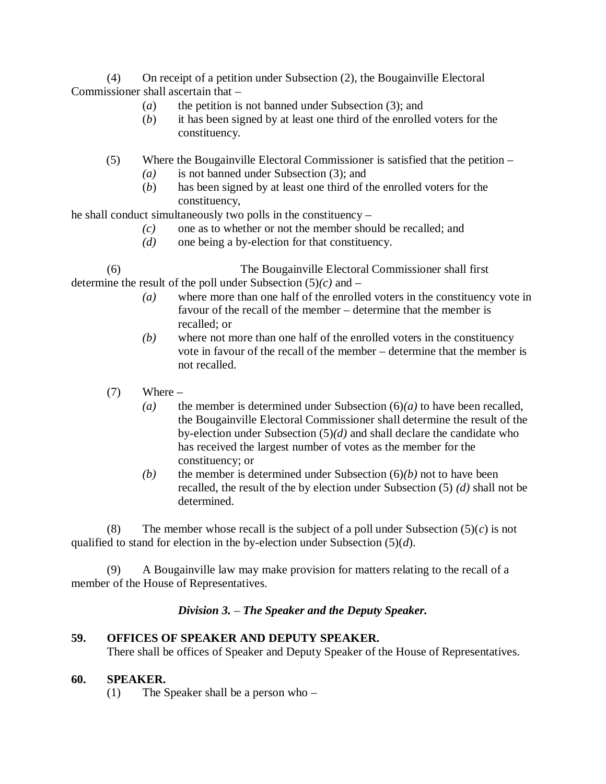(4) On receipt of a petition under Subsection (2), the Bougainville Electoral Commissioner shall ascertain that –

- (*a*) the petition is not banned under Subsection (3); and
- (*b*) it has been signed by at least one third of the enrolled voters for the constituency.

(5) Where the Bougainville Electoral Commissioner is satisfied that the petition –

- *(a)* is not banned under Subsection (3); and
- (*b*) has been signed by at least one third of the enrolled voters for the constituency,

he shall conduct simultaneously two polls in the constituency –

- *(c)* one as to whether or not the member should be recalled; and
- *(d)* one being a by-election for that constituency.

(6) The Bougainville Electoral Commissioner shall first determine the result of the poll under Subsection (5)*(c)* and –

- *(a)* where more than one half of the enrolled voters in the constituency vote in favour of the recall of the member – determine that the member is recalled; or
- *(b)* where not more than one half of the enrolled voters in the constituency vote in favour of the recall of the member – determine that the member is not recalled.
- $(7)$  Where
	- *(a)* the member is determined under Subsection (6)*(a)* to have been recalled, the Bougainville Electoral Commissioner shall determine the result of the by-election under Subsection (5)*(d)* and shall declare the candidate who has received the largest number of votes as the member for the constituency; or
	- *(b)* the member is determined under Subsection (6)*(b)* not to have been recalled, the result of the by election under Subsection (5) *(d)* shall not be determined.

(8) The member whose recall is the subject of a poll under Subsection  $(5)(c)$  is not qualified to stand for election in the by-election under Subsection (5)(*d*).

(9) A Bougainville law may make provision for matters relating to the recall of a member of the House of Representatives.

#### *Division 3. – The Speaker and the Deputy Speaker.*

### **59. OFFICES OF SPEAKER AND DEPUTY SPEAKER.**

There shall be offices of Speaker and Deputy Speaker of the House of Representatives.

#### **60. SPEAKER.**

(1) The Speaker shall be a person who –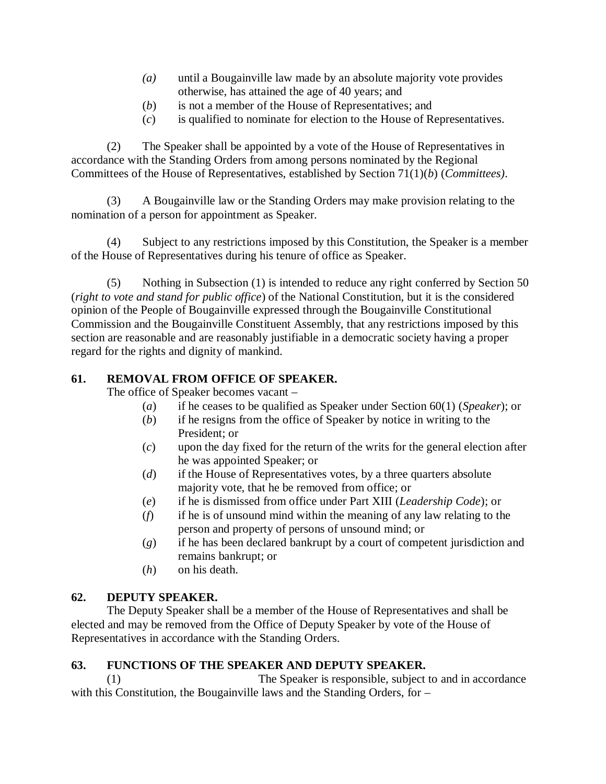- *(a)* until a Bougainville law made by an absolute majority vote provides otherwise, has attained the age of 40 years; and
- (*b*) is not a member of the House of Representatives; and
- (*c*) is qualified to nominate for election to the House of Representatives.

(2) The Speaker shall be appointed by a vote of the House of Representatives in accordance with the Standing Orders from among persons nominated by the Regional Committees of the House of Representatives, established by Section 71(1)(*b*) (*Committees)*.

(3) A Bougainville law or the Standing Orders may make provision relating to the nomination of a person for appointment as Speaker.

(4) Subject to any restrictions imposed by this Constitution, the Speaker is a member of the House of Representatives during his tenure of office as Speaker.

(5) Nothing in Subsection (1) is intended to reduce any right conferred by Section 50 (*right to vote and stand for public office*) of the National Constitution, but it is the considered opinion of the People of Bougainville expressed through the Bougainville Constitutional Commission and the Bougainville Constituent Assembly, that any restrictions imposed by this section are reasonable and are reasonably justifiable in a democratic society having a proper regard for the rights and dignity of mankind.

### **61. REMOVAL FROM OFFICE OF SPEAKER.**

The office of Speaker becomes vacant –

- (*a*) if he ceases to be qualified as Speaker under Section 60(1) (*Speaker*); or
- (*b*) if he resigns from the office of Speaker by notice in writing to the President; or
- (*c*) upon the day fixed for the return of the writs for the general election after he was appointed Speaker; or
- (*d*) if the House of Representatives votes, by a three quarters absolute majority vote, that he be removed from office; or
- (*e*) if he is dismissed from office under Part XIII (*Leadership Code*); or
- (*f*) if he is of unsound mind within the meaning of any law relating to the person and property of persons of unsound mind; or
- (*g*) if he has been declared bankrupt by a court of competent jurisdiction and remains bankrupt; or
- (*h*) on his death.

### **62. DEPUTY SPEAKER.**

The Deputy Speaker shall be a member of the House of Representatives and shall be elected and may be removed from the Office of Deputy Speaker by vote of the House of Representatives in accordance with the Standing Orders.

### **63. FUNCTIONS OF THE SPEAKER AND DEPUTY SPEAKER.**

(1) The Speaker is responsible, subject to and in accordance with this Constitution, the Bougainville laws and the Standing Orders, for –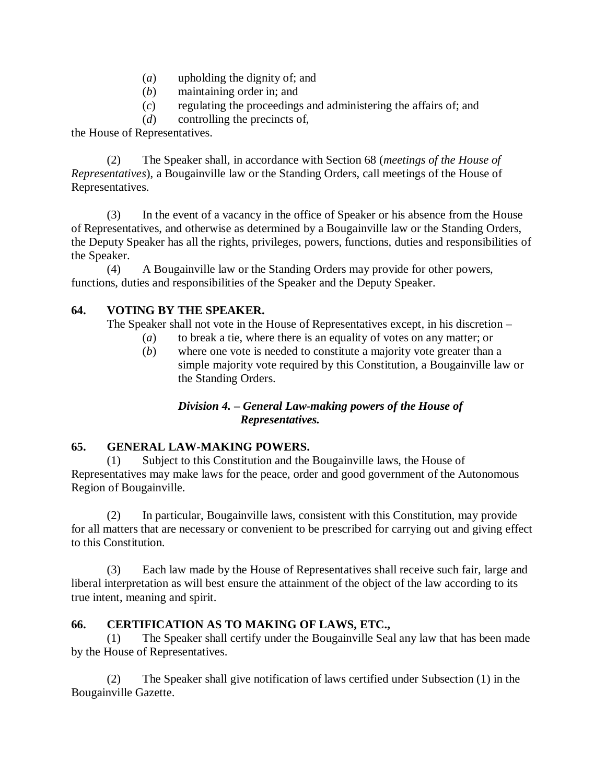- (*a*) upholding the dignity of; and
- (*b*) maintaining order in; and
- (*c*) regulating the proceedings and administering the affairs of; and
- (*d*) controlling the precincts of,

the House of Representatives.

(2) The Speaker shall, in accordance with Section 68 (*meetings of the House of Representatives*), a Bougainville law or the Standing Orders, call meetings of the House of Representatives.

(3) In the event of a vacancy in the office of Speaker or his absence from the House of Representatives, and otherwise as determined by a Bougainville law or the Standing Orders, the Deputy Speaker has all the rights, privileges, powers, functions, duties and responsibilities of the Speaker.

(4) A Bougainville law or the Standing Orders may provide for other powers, functions, duties and responsibilities of the Speaker and the Deputy Speaker.

### **64. VOTING BY THE SPEAKER.**

The Speaker shall not vote in the House of Representatives except, in his discretion –

- (*a*) to break a tie, where there is an equality of votes on any matter; or
- (*b*) where one vote is needed to constitute a majority vote greater than a simple majority vote required by this Constitution, a Bougainville law or the Standing Orders.

### *Division 4.* **–** *General Law-making powers of the House of Representatives.*

### **65. GENERAL LAW-MAKING POWERS.**

(1) Subject to this Constitution and the Bougainville laws, the House of Representatives may make laws for the peace, order and good government of the Autonomous Region of Bougainville.

(2) In particular, Bougainville laws, consistent with this Constitution, may provide for all matters that are necessary or convenient to be prescribed for carrying out and giving effect to this Constitution.

(3) Each law made by the House of Representatives shall receive such fair, large and liberal interpretation as will best ensure the attainment of the object of the law according to its true intent, meaning and spirit.

### **66. CERTIFICATION AS TO MAKING OF LAWS, ETC.,**

(1) The Speaker shall certify under the Bougainville Seal any law that has been made by the House of Representatives.

(2) The Speaker shall give notification of laws certified under Subsection (1) in the Bougainville Gazette.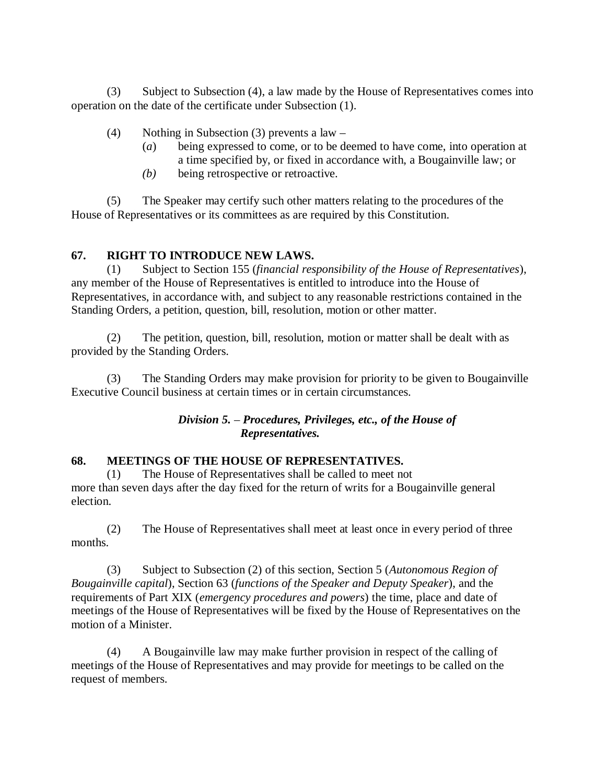(3) Subject to Subsection (4), a law made by the House of Representatives comes into operation on the date of the certificate under Subsection (1).

- (4) Nothing in Subsection (3) prevents a law  $-$ 
	- (*a*) being expressed to come, or to be deemed to have come, into operation at a time specified by, or fixed in accordance with, a Bougainville law; or
	- *(b)* being retrospective or retroactive.

(5) The Speaker may certify such other matters relating to the procedures of the House of Representatives or its committees as are required by this Constitution.

### **67. RIGHT TO INTRODUCE NEW LAWS.**

(1) Subject to Section 155 (*financial responsibility of the House of Representatives*), any member of the House of Representatives is entitled to introduce into the House of Representatives, in accordance with, and subject to any reasonable restrictions contained in the Standing Orders, a petition, question, bill, resolution, motion or other matter.

(2) The petition, question, bill, resolution, motion or matter shall be dealt with as provided by the Standing Orders.

(3) The Standing Orders may make provision for priority to be given to Bougainville Executive Council business at certain times or in certain circumstances.

### *Division 5. – Procedures, Privileges, etc., of the House of Representatives.*

### **68. MEETINGS OF THE HOUSE OF REPRESENTATIVES.**

(1) The House of Representatives shall be called to meet not more than seven days after the day fixed for the return of writs for a Bougainville general election.

(2) The House of Representatives shall meet at least once in every period of three months.

(3) Subject to Subsection (2) of this section, Section 5 (*Autonomous Region of Bougainville capital*), Section 63 (*functions of the Speaker and Deputy Speaker*), and the requirements of Part XIX (*emergency procedures and powers*) the time, place and date of meetings of the House of Representatives will be fixed by the House of Representatives on the motion of a Minister.

(4) A Bougainville law may make further provision in respect of the calling of meetings of the House of Representatives and may provide for meetings to be called on the request of members.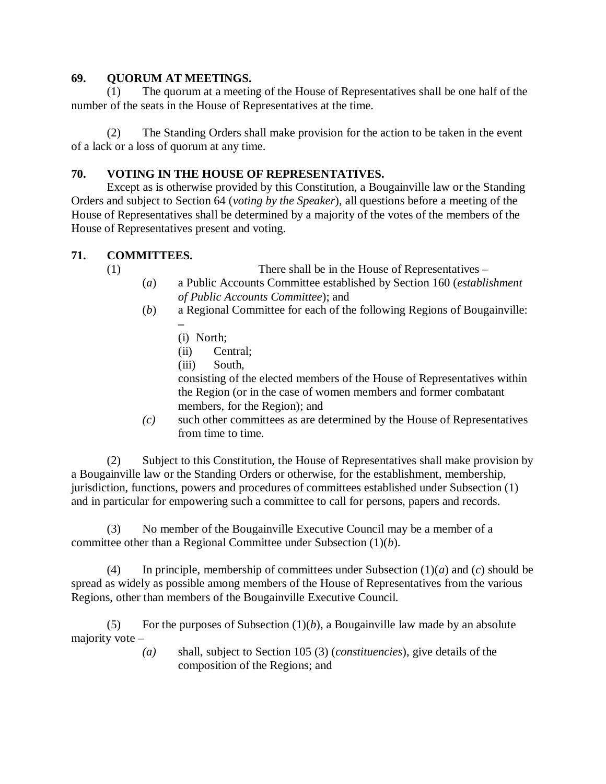#### **69. QUORUM AT MEETINGS.**

(1) The quorum at a meeting of the House of Representatives shall be one half of the number of the seats in the House of Representatives at the time.

(2) The Standing Orders shall make provision for the action to be taken in the event of a lack or a loss of quorum at any time.

### **70. VOTING IN THE HOUSE OF REPRESENTATIVES.**

Except as is otherwise provided by this Constitution, a Bougainville law or the Standing Orders and subject to Section 64 (*voting by the Speaker*), all questions before a meeting of the House of Representatives shall be determined by a majority of the votes of the members of the House of Representatives present and voting.

### **71. COMMITTEES.**

(1) There shall be in the House of Representatives –

- (*a*) a Public Accounts Committee established by Section 160 (*establishment of Public Accounts Committee*); and
- (*b*) a Regional Committee for each of the following Regions of Bougainville: **–**
	- (i) North;
	- (ii) Central;
	- (iii) South,

consisting of the elected members of the House of Representatives within the Region (or in the case of women members and former combatant members, for the Region); and

*(c)* such other committees as are determined by the House of Representatives from time to time.

(2) Subject to this Constitution, the House of Representatives shall make provision by a Bougainville law or the Standing Orders or otherwise, for the establishment, membership, jurisdiction, functions, powers and procedures of committees established under Subsection (1) and in particular for empowering such a committee to call for persons, papers and records.

(3) No member of the Bougainville Executive Council may be a member of a committee other than a Regional Committee under Subsection (1)(*b*).

(4) In principle, membership of committees under Subsection (1)(*a*) and (*c*) should be spread as widely as possible among members of the House of Representatives from the various Regions, other than members of the Bougainville Executive Council.

(5) For the purposes of Subsection  $(1)(b)$ , a Bougainville law made by an absolute majority vote –

> *(a)* shall, subject to Section 105 (3) (*constituencies*), give details of the composition of the Regions; and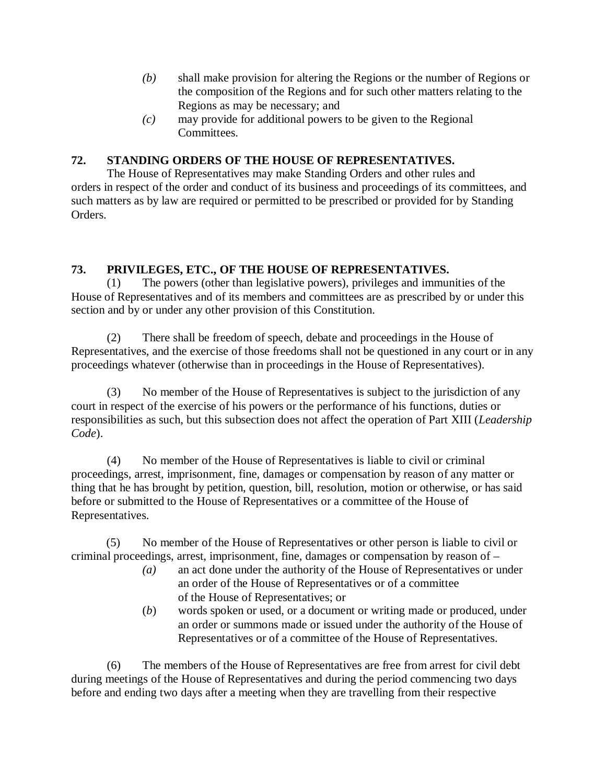- *(b)* shall make provision for altering the Regions or the number of Regions or the composition of the Regions and for such other matters relating to the Regions as may be necessary; and
- *(c)* may provide for additional powers to be given to the Regional Committees.

## **72. STANDING ORDERS OF THE HOUSE OF REPRESENTATIVES.**

The House of Representatives may make Standing Orders and other rules and orders in respect of the order and conduct of its business and proceedings of its committees, and such matters as by law are required or permitted to be prescribed or provided for by Standing Orders.

### **73. PRIVILEGES, ETC., OF THE HOUSE OF REPRESENTATIVES.**

(1) The powers (other than legislative powers), privileges and immunities of the House of Representatives and of its members and committees are as prescribed by or under this section and by or under any other provision of this Constitution.

(2) There shall be freedom of speech, debate and proceedings in the House of Representatives, and the exercise of those freedoms shall not be questioned in any court or in any proceedings whatever (otherwise than in proceedings in the House of Representatives).

(3) No member of the House of Representatives is subject to the jurisdiction of any court in respect of the exercise of his powers or the performance of his functions, duties or responsibilities as such, but this subsection does not affect the operation of Part XIII (*Leadership Code*).

(4) No member of the House of Representatives is liable to civil or criminal proceedings, arrest, imprisonment, fine, damages or compensation by reason of any matter or thing that he has brought by petition, question, bill, resolution, motion or otherwise, or has said before or submitted to the House of Representatives or a committee of the House of Representatives.

(5) No member of the House of Representatives or other person is liable to civil or criminal proceedings, arrest, imprisonment, fine, damages or compensation by reason of –

- *(a)* an act done under the authority of the House of Representatives or under an order of the House of Representatives or of a committee of the House of Representatives; or
- (*b*) words spoken or used, or a document or writing made or produced, under an order or summons made or issued under the authority of the House of Representatives or of a committee of the House of Representatives.

(6) The members of the House of Representatives are free from arrest for civil debt during meetings of the House of Representatives and during the period commencing two days before and ending two days after a meeting when they are travelling from their respective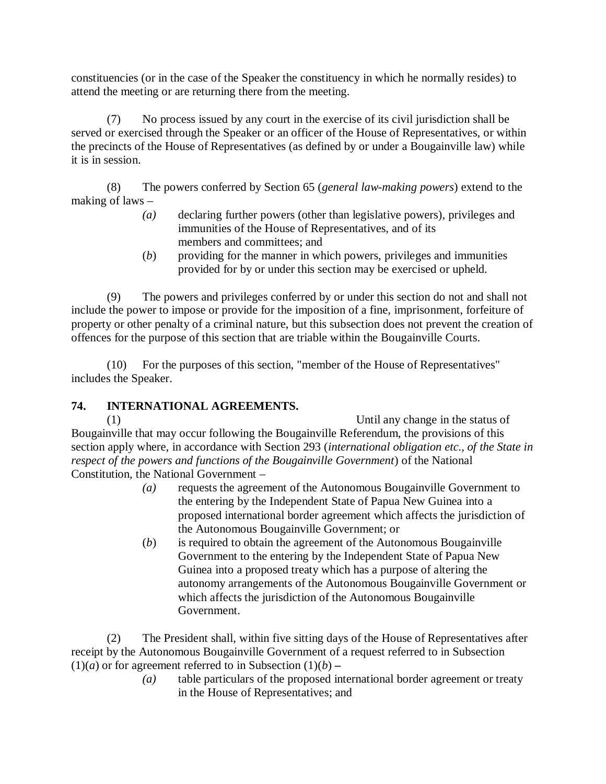constituencies (or in the case of the Speaker the constituency in which he normally resides) to attend the meeting or are returning there from the meeting.

(7) No process issued by any court in the exercise of its civil jurisdiction shall be served or exercised through the Speaker or an officer of the House of Representatives, or within the precincts of the House of Representatives (as defined by or under a Bougainville law) while it is in session.

(8) The powers conferred by Section 65 (*general law-making powers*) extend to the making of laws –

- *(a)* declaring further powers (other than legislative powers), privileges and immunities of the House of Representatives, and of its members and committees; and
- (*b*) providing for the manner in which powers, privileges and immunities provided for by or under this section may be exercised or upheld.

(9) The powers and privileges conferred by or under this section do not and shall not include the power to impose or provide for the imposition of a fine, imprisonment, forfeiture of property or other penalty of a criminal nature, but this subsection does not prevent the creation of offences for the purpose of this section that are triable within the Bougainville Courts.

(10) For the purposes of this section, "member of the House of Representatives" includes the Speaker.

# **74. INTERNATIONAL AGREEMENTS.**

(1) Until any change in the status of Bougainville that may occur following the Bougainville Referendum, the provisions of this section apply where, in accordance with Section 293 (*international obligation etc., of the State in respect of the powers and functions of the Bougainville Government*) of the National Constitution, the National Government –

- *(a)* requests the agreement of the Autonomous Bougainville Government to the entering by the Independent State of Papua New Guinea into a proposed international border agreement which affects the jurisdiction of the Autonomous Bougainville Government; or
- (*b*) is required to obtain the agreement of the Autonomous Bougainville Government to the entering by the Independent State of Papua New Guinea into a proposed treaty which has a purpose of altering the autonomy arrangements of the Autonomous Bougainville Government or which affects the jurisdiction of the Autonomous Bougainville Government.

(2) The President shall, within five sitting days of the House of Representatives after receipt by the Autonomous Bougainville Government of a request referred to in Subsection  $(1)(a)$  or for agreement referred to in Subsection  $(1)(b)$  –

*(a)* table particulars of the proposed international border agreement or treaty in the House of Representatives; and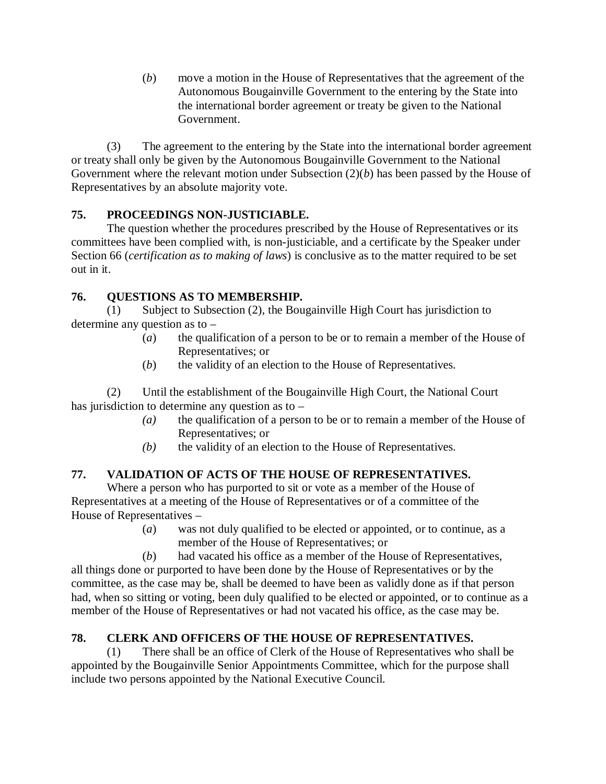(*b*) move a motion in the House of Representatives that the agreement of the Autonomous Bougainville Government to the entering by the State into the international border agreement or treaty be given to the National Government.

(3) The agreement to the entering by the State into the international border agreement or treaty shall only be given by the Autonomous Bougainville Government to the National Government where the relevant motion under Subsection (2)(*b*) has been passed by the House of Representatives by an absolute majority vote.

## **75. PROCEEDINGS NON-JUSTICIABLE.**

The question whether the procedures prescribed by the House of Representatives or its committees have been complied with, is non-justiciable, and a certificate by the Speaker under Section 66 (*certification as to making of laws*) is conclusive as to the matter required to be set out in it.

## **76. QUESTIONS AS TO MEMBERSHIP.**

(1) Subject to Subsection (2), the Bougainville High Court has jurisdiction to determine any question as to –

- (*a*) the qualification of a person to be or to remain a member of the House of Representatives; or
- (*b*) the validity of an election to the House of Representatives.

(2) Until the establishment of the Bougainville High Court, the National Court has jurisdiction to determine any question as to –

- *(a)* the qualification of a person to be or to remain a member of the House of Representatives; or
- *(b)* the validity of an election to the House of Representatives.

# **77. VALIDATION OF ACTS OF THE HOUSE OF REPRESENTATIVES.**

Where a person who has purported to sit or vote as a member of the House of Representatives at a meeting of the House of Representatives or of a committee of the House of Representatives –

- (*a*) was not duly qualified to be elected or appointed, or to continue, as a member of the House of Representatives; or
- (*b*) had vacated his office as a member of the House of Representatives,

all things done or purported to have been done by the House of Representatives or by the committee, as the case may be, shall be deemed to have been as validly done as if that person had, when so sitting or voting, been duly qualified to be elected or appointed, or to continue as a member of the House of Representatives or had not vacated his office, as the case may be.

# **78. CLERK AND OFFICERS OF THE HOUSE OF REPRESENTATIVES.**

(1) There shall be an office of Clerk of the House of Representatives who shall be appointed by the Bougainville Senior Appointments Committee, which for the purpose shall include two persons appointed by the National Executive Council.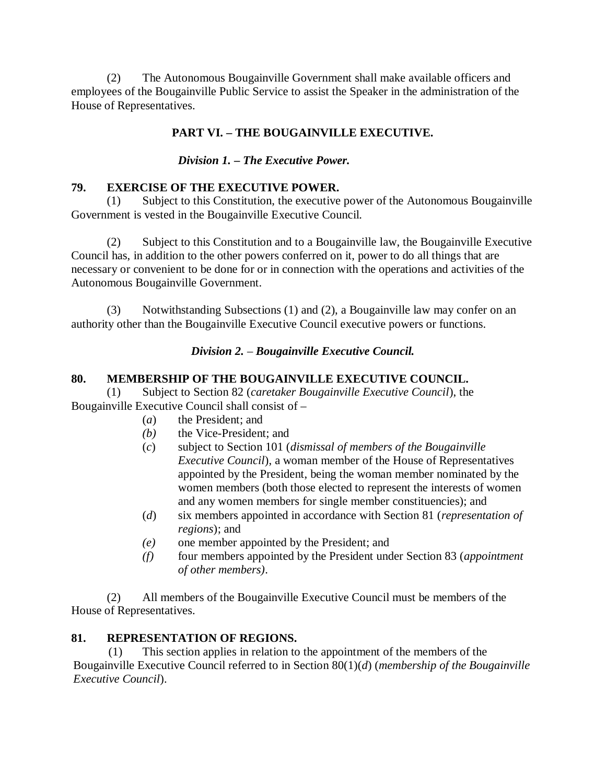(2) The Autonomous Bougainville Government shall make available officers and employees of the Bougainville Public Service to assist the Speaker in the administration of the House of Representatives.

## **PART VI. – THE BOUGAINVILLE EXECUTIVE.**

### *Division 1.* **–** *The Executive Power.*

### **79. EXERCISE OF THE EXECUTIVE POWER.**

(1) Subject to this Constitution, the executive power of the Autonomous Bougainville Government is vested in the Bougainville Executive Council.

(2) Subject to this Constitution and to a Bougainville law, the Bougainville Executive Council has, in addition to the other powers conferred on it, power to do all things that are necessary or convenient to be done for or in connection with the operations and activities of the Autonomous Bougainville Government.

(3) Notwithstanding Subsections (1) and (2), a Bougainville law may confer on an authority other than the Bougainville Executive Council executive powers or functions.

### *Division 2. – Bougainville Executive Council.*

### **80. MEMBERSHIP OF THE BOUGAINVILLE EXECUTIVE COUNCIL.**

(1) Subject to Section 82 (*caretaker Bougainville Executive Council*), the Bougainville Executive Council shall consist of –

- (*a*) the President; and
- *(b)* the Vice-President; and
- (*c*) subject to Section 101 (*dismissal of members of the Bougainville Executive Council*), a woman member of the House of Representatives appointed by the President, being the woman member nominated by the women members (both those elected to represent the interests of women and any women members for single member constituencies); and
- (*d*) six members appointed in accordance with Section 81 (*representation of regions*); and
- *(e)* one member appointed by the President; and
- *(f)* four members appointed by the President under Section 83 (*appointment of other members)*.

(2) All members of the Bougainville Executive Council must be members of the House of Representatives.

## **81. REPRESENTATION OF REGIONS.**

(1) This section applies in relation to the appointment of the members of the Bougainville Executive Council referred to in Section 80(1)(*d*) (*membership of the Bougainville Executive Council*).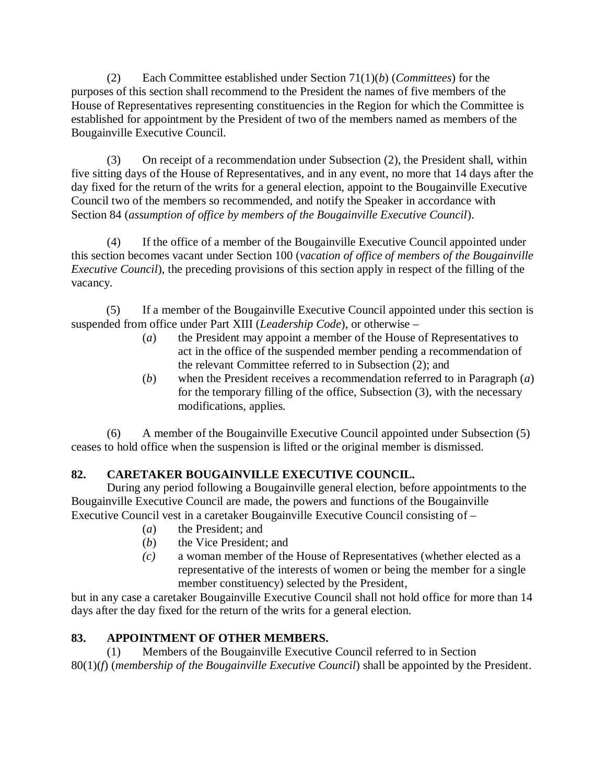(2) Each Committee established under Section 71(1)(*b*) (*Committees*) for the purposes of this section shall recommend to the President the names of five members of the House of Representatives representing constituencies in the Region for which the Committee is established for appointment by the President of two of the members named as members of the Bougainville Executive Council.

(3) On receipt of a recommendation under Subsection (2), the President shall, within five sitting days of the House of Representatives, and in any event, no more that 14 days after the day fixed for the return of the writs for a general election, appoint to the Bougainville Executive Council two of the members so recommended, and notify the Speaker in accordance with Section 84 (*assumption of office by members of the Bougainville Executive Council*).

(4) If the office of a member of the Bougainville Executive Council appointed under this section becomes vacant under Section 100 (*vacation of office of members of the Bougainville Executive Council*), the preceding provisions of this section apply in respect of the filling of the vacancy.

(5) If a member of the Bougainville Executive Council appointed under this section is suspended from office under Part XIII (*Leadership Code*), or otherwise –

- (*a*) the President may appoint a member of the House of Representatives to act in the office of the suspended member pending a recommendation of the relevant Committee referred to in Subsection (2); and
- (*b*) when the President receives a recommendation referred to in Paragraph (*a*) for the temporary filling of the office, Subsection (3), with the necessary modifications, applies.

(6) A member of the Bougainville Executive Council appointed under Subsection (5) ceases to hold office when the suspension is lifted or the original member is dismissed.

# **82. CARETAKER BOUGAINVILLE EXECUTIVE COUNCIL.**

During any period following a Bougainville general election, before appointments to the Bougainville Executive Council are made, the powers and functions of the Bougainville Executive Council vest in a caretaker Bougainville Executive Council consisting of –

- (*a*) the President; and
- (*b*) the Vice President; and
- *(c)* a woman member of the House of Representatives (whether elected as a representative of the interests of women or being the member for a single member constituency) selected by the President,

but in any case a caretaker Bougainville Executive Council shall not hold office for more than 14 days after the day fixed for the return of the writs for a general election.

# **83. APPOINTMENT OF OTHER MEMBERS.**

(1) Members of the Bougainville Executive Council referred to in Section 80(1)(*f*) (*membership of the Bougainville Executive Council*) shall be appointed by the President.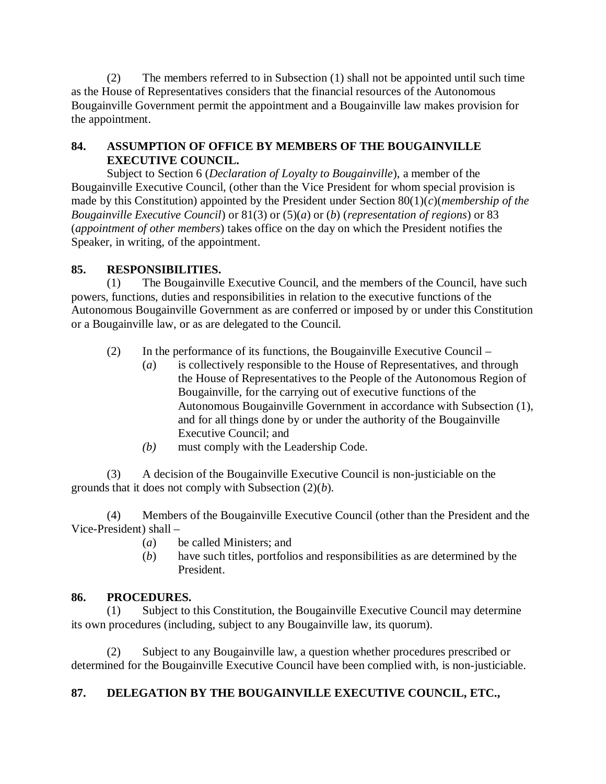(2) The members referred to in Subsection (1) shall not be appointed until such time as the House of Representatives considers that the financial resources of the Autonomous Bougainville Government permit the appointment and a Bougainville law makes provision for the appointment.

## **84. ASSUMPTION OF OFFICE BY MEMBERS OF THE BOUGAINVILLE EXECUTIVE COUNCIL.**

Subject to Section 6 (*Declaration of Loyalty to Bougainville*), a member of the Bougainville Executive Council, (other than the Vice President for whom special provision is made by this Constitution) appointed by the President under Section 80(1)(*c*)(*membership of the Bougainville Executive Council*) or 81(3) or (5)(*a*) or (*b*) (*representation of regions*) or 83 (*appointment of other members*) takes office on the day on which the President notifies the Speaker, in writing, of the appointment.

## **85. RESPONSIBILITIES.**

(1) The Bougainville Executive Council, and the members of the Council, have such powers, functions, duties and responsibilities in relation to the executive functions of the Autonomous Bougainville Government as are conferred or imposed by or under this Constitution or a Bougainville law, or as are delegated to the Council.

- (2) In the performance of its functions, the Bougainville Executive Council
	- (*a*) is collectively responsible to the House of Representatives, and through the House of Representatives to the People of the Autonomous Region of Bougainville, for the carrying out of executive functions of the Autonomous Bougainville Government in accordance with Subsection (1), and for all things done by or under the authority of the Bougainville Executive Council; and
	- *(b)* must comply with the Leadership Code.

(3) A decision of the Bougainville Executive Council is non-justiciable on the grounds that it does not comply with Subsection (2)(*b*).

(4) Members of the Bougainville Executive Council (other than the President and the Vice-President) shall –

- (*a*) be called Ministers; and
- (*b*) have such titles, portfolios and responsibilities as are determined by the President.

### **86. PROCEDURES.**

(1) Subject to this Constitution, the Bougainville Executive Council may determine its own procedures (including, subject to any Bougainville law, its quorum).

(2) Subject to any Bougainville law, a question whether procedures prescribed or determined for the Bougainville Executive Council have been complied with, is non-justiciable.

## **87. DELEGATION BY THE BOUGAINVILLE EXECUTIVE COUNCIL, ETC.,**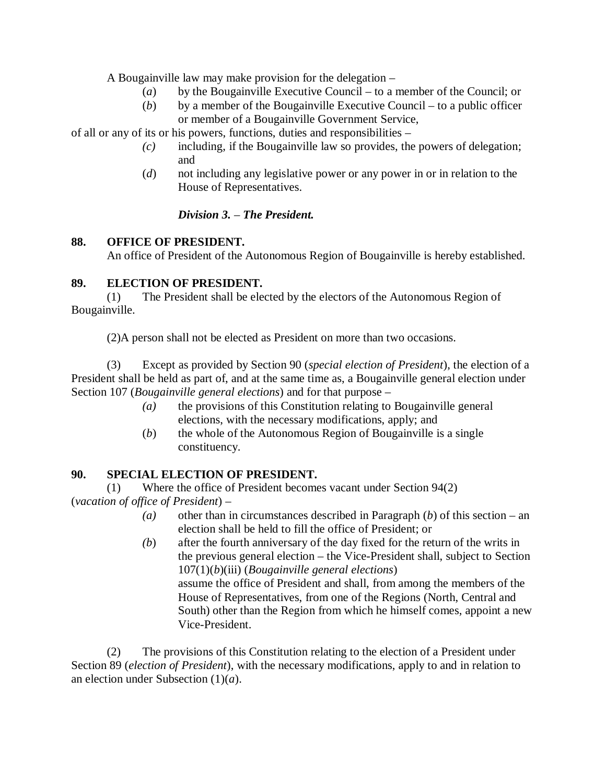A Bougainville law may make provision for the delegation –

- (*a*) by the Bougainville Executive Council to a member of the Council; or
- (*b*) by a member of the Bougainville Executive Council to a public officer or member of a Bougainville Government Service,

of all or any of its or his powers, functions, duties and responsibilities –

- *(c)* including, if the Bougainville law so provides, the powers of delegation; and
- (*d*) not including any legislative power or any power in or in relation to the House of Representatives.

### *Division 3. – The President.*

### **88. OFFICE OF PRESIDENT.**

An office of President of the Autonomous Region of Bougainville is hereby established.

### **89. ELECTION OF PRESIDENT.**

(1) The President shall be elected by the electors of the Autonomous Region of Bougainville.

(2)A person shall not be elected as President on more than two occasions.

(3) Except as provided by Section 90 (*special election of President*), the election of a President shall be held as part of, and at the same time as, a Bougainville general election under Section 107 (*Bougainville general elections*) and for that purpose –

- *(a)* the provisions of this Constitution relating to Bougainville general elections, with the necessary modifications, apply; and
- (*b*) the whole of the Autonomous Region of Bougainville is a single constituency.

## **90. SPECIAL ELECTION OF PRESIDENT.**

(1) Where the office of President becomes vacant under Section 94(2)

- (*vacation of office of President*)
	- *(a)* other than in circumstances described in Paragraph (*b*) of this section an election shall be held to fill the office of President; or
	- *(b*) after the fourth anniversary of the day fixed for the return of the writs in the previous general election – the Vice-President shall, subject to Section 107(1)(*b*)(iii) (*Bougainville general elections*) assume the office of President and shall, from among the members of the House of Representatives, from one of the Regions (North, Central and South) other than the Region from which he himself comes, appoint a new Vice-President.

(2) The provisions of this Constitution relating to the election of a President under Section 89 (*election of President*), with the necessary modifications, apply to and in relation to an election under Subsection (1)(*a*).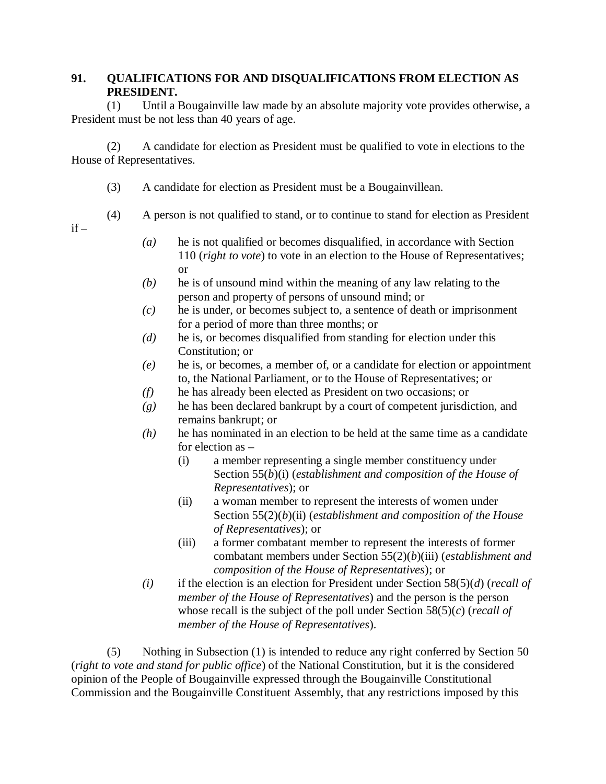#### **91. QUALIFICATIONS FOR AND DISQUALIFICATIONS FROM ELECTION AS PRESIDENT.**

(1) Until a Bougainville law made by an absolute majority vote provides otherwise, a President must be not less than 40 years of age.

(2) A candidate for election as President must be qualified to vote in elections to the House of Representatives.

(3) A candidate for election as President must be a Bougainvillean.

- $if -$
- (4) A person is not qualified to stand, or to continue to stand for election as President
	- *(a)* he is not qualified or becomes disqualified, in accordance with Section 110 (*right to vote*) to vote in an election to the House of Representatives; or
	- *(b)* he is of unsound mind within the meaning of any law relating to the person and property of persons of unsound mind; or
	- *(c)* he is under, or becomes subject to, a sentence of death or imprisonment for a period of more than three months; or
	- *(d)* he is, or becomes disqualified from standing for election under this Constitution; or
	- *(e)* he is, or becomes, a member of, or a candidate for election or appointment to, the National Parliament, or to the House of Representatives; or
	- *(f)* he has already been elected as President on two occasions; or
	- *(g)* he has been declared bankrupt by a court of competent jurisdiction, and remains bankrupt; or
	- *(h)* he has nominated in an election to be held at the same time as a candidate for election as –
		- (i) a member representing a single member constituency under Section 55(*b*)(i) (*establishment and composition of the House of Representatives*); or
		- (ii) a woman member to represent the interests of women under Section 55(2)(*b*)(ii) (*establishment and composition of the House of Representatives*); or
		- (iii) a former combatant member to represent the interests of former combatant members under Section 55(2)(*b*)(iii) (*establishment and composition of the House of Representatives*); or
	- *(i)* if the election is an election for President under Section 58(5)(*d*) (*recall of member of the House of Representatives*) and the person is the person whose recall is the subject of the poll under Section 58(5)(*c*) (*recall of member of the House of Representatives*).

(5) Nothing in Subsection (1) is intended to reduce any right conferred by Section 50 (*right to vote and stand for public office*) of the National Constitution, but it is the considered opinion of the People of Bougainville expressed through the Bougainville Constitutional Commission and the Bougainville Constituent Assembly, that any restrictions imposed by this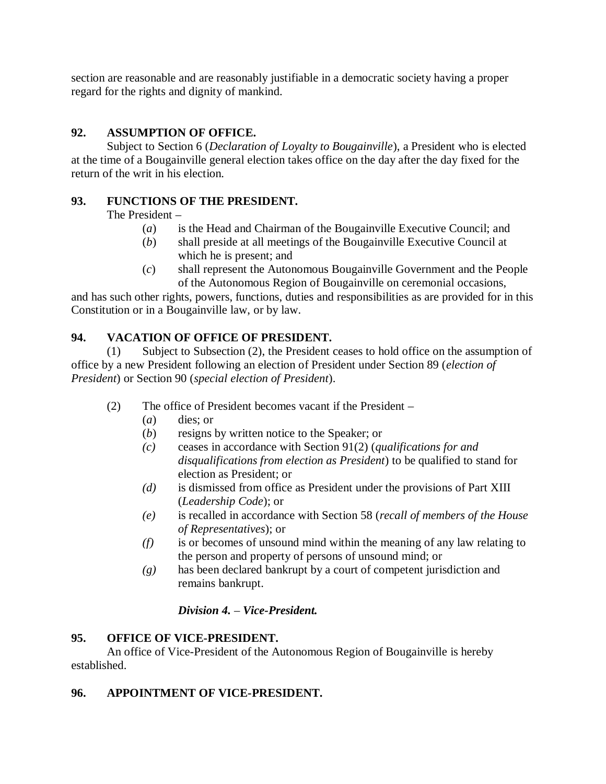section are reasonable and are reasonably justifiable in a democratic society having a proper regard for the rights and dignity of mankind.

## **92. ASSUMPTION OF OFFICE.**

Subject to Section 6 (*Declaration of Loyalty to Bougainville*), a President who is elected at the time of a Bougainville general election takes office on the day after the day fixed for the return of the writ in his election.

### **93. FUNCTIONS OF THE PRESIDENT.**

The President –

- (*a*) is the Head and Chairman of the Bougainville Executive Council; and
- (*b*) shall preside at all meetings of the Bougainville Executive Council at which he is present; and
- (*c*) shall represent the Autonomous Bougainville Government and the People of the Autonomous Region of Bougainville on ceremonial occasions,

and has such other rights, powers, functions, duties and responsibilities as are provided for in this Constitution or in a Bougainville law, or by law.

## **94. VACATION OF OFFICE OF PRESIDENT.**

(1) Subject to Subsection (2), the President ceases to hold office on the assumption of office by a new President following an election of President under Section 89 (*election of President*) or Section 90 (*special election of President*).

- (2) The office of President becomes vacant if the President
	- (*a*) dies; or
	- (*b*) resigns by written notice to the Speaker; or
	- *(c)* ceases in accordance with Section 91(2) (*qualifications for and disqualifications from election as President*) to be qualified to stand for election as President; or
	- *(d)* is dismissed from office as President under the provisions of Part XIII (*Leadership Code*); or
	- *(e)* is recalled in accordance with Section 58 (*recall of members of the House of Representatives*); or
	- *(f)* is or becomes of unsound mind within the meaning of any law relating to the person and property of persons of unsound mind; or
	- *(g)* has been declared bankrupt by a court of competent jurisdiction and remains bankrupt.

### *Division 4. – Vice-President.*

### **95. OFFICE OF VICE-PRESIDENT.**

An office of Vice-President of the Autonomous Region of Bougainville is hereby established.

### **96. APPOINTMENT OF VICE-PRESIDENT.**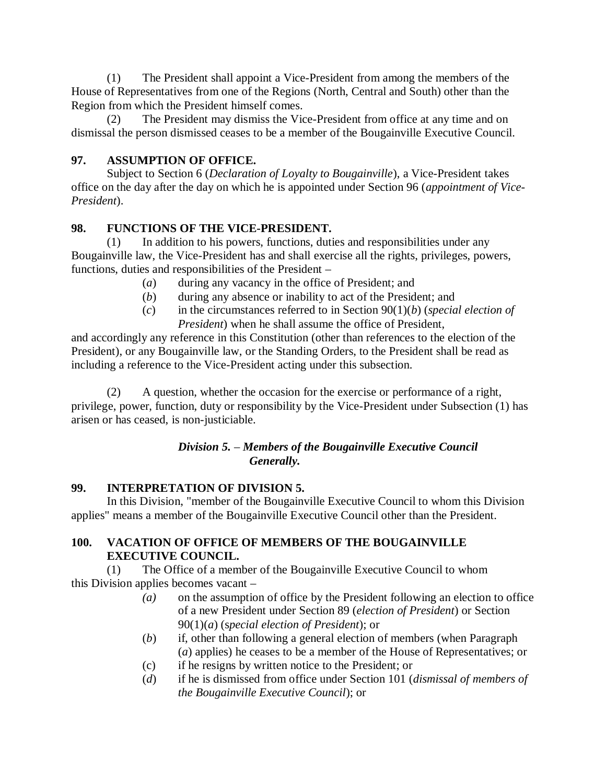(1) The President shall appoint a Vice-President from among the members of the House of Representatives from one of the Regions (North, Central and South) other than the Region from which the President himself comes.

(2) The President may dismiss the Vice-President from office at any time and on dismissal the person dismissed ceases to be a member of the Bougainville Executive Council.

## **97. ASSUMPTION OF OFFICE.**

Subject to Section 6 (*Declaration of Loyalty to Bougainville*), a Vice-President takes office on the day after the day on which he is appointed under Section 96 (*appointment of Vice-President*).

### **98. FUNCTIONS OF THE VICE-PRESIDENT.**

(1) In addition to his powers, functions, duties and responsibilities under any Bougainville law, the Vice-President has and shall exercise all the rights, privileges, powers, functions, duties and responsibilities of the President –

- (*a*) during any vacancy in the office of President; and
- (*b*) during any absence or inability to act of the President; and
- (*c*) in the circumstances referred to in Section 90(1)(*b*) (*special election of President*) when he shall assume the office of President,

and accordingly any reference in this Constitution (other than references to the election of the President), or any Bougainville law, or the Standing Orders, to the President shall be read as including a reference to the Vice-President acting under this subsection.

(2) A question, whether the occasion for the exercise or performance of a right, privilege, power, function, duty or responsibility by the Vice-President under Subsection (1) has arisen or has ceased, is non-justiciable.

### *Division 5. – Members of the Bougainville Executive Council Generally.*

## **99. INTERPRETATION OF DIVISION 5.**

In this Division, "member of the Bougainville Executive Council to whom this Division applies" means a member of the Bougainville Executive Council other than the President.

### **100. VACATION OF OFFICE OF MEMBERS OF THE BOUGAINVILLE EXECUTIVE COUNCIL.**

(1) The Office of a member of the Bougainville Executive Council to whom this Division applies becomes vacant –

- *(a)* on the assumption of office by the President following an election to office of a new President under Section 89 (*election of President*) or Section 90(1)(*a*) (s*pecial election of President*); or
- (*b*) if, other than following a general election of members (when Paragraph (*a*) applies) he ceases to be a member of the House of Representatives; or
- (c) if he resigns by written notice to the President; or
- (*d*) if he is dismissed from office under Section 101 (*dismissal of members of the Bougainville Executive Council*); or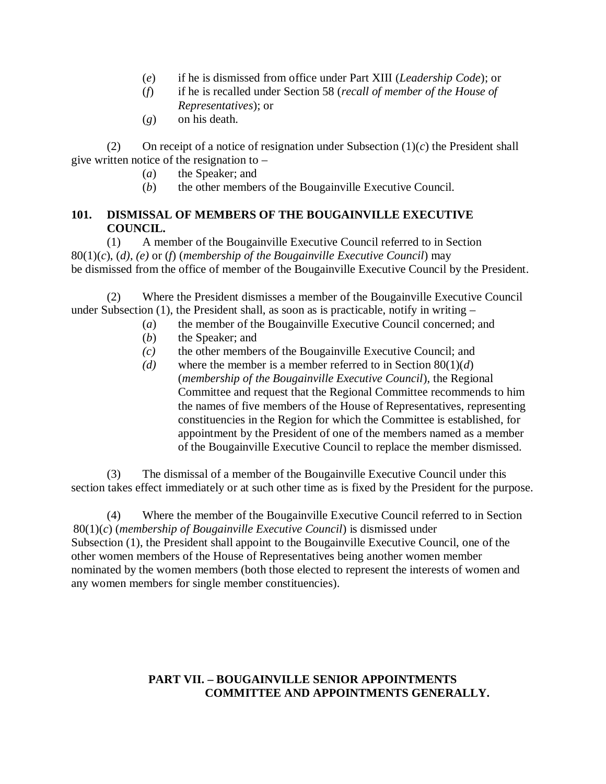- (*e*) if he is dismissed from office under Part XIII (*Leadership Code*); or
- (*f*) if he is recalled under Section 58 (*recall of member of the House of Representatives*); or
- (*g*) on his death.

(2) On receipt of a notice of resignation under Subsection (1)(*c*) the President shall give written notice of the resignation to –

- (*a*) the Speaker; and
- (*b*) the other members of the Bougainville Executive Council.

#### **101. DISMISSAL OF MEMBERS OF THE BOUGAINVILLE EXECUTIVE COUNCIL.**

(1) A member of the Bougainville Executive Council referred to in Section 80(1)(*c*), (*d), (e)* or (*f*) (*membership of the Bougainville Executive Council*) may be dismissed from the office of member of the Bougainville Executive Council by the President.

(2) Where the President dismisses a member of the Bougainville Executive Council under Subsection (1), the President shall, as soon as is practicable, notify in writing –

- (*a*) the member of the Bougainville Executive Council concerned; and
- (*b*) the Speaker; and
- *(c)* the other members of the Bougainville Executive Council; and
- *(d)* where the member is a member referred to in Section 80(1)(*d*) (*membership of the Bougainville Executive Council*), the Regional Committee and request that the Regional Committee recommends to him the names of five members of the House of Representatives, representing constituencies in the Region for which the Committee is established, for appointment by the President of one of the members named as a member of the Bougainville Executive Council to replace the member dismissed.

(3) The dismissal of a member of the Bougainville Executive Council under this section takes effect immediately or at such other time as is fixed by the President for the purpose.

(4) Where the member of the Bougainville Executive Council referred to in Section 80(1)(*c*) (*membership of Bougainville Executive Council*) is dismissed under Subsection (1), the President shall appoint to the Bougainville Executive Council, one of the other women members of the House of Representatives being another women member nominated by the women members (both those elected to represent the interests of women and any women members for single member constituencies).

### **PART VII. – BOUGAINVILLE SENIOR APPOINTMENTS COMMITTEE AND APPOINTMENTS GENERALLY.**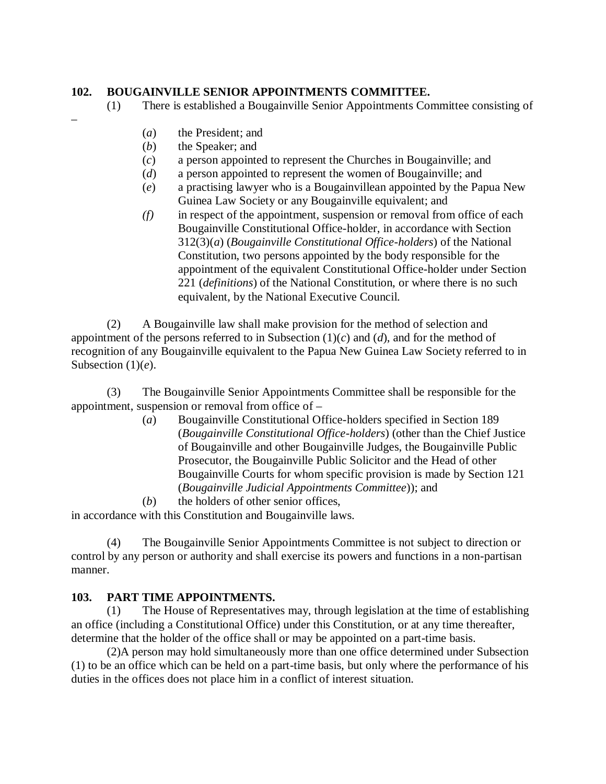#### **102. BOUGAINVILLE SENIOR APPOINTMENTS COMMITTEE.**

(1) There is established a Bougainville Senior Appointments Committee consisting of

- –
- (*a*) the President; and
- (*b*) the Speaker; and
- (*c*) a person appointed to represent the Churches in Bougainville; and
- (*d*) a person appointed to represent the women of Bougainville; and
- (*e*) a practising lawyer who is a Bougainvillean appointed by the Papua New Guinea Law Society or any Bougainville equivalent; and
- *(f)* in respect of the appointment, suspension or removal from office of each Bougainville Constitutional Office-holder, in accordance with Section 312(3)(*a*) (*Bougainville Constitutional Office-holders*) of the National Constitution, two persons appointed by the body responsible for the appointment of the equivalent Constitutional Office-holder under Section 221 (*definitions*) of the National Constitution, or where there is no such equivalent, by the National Executive Council.

(2) A Bougainville law shall make provision for the method of selection and appointment of the persons referred to in Subsection (1)(*c*) and (*d*), and for the method of recognition of any Bougainville equivalent to the Papua New Guinea Law Society referred to in Subsection (1)(*e*).

(3) The Bougainville Senior Appointments Committee shall be responsible for the appointment, suspension or removal from office of –

- (*a*) Bougainville Constitutional Office-holders specified in Section 189 (*Bougainville Constitutional Office-holders*) (other than the Chief Justice of Bougainville and other Bougainville Judges, the Bougainville Public Prosecutor, the Bougainville Public Solicitor and the Head of other Bougainville Courts for whom specific provision is made by Section 121 (*Bougainville Judicial Appointments Committee*)); and
- (*b*) the holders of other senior offices,

in accordance with this Constitution and Bougainville laws.

(4) The Bougainville Senior Appointments Committee is not subject to direction or control by any person or authority and shall exercise its powers and functions in a non-partisan manner.

#### **103. PART TIME APPOINTMENTS.**

(1) The House of Representatives may, through legislation at the time of establishing an office (including a Constitutional Office) under this Constitution, or at any time thereafter, determine that the holder of the office shall or may be appointed on a part-time basis.

(2)A person may hold simultaneously more than one office determined under Subsection (1) to be an office which can be held on a part-time basis, but only where the performance of his duties in the offices does not place him in a conflict of interest situation.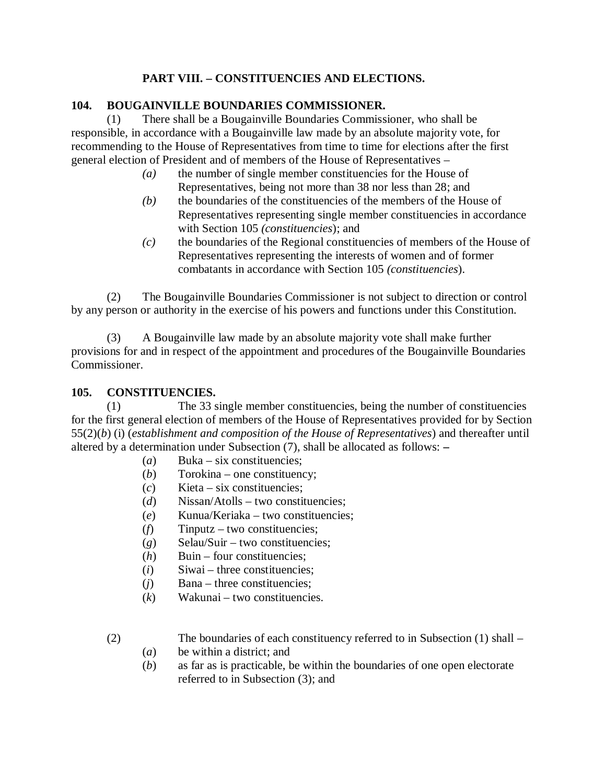### **PART VIII. – CONSTITUENCIES AND ELECTIONS.**

#### **104. BOUGAINVILLE BOUNDARIES COMMISSIONER.**

(1) There shall be a Bougainville Boundaries Commissioner, who shall be responsible, in accordance with a Bougainville law made by an absolute majority vote, for recommending to the House of Representatives from time to time for elections after the first general election of President and of members of the House of Representatives –

- *(a)* the number of single member constituencies for the House of Representatives, being not more than 38 nor less than 28; and
- *(b)* the boundaries of the constituencies of the members of the House of Representatives representing single member constituencies in accordance with Section 105 *(constituencies*); and
- *(c)* the boundaries of the Regional constituencies of members of the House of Representatives representing the interests of women and of former combatants in accordance with Section 105 *(constituencies*).

(2) The Bougainville Boundaries Commissioner is not subject to direction or control by any person or authority in the exercise of his powers and functions under this Constitution.

(3) A Bougainville law made by an absolute majority vote shall make further provisions for and in respect of the appointment and procedures of the Bougainville Boundaries Commissioner.

#### **105. CONSTITUENCIES.**

(1) The 33 single member constituencies, being the number of constituencies for the first general election of members of the House of Representatives provided for by Section 55(2)(*b*) (i) (*establishment and composition of the House of Representatives*) and thereafter until altered by a determination under Subsection (7), shall be allocated as follows: **–**

- (*a*) Buka six constituencies;
- (*b*) Torokina one constituency;
- (*c*) Kieta six constituencies;
- (*d*) Nissan/Atolls two constituencies;
- (*e*) Kunua/Keriaka two constituencies;
- (*f*) Tinputz two constituencies;
- (*g*) Selau/Suir two constituencies;
- (*h*) Buin four constituencies;
- (*i*) Siwai three constituencies;
- (*j*) Bana three constituencies;
- (*k*) Wakunai two constituencies.
- (2) The boundaries of each constituency referred to in Subsection (1) shall (*a*) be within a district; and
	- (*b*) as far as is practicable, be within the boundaries of one open electorate referred to in Subsection (3); and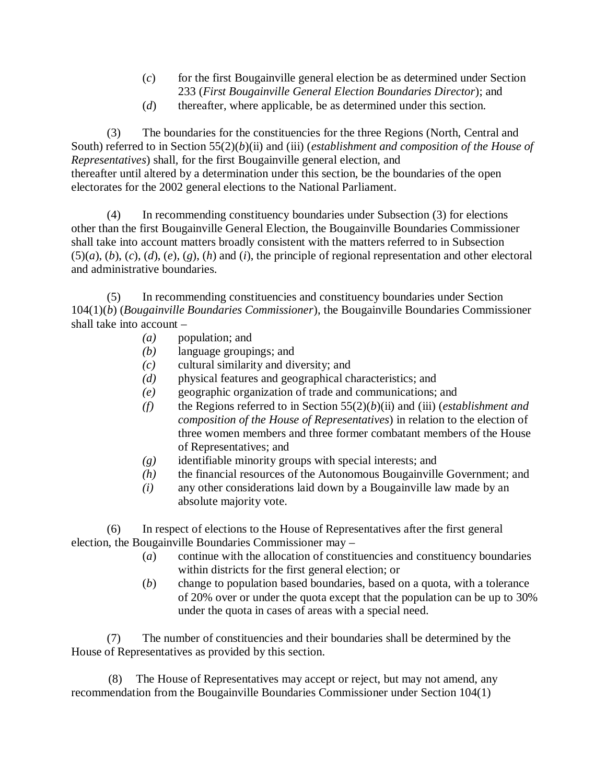- (*c*) for the first Bougainville general election be as determined under Section 233 (*First Bougainville General Election Boundaries Director*); and
- (*d*) thereafter, where applicable, be as determined under this section.

(3) The boundaries for the constituencies for the three Regions (North, Central and South) referred to in Section 55(2)(*b*)(ii) and (iii) (*establishment and composition of the House of Representatives*) shall, for the first Bougainville general election, and thereafter until altered by a determination under this section, be the boundaries of the open electorates for the 2002 general elections to the National Parliament.

(4) In recommending constituency boundaries under Subsection (3) for elections other than the first Bougainville General Election, the Bougainville Boundaries Commissioner shall take into account matters broadly consistent with the matters referred to in Subsection  $(5)(a)$ ,  $(b)$ ,  $(c)$ ,  $(d)$ ,  $(e)$ ,  $(g)$ ,  $(h)$  and  $(i)$ , the principle of regional representation and other electoral and administrative boundaries.

(5) In recommending constituencies and constituency boundaries under Section 104(1)(*b*) (*Bougainville Boundaries Commissioner*), the Bougainville Boundaries Commissioner shall take into account –

- *(a)* population; and
- *(b)* language groupings; and
- *(c)* cultural similarity and diversity; and
- *(d)* physical features and geographical characteristics; and
- *(e)* geographic organization of trade and communications; and
- *(f)* the Regions referred to in Section 55(2)(*b*)(ii) and (iii) (*establishment and composition of the House of Representatives*) in relation to the election of three women members and three former combatant members of the House of Representatives; and
- *(g)* identifiable minority groups with special interests; and
- *(h)* the financial resources of the Autonomous Bougainville Government; and
- *(i)* any other considerations laid down by a Bougainville law made by an absolute majority vote.

(6) In respect of elections to the House of Representatives after the first general election, the Bougainville Boundaries Commissioner may –

- (*a*) continue with the allocation of constituencies and constituency boundaries within districts for the first general election; or
- (*b*) change to population based boundaries, based on a quota, with a tolerance of 20% over or under the quota except that the population can be up to 30% under the quota in cases of areas with a special need.

(7) The number of constituencies and their boundaries shall be determined by the House of Representatives as provided by this section.

(8) The House of Representatives may accept or reject, but may not amend, any recommendation from the Bougainville Boundaries Commissioner under Section 104(1)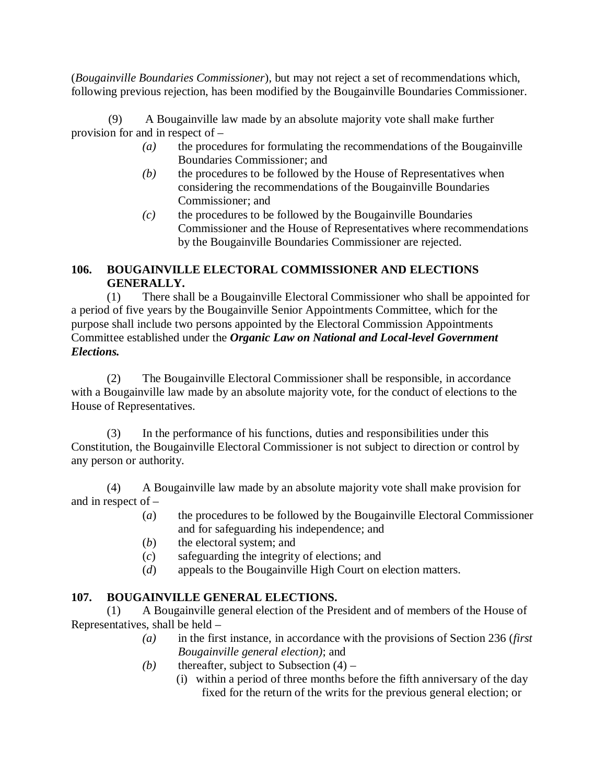(*Bougainville Boundaries Commissioner*), but may not reject a set of recommendations which, following previous rejection, has been modified by the Bougainville Boundaries Commissioner.

(9) A Bougainville law made by an absolute majority vote shall make further provision for and in respect of –

- *(a)* the procedures for formulating the recommendations of the Bougainville Boundaries Commissioner; and
- *(b)* the procedures to be followed by the House of Representatives when considering the recommendations of the Bougainville Boundaries Commissioner; and
- *(c)* the procedures to be followed by the Bougainville Boundaries Commissioner and the House of Representatives where recommendations by the Bougainville Boundaries Commissioner are rejected.

### **106. BOUGAINVILLE ELECTORAL COMMISSIONER AND ELECTIONS GENERALLY.**

(1) There shall be a Bougainville Electoral Commissioner who shall be appointed for a period of five years by the Bougainville Senior Appointments Committee, which for the purpose shall include two persons appointed by the Electoral Commission Appointments Committee established under the *Organic Law on National and Local-level Government Elections.*

(2) The Bougainville Electoral Commissioner shall be responsible, in accordance with a Bougainville law made by an absolute majority vote, for the conduct of elections to the House of Representatives.

(3) In the performance of his functions, duties and responsibilities under this Constitution, the Bougainville Electoral Commissioner is not subject to direction or control by any person or authority.

(4) A Bougainville law made by an absolute majority vote shall make provision for and in respect of –

- (*a*) the procedures to be followed by the Bougainville Electoral Commissioner and for safeguarding his independence; and
- (*b*) the electoral system; and
- (*c*) safeguarding the integrity of elections; and
- (*d*) appeals to the Bougainville High Court on election matters.

## **107. BOUGAINVILLE GENERAL ELECTIONS.**

(1) A Bougainville general election of the President and of members of the House of Representatives, shall be held –

- *(a)* in the first instance, in accordance with the provisions of Section 236 (*first Bougainville general election)*; and
- *(b)* thereafter, subject to Subsection (4)
	- (i) within a period of three months before the fifth anniversary of the day fixed for the return of the writs for the previous general election; or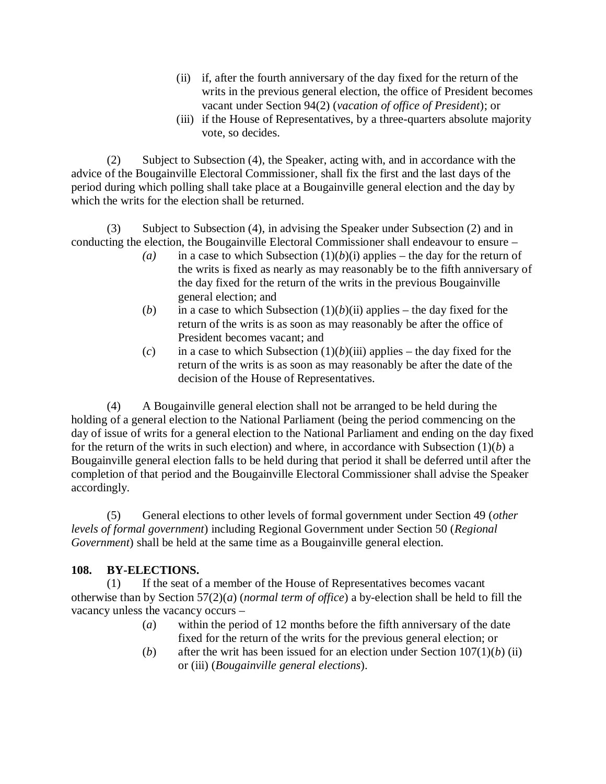- (ii) if, after the fourth anniversary of the day fixed for the return of the writs in the previous general election, the office of President becomes vacant under Section 94(2) (*vacation of office of President*); or
- (iii) if the House of Representatives, by a three-quarters absolute majority vote, so decides.

(2) Subject to Subsection (4), the Speaker, acting with, and in accordance with the advice of the Bougainville Electoral Commissioner, shall fix the first and the last days of the period during which polling shall take place at a Bougainville general election and the day by which the writs for the election shall be returned.

(3) Subject to Subsection (4), in advising the Speaker under Subsection (2) and in conducting the election, the Bougainville Electoral Commissioner shall endeavour to ensure –

- (a) in a case to which Subsection  $(1)(b)(i)$  applies the day for the return of the writs is fixed as nearly as may reasonably be to the fifth anniversary of the day fixed for the return of the writs in the previous Bougainville general election; and
- (*b*) in a case to which Subsection  $(1)(b)(ii)$  applies the day fixed for the return of the writs is as soon as may reasonably be after the office of President becomes vacant; and
- (*c*) in a case to which Subsection  $(1)(b)(iii)$  applies the day fixed for the return of the writs is as soon as may reasonably be after the date of the decision of the House of Representatives.

(4) A Bougainville general election shall not be arranged to be held during the holding of a general election to the National Parliament (being the period commencing on the day of issue of writs for a general election to the National Parliament and ending on the day fixed for the return of the writs in such election) and where, in accordance with Subsection  $(1)(b)$  a Bougainville general election falls to be held during that period it shall be deferred until after the completion of that period and the Bougainville Electoral Commissioner shall advise the Speaker accordingly.

(5) General elections to other levels of formal government under Section 49 (*other levels of formal government*) including Regional Government under Section 50 (*Regional Government*) shall be held at the same time as a Bougainville general election.

## **108. BY-ELECTIONS.**

(1) If the seat of a member of the House of Representatives becomes vacant otherwise than by Section 57(2)(*a*) (*normal term of office*) a by-election shall be held to fill the vacancy unless the vacancy occurs –

- (*a*) within the period of 12 months before the fifth anniversary of the date fixed for the return of the writs for the previous general election; or
- (*b*) after the writ has been issued for an election under Section 107(1)(*b*) (ii) or (iii) (*Bougainville general elections*).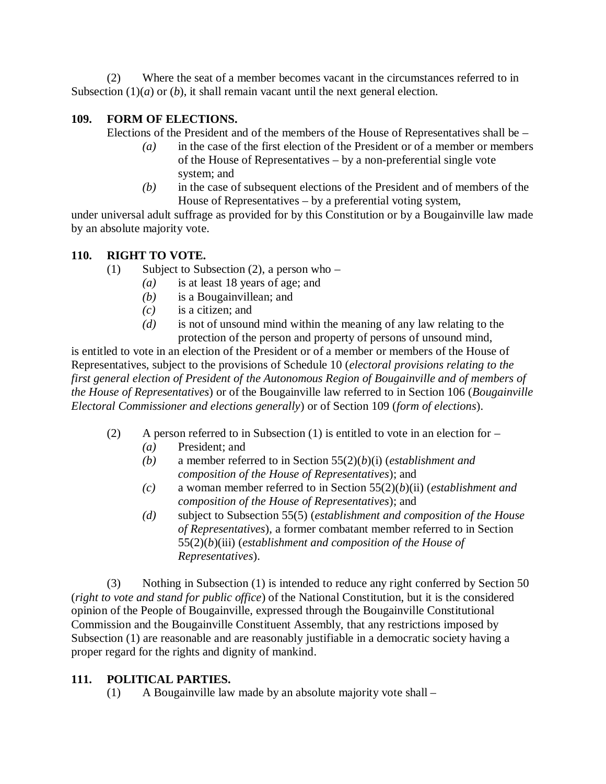(2) Where the seat of a member becomes vacant in the circumstances referred to in Subsection  $(1)(a)$  or  $(b)$ , it shall remain vacant until the next general election.

## **109. FORM OF ELECTIONS.**

Elections of the President and of the members of the House of Representatives shall be –

- *(a)* in the case of the first election of the President or of a member or members of the House of Representatives – by a non-preferential single vote system; and
- *(b)* in the case of subsequent elections of the President and of members of the House of Representatives – by a preferential voting system,

under universal adult suffrage as provided for by this Constitution or by a Bougainville law made by an absolute majority vote.

# **110. RIGHT TO VOTE.**

- (1) Subject to Subsection (2), a person who
	- *(a)* is at least 18 years of age; and
	- *(b)* is a Bougainvillean; and
	- *(c)* is a citizen; and
	- *(d)* is not of unsound mind within the meaning of any law relating to the protection of the person and property of persons of unsound mind,

is entitled to vote in an election of the President or of a member or members of the House of Representatives, subject to the provisions of Schedule 10 (*electoral provisions relating to the first general election of President of the Autonomous Region of Bougainville and of members of the House of Representatives*) or of the Bougainville law referred to in Section 106 (*Bougainville Electoral Commissioner and elections generally*) or of Section 109 (*form of elections*).

- (2) A person referred to in Subsection (1) is entitled to vote in an election for
	- *(a)* President; and
	- *(b)* a member referred to in Section 55(2)(*b*)(i) (*establishment and composition of the House of Representatives*); and
	- *(c)* a woman member referred to in Section 55(2)(*b*)(ii) (*establishment and composition of the House of Representatives*); and
	- *(d)* subject to Subsection 55(5) (*establishment and composition of the House of Representatives*), a former combatant member referred to in Section 55(2)(*b*)(iii) (*establishment and composition of the House of Representatives*).

(3) Nothing in Subsection (1) is intended to reduce any right conferred by Section 50 (*right to vote and stand for public office*) of the National Constitution, but it is the considered opinion of the People of Bougainville, expressed through the Bougainville Constitutional Commission and the Bougainville Constituent Assembly, that any restrictions imposed by Subsection (1) are reasonable and are reasonably justifiable in a democratic society having a proper regard for the rights and dignity of mankind.

# **111. POLITICAL PARTIES.**

(1) A Bougainville law made by an absolute majority vote shall –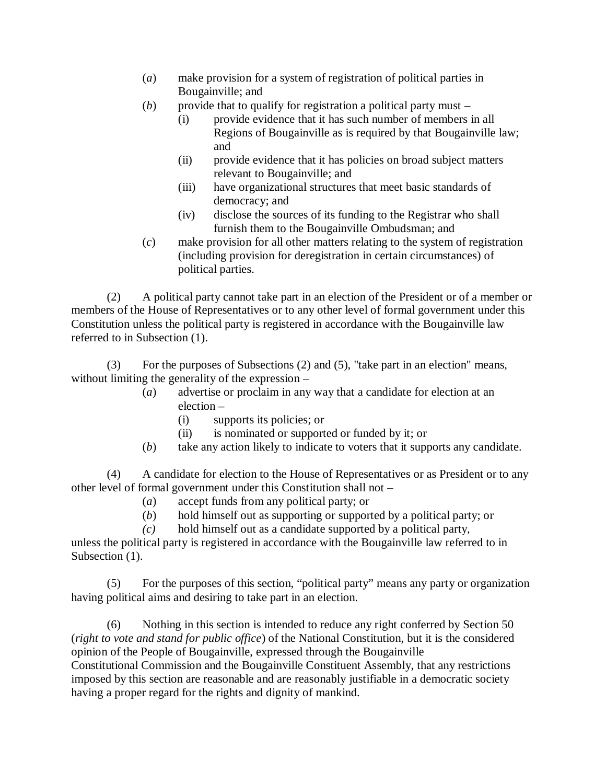- (*a*) make provision for a system of registration of political parties in Bougainville; and
- (*b*) provide that to qualify for registration a political party must
	- (i) provide evidence that it has such number of members in all Regions of Bougainville as is required by that Bougainville law; and
	- (ii) provide evidence that it has policies on broad subject matters relevant to Bougainville; and
	- (iii) have organizational structures that meet basic standards of democracy; and
	- (iv) disclose the sources of its funding to the Registrar who shall furnish them to the Bougainville Ombudsman; and
- (*c*) make provision for all other matters relating to the system of registration (including provision for deregistration in certain circumstances) of political parties.

(2) A political party cannot take part in an election of the President or of a member or members of the House of Representatives or to any other level of formal government under this Constitution unless the political party is registered in accordance with the Bougainville law referred to in Subsection (1).

(3) For the purposes of Subsections (2) and (5), "take part in an election" means, without limiting the generality of the expression –

- (*a*) advertise or proclaim in any way that a candidate for election at an election –
	- (i) supports its policies; or
	- (ii) is nominated or supported or funded by it; or
- (*b*) take any action likely to indicate to voters that it supports any candidate.

(4) A candidate for election to the House of Representatives or as President or to any other level of formal government under this Constitution shall not –

- (*a*) accept funds from any political party; or
- (*b*) hold himself out as supporting or supported by a political party; or
- *(c)* hold himself out as a candidate supported by a political party,

unless the political party is registered in accordance with the Bougainville law referred to in Subsection  $(1)$ .

(5) For the purposes of this section, "political party" means any party or organization having political aims and desiring to take part in an election.

(6) Nothing in this section is intended to reduce any right conferred by Section 50 (*right to vote and stand for public office*) of the National Constitution, but it is the considered opinion of the People of Bougainville, expressed through the Bougainville

Constitutional Commission and the Bougainville Constituent Assembly, that any restrictions imposed by this section are reasonable and are reasonably justifiable in a democratic society having a proper regard for the rights and dignity of mankind.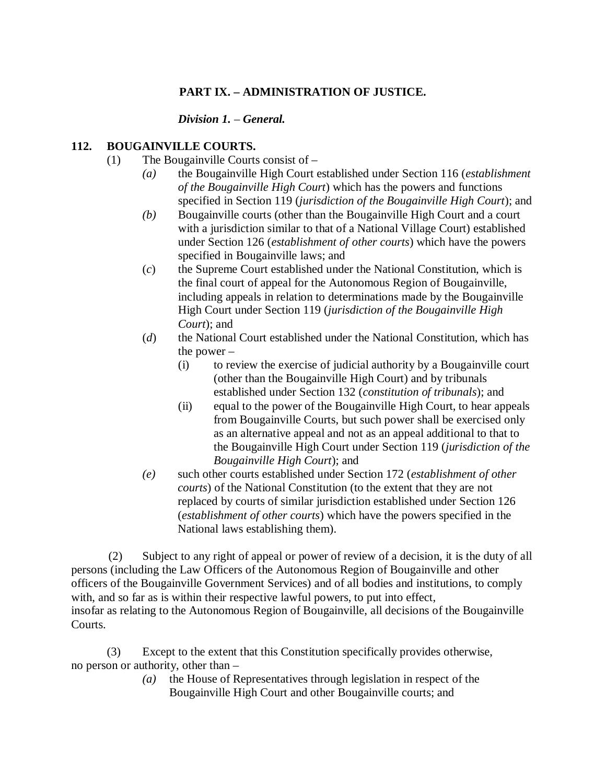## **PART IX. – ADMINISTRATION OF JUSTICE.**

*Division 1. – General.*

### **112. BOUGAINVILLE COURTS.**

- (1) The Bougainville Courts consist of
	- *(a)* the Bougainville High Court established under Section 116 (*establishment of the Bougainville High Court*) which has the powers and functions specified in Section 119 (*jurisdiction of the Bougainville High Court*); and
	- *(b)* Bougainville courts (other than the Bougainville High Court and a court with a jurisdiction similar to that of a National Village Court) established under Section 126 (*establishment of other courts*) which have the powers specified in Bougainville laws; and
	- (*c*) the Supreme Court established under the National Constitution, which is the final court of appeal for the Autonomous Region of Bougainville, including appeals in relation to determinations made by the Bougainville High Court under Section 119 (*jurisdiction of the Bougainville High Court*); and
	- (*d*) the National Court established under the National Constitution, which has the power –
		- (i) to review the exercise of judicial authority by a Bougainville court (other than the Bougainville High Court) and by tribunals established under Section 132 (*constitution of tribunals*); and
		- (ii) equal to the power of the Bougainville High Court, to hear appeals from Bougainville Courts, but such power shall be exercised only as an alternative appeal and not as an appeal additional to that to the Bougainville High Court under Section 119 (*jurisdiction of the Bougainville High Court*); and
	- *(e)* such other courts established under Section 172 (*establishment of other courts*) of the National Constitution (to the extent that they are not replaced by courts of similar jurisdiction established under Section 126 (*establishment of other courts*) which have the powers specified in the National laws establishing them).

(2) Subject to any right of appeal or power of review of a decision, it is the duty of all persons (including the Law Officers of the Autonomous Region of Bougainville and other officers of the Bougainville Government Services) and of all bodies and institutions, to comply with, and so far as is within their respective lawful powers, to put into effect, insofar as relating to the Autonomous Region of Bougainville, all decisions of the Bougainville Courts.

(3) Except to the extent that this Constitution specifically provides otherwise, no person or authority, other than –

*(a)* the House of Representatives through legislation in respect of the Bougainville High Court and other Bougainville courts; and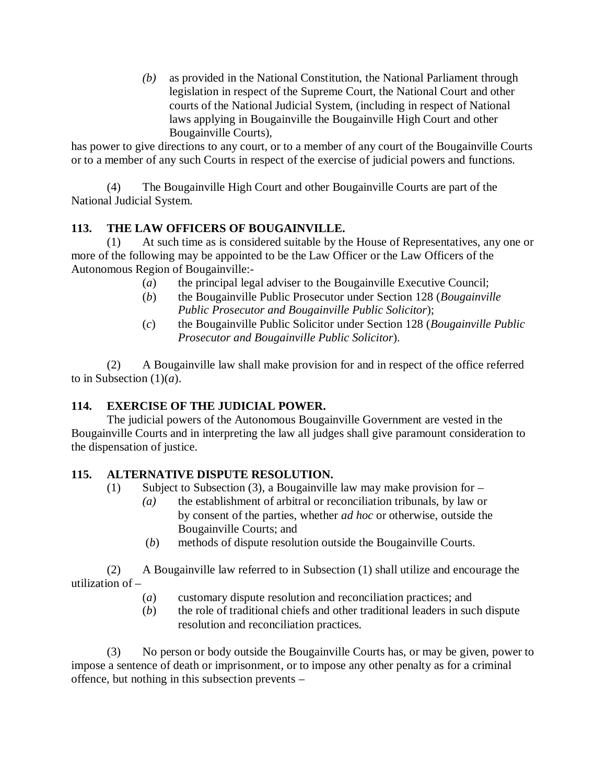*(b)* as provided in the National Constitution, the National Parliament through legislation in respect of the Supreme Court, the National Court and other courts of the National Judicial System, (including in respect of National laws applying in Bougainville the Bougainville High Court and other Bougainville Courts),

has power to give directions to any court, or to a member of any court of the Bougainville Courts or to a member of any such Courts in respect of the exercise of judicial powers and functions.

(4) The Bougainville High Court and other Bougainville Courts are part of the National Judicial System.

## **113. THE LAW OFFICERS OF BOUGAINVILLE.**

(1) At such time as is considered suitable by the House of Representatives, any one or more of the following may be appointed to be the Law Officer or the Law Officers of the Autonomous Region of Bougainville:-

- (*a*) the principal legal adviser to the Bougainville Executive Council;
- (*b*) the Bougainville Public Prosecutor under Section 128 (*Bougainville Public Prosecutor and Bougainville Public Solicitor*);
- (*c*) the Bougainville Public Solicitor under Section 128 (*Bougainville Public Prosecutor and Bougainville Public Solicitor*).

(2) A Bougainville law shall make provision for and in respect of the office referred to in Subsection  $(1)(a)$ .

## **114. EXERCISE OF THE JUDICIAL POWER.**

The judicial powers of the Autonomous Bougainville Government are vested in the Bougainville Courts and in interpreting the law all judges shall give paramount consideration to the dispensation of justice.

## **115. ALTERNATIVE DISPUTE RESOLUTION.**

- (1) Subject to Subsection (3), a Bougainville law may make provision for  $-$ 
	- *(a)* the establishment of arbitral or reconciliation tribunals, by law or by consent of the parties, whether *ad hoc* or otherwise, outside the Bougainville Courts; and
	- (*b*) methods of dispute resolution outside the Bougainville Courts.

(2) A Bougainville law referred to in Subsection (1) shall utilize and encourage the utilization of –

- (*a*) customary dispute resolution and reconciliation practices; and
- (*b*) the role of traditional chiefs and other traditional leaders in such dispute resolution and reconciliation practices.

(3) No person or body outside the Bougainville Courts has, or may be given, power to impose a sentence of death or imprisonment, or to impose any other penalty as for a criminal offence, but nothing in this subsection prevents –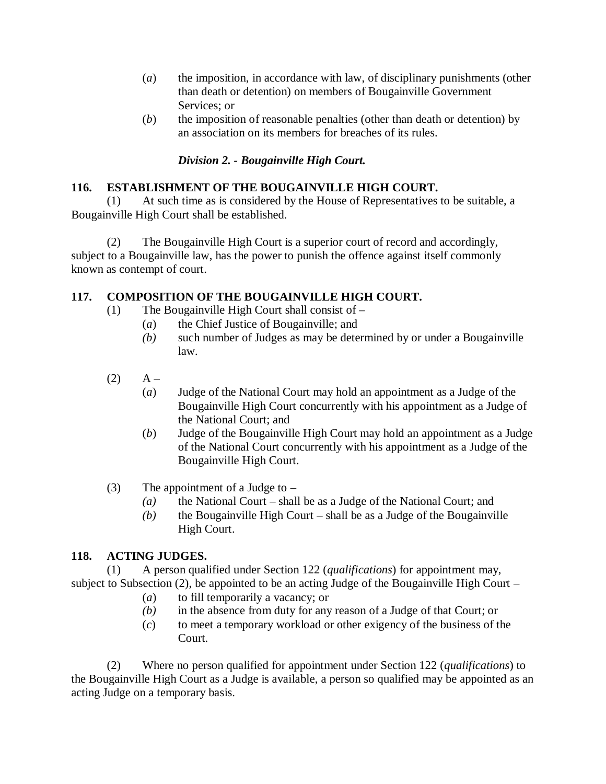- (*a*) the imposition, in accordance with law, of disciplinary punishments (other than death or detention) on members of Bougainville Government Services; or
- (*b*) the imposition of reasonable penalties (other than death or detention) by an association on its members for breaches of its rules.

### *Division 2. - Bougainville High Court.*

### **116. ESTABLISHMENT OF THE BOUGAINVILLE HIGH COURT.**

(1) At such time as is considered by the House of Representatives to be suitable, a Bougainville High Court shall be established.

(2) The Bougainville High Court is a superior court of record and accordingly, subject to a Bougainville law, has the power to punish the offence against itself commonly known as contempt of court.

### **117. COMPOSITION OF THE BOUGAINVILLE HIGH COURT.**

- (1) The Bougainville High Court shall consist of
	- (*a*) the Chief Justice of Bougainville; and
	- *(b)* such number of Judges as may be determined by or under a Bougainville law.
- $(2)$   $A -$ 
	- (*a*) Judge of the National Court may hold an appointment as a Judge of the Bougainville High Court concurrently with his appointment as a Judge of the National Court; and
	- (*b*) Judge of the Bougainville High Court may hold an appointment as a Judge of the National Court concurrently with his appointment as a Judge of the Bougainville High Court.
- (3) The appointment of a Judge to  $-$ 
	- *(a)* the National Court shall be as a Judge of the National Court; and
	- *(b)* the Bougainville High Court shall be as a Judge of the Bougainville High Court.

### **118. ACTING JUDGES.**

(1) A person qualified under Section 122 (*qualifications*) for appointment may, subject to Subsection (2), be appointed to be an acting Judge of the Bougainville High Court –

- (*a*) to fill temporarily a vacancy; or
- *(b)* in the absence from duty for any reason of a Judge of that Court; or
- (*c*) to meet a temporary workload or other exigency of the business of the Court.

(2) Where no person qualified for appointment under Section 122 (*qualifications*) to the Bougainville High Court as a Judge is available, a person so qualified may be appointed as an acting Judge on a temporary basis.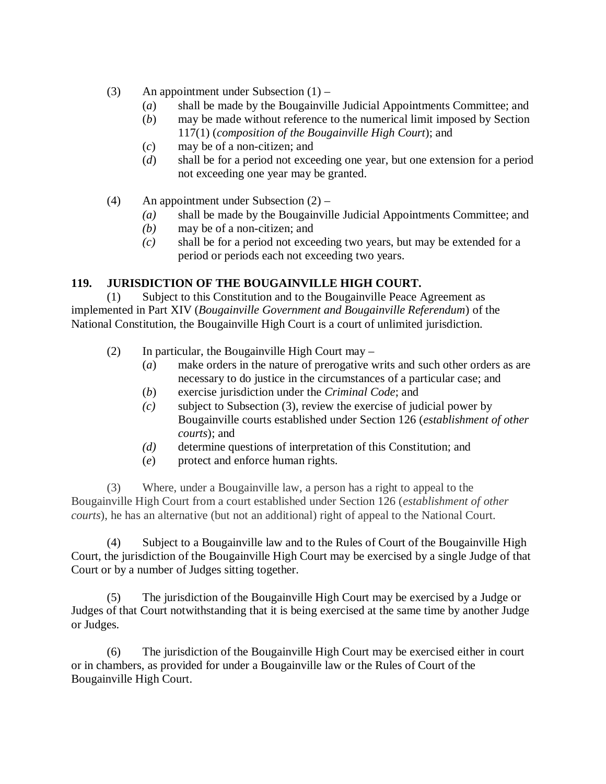- (3) An appointment under Subsection  $(1)$ 
	- (*a*) shall be made by the Bougainville Judicial Appointments Committee; and
	- (*b*) may be made without reference to the numerical limit imposed by Section 117(1) (*composition of the Bougainville High Court*); and
	- (*c*) may be of a non-citizen; and
	- (*d*) shall be for a period not exceeding one year, but one extension for a period not exceeding one year may be granted.
- (4) An appointment under Subsection  $(2)$ 
	- *(a)* shall be made by the Bougainville Judicial Appointments Committee; and
	- *(b)* may be of a non-citizen; and
	- *(c)* shall be for a period not exceeding two years, but may be extended for a period or periods each not exceeding two years.

### **119. JURISDICTION OF THE BOUGAINVILLE HIGH COURT.**

(1) Subject to this Constitution and to the Bougainville Peace Agreement as implemented in Part XIV (*Bougainville Government and Bougainville Referendum*) of the National Constitution, the Bougainville High Court is a court of unlimited jurisdiction.

- (2) In particular, the Bougainville High Court may
	- (*a*) make orders in the nature of prerogative writs and such other orders as are necessary to do justice in the circumstances of a particular case; and
	- (*b*) exercise jurisdiction under the *Criminal Code*; and
	- *(c)* subject to Subsection (3), review the exercise of judicial power by Bougainville courts established under Section 126 (*establishment of other courts*); and
	- *(d)* determine questions of interpretation of this Constitution; and
	- (*e*) protect and enforce human rights.

(3) Where, under a Bougainville law, a person has a right to appeal to the Bougainville High Court from a court established under Section 126 (*establishment of other courts*), he has an alternative (but not an additional) right of appeal to the National Court.

(4) Subject to a Bougainville law and to the Rules of Court of the Bougainville High Court, the jurisdiction of the Bougainville High Court may be exercised by a single Judge of that Court or by a number of Judges sitting together.

(5) The jurisdiction of the Bougainville High Court may be exercised by a Judge or Judges of that Court notwithstanding that it is being exercised at the same time by another Judge or Judges.

(6) The jurisdiction of the Bougainville High Court may be exercised either in court or in chambers, as provided for under a Bougainville law or the Rules of Court of the Bougainville High Court.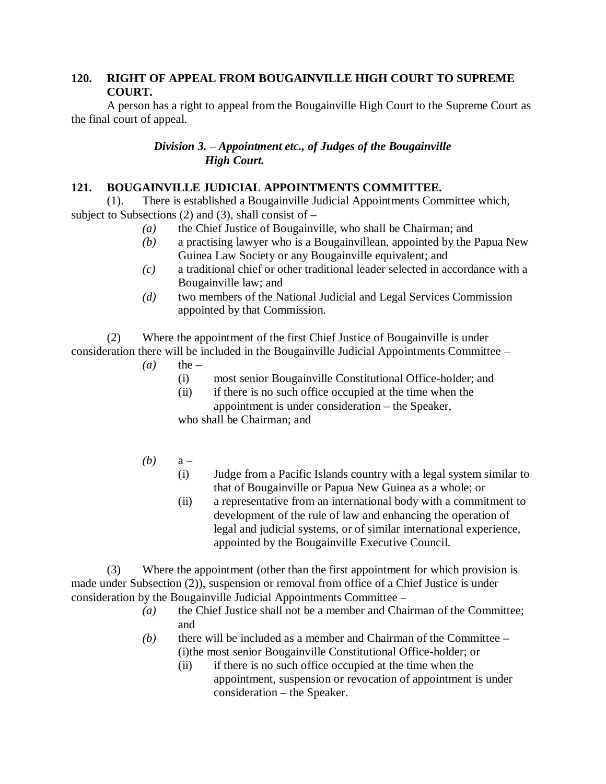#### **120. RIGHT OF APPEAL FROM BOUGAINVILLE HIGH COURT TO SUPREME COURT.**

A person has a right to appeal from the Bougainville High Court to the Supreme Court as the final court of appeal.

#### *Division 3.* – *Appointment etc., of Judges of the Bougainville High Court.*

#### **121. BOUGAINVILLE JUDICIAL APPOINTMENTS COMMITTEE.**

(1). There is established a Bougainville Judicial Appointments Committee which, subject to Subsections (2) and (3), shall consist of  $-$ 

- *(a)* the Chief Justice of Bougainville, who shall be Chairman; and
- *(b)* a practising lawyer who is a Bougainvillean, appointed by the Papua New Guinea Law Society or any Bougainville equivalent; and
- *(c)* a traditional chief or other traditional leader selected in accordance with a Bougainville law; and
- *(d)* two members of the National Judicial and Legal Services Commission appointed by that Commission.

(2) Where the appointment of the first Chief Justice of Bougainville is under consideration there will be included in the Bougainville Judicial Appointments Committee –

- $(a)$  the
	- (i) most senior Bougainville Constitutional Office-holder; and
	- (ii) if there is no such office occupied at the time when the appointment is under consideration – the Speaker,

who shall be Chairman; and

- *(b)* a
	- (i) Judge from a Pacific Islands country with a legal system similar to that of Bougainville or Papua New Guinea as a whole; or
	- (ii) a representative from an international body with a commitment to development of the rule of law and enhancing the operation of legal and judicial systems, or of similar international experience, appointed by the Bougainville Executive Council.

(3) Where the appointment (other than the first appointment for which provision is made under Subsection (2)), suspension or removal from office of a Chief Justice is under consideration by the Bougainville Judicial Appointments Committee –

- *(a)* the Chief Justice shall not be a member and Chairman of the Committee; and
- *(b)* there will be included as a member and Chairman of the Committee **–** (i)the most senior Bougainville Constitutional Office-holder; or
	- (ii) if there is no such office occupied at the time when the appointment, suspension or revocation of appointment is under consideration – the Speaker.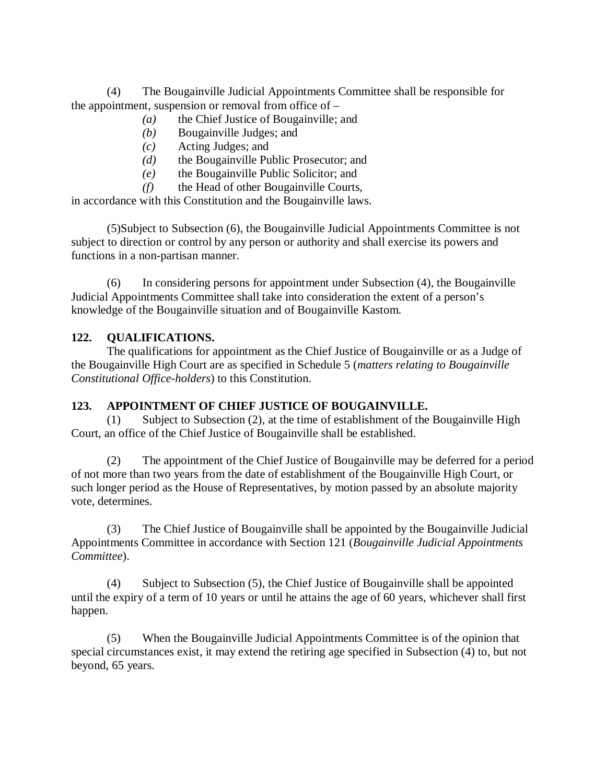(4) The Bougainville Judicial Appointments Committee shall be responsible for the appointment, suspension or removal from office of –

- *(a)* the Chief Justice of Bougainville; and
- *(b)* Bougainville Judges; and
- *(c)* Acting Judges; and
- *(d)* the Bougainville Public Prosecutor; and
- *(e)* the Bougainville Public Solicitor; and
- *(f)* the Head of other Bougainville Courts,

in accordance with this Constitution and the Bougainville laws.

(5)Subject to Subsection (6), the Bougainville Judicial Appointments Committee is not subject to direction or control by any person or authority and shall exercise its powers and functions in a non-partisan manner.

(6) In considering persons for appointment under Subsection (4), the Bougainville Judicial Appointments Committee shall take into consideration the extent of a person's knowledge of the Bougainville situation and of Bougainville Kastom.

### **122. QUALIFICATIONS.**

The qualifications for appointment as the Chief Justice of Bougainville or as a Judge of the Bougainville High Court are as specified in Schedule 5 (*matters relating to Bougainville Constitutional Office-holders*) to this Constitution.

### **123. APPOINTMENT OF CHIEF JUSTICE OF BOUGAINVILLE.**

(1) Subject to Subsection (2), at the time of establishment of the Bougainville High Court, an office of the Chief Justice of Bougainville shall be established.

(2) The appointment of the Chief Justice of Bougainville may be deferred for a period of not more than two years from the date of establishment of the Bougainville High Court, or such longer period as the House of Representatives, by motion passed by an absolute majority vote, determines.

(3) The Chief Justice of Bougainville shall be appointed by the Bougainville Judicial Appointments Committee in accordance with Section 121 (*Bougainville Judicial Appointments Committee*).

(4) Subject to Subsection (5), the Chief Justice of Bougainville shall be appointed until the expiry of a term of 10 years or until he attains the age of 60 years, whichever shall first happen.

(5) When the Bougainville Judicial Appointments Committee is of the opinion that special circumstances exist, it may extend the retiring age specified in Subsection (4) to, but not beyond, 65 years.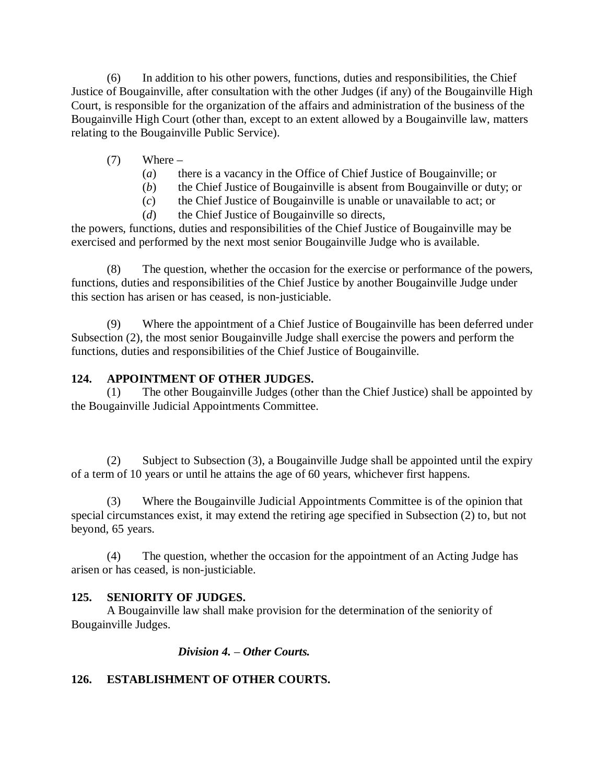(6) In addition to his other powers, functions, duties and responsibilities, the Chief Justice of Bougainville, after consultation with the other Judges (if any) of the Bougainville High Court, is responsible for the organization of the affairs and administration of the business of the Bougainville High Court (other than, except to an extent allowed by a Bougainville law, matters relating to the Bougainville Public Service).

- $(7)$  Where
	- (*a*) there is a vacancy in the Office of Chief Justice of Bougainville; or
	- (*b*) the Chief Justice of Bougainville is absent from Bougainville or duty; or
	- (*c*) the Chief Justice of Bougainville is unable or unavailable to act; or
	- (*d*) the Chief Justice of Bougainville so directs,

the powers, functions, duties and responsibilities of the Chief Justice of Bougainville may be exercised and performed by the next most senior Bougainville Judge who is available.

(8) The question, whether the occasion for the exercise or performance of the powers, functions, duties and responsibilities of the Chief Justice by another Bougainville Judge under this section has arisen or has ceased, is non-justiciable.

(9) Where the appointment of a Chief Justice of Bougainville has been deferred under Subsection (2), the most senior Bougainville Judge shall exercise the powers and perform the functions, duties and responsibilities of the Chief Justice of Bougainville.

### **124. APPOINTMENT OF OTHER JUDGES.**

(1) The other Bougainville Judges (other than the Chief Justice) shall be appointed by the Bougainville Judicial Appointments Committee.

(2) Subject to Subsection (3), a Bougainville Judge shall be appointed until the expiry of a term of 10 years or until he attains the age of 60 years, whichever first happens.

(3) Where the Bougainville Judicial Appointments Committee is of the opinion that special circumstances exist, it may extend the retiring age specified in Subsection (2) to, but not beyond, 65 years.

(4) The question, whether the occasion for the appointment of an Acting Judge has arisen or has ceased, is non-justiciable.

## **125. SENIORITY OF JUDGES.**

A Bougainville law shall make provision for the determination of the seniority of Bougainville Judges.

### *Division 4.* – *Other Courts.*

## **126. ESTABLISHMENT OF OTHER COURTS.**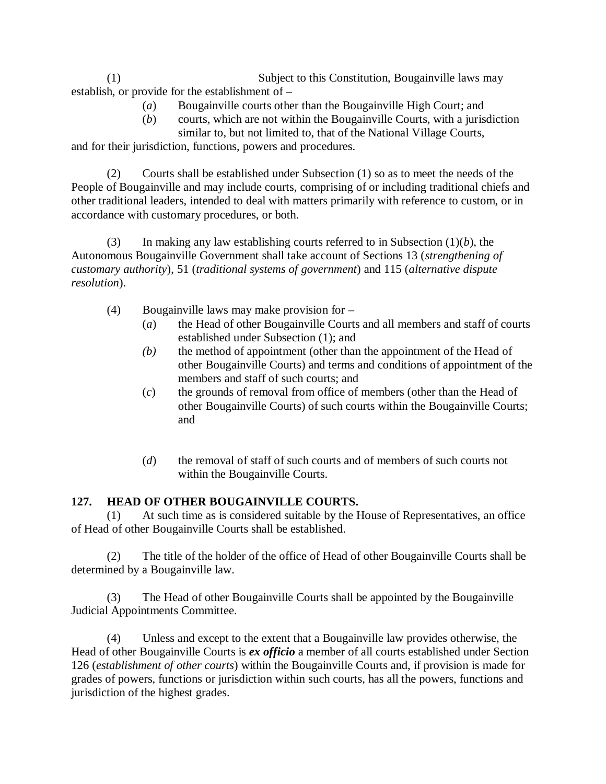(1) Subject to this Constitution, Bougainville laws may establish, or provide for the establishment of –

- (*a*) Bougainville courts other than the Bougainville High Court; and
- (*b*) courts, which are not within the Bougainville Courts, with a jurisdiction
- similar to, but not limited to, that of the National Village Courts,

and for their jurisdiction, functions, powers and procedures.

(2) Courts shall be established under Subsection (1) so as to meet the needs of the People of Bougainville and may include courts, comprising of or including traditional chiefs and other traditional leaders, intended to deal with matters primarily with reference to custom, or in accordance with customary procedures, or both.

(3) In making any law establishing courts referred to in Subsection (1)(*b*), the Autonomous Bougainville Government shall take account of Sections 13 (*strengthening of customary authority*), 51 (*traditional systems of government*) and 115 (*alternative dispute resolution*).

- (4) Bougainville laws may make provision for
	- (*a*) the Head of other Bougainville Courts and all members and staff of courts established under Subsection (1); and
	- *(b)* the method of appointment (other than the appointment of the Head of other Bougainville Courts) and terms and conditions of appointment of the members and staff of such courts; and
	- (*c*) the grounds of removal from office of members (other than the Head of other Bougainville Courts) of such courts within the Bougainville Courts; and
	- (*d*) the removal of staff of such courts and of members of such courts not within the Bougainville Courts.

## **127. HEAD OF OTHER BOUGAINVILLE COURTS.**

(1) At such time as is considered suitable by the House of Representatives, an office of Head of other Bougainville Courts shall be established.

(2) The title of the holder of the office of Head of other Bougainville Courts shall be determined by a Bougainville law.

(3) The Head of other Bougainville Courts shall be appointed by the Bougainville Judicial Appointments Committee.

(4) Unless and except to the extent that a Bougainville law provides otherwise, the Head of other Bougainville Courts is *ex officio* a member of all courts established under Section 126 (*establishment of other courts*) within the Bougainville Courts and, if provision is made for grades of powers, functions or jurisdiction within such courts, has all the powers, functions and jurisdiction of the highest grades.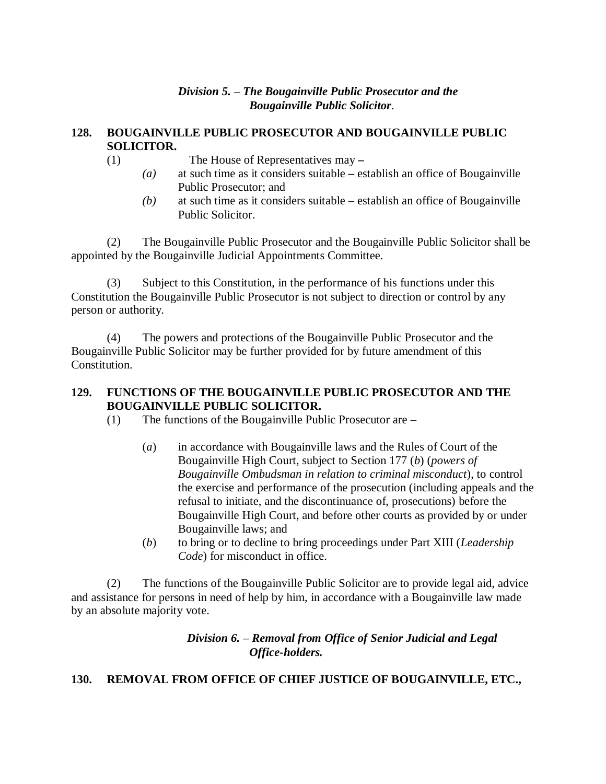#### *Division 5.* – *The Bougainville Public Prosecutor and the Bougainville Public Solicitor*.

### **128. BOUGAINVILLE PUBLIC PROSECUTOR AND BOUGAINVILLE PUBLIC SOLICITOR.**

- (1) The House of Representatives may **–**
	- *(a)* at such time as it considers suitable **–** establish an office of Bougainville Public Prosecutor; and
	- *(b)* at such time as it considers suitable establish an office of Bougainville Public Solicitor.

(2) The Bougainville Public Prosecutor and the Bougainville Public Solicitor shall be appointed by the Bougainville Judicial Appointments Committee.

(3) Subject to this Constitution, in the performance of his functions under this Constitution the Bougainville Public Prosecutor is not subject to direction or control by any person or authority.

(4) The powers and protections of the Bougainville Public Prosecutor and the Bougainville Public Solicitor may be further provided for by future amendment of this Constitution.

#### **129. FUNCTIONS OF THE BOUGAINVILLE PUBLIC PROSECUTOR AND THE BOUGAINVILLE PUBLIC SOLICITOR.**

(1) The functions of the Bougainville Public Prosecutor are –

- (*a*) in accordance with Bougainville laws and the Rules of Court of the Bougainville High Court, subject to Section 177 (*b*) (*powers of Bougainville Ombudsman in relation to criminal misconduct*), to control the exercise and performance of the prosecution (including appeals and the refusal to initiate, and the discontinuance of, prosecutions) before the Bougainville High Court, and before other courts as provided by or under Bougainville laws; and
- (*b*) to bring or to decline to bring proceedings under Part XIII (*Leadership Code*) for misconduct in office.

(2) The functions of the Bougainville Public Solicitor are to provide legal aid, advice and assistance for persons in need of help by him, in accordance with a Bougainville law made by an absolute majority vote.

> *Division 6.* – *Removal from Office of Senior Judicial and Legal Office-holders.*

## **130. REMOVAL FROM OFFICE OF CHIEF JUSTICE OF BOUGAINVILLE, ETC.,**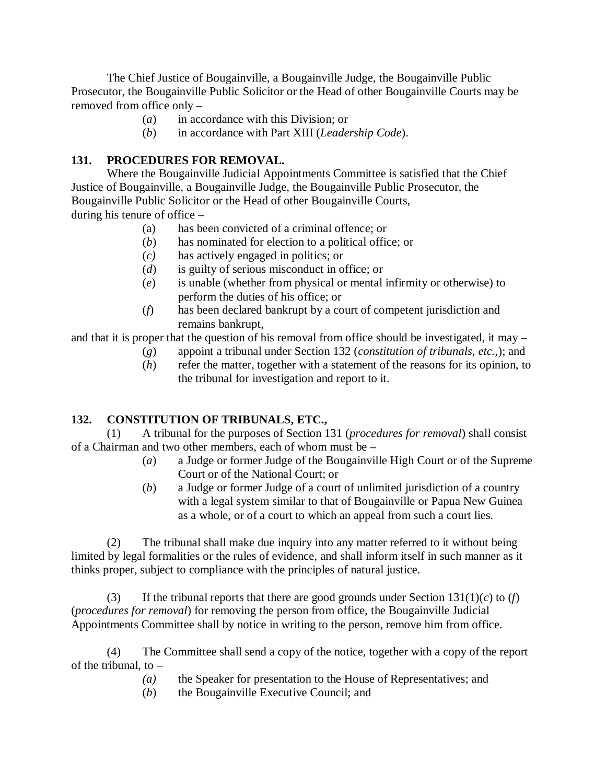The Chief Justice of Bougainville, a Bougainville Judge, the Bougainville Public Prosecutor, the Bougainville Public Solicitor or the Head of other Bougainville Courts may be removed from office only –

- (*a*) in accordance with this Division; or
- (*b*) in accordance with Part XIII (*Leadership Code*).

## **131. PROCEDURES FOR REMOVAL.**

Where the Bougainville Judicial Appointments Committee is satisfied that the Chief Justice of Bougainville, a Bougainville Judge, the Bougainville Public Prosecutor, the Bougainville Public Solicitor or the Head of other Bougainville Courts, during his tenure of office –

- (a) has been convicted of a criminal offence; or
- (*b*) has nominated for election to a political office; or
- (*c)* has actively engaged in politics; or
- (*d*) is guilty of serious misconduct in office; or
- (*e*) is unable (whether from physical or mental infirmity or otherwise) to perform the duties of his office; or
- (*f*) has been declared bankrupt by a court of competent jurisdiction and remains bankrupt,

and that it is proper that the question of his removal from office should be investigated, it may –

- (*g*) appoint a tribunal under Section 132 (*constitution of tribunals, etc.,*); and
- (*h*) refer the matter, together with a statement of the reasons for its opinion, to the tribunal for investigation and report to it.

## **132. CONSTITUTION OF TRIBUNALS, ETC.,**

(1) A tribunal for the purposes of Section 131 (*procedures for removal*) shall consist of a Chairman and two other members, each of whom must be –

- (*a*) a Judge or former Judge of the Bougainville High Court or of the Supreme Court or of the National Court; or
- (*b*) a Judge or former Judge of a court of unlimited jurisdiction of a country with a legal system similar to that of Bougainville or Papua New Guinea as a whole, or of a court to which an appeal from such a court lies.

(2) The tribunal shall make due inquiry into any matter referred to it without being limited by legal formalities or the rules of evidence, and shall inform itself in such manner as it thinks proper, subject to compliance with the principles of natural justice.

(3) If the tribunal reports that there are good grounds under Section  $131(1)(c)$  to (*f*) (*procedures for removal*) for removing the person from office, the Bougainville Judicial Appointments Committee shall by notice in writing to the person, remove him from office.

(4) The Committee shall send a copy of the notice, together with a copy of the report of the tribunal, to  $-$ 

- *(a)* the Speaker for presentation to the House of Representatives; and
- (*b*) the Bougainville Executive Council; and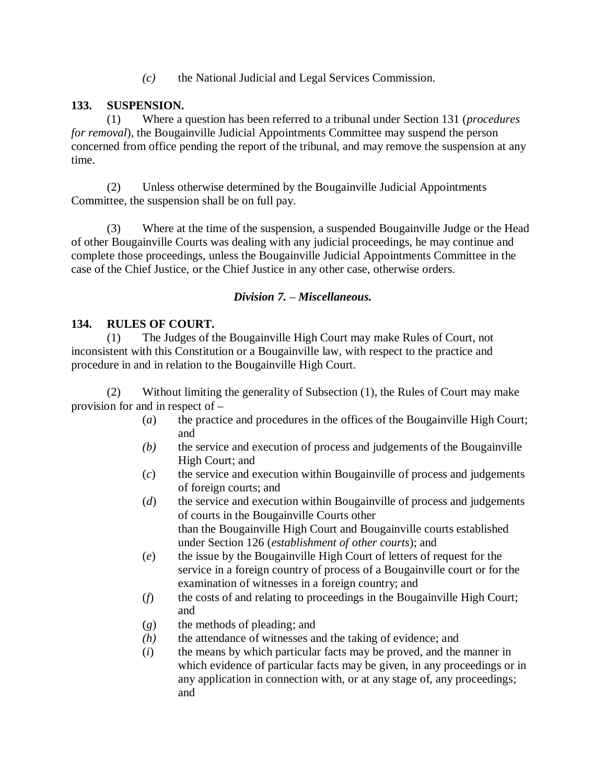*(c)* the National Judicial and Legal Services Commission.

#### **133. SUSPENSION.**

(1) Where a question has been referred to a tribunal under Section 131 (*procedures for removal*), the Bougainville Judicial Appointments Committee may suspend the person concerned from office pending the report of the tribunal, and may remove the suspension at any time.

(2) Unless otherwise determined by the Bougainville Judicial Appointments Committee, the suspension shall be on full pay.

(3) Where at the time of the suspension, a suspended Bougainville Judge or the Head of other Bougainville Courts was dealing with any judicial proceedings, he may continue and complete those proceedings, unless the Bougainville Judicial Appointments Committee in the case of the Chief Justice, or the Chief Justice in any other case, otherwise orders.

#### *Division 7.* – *Miscellaneous.*

### **134. RULES OF COURT.**

(1) The Judges of the Bougainville High Court may make Rules of Court, not inconsistent with this Constitution or a Bougainville law, with respect to the practice and procedure in and in relation to the Bougainville High Court.

(2) Without limiting the generality of Subsection (1), the Rules of Court may make provision for and in respect of –

- (*a*) the practice and procedures in the offices of the Bougainville High Court; and
- *(b)* the service and execution of process and judgements of the Bougainville High Court; and
- (*c*) the service and execution within Bougainville of process and judgements of foreign courts; and
- (*d*) the service and execution within Bougainville of process and judgements of courts in the Bougainville Courts other than the Bougainville High Court and Bougainville courts established under Section 126 (*establishment of other courts*); and
- (*e*) the issue by the Bougainville High Court of letters of request for the service in a foreign country of process of a Bougainville court or for the examination of witnesses in a foreign country; and
- (*f*) the costs of and relating to proceedings in the Bougainville High Court; and
- (*g*) the methods of pleading; and
- *(h)* the attendance of witnesses and the taking of evidence; and
- (*i*) the means by which particular facts may be proved, and the manner in which evidence of particular facts may be given, in any proceedings or in any application in connection with, or at any stage of, any proceedings; and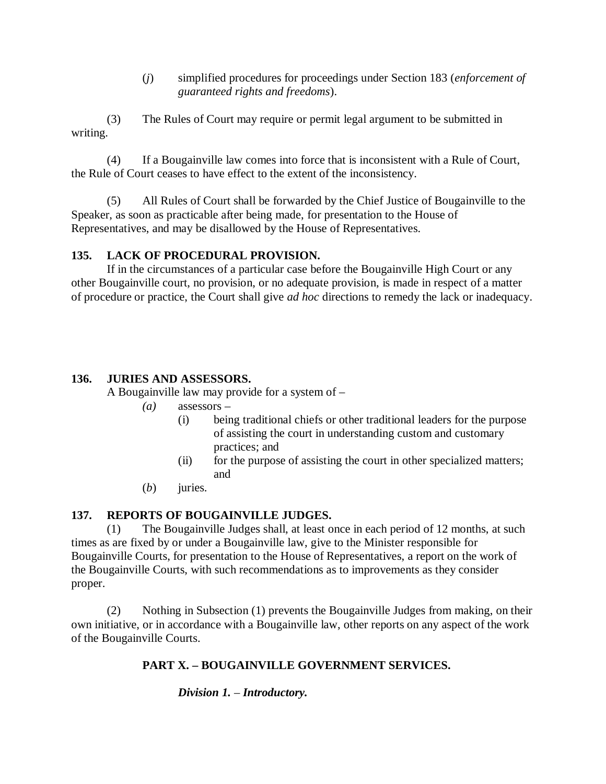(*j*) simplified procedures for proceedings under Section 183 (*enforcement of guaranteed rights and freedoms*).

(3) The Rules of Court may require or permit legal argument to be submitted in writing.

(4) If a Bougainville law comes into force that is inconsistent with a Rule of Court, the Rule of Court ceases to have effect to the extent of the inconsistency.

(5) All Rules of Court shall be forwarded by the Chief Justice of Bougainville to the Speaker, as soon as practicable after being made, for presentation to the House of Representatives, and may be disallowed by the House of Representatives.

## **135. LACK OF PROCEDURAL PROVISION.**

If in the circumstances of a particular case before the Bougainville High Court or any other Bougainville court, no provision, or no adequate provision, is made in respect of a matter of procedure or practice, the Court shall give *ad hoc* directions to remedy the lack or inadequacy.

## **136. JURIES AND ASSESSORS.**

A Bougainville law may provide for a system of –

- *(a)* assessors
	- (i) being traditional chiefs or other traditional leaders for the purpose of assisting the court in understanding custom and customary practices; and
	- (ii) for the purpose of assisting the court in other specialized matters; and
- (*b*) juries.

# **137. REPORTS OF BOUGAINVILLE JUDGES.**

(1) The Bougainville Judges shall, at least once in each period of 12 months, at such times as are fixed by or under a Bougainville law, give to the Minister responsible for Bougainville Courts, for presentation to the House of Representatives, a report on the work of the Bougainville Courts, with such recommendations as to improvements as they consider proper.

(2) Nothing in Subsection (1) prevents the Bougainville Judges from making, on their own initiative, or in accordance with a Bougainville law, other reports on any aspect of the work of the Bougainville Courts.

# **PART X. – BOUGAINVILLE GOVERNMENT SERVICES.**

*Division 1.* – *Introductory.*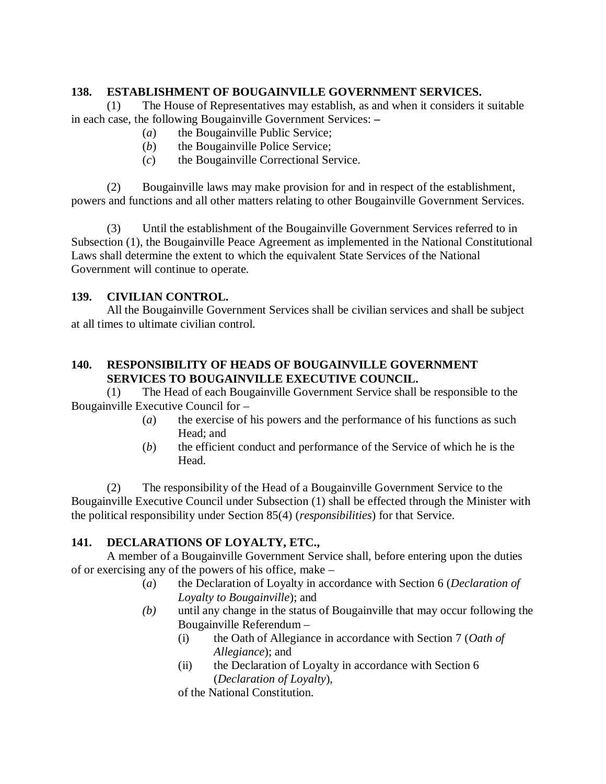### **138. ESTABLISHMENT OF BOUGAINVILLE GOVERNMENT SERVICES.**

(1) The House of Representatives may establish, as and when it considers it suitable in each case, the following Bougainville Government Services: **–**

- (*a*) the Bougainville Public Service;
- (*b*) the Bougainville Police Service;
- (*c*) the Bougainville Correctional Service.

(2) Bougainville laws may make provision for and in respect of the establishment, powers and functions and all other matters relating to other Bougainville Government Services.

(3) Until the establishment of the Bougainville Government Services referred to in Subsection (1), the Bougainville Peace Agreement as implemented in the National Constitutional Laws shall determine the extent to which the equivalent State Services of the National Government will continue to operate.

## **139. CIVILIAN CONTROL.**

All the Bougainville Government Services shall be civilian services and shall be subject at all times to ultimate civilian control.

## **140. RESPONSIBILITY OF HEADS OF BOUGAINVILLE GOVERNMENT SERVICES TO BOUGAINVILLE EXECUTIVE COUNCIL.**

(1) The Head of each Bougainville Government Service shall be responsible to the Bougainville Executive Council for –

- (*a*) the exercise of his powers and the performance of his functions as such Head; and
- (*b*) the efficient conduct and performance of the Service of which he is the Head.

(2) The responsibility of the Head of a Bougainville Government Service to the Bougainville Executive Council under Subsection (1) shall be effected through the Minister with the political responsibility under Section 85(4) (*responsibilities*) for that Service.

## **141. DECLARATIONS OF LOYALTY, ETC.,**

A member of a Bougainville Government Service shall, before entering upon the duties of or exercising any of the powers of his office, make –

- (*a*) the Declaration of Loyalty in accordance with Section 6 (*Declaration of Loyalty to Bougainville*); and
- *(b)* until any change in the status of Bougainville that may occur following the Bougainville Referendum –
	- (i) the Oath of Allegiance in accordance with Section 7 (*Oath of Allegiance*); and
	- (ii) the Declaration of Loyalty in accordance with Section 6 (*Declaration of Loyalty*),

of the National Constitution.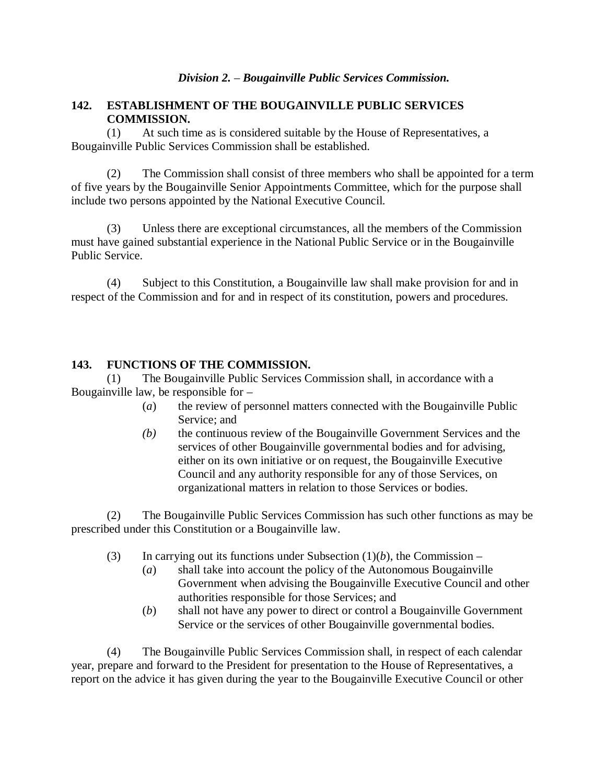#### **142. ESTABLISHMENT OF THE BOUGAINVILLE PUBLIC SERVICES COMMISSION.**

(1) At such time as is considered suitable by the House of Representatives, a Bougainville Public Services Commission shall be established.

(2) The Commission shall consist of three members who shall be appointed for a term of five years by the Bougainville Senior Appointments Committee, which for the purpose shall include two persons appointed by the National Executive Council.

(3) Unless there are exceptional circumstances, all the members of the Commission must have gained substantial experience in the National Public Service or in the Bougainville Public Service.

(4) Subject to this Constitution, a Bougainville law shall make provision for and in respect of the Commission and for and in respect of its constitution, powers and procedures.

### **143. FUNCTIONS OF THE COMMISSION.**

(1) The Bougainville Public Services Commission shall, in accordance with a Bougainville law, be responsible for –

- (*a*) the review of personnel matters connected with the Bougainville Public Service; and
- *(b)* the continuous review of the Bougainville Government Services and the services of other Bougainville governmental bodies and for advising, either on its own initiative or on request, the Bougainville Executive Council and any authority responsible for any of those Services, on organizational matters in relation to those Services or bodies.

(2) The Bougainville Public Services Commission has such other functions as may be prescribed under this Constitution or a Bougainville law.

- (3) In carrying out its functions under Subsection  $(1)(b)$ , the Commission
	- (*a*) shall take into account the policy of the Autonomous Bougainville Government when advising the Bougainville Executive Council and other authorities responsible for those Services; and
	- (*b*) shall not have any power to direct or control a Bougainville Government Service or the services of other Bougainville governmental bodies.

(4) The Bougainville Public Services Commission shall, in respect of each calendar year, prepare and forward to the President for presentation to the House of Representatives, a report on the advice it has given during the year to the Bougainville Executive Council or other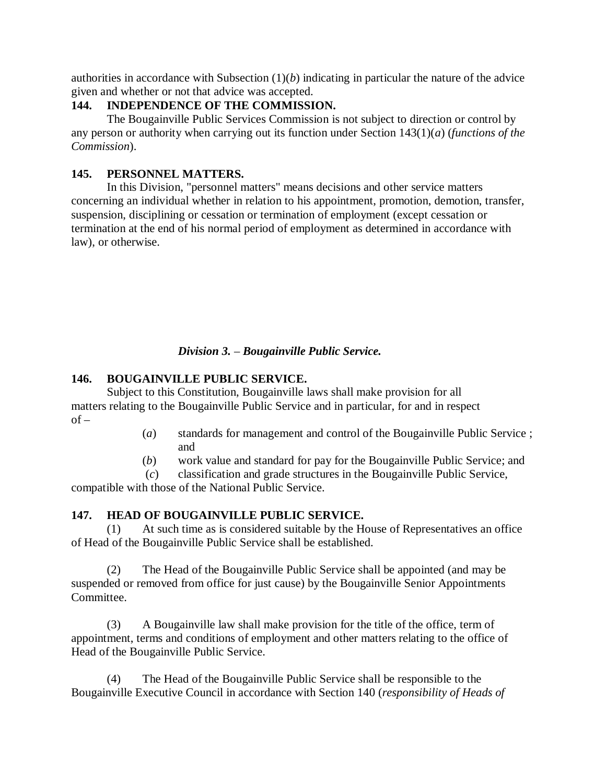authorities in accordance with Subsection (1)(*b*) indicating in particular the nature of the advice given and whether or not that advice was accepted.

#### **144. INDEPENDENCE OF THE COMMISSION.**

The Bougainville Public Services Commission is not subject to direction or control by any person or authority when carrying out its function under Section 143(1)(*a*) (*functions of the Commission*).

### **145. PERSONNEL MATTERS.**

In this Division, "personnel matters" means decisions and other service matters concerning an individual whether in relation to his appointment, promotion, demotion, transfer, suspension, disciplining or cessation or termination of employment (except cessation or termination at the end of his normal period of employment as determined in accordance with law), or otherwise.

#### *Division 3. – Bougainville Public Service.*

### **146. BOUGAINVILLE PUBLIC SERVICE.**

Subject to this Constitution, Bougainville laws shall make provision for all matters relating to the Bougainville Public Service and in particular, for and in respect  $of -$ 

- (*a*) standards for management and control of the Bougainville Public Service ; and
- (*b*) work value and standard for pay for the Bougainville Public Service; and

(*c*) classification and grade structures in the Bougainville Public Service,

compatible with those of the National Public Service.

### **147. HEAD OF BOUGAINVILLE PUBLIC SERVICE.**

(1) At such time as is considered suitable by the House of Representatives an office of Head of the Bougainville Public Service shall be established.

(2) The Head of the Bougainville Public Service shall be appointed (and may be suspended or removed from office for just cause) by the Bougainville Senior Appointments Committee.

(3) A Bougainville law shall make provision for the title of the office, term of appointment, terms and conditions of employment and other matters relating to the office of Head of the Bougainville Public Service.

(4) The Head of the Bougainville Public Service shall be responsible to the Bougainville Executive Council in accordance with Section 140 (*responsibility of Heads of*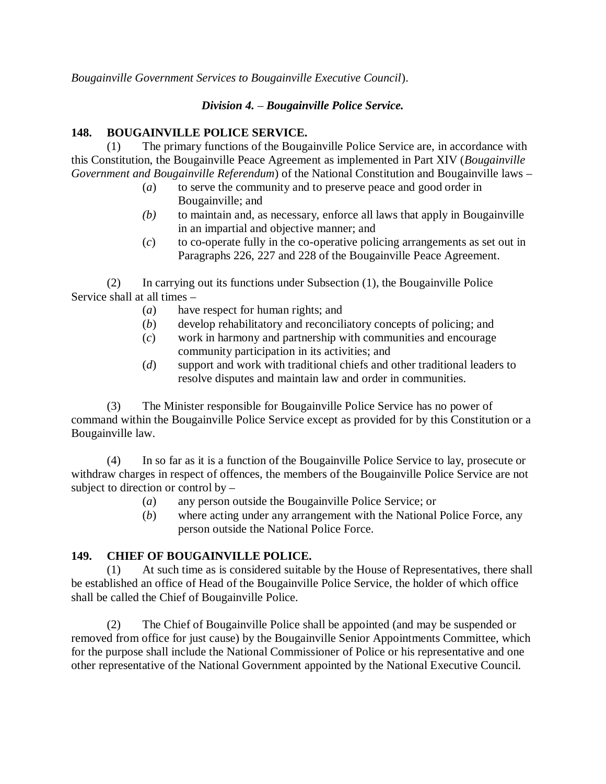*Bougainville Government Services to Bougainville Executive Council*).

#### *Division 4. – Bougainville Police Service.*

### **148. BOUGAINVILLE POLICE SERVICE.**

(1) The primary functions of the Bougainville Police Service are, in accordance with this Constitution, the Bougainville Peace Agreement as implemented in Part XIV (*Bougainville Government and Bougainville Referendum*) of the National Constitution and Bougainville laws –

- (*a*) to serve the community and to preserve peace and good order in Bougainville; and
- *(b)* to maintain and, as necessary, enforce all laws that apply in Bougainville in an impartial and objective manner; and
- (*c*) to co-operate fully in the co-operative policing arrangements as set out in Paragraphs 226, 227 and 228 of the Bougainville Peace Agreement.

(2) In carrying out its functions under Subsection (1), the Bougainville Police Service shall at all times –

- (*a*) have respect for human rights; and
- (*b*) develop rehabilitatory and reconciliatory concepts of policing; and
- (*c*) work in harmony and partnership with communities and encourage community participation in its activities; and
- (*d*) support and work with traditional chiefs and other traditional leaders to resolve disputes and maintain law and order in communities.

(3) The Minister responsible for Bougainville Police Service has no power of command within the Bougainville Police Service except as provided for by this Constitution or a Bougainville law.

(4) In so far as it is a function of the Bougainville Police Service to lay, prosecute or withdraw charges in respect of offences, the members of the Bougainville Police Service are not subject to direction or control by –

- (*a*) any person outside the Bougainville Police Service; or
- (*b*) where acting under any arrangement with the National Police Force, any person outside the National Police Force.

## **149. CHIEF OF BOUGAINVILLE POLICE.**

(1) At such time as is considered suitable by the House of Representatives, there shall be established an office of Head of the Bougainville Police Service, the holder of which office shall be called the Chief of Bougainville Police.

(2) The Chief of Bougainville Police shall be appointed (and may be suspended or removed from office for just cause) by the Bougainville Senior Appointments Committee, which for the purpose shall include the National Commissioner of Police or his representative and one other representative of the National Government appointed by the National Executive Council.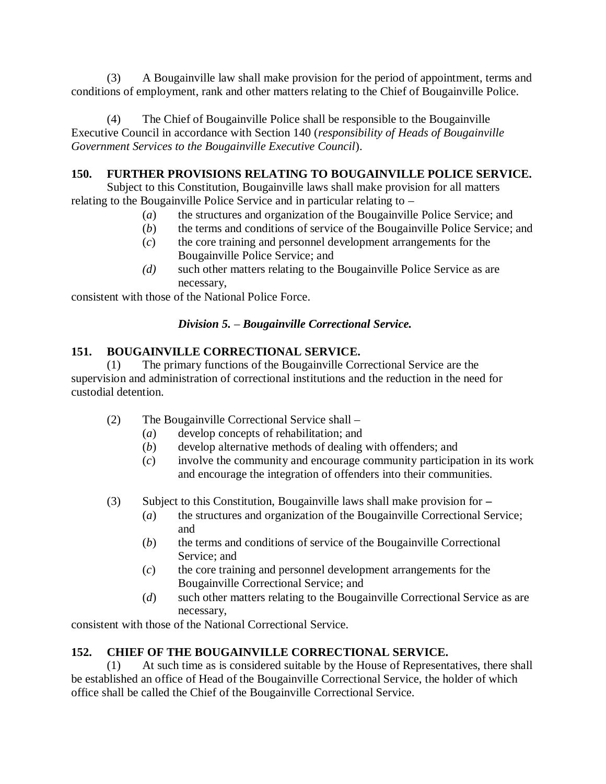(3) A Bougainville law shall make provision for the period of appointment, terms and conditions of employment, rank and other matters relating to the Chief of Bougainville Police.

(4) The Chief of Bougainville Police shall be responsible to the Bougainville Executive Council in accordance with Section 140 (*responsibility of Heads of Bougainville Government Services to the Bougainville Executive Council*).

# **150. FURTHER PROVISIONS RELATING TO BOUGAINVILLE POLICE SERVICE.**

Subject to this Constitution, Bougainville laws shall make provision for all matters relating to the Bougainville Police Service and in particular relating to –

- (*a*) the structures and organization of the Bougainville Police Service; and
- (*b*) the terms and conditions of service of the Bougainville Police Service; and
- (*c*) the core training and personnel development arrangements for the Bougainville Police Service; and
- *(d)* such other matters relating to the Bougainville Police Service as are necessary,

consistent with those of the National Police Force.

## *Division 5.* – *Bougainville Correctional Service.*

## **151. BOUGAINVILLE CORRECTIONAL SERVICE.**

(1) The primary functions of the Bougainville Correctional Service are the supervision and administration of correctional institutions and the reduction in the need for custodial detention.

- (2) The Bougainville Correctional Service shall
	- (*a*) develop concepts of rehabilitation; and
	- (*b*) develop alternative methods of dealing with offenders; and
	- (*c*) involve the community and encourage community participation in its work and encourage the integration of offenders into their communities.
- (3) Subject to this Constitution, Bougainville laws shall make provision for **–**
	- (*a*) the structures and organization of the Bougainville Correctional Service; and
	- (*b*) the terms and conditions of service of the Bougainville Correctional Service; and
	- (*c*) the core training and personnel development arrangements for the Bougainville Correctional Service; and
	- (*d*) such other matters relating to the Bougainville Correctional Service as are necessary,

consistent with those of the National Correctional Service.

## **152. CHIEF OF THE BOUGAINVILLE CORRECTIONAL SERVICE.**

(1) At such time as is considered suitable by the House of Representatives, there shall be established an office of Head of the Bougainville Correctional Service, the holder of which office shall be called the Chief of the Bougainville Correctional Service.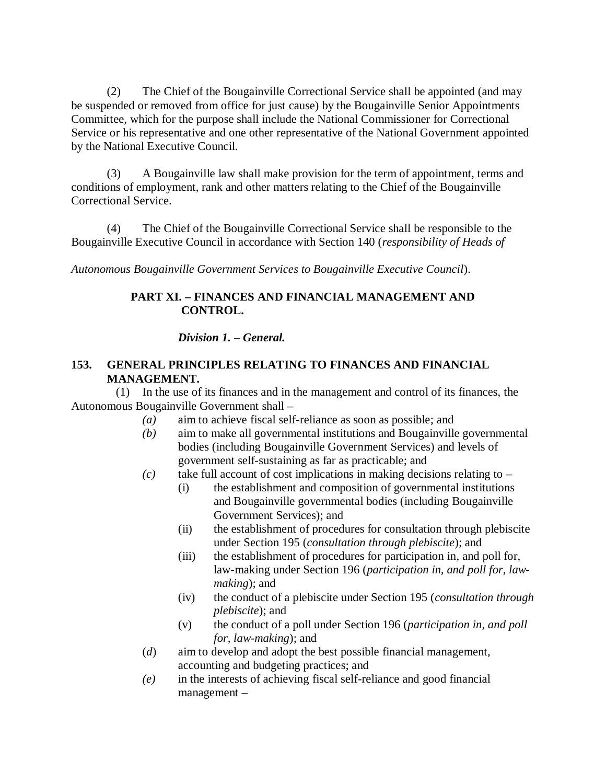(2) The Chief of the Bougainville Correctional Service shall be appointed (and may be suspended or removed from office for just cause) by the Bougainville Senior Appointments Committee, which for the purpose shall include the National Commissioner for Correctional Service or his representative and one other representative of the National Government appointed by the National Executive Council.

(3) A Bougainville law shall make provision for the term of appointment, terms and conditions of employment, rank and other matters relating to the Chief of the Bougainville Correctional Service.

(4) The Chief of the Bougainville Correctional Service shall be responsible to the Bougainville Executive Council in accordance with Section 140 (*responsibility of Heads of* 

*Autonomous Bougainville Government Services to Bougainville Executive Council*).

### **PART XI. – FINANCES AND FINANCIAL MANAGEMENT AND CONTROL.**

### *Division 1.* – *General.*

### **153. GENERAL PRINCIPLES RELATING TO FINANCES AND FINANCIAL MANAGEMENT.**

(1) In the use of its finances and in the management and control of its finances, the Autonomous Bougainville Government shall –

- *(a)* aim to achieve fiscal self-reliance as soon as possible; and
- *(b)* aim to make all governmental institutions and Bougainville governmental bodies (including Bougainville Government Services) and levels of government self-sustaining as far as practicable; and
- *(c)* take full account of cost implications in making decisions relating to
	- (i) the establishment and composition of governmental institutions and Bougainville governmental bodies (including Bougainville Government Services); and
	- (ii) the establishment of procedures for consultation through plebiscite under Section 195 (*consultation through plebiscite*); and
	- (iii) the establishment of procedures for participation in, and poll for, law-making under Section 196 (*participation in, and poll for, lawmaking*); and
	- (iv) the conduct of a plebiscite under Section 195 (*consultation through plebiscite*); and
	- (v) the conduct of a poll under Section 196 (*participation in, and poll for, law-making*); and
- (*d*) aim to develop and adopt the best possible financial management, accounting and budgeting practices; and
- *(e)* in the interests of achieving fiscal self-reliance and good financial management –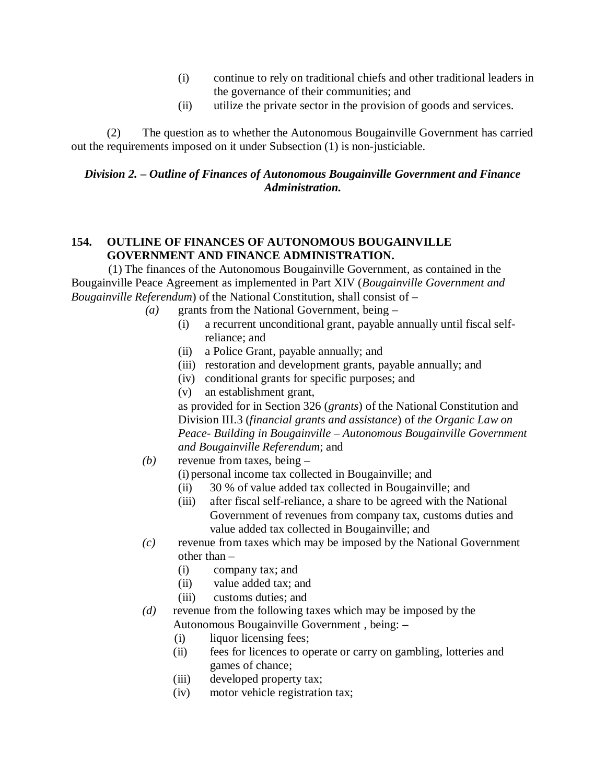- (i) continue to rely on traditional chiefs and other traditional leaders in the governance of their communities; and
- (ii) utilize the private sector in the provision of goods and services.

(2) The question as to whether the Autonomous Bougainville Government has carried out the requirements imposed on it under Subsection (1) is non-justiciable.

#### *Division 2. – Outline of Finances of Autonomous Bougainville Government and Finance Administration.*

## **154. OUTLINE OF FINANCES OF AUTONOMOUS BOUGAINVILLE GOVERNMENT AND FINANCE ADMINISTRATION.**

(1) The finances of the Autonomous Bougainville Government, as contained in the Bougainville Peace Agreement as implemented in Part XIV (*Bougainville Government and Bougainville Referendum*) of the National Constitution, shall consist of –

- *(a)* grants from the National Government, being
	- (i) a recurrent unconditional grant, payable annually until fiscal selfreliance; and
	- (ii) a Police Grant, payable annually; and
	- (iii) restoration and development grants, payable annually; and
	- (iv) conditional grants for specific purposes; and
	- (v) an establishment grant,

as provided for in Section 326 (*grants*) of the National Constitution and Division III.3 (*financial grants and assistance*) of *the Organic Law on Peace- Building in Bougainville – Autonomous Bougainville Government and Bougainville Referendum*; and

*(b)* revenue from taxes, being –

(i) personal income tax collected in Bougainville; and

- (ii) 30 % of value added tax collected in Bougainville; and
- (iii) after fiscal self-reliance, a share to be agreed with the National Government of revenues from company tax, customs duties and value added tax collected in Bougainville; and
- *(c)* revenue from taxes which may be imposed by the National Government other than –
	- (i) company tax; and
	- (ii) value added tax; and
	- (iii) customs duties; and
- *(d)* revenue from the following taxes which may be imposed by the Autonomous Bougainville Government , being: **–**
	- (i) liquor licensing fees;
	- (ii) fees for licences to operate or carry on gambling, lotteries and games of chance;
	- (iii) developed property tax;
	- (iv) motor vehicle registration tax;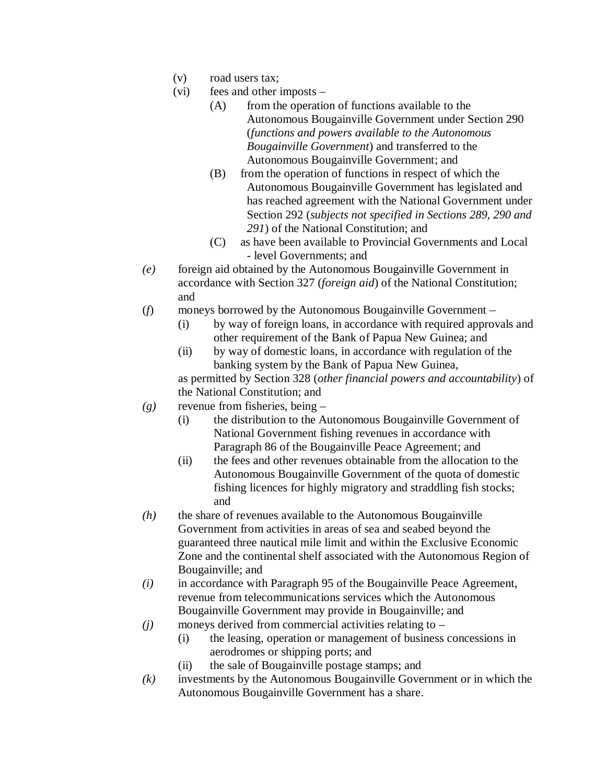- (v) road users tax;
- (vi) fees and other imposts
	- (A) from the operation of functions available to the Autonomous Bougainville Government under Section 290 (*functions and powers available to the Autonomous Bougainville Government*) and transferred to the Autonomous Bougainville Government; and
	- (B) from the operation of functions in respect of which the Autonomous Bougainville Government has legislated and has reached agreement with the National Government under Section 292 (*subjects not specified in Sections 289, 290 and 291*) of the National Constitution; and
	- (C) as have been available to Provincial Governments and Local - level Governments; and
- *(e)* foreign aid obtained by the Autonomous Bougainville Government in accordance with Section 327 (*foreign aid*) of the National Constitution; and
- (*f*) moneys borrowed by the Autonomous Bougainville Government
	- (i) by way of foreign loans, in accordance with required approvals and other requirement of the Bank of Papua New Guinea; and
	- (ii) by way of domestic loans, in accordance with regulation of the banking system by the Bank of Papua New Guinea, as permitted by Section 328 (*other financial powers and accountability*) of the National Constitution; and
- *(g)* revenue from fisheries, being
	- (i) the distribution to the Autonomous Bougainville Government of National Government fishing revenues in accordance with Paragraph 86 of the Bougainville Peace Agreement; and
	- (ii) the fees and other revenues obtainable from the allocation to the Autonomous Bougainville Government of the quota of domestic fishing licences for highly migratory and straddling fish stocks; and
- *(h)* the share of revenues available to the Autonomous Bougainville Government from activities in areas of sea and seabed beyond the guaranteed three nautical mile limit and within the Exclusive Economic Zone and the continental shelf associated with the Autonomous Region of Bougainville; and
- *(i)* in accordance with Paragraph 95 of the Bougainville Peace Agreement, revenue from telecommunications services which the Autonomous Bougainville Government may provide in Bougainville; and
- *(j)* moneys derived from commercial activities relating to
	- (i) the leasing, operation or management of business concessions in aerodromes or shipping ports; and
	- (ii) the sale of Bougainville postage stamps; and
- *(k)* investments by the Autonomous Bougainville Government or in which the Autonomous Bougainville Government has a share.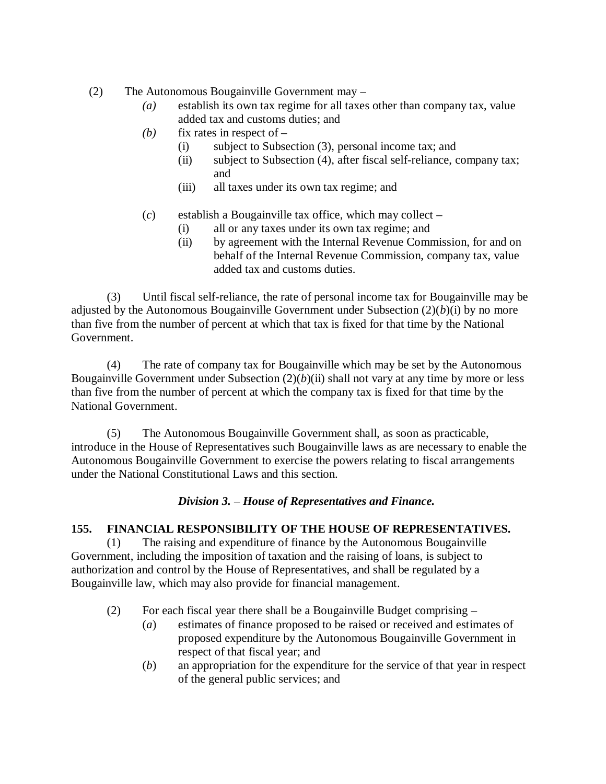(2) The Autonomous Bougainville Government may –

- *(a)* establish its own tax regime for all taxes other than company tax, value added tax and customs duties; and
- *(b)* fix rates in respect of
	- (i) subject to Subsection (3), personal income tax; and
	- (ii) subject to Subsection (4), after fiscal self-reliance, company tax; and
	- (iii) all taxes under its own tax regime; and
- (*c*) establish a Bougainville tax office, which may collect
	- (i) all or any taxes under its own tax regime; and
	- (ii) by agreement with the Internal Revenue Commission, for and on behalf of the Internal Revenue Commission, company tax, value added tax and customs duties.

(3) Until fiscal self-reliance, the rate of personal income tax for Bougainville may be adjusted by the Autonomous Bougainville Government under Subsection (2)(*b*)(i) by no more than five from the number of percent at which that tax is fixed for that time by the National Government.

(4) The rate of company tax for Bougainville which may be set by the Autonomous Bougainville Government under Subsection  $(2)(b)(ii)$  shall not vary at any time by more or less than five from the number of percent at which the company tax is fixed for that time by the National Government.

(5) The Autonomous Bougainville Government shall, as soon as practicable, introduce in the House of Representatives such Bougainville laws as are necessary to enable the Autonomous Bougainville Government to exercise the powers relating to fiscal arrangements under the National Constitutional Laws and this section.

### *Division 3.* – *House of Representatives and Finance.*

### **155. FINANCIAL RESPONSIBILITY OF THE HOUSE OF REPRESENTATIVES.**

(1) The raising and expenditure of finance by the Autonomous Bougainville Government, including the imposition of taxation and the raising of loans, is subject to authorization and control by the House of Representatives, and shall be regulated by a Bougainville law, which may also provide for financial management.

(2) For each fiscal year there shall be a Bougainville Budget comprising –

- (*a*) estimates of finance proposed to be raised or received and estimates of proposed expenditure by the Autonomous Bougainville Government in respect of that fiscal year; and
- (*b*) an appropriation for the expenditure for the service of that year in respect of the general public services; and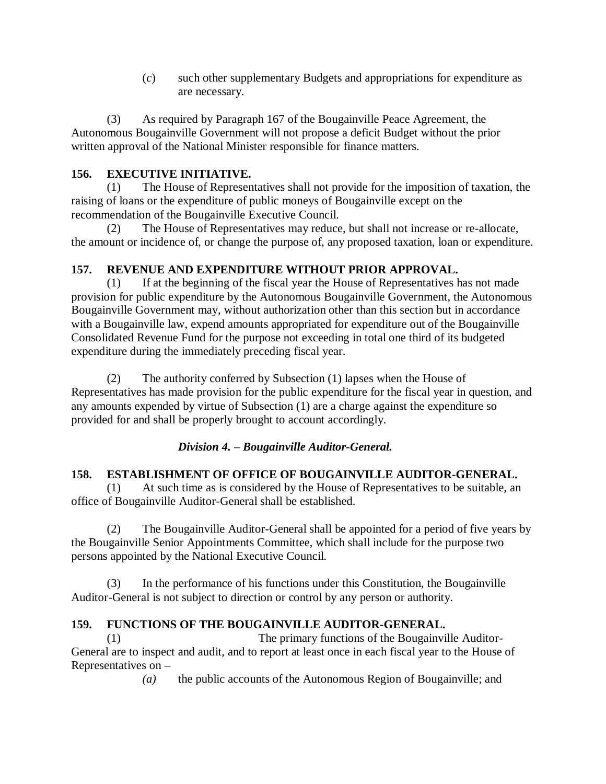(*c*) such other supplementary Budgets and appropriations for expenditure as are necessary.

(3) As required by Paragraph 167 of the Bougainville Peace Agreement, the Autonomous Bougainville Government will not propose a deficit Budget without the prior written approval of the National Minister responsible for finance matters.

## **156. EXECUTIVE INITIATIVE.**

(1) The House of Representatives shall not provide for the imposition of taxation, the raising of loans or the expenditure of public moneys of Bougainville except on the recommendation of the Bougainville Executive Council.

(2) The House of Representatives may reduce, but shall not increase or re-allocate, the amount or incidence of, or change the purpose of, any proposed taxation, loan or expenditure.

# **157. REVENUE AND EXPENDITURE WITHOUT PRIOR APPROVAL.**

(1) If at the beginning of the fiscal year the House of Representatives has not made provision for public expenditure by the Autonomous Bougainville Government, the Autonomous Bougainville Government may, without authorization other than this section but in accordance with a Bougainville law, expend amounts appropriated for expenditure out of the Bougainville Consolidated Revenue Fund for the purpose not exceeding in total one third of its budgeted expenditure during the immediately preceding fiscal year.

(2) The authority conferred by Subsection (1) lapses when the House of Representatives has made provision for the public expenditure for the fiscal year in question, and any amounts expended by virtue of Subsection (1) are a charge against the expenditure so provided for and shall be properly brought to account accordingly.

# *Division 4. – Bougainville Auditor-General.*

# **158. ESTABLISHMENT OF OFFICE OF BOUGAINVILLE AUDITOR-GENERAL.**

(1) At such time as is considered by the House of Representatives to be suitable, an office of Bougainville Auditor-General shall be established.

(2) The Bougainville Auditor-General shall be appointed for a period of five years by the Bougainville Senior Appointments Committee, which shall include for the purpose two persons appointed by the National Executive Council.

(3) In the performance of his functions under this Constitution, the Bougainville Auditor-General is not subject to direction or control by any person or authority.

# **159. FUNCTIONS OF THE BOUGAINVILLE AUDITOR-GENERAL.**

(1) The primary functions of the Bougainville Auditor-General are to inspect and audit, and to report at least once in each fiscal year to the House of Representatives on –

*(a)* the public accounts of the Autonomous Region of Bougainville; and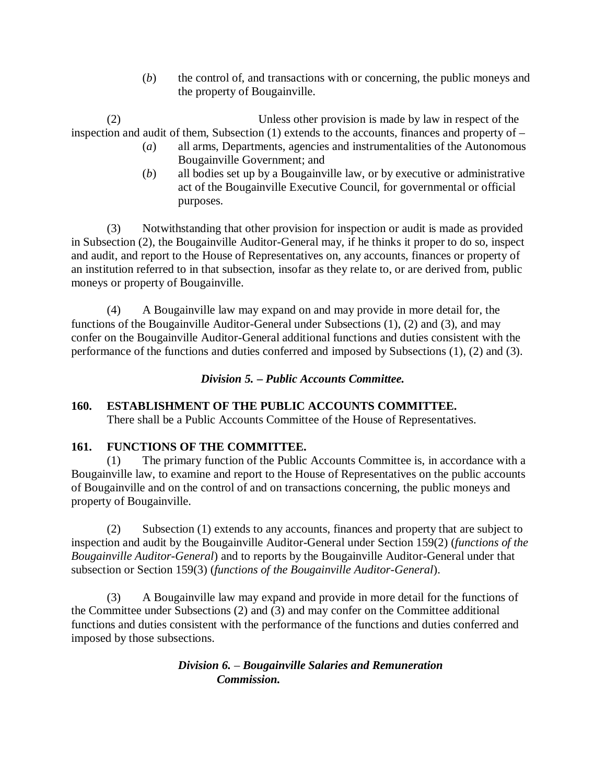(*b*) the control of, and transactions with or concerning, the public moneys and the property of Bougainville.

(2) Unless other provision is made by law in respect of the inspection and audit of them, Subsection (1) extends to the accounts, finances and property of –

- (*a*) all arms, Departments, agencies and instrumentalities of the Autonomous Bougainville Government; and
- (*b*) all bodies set up by a Bougainville law, or by executive or administrative act of the Bougainville Executive Council, for governmental or official purposes.

(3) Notwithstanding that other provision for inspection or audit is made as provided in Subsection (2), the Bougainville Auditor-General may, if he thinks it proper to do so, inspect and audit, and report to the House of Representatives on, any accounts, finances or property of an institution referred to in that subsection, insofar as they relate to, or are derived from, public moneys or property of Bougainville.

(4) A Bougainville law may expand on and may provide in more detail for, the functions of the Bougainville Auditor-General under Subsections (1), (2) and (3), and may confer on the Bougainville Auditor-General additional functions and duties consistent with the performance of the functions and duties conferred and imposed by Subsections (1), (2) and (3).

## *Division 5.* **–** *Public Accounts Committee.*

#### **160. ESTABLISHMENT OF THE PUBLIC ACCOUNTS COMMITTEE.** There shall be a Public Accounts Committee of the House of Representatives.

### **161. FUNCTIONS OF THE COMMITTEE.**

(1) The primary function of the Public Accounts Committee is, in accordance with a Bougainville law, to examine and report to the House of Representatives on the public accounts of Bougainville and on the control of and on transactions concerning, the public moneys and property of Bougainville.

(2) Subsection (1) extends to any accounts, finances and property that are subject to inspection and audit by the Bougainville Auditor-General under Section 159(2) (*functions of the Bougainville Auditor-General*) and to reports by the Bougainville Auditor-General under that subsection or Section 159(3) (*functions of the Bougainville Auditor-General*).

(3) A Bougainville law may expand and provide in more detail for the functions of the Committee under Subsections (2) and (3) and may confer on the Committee additional functions and duties consistent with the performance of the functions and duties conferred and imposed by those subsections.

> *Division 6. – Bougainville Salaries and Remuneration Commission.*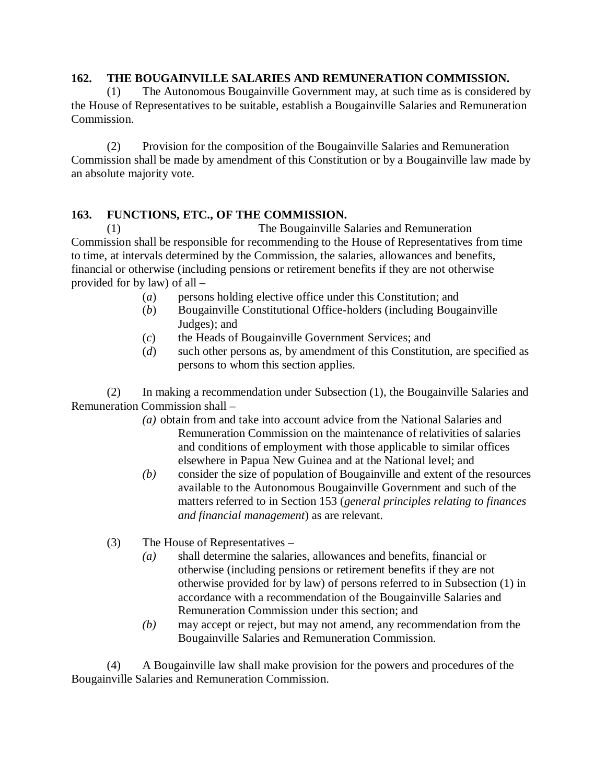#### **162. THE BOUGAINVILLE SALARIES AND REMUNERATION COMMISSION.**

(1) The Autonomous Bougainville Government may, at such time as is considered by the House of Representatives to be suitable, establish a Bougainville Salaries and Remuneration Commission.

(2) Provision for the composition of the Bougainville Salaries and Remuneration Commission shall be made by amendment of this Constitution or by a Bougainville law made by an absolute majority vote.

#### **163. FUNCTIONS, ETC., OF THE COMMISSION.**

(1) The Bougainville Salaries and Remuneration Commission shall be responsible for recommending to the House of Representatives from time to time, at intervals determined by the Commission, the salaries, allowances and benefits, financial or otherwise (including pensions or retirement benefits if they are not otherwise provided for by law) of all –

- (*a*) persons holding elective office under this Constitution; and
- (*b*) Bougainville Constitutional Office-holders (including Bougainville Judges); and
- (*c*) the Heads of Bougainville Government Services; and
- (*d*) such other persons as, by amendment of this Constitution, are specified as persons to whom this section applies.

(2) In making a recommendation under Subsection (1), the Bougainville Salaries and Remuneration Commission shall *–*

- *(a)* obtain from and take into account advice from the National Salaries and Remuneration Commission on the maintenance of relativities of salaries and conditions of employment with those applicable to similar offices elsewhere in Papua New Guinea and at the National level; and
- *(b)* consider the size of population of Bougainville and extent of the resources available to the Autonomous Bougainville Government and such of the matters referred to in Section 153 (*general principles relating to finances and financial management*) as are relevant.
- (3) The House of Representatives
	- *(a)* shall determine the salaries, allowances and benefits, financial or otherwise (including pensions or retirement benefits if they are not otherwise provided for by law) of persons referred to in Subsection (1) in accordance with a recommendation of the Bougainville Salaries and Remuneration Commission under this section; and
	- *(b)* may accept or reject, but may not amend, any recommendation from the Bougainville Salaries and Remuneration Commission.

(4) A Bougainville law shall make provision for the powers and procedures of the Bougainville Salaries and Remuneration Commission.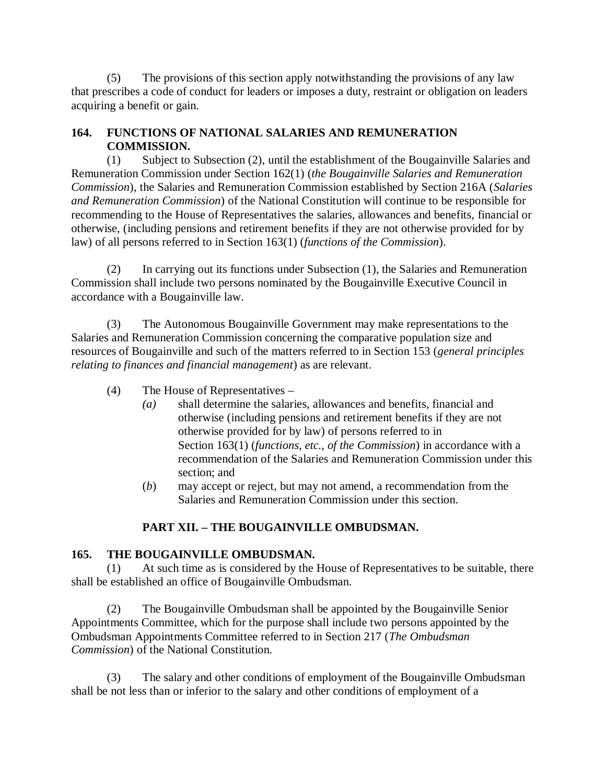(5) The provisions of this section apply notwithstanding the provisions of any law that prescribes a code of conduct for leaders or imposes a duty, restraint or obligation on leaders acquiring a benefit or gain.

## **164. FUNCTIONS OF NATIONAL SALARIES AND REMUNERATION COMMISSION.**

(1) Subject to Subsection (2), until the establishment of the Bougainville Salaries and Remuneration Commission under Section 162(1) (*the Bougainville Salaries and Remuneration Commission*), the Salaries and Remuneration Commission established by Section 216A (*Salaries and Remuneration Commission*) of the National Constitution will continue to be responsible for recommending to the House of Representatives the salaries, allowances and benefits, financial or otherwise, (including pensions and retirement benefits if they are not otherwise provided for by law) of all persons referred to in Section 163(1) (*functions of the Commission*).

(2) In carrying out its functions under Subsection (1), the Salaries and Remuneration Commission shall include two persons nominated by the Bougainville Executive Council in accordance with a Bougainville law.

(3) The Autonomous Bougainville Government may make representations to the Salaries and Remuneration Commission concerning the comparative population size and resources of Bougainville and such of the matters referred to in Section 153 (*general principles relating to finances and financial management*) as are relevant.

- (4) The House of Representatives
	- *(a)* shall determine the salaries, allowances and benefits, financial and otherwise (including pensions and retirement benefits if they are not otherwise provided for by law) of persons referred to in Section 163(1) (*functions, etc., of the Commission*) in accordance with a recommendation of the Salaries and Remuneration Commission under this section; and
	- (*b*) may accept or reject, but may not amend, a recommendation from the Salaries and Remuneration Commission under this section.

## **PART XII. – THE BOUGAINVILLE OMBUDSMAN.**

### **165. THE BOUGAINVILLE OMBUDSMAN.**

(1) At such time as is considered by the House of Representatives to be suitable, there shall be established an office of Bougainville Ombudsman.

(2) The Bougainville Ombudsman shall be appointed by the Bougainville Senior Appointments Committee, which for the purpose shall include two persons appointed by the Ombudsman Appointments Committee referred to in Section 217 (*The Ombudsman Commission*) of the National Constitution.

(3) The salary and other conditions of employment of the Bougainville Ombudsman shall be not less than or inferior to the salary and other conditions of employment of a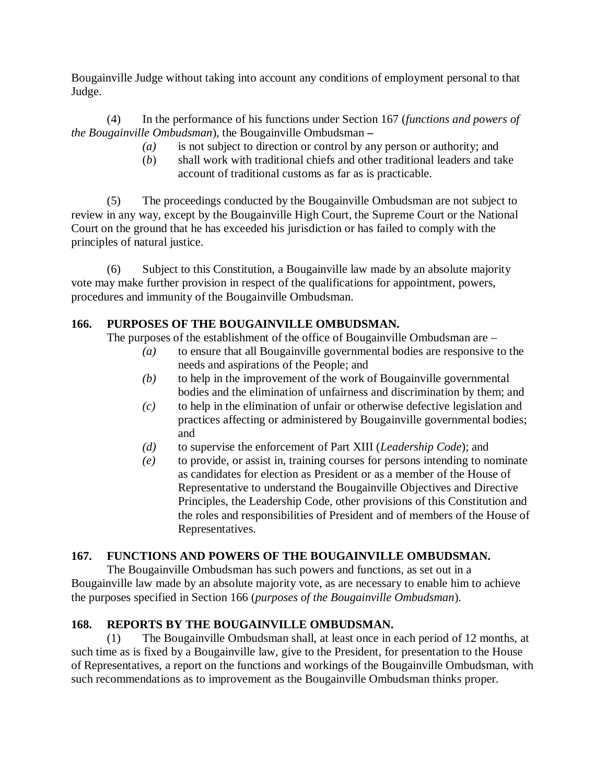Bougainville Judge without taking into account any conditions of employment personal to that Judge.

(4) In the performance of his functions under Section 167 (*functions and powers of the Bougainville Ombudsman*), the Bougainville Ombudsman **–**

- *(a)* is not subject to direction or control by any person or authority; and
- (*b*) shall work with traditional chiefs and other traditional leaders and take account of traditional customs as far as is practicable.

(5) The proceedings conducted by the Bougainville Ombudsman are not subject to review in any way, except by the Bougainville High Court, the Supreme Court or the National Court on the ground that he has exceeded his jurisdiction or has failed to comply with the principles of natural justice.

(6) Subject to this Constitution, a Bougainville law made by an absolute majority vote may make further provision in respect of the qualifications for appointment, powers, procedures and immunity of the Bougainville Ombudsman.

## **166. PURPOSES OF THE BOUGAINVILLE OMBUDSMAN.**

The purposes of the establishment of the office of Bougainville Ombudsman are –

- *(a)* to ensure that all Bougainville governmental bodies are responsive to the needs and aspirations of the People; and
- *(b)* to help in the improvement of the work of Bougainville governmental bodies and the elimination of unfairness and discrimination by them; and
- *(c)* to help in the elimination of unfair or otherwise defective legislation and practices affecting or administered by Bougainville governmental bodies; and
- *(d)* to supervise the enforcement of Part XIII (*Leadership Code*); and
- *(e)* to provide, or assist in, training courses for persons intending to nominate as candidates for election as President or as a member of the House of Representative to understand the Bougainville Objectives and Directive Principles, the Leadership Code, other provisions of this Constitution and the roles and responsibilities of President and of members of the House of Representatives.

## **167. FUNCTIONS AND POWERS OF THE BOUGAINVILLE OMBUDSMAN.**

The Bougainville Ombudsman has such powers and functions, as set out in a Bougainville law made by an absolute majority vote, as are necessary to enable him to achieve the purposes specified in Section 166 (*purposes of the Bougainville Ombudsman*).

## **168. REPORTS BY THE BOUGAINVILLE OMBUDSMAN.**

(1) The Bougainville Ombudsman shall, at least once in each period of 12 months, at such time as is fixed by a Bougainville law, give to the President, for presentation to the House of Representatives, a report on the functions and workings of the Bougainville Ombudsman, with such recommendations as to improvement as the Bougainville Ombudsman thinks proper.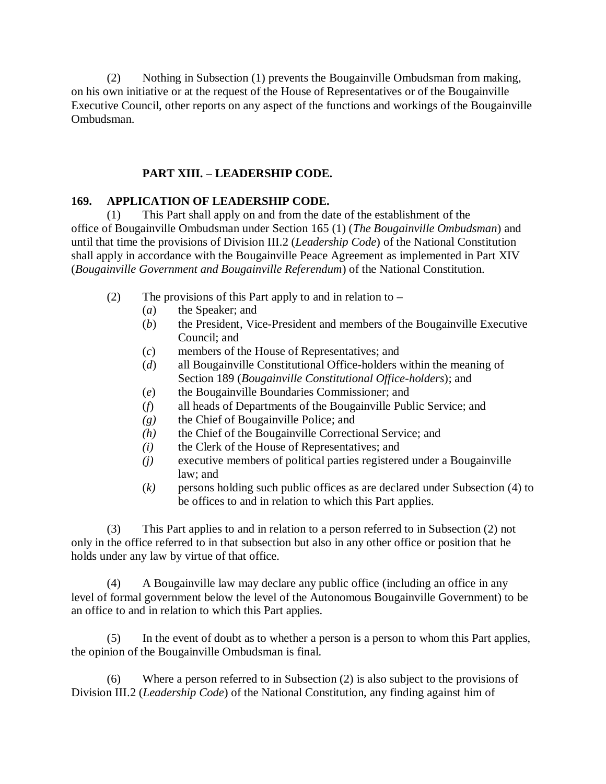(2) Nothing in Subsection (1) prevents the Bougainville Ombudsman from making, on his own initiative or at the request of the House of Representatives or of the Bougainville Executive Council, other reports on any aspect of the functions and workings of the Bougainville Ombudsman.

### **PART XIII.** – **LEADERSHIP CODE.**

## **169. APPLICATION OF LEADERSHIP CODE.**

(1) This Part shall apply on and from the date of the establishment of the office of Bougainville Ombudsman under Section 165 (1) (*The Bougainville Ombudsman*) and until that time the provisions of Division III.2 (*Leadership Code*) of the National Constitution shall apply in accordance with the Bougainville Peace Agreement as implemented in Part XIV (*Bougainville Government and Bougainville Referendum*) of the National Constitution.

- (2) The provisions of this Part apply to and in relation to  $-$ 
	- (*a*) the Speaker; and
	- (*b*) the President, Vice-President and members of the Bougainville Executive Council; and
	- (*c*) members of the House of Representatives; and
	- (*d*) all Bougainville Constitutional Office-holders within the meaning of Section 189 (*Bougainville Constitutional Office-holders*); and
	- (*e*) the Bougainville Boundaries Commissioner; and
	- (*f*) all heads of Departments of the Bougainville Public Service; and
	- *(g)* the Chief of Bougainville Police; and
	- *(h)* the Chief of the Bougainville Correctional Service; and
	- *(i)* the Clerk of the House of Representatives; and
	- *(j)* executive members of political parties registered under a Bougainville law; and
	- (*k)* persons holding such public offices as are declared under Subsection (4) to be offices to and in relation to which this Part applies.

(3) This Part applies to and in relation to a person referred to in Subsection (2) not only in the office referred to in that subsection but also in any other office or position that he holds under any law by virtue of that office.

(4) A Bougainville law may declare any public office (including an office in any level of formal government below the level of the Autonomous Bougainville Government) to be an office to and in relation to which this Part applies.

(5) In the event of doubt as to whether a person is a person to whom this Part applies, the opinion of the Bougainville Ombudsman is final.

(6) Where a person referred to in Subsection (2) is also subject to the provisions of Division III.2 (*Leadership Code*) of the National Constitution, any finding against him of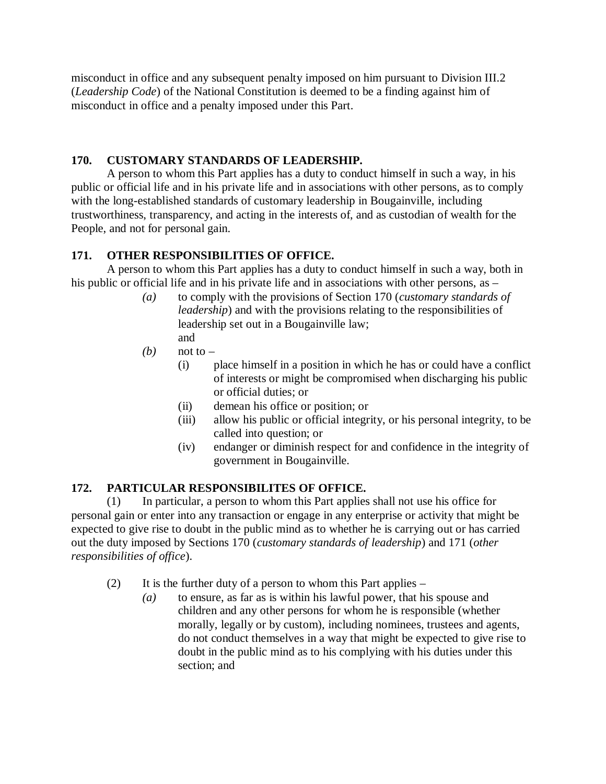misconduct in office and any subsequent penalty imposed on him pursuant to Division III.2 (*Leadership Code*) of the National Constitution is deemed to be a finding against him of misconduct in office and a penalty imposed under this Part.

## **170. CUSTOMARY STANDARDS OF LEADERSHIP.**

A person to whom this Part applies has a duty to conduct himself in such a way, in his public or official life and in his private life and in associations with other persons, as to comply with the long-established standards of customary leadership in Bougainville, including trustworthiness, transparency, and acting in the interests of, and as custodian of wealth for the People, and not for personal gain.

# **171. OTHER RESPONSIBILITIES OF OFFICE.**

A person to whom this Part applies has a duty to conduct himself in such a way, both in his public or official life and in his private life and in associations with other persons, as –

- *(a)* to comply with the provisions of Section 170 (*customary standards of leadership*) and with the provisions relating to the responsibilities of leadership set out in a Bougainville law; and
- $(b)$  not to
	- (i) place himself in a position in which he has or could have a conflict of interests or might be compromised when discharging his public or official duties; or
	- (ii) demean his office or position; or
	- (iii) allow his public or official integrity, or his personal integrity, to be called into question; or
	- (iv) endanger or diminish respect for and confidence in the integrity of government in Bougainville.

## **172. PARTICULAR RESPONSIBILITES OF OFFICE.**

(1) In particular, a person to whom this Part applies shall not use his office for personal gain or enter into any transaction or engage in any enterprise or activity that might be expected to give rise to doubt in the public mind as to whether he is carrying out or has carried out the duty imposed by Sections 170 (*customary standards of leadership*) and 171 (*other responsibilities of office*).

- (2) It is the further duty of a person to whom this Part applies
	- *(a)* to ensure, as far as is within his lawful power, that his spouse and children and any other persons for whom he is responsible (whether morally, legally or by custom), including nominees, trustees and agents, do not conduct themselves in a way that might be expected to give rise to doubt in the public mind as to his complying with his duties under this section; and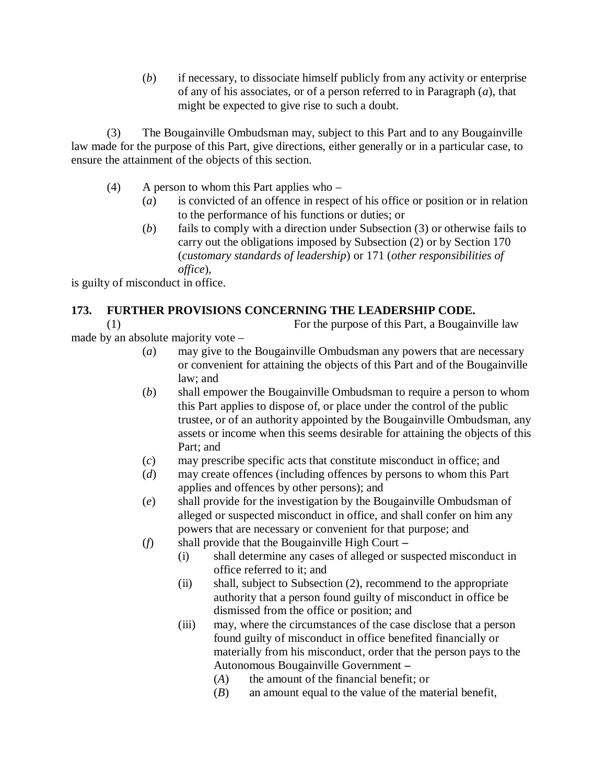(*b*) if necessary, to dissociate himself publicly from any activity or enterprise of any of his associates, or of a person referred to in Paragraph (*a*), that might be expected to give rise to such a doubt.

(3) The Bougainville Ombudsman may, subject to this Part and to any Bougainville law made for the purpose of this Part, give directions, either generally or in a particular case, to ensure the attainment of the objects of this section.

- (4) A person to whom this Part applies who
	- (*a*) is convicted of an offence in respect of his office or position or in relation to the performance of his functions or duties; or
	- (*b*) fails to comply with a direction under Subsection (3) or otherwise fails to carry out the obligations imposed by Subsection (2) or by Section 170 (*customary standards of leadership*) or 171 (*other responsibilities of office*),

is guilty of misconduct in office.

## **173. FURTHER PROVISIONS CONCERNING THE LEADERSHIP CODE.**

(1) For the purpose of this Part, a Bougainville law

made by an absolute majority vote –

- (*a*) may give to the Bougainville Ombudsman any powers that are necessary or convenient for attaining the objects of this Part and of the Bougainville law; and
- (*b*) shall empower the Bougainville Ombudsman to require a person to whom this Part applies to dispose of, or place under the control of the public trustee, or of an authority appointed by the Bougainville Ombudsman, any assets or income when this seems desirable for attaining the objects of this Part; and
- (*c*) may prescribe specific acts that constitute misconduct in office; and
- (*d*) may create offences (including offences by persons to whom this Part applies and offences by other persons); and
- (*e*) shall provide for the investigation by the Bougainville Ombudsman of alleged or suspected misconduct in office, and shall confer on him any powers that are necessary or convenient for that purpose; and
- (*f*) shall provide that the Bougainville High Court **–**
	- (i) shall determine any cases of alleged or suspected misconduct in office referred to it; and
	- (ii) shall, subject to Subsection (2), recommend to the appropriate authority that a person found guilty of misconduct in office be dismissed from the office or position; and
	- (iii) may, where the circumstances of the case disclose that a person found guilty of misconduct in office benefited financially or materially from his misconduct, order that the person pays to the Autonomous Bougainville Government **–**
		- (*A*) the amount of the financial benefit; or
		- (*B*) an amount equal to the value of the material benefit,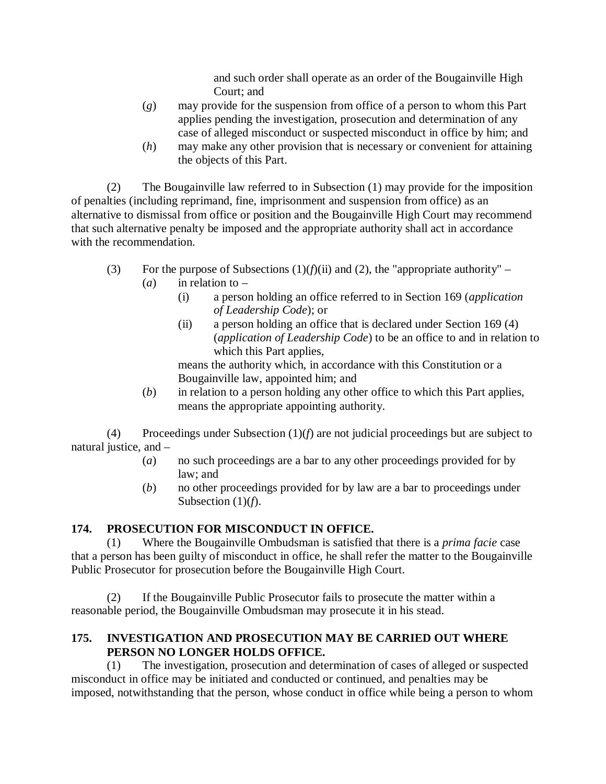and such order shall operate as an order of the Bougainville High Court; and

- (*g*) may provide for the suspension from office of a person to whom this Part applies pending the investigation, prosecution and determination of any case of alleged misconduct or suspected misconduct in office by him; and
- (*h*) may make any other provision that is necessary or convenient for attaining the objects of this Part.

(2) The Bougainville law referred to in Subsection (1) may provide for the imposition of penalties (including reprimand, fine, imprisonment and suspension from office) as an alternative to dismissal from office or position and the Bougainville High Court may recommend that such alternative penalty be imposed and the appropriate authority shall act in accordance with the recommendation.

- (3) For the purpose of Subsections  $(1)(f)(ii)$  and  $(2)$ , the "appropriate authority"
	- $(a)$  in relation to
		- (i) a person holding an office referred to in Section 169 (*application of Leadership Code*); or
		- (ii) a person holding an office that is declared under Section 169 (4) (*application of Leadership Code*) to be an office to and in relation to which this Part applies,

means the authority which, in accordance with this Constitution or a Bougainville law, appointed him; and

(*b*) in relation to a person holding any other office to which this Part applies, means the appropriate appointing authority.

(4) Proceedings under Subsection (1)(*f*) are not judicial proceedings but are subject to natural justice, and –

- (*a*) no such proceedings are a bar to any other proceedings provided for by law; and
- (*b*) no other proceedings provided for by law are a bar to proceedings under Subsection (1)(*f*).

## **174. PROSECUTION FOR MISCONDUCT IN OFFICE.**

(1) Where the Bougainville Ombudsman is satisfied that there is a *prima facie* case that a person has been guilty of misconduct in office, he shall refer the matter to the Bougainville Public Prosecutor for prosecution before the Bougainville High Court.

(2) If the Bougainville Public Prosecutor fails to prosecute the matter within a reasonable period, the Bougainville Ombudsman may prosecute it in his stead.

### **175. INVESTIGATION AND PROSECUTION MAY BE CARRIED OUT WHERE PERSON NO LONGER HOLDS OFFICE.**

(1) The investigation, prosecution and determination of cases of alleged or suspected misconduct in office may be initiated and conducted or continued, and penalties may be imposed, notwithstanding that the person, whose conduct in office while being a person to whom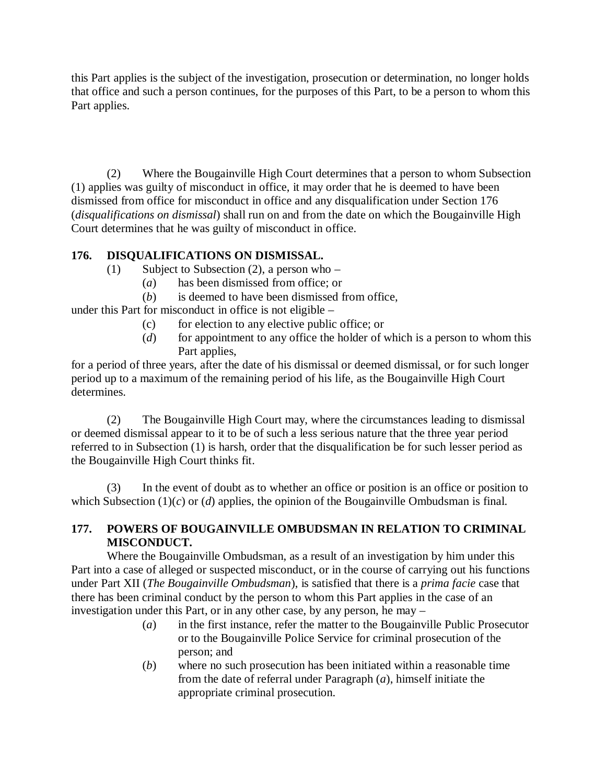this Part applies is the subject of the investigation, prosecution or determination, no longer holds that office and such a person continues, for the purposes of this Part, to be a person to whom this Part applies.

(2) Where the Bougainville High Court determines that a person to whom Subsection (1) applies was guilty of misconduct in office, it may order that he is deemed to have been dismissed from office for misconduct in office and any disqualification under Section 176 (*disqualifications on dismissal*) shall run on and from the date on which the Bougainville High Court determines that he was guilty of misconduct in office.

## **176. DISQUALIFICATIONS ON DISMISSAL.**

- (1) Subject to Subsection (2), a person who
	- (*a*) has been dismissed from office; or
	- (*b*) is deemed to have been dismissed from office,

under this Part for misconduct in office is not eligible –

- (c) for election to any elective public office; or
- (*d*) for appointment to any office the holder of which is a person to whom this Part applies,

for a period of three years, after the date of his dismissal or deemed dismissal, or for such longer period up to a maximum of the remaining period of his life, as the Bougainville High Court determines.

(2) The Bougainville High Court may, where the circumstances leading to dismissal or deemed dismissal appear to it to be of such a less serious nature that the three year period referred to in Subsection (1) is harsh, order that the disqualification be for such lesser period as the Bougainville High Court thinks fit.

(3) In the event of doubt as to whether an office or position is an office or position to which Subsection (1)(*c*) or (*d*) applies, the opinion of the Bougainville Ombudsman is final.

## **177. POWERS OF BOUGAINVILLE OMBUDSMAN IN RELATION TO CRIMINAL MISCONDUCT.**

Where the Bougainville Ombudsman, as a result of an investigation by him under this Part into a case of alleged or suspected misconduct, or in the course of carrying out his functions under Part XII (*The Bougainville Ombudsman*), is satisfied that there is a *prima facie* case that there has been criminal conduct by the person to whom this Part applies in the case of an investigation under this Part, or in any other case, by any person, he may –

- (*a*) in the first instance, refer the matter to the Bougainville Public Prosecutor or to the Bougainville Police Service for criminal prosecution of the person; and
- (*b*) where no such prosecution has been initiated within a reasonable time from the date of referral under Paragraph (*a*), himself initiate the appropriate criminal prosecution.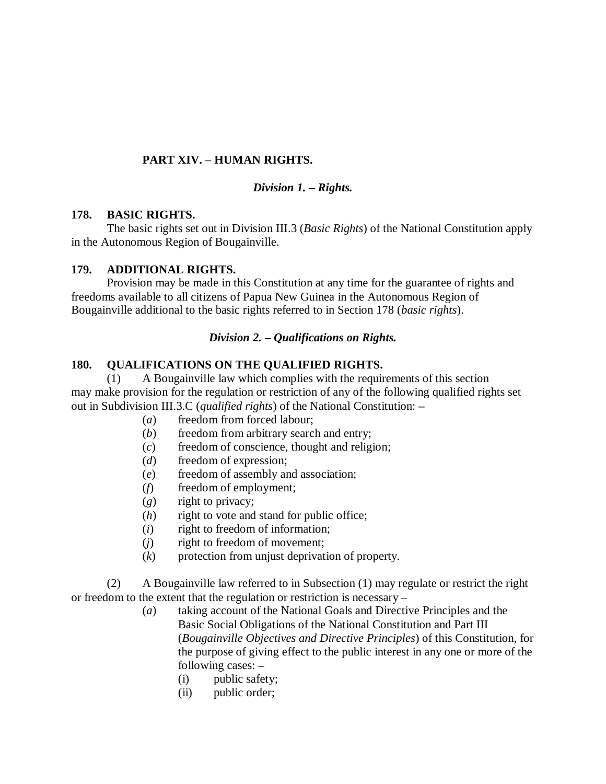### **PART XIV.** – **HUMAN RIGHTS.**

#### *Division 1. – Rights.*

#### **178. BASIC RIGHTS.**

The basic rights set out in Division III.3 (*Basic Rights*) of the National Constitution apply in the Autonomous Region of Bougainville.

#### **179. ADDITIONAL RIGHTS.**

Provision may be made in this Constitution at any time for the guarantee of rights and freedoms available to all citizens of Papua New Guinea in the Autonomous Region of Bougainville additional to the basic rights referred to in Section 178 (*basic rights*).

### *Division 2. – Qualifications on Rights.*

## **180. QUALIFICATIONS ON THE QUALIFIED RIGHTS.**

(1) A Bougainville law which complies with the requirements of this section may make provision for the regulation or restriction of any of the following qualified rights set out in Subdivision III.3.C (*qualified rights*) of the National Constitution: **–**

- (*a*) freedom from forced labour;
- (*b*) freedom from arbitrary search and entry;
- (*c*) freedom of conscience, thought and religion;
- (*d*) freedom of expression;
- (*e*) freedom of assembly and association;
- (*f*) freedom of employment;
- (*g*) right to privacy;
- (*h*) right to vote and stand for public office;
- (*i*) right to freedom of information;
- (*j*) right to freedom of movement;
- (*k*) protection from unjust deprivation of property.

(2) A Bougainville law referred to in Subsection (1) may regulate or restrict the right or freedom to the extent that the regulation or restriction is necessary –

- (*a*) taking account of the National Goals and Directive Principles and the Basic Social Obligations of the National Constitution and Part III (*Bougainville Objectives and Directive Principles*) of this Constitution, for the purpose of giving effect to the public interest in any one or more of the following cases: **–**
	- (i) public safety;
	- (ii) public order;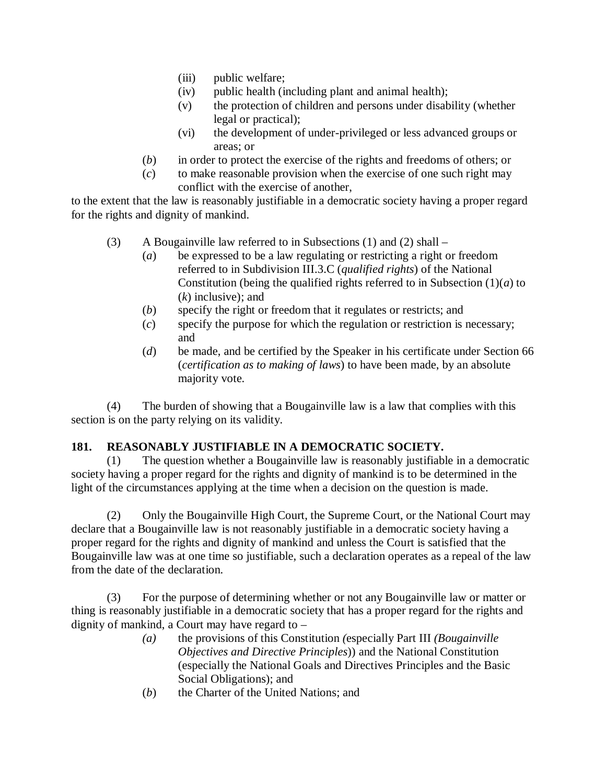- (iii) public welfare;
- (iv) public health (including plant and animal health);
- (v) the protection of children and persons under disability (whether legal or practical);
- (vi) the development of under-privileged or less advanced groups or areas; or
- (*b*) in order to protect the exercise of the rights and freedoms of others; or
- (*c*) to make reasonable provision when the exercise of one such right may conflict with the exercise of another,

to the extent that the law is reasonably justifiable in a democratic society having a proper regard for the rights and dignity of mankind.

- (3) A Bougainville law referred to in Subsections (1) and (2) shall
	- (*a*) be expressed to be a law regulating or restricting a right or freedom referred to in Subdivision III.3.C (*qualified rights*) of the National Constitution (being the qualified rights referred to in Subsection  $(1)(a)$  to (*k*) inclusive); and
	- (*b*) specify the right or freedom that it regulates or restricts; and
	- (*c*) specify the purpose for which the regulation or restriction is necessary; and
	- (*d*) be made, and be certified by the Speaker in his certificate under Section 66 (*certification as to making of laws*) to have been made, by an absolute majority vote.

(4) The burden of showing that a Bougainville law is a law that complies with this section is on the party relying on its validity.

## **181. REASONABLY JUSTIFIABLE IN A DEMOCRATIC SOCIETY.**

(1) The question whether a Bougainville law is reasonably justifiable in a democratic society having a proper regard for the rights and dignity of mankind is to be determined in the light of the circumstances applying at the time when a decision on the question is made.

(2) Only the Bougainville High Court, the Supreme Court, or the National Court may declare that a Bougainville law is not reasonably justifiable in a democratic society having a proper regard for the rights and dignity of mankind and unless the Court is satisfied that the Bougainville law was at one time so justifiable, such a declaration operates as a repeal of the law from the date of the declaration.

(3) For the purpose of determining whether or not any Bougainville law or matter or thing is reasonably justifiable in a democratic society that has a proper regard for the rights and dignity of mankind, a Court may have regard to –

- *(a)* the provisions of this Constitution *(*especially Part III *(Bougainville Objectives and Directive Principles*)) and the National Constitution (especially the National Goals and Directives Principles and the Basic Social Obligations); and
- (*b*) the Charter of the United Nations; and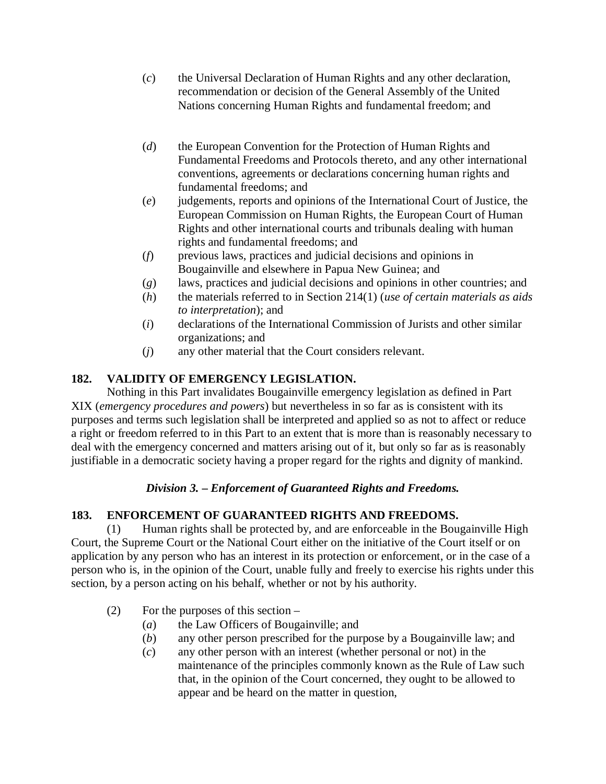- (*c*) the Universal Declaration of Human Rights and any other declaration, recommendation or decision of the General Assembly of the United Nations concerning Human Rights and fundamental freedom; and
- (*d*) the European Convention for the Protection of Human Rights and Fundamental Freedoms and Protocols thereto, and any other international conventions, agreements or declarations concerning human rights and fundamental freedoms; and
- (*e*) judgements, reports and opinions of the International Court of Justice, the European Commission on Human Rights, the European Court of Human Rights and other international courts and tribunals dealing with human rights and fundamental freedoms; and
- (*f*) previous laws, practices and judicial decisions and opinions in Bougainville and elsewhere in Papua New Guinea; and
- (*g*) laws, practices and judicial decisions and opinions in other countries; and
- (*h*) the materials referred to in Section 214(1) (*use of certain materials as aids to interpretation*); and
- (*i*) declarations of the International Commission of Jurists and other similar organizations; and
- (*j*) any other material that the Court considers relevant.

## **182. VALIDITY OF EMERGENCY LEGISLATION.**

Nothing in this Part invalidates Bougainville emergency legislation as defined in Part XIX (*emergency procedures and powers*) but nevertheless in so far as is consistent with its purposes and terms such legislation shall be interpreted and applied so as not to affect or reduce a right or freedom referred to in this Part to an extent that is more than is reasonably necessary to deal with the emergency concerned and matters arising out of it, but only so far as is reasonably justifiable in a democratic society having a proper regard for the rights and dignity of mankind.

## *Division 3. – Enforcement of Guaranteed Rights and Freedoms.*

## **183. ENFORCEMENT OF GUARANTEED RIGHTS AND FREEDOMS.**

(1) Human rights shall be protected by, and are enforceable in the Bougainville High Court, the Supreme Court or the National Court either on the initiative of the Court itself or on application by any person who has an interest in its protection or enforcement, or in the case of a person who is, in the opinion of the Court, unable fully and freely to exercise his rights under this section, by a person acting on his behalf, whether or not by his authority.

- (2) For the purposes of this section
	- (*a*) the Law Officers of Bougainville; and
	- (*b*) any other person prescribed for the purpose by a Bougainville law; and
	- (*c*) any other person with an interest (whether personal or not) in the maintenance of the principles commonly known as the Rule of Law such that, in the opinion of the Court concerned, they ought to be allowed to appear and be heard on the matter in question,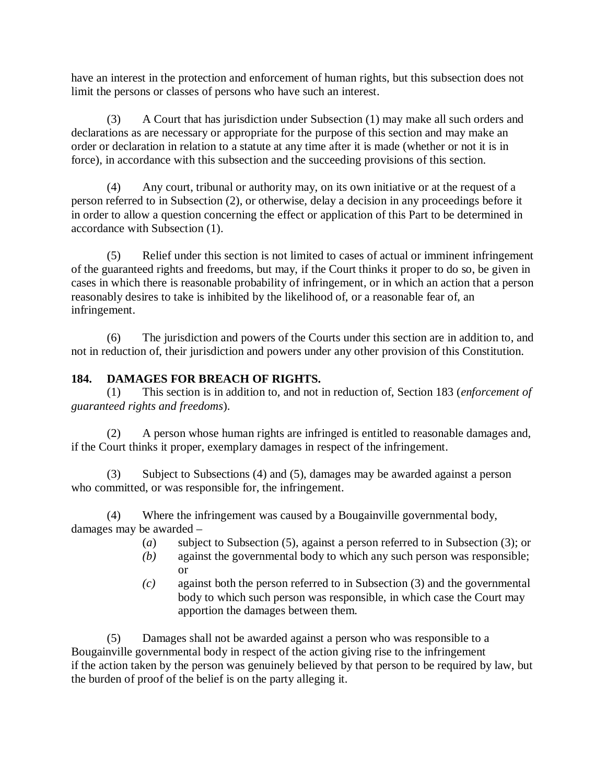have an interest in the protection and enforcement of human rights, but this subsection does not limit the persons or classes of persons who have such an interest.

(3) A Court that has jurisdiction under Subsection (1) may make all such orders and declarations as are necessary or appropriate for the purpose of this section and may make an order or declaration in relation to a statute at any time after it is made (whether or not it is in force), in accordance with this subsection and the succeeding provisions of this section.

(4) Any court, tribunal or authority may, on its own initiative or at the request of a person referred to in Subsection (2), or otherwise, delay a decision in any proceedings before it in order to allow a question concerning the effect or application of this Part to be determined in accordance with Subsection (1).

(5) Relief under this section is not limited to cases of actual or imminent infringement of the guaranteed rights and freedoms, but may, if the Court thinks it proper to do so, be given in cases in which there is reasonable probability of infringement, or in which an action that a person reasonably desires to take is inhibited by the likelihood of, or a reasonable fear of, an infringement.

(6) The jurisdiction and powers of the Courts under this section are in addition to, and not in reduction of, their jurisdiction and powers under any other provision of this Constitution.

## **184. DAMAGES FOR BREACH OF RIGHTS.**

(1) This section is in addition to, and not in reduction of, Section 183 (*enforcement of guaranteed rights and freedoms*).

(2) A person whose human rights are infringed is entitled to reasonable damages and, if the Court thinks it proper, exemplary damages in respect of the infringement.

(3) Subject to Subsections (4) and (5), damages may be awarded against a person who committed, or was responsible for, the infringement.

(4) Where the infringement was caused by a Bougainville governmental body, damages may be awarded –

- (*a*) subject to Subsection (5), against a person referred to in Subsection (3); or
- *(b)* against the governmental body to which any such person was responsible; or
- *(c)* against both the person referred to in Subsection (3) and the governmental body to which such person was responsible, in which case the Court may apportion the damages between them.

(5) Damages shall not be awarded against a person who was responsible to a Bougainville governmental body in respect of the action giving rise to the infringement if the action taken by the person was genuinely believed by that person to be required by law, but the burden of proof of the belief is on the party alleging it.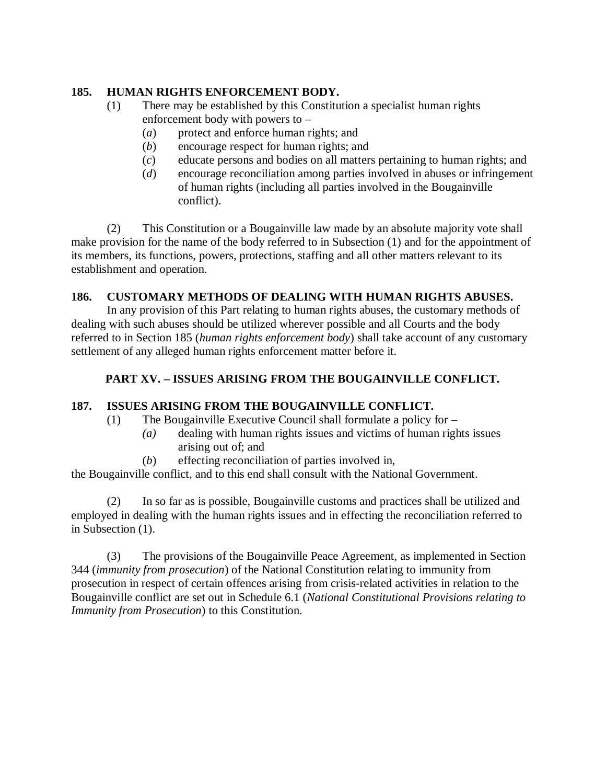### **185. HUMAN RIGHTS ENFORCEMENT BODY.**

- (1) There may be established by this Constitution a specialist human rights enforcement body with powers to –
	- (*a*) protect and enforce human rights; and
	- (*b*) encourage respect for human rights; and
	- (*c*) educate persons and bodies on all matters pertaining to human rights; and
	- (*d*) encourage reconciliation among parties involved in abuses or infringement of human rights (including all parties involved in the Bougainville conflict).

(2) This Constitution or a Bougainville law made by an absolute majority vote shall make provision for the name of the body referred to in Subsection (1) and for the appointment of its members, its functions, powers, protections, staffing and all other matters relevant to its establishment and operation.

## **186. CUSTOMARY METHODS OF DEALING WITH HUMAN RIGHTS ABUSES.**

In any provision of this Part relating to human rights abuses, the customary methods of dealing with such abuses should be utilized wherever possible and all Courts and the body referred to in Section 185 (*human rights enforcement body*) shall take account of any customary settlement of any alleged human rights enforcement matter before it.

## **PART XV. – ISSUES ARISING FROM THE BOUGAINVILLE CONFLICT.**

## **187. ISSUES ARISING FROM THE BOUGAINVILLE CONFLICT.**

- (1) The Bougainville Executive Council shall formulate a policy for
	- *(a)* dealing with human rights issues and victims of human rights issues arising out of; and
		- (*b*) effecting reconciliation of parties involved in,

the Bougainville conflict, and to this end shall consult with the National Government.

(2) In so far as is possible, Bougainville customs and practices shall be utilized and employed in dealing with the human rights issues and in effecting the reconciliation referred to in Subsection (1).

(3) The provisions of the Bougainville Peace Agreement, as implemented in Section 344 (*immunity from prosecution*) of the National Constitution relating to immunity from prosecution in respect of certain offences arising from crisis-related activities in relation to the Bougainville conflict are set out in Schedule 6.1 (*National Constitutional Provisions relating to Immunity from Prosecution*) to this Constitution.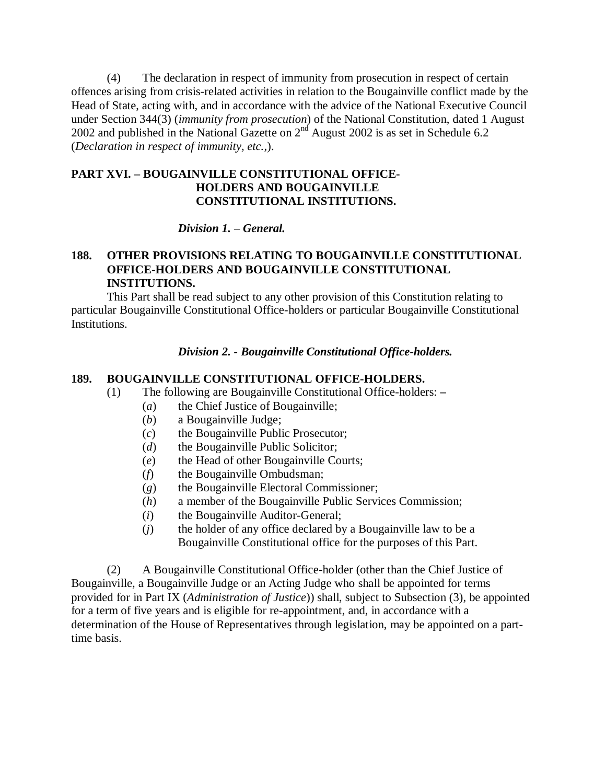(4) The declaration in respect of immunity from prosecution in respect of certain offences arising from crisis-related activities in relation to the Bougainville conflict made by the Head of State, acting with, and in accordance with the advice of the National Executive Council under Section 344(3) (*immunity from prosecution*) of the National Constitution, dated 1 August 2002 and published in the National Gazette on  $2<sup>nd</sup>$  August 2002 is as set in Schedule 6.2 (*Declaration in respect of immunity, etc.,*).

#### **PART XVI. – BOUGAINVILLE CONSTITUTIONAL OFFICE-HOLDERS AND BOUGAINVILLE CONSTITUTIONAL INSTITUTIONS.**

*Division 1. – General.*

### **188. OTHER PROVISIONS RELATING TO BOUGAINVILLE CONSTITUTIONAL OFFICE-HOLDERS AND BOUGAINVILLE CONSTITUTIONAL INSTITUTIONS.**

This Part shall be read subject to any other provision of this Constitution relating to particular Bougainville Constitutional Office-holders or particular Bougainville Constitutional Institutions.

#### *Division 2. - Bougainville Constitutional Office-holders.*

#### **189. BOUGAINVILLE CONSTITUTIONAL OFFICE-HOLDERS.**

(1) The following are Bougainville Constitutional Office-holders: **–**

- (*a*) the Chief Justice of Bougainville;
- (*b*) a Bougainville Judge;
- (*c*) the Bougainville Public Prosecutor;
- (*d*) the Bougainville Public Solicitor;
- (*e*) the Head of other Bougainville Courts;
- (*f*) the Bougainville Ombudsman;
- (*g*) the Bougainville Electoral Commissioner;
- (*h*) a member of the Bougainville Public Services Commission;
- (*i*) the Bougainville Auditor-General;
- (*j*) the holder of any office declared by a Bougainville law to be a Bougainville Constitutional office for the purposes of this Part.

(2) A Bougainville Constitutional Office-holder (other than the Chief Justice of Bougainville, a Bougainville Judge or an Acting Judge who shall be appointed for terms provided for in Part IX (*Administration of Justice*)) shall, subject to Subsection (3), be appointed for a term of five years and is eligible for re-appointment, and, in accordance with a determination of the House of Representatives through legislation, may be appointed on a parttime basis.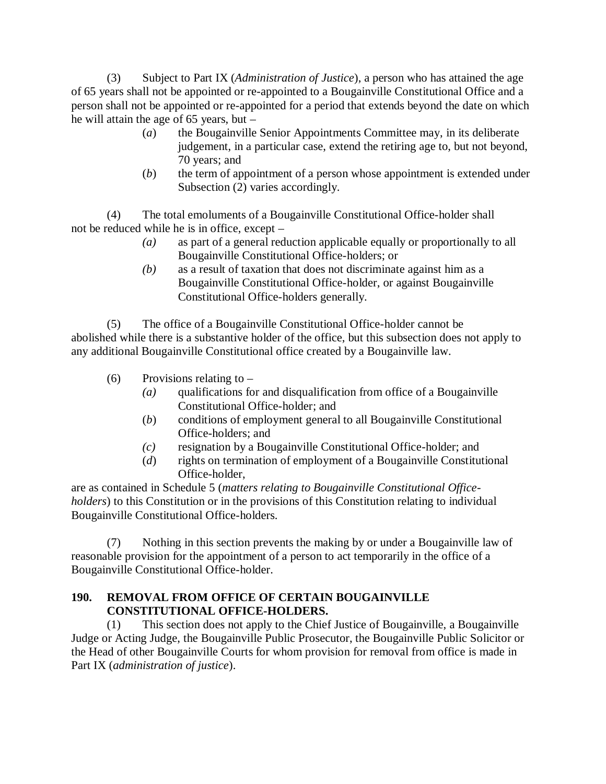(3) Subject to Part IX (*Administration of Justice*), a person who has attained the age of 65 years shall not be appointed or re-appointed to a Bougainville Constitutional Office and a person shall not be appointed or re-appointed for a period that extends beyond the date on which he will attain the age of 65 years, but –

- (*a*) the Bougainville Senior Appointments Committee may, in its deliberate judgement, in a particular case, extend the retiring age to, but not beyond, 70 years; and
- (*b*) the term of appointment of a person whose appointment is extended under Subsection (2) varies accordingly.

(4) The total emoluments of a Bougainville Constitutional Office-holder shall not be reduced while he is in office, except –

- *(a)* as part of a general reduction applicable equally or proportionally to all Bougainville Constitutional Office-holders; or
- *(b)* as a result of taxation that does not discriminate against him as a Bougainville Constitutional Office-holder, or against Bougainville Constitutional Office-holders generally.

(5) The office of a Bougainville Constitutional Office-holder cannot be abolished while there is a substantive holder of the office, but this subsection does not apply to any additional Bougainville Constitutional office created by a Bougainville law.

- $(6)$  Provisions relating to
	- *(a)* qualifications for and disqualification from office of a Bougainville Constitutional Office-holder; and
	- (*b*) conditions of employment general to all Bougainville Constitutional Office-holders; and
	- *(c)* resignation by a Bougainville Constitutional Office-holder; and
	- (*d*) rights on termination of employment of a Bougainville Constitutional Office-holder,

are as contained in Schedule 5 (*matters relating to Bougainville Constitutional Officeholders*) to this Constitution or in the provisions of this Constitution relating to individual Bougainville Constitutional Office-holders.

(7) Nothing in this section prevents the making by or under a Bougainville law of reasonable provision for the appointment of a person to act temporarily in the office of a Bougainville Constitutional Office-holder.

### **190. REMOVAL FROM OFFICE OF CERTAIN BOUGAINVILLE CONSTITUTIONAL OFFICE-HOLDERS.**

(1) This section does not apply to the Chief Justice of Bougainville, a Bougainville Judge or Acting Judge, the Bougainville Public Prosecutor, the Bougainville Public Solicitor or the Head of other Bougainville Courts for whom provision for removal from office is made in Part IX (*administration of justice*).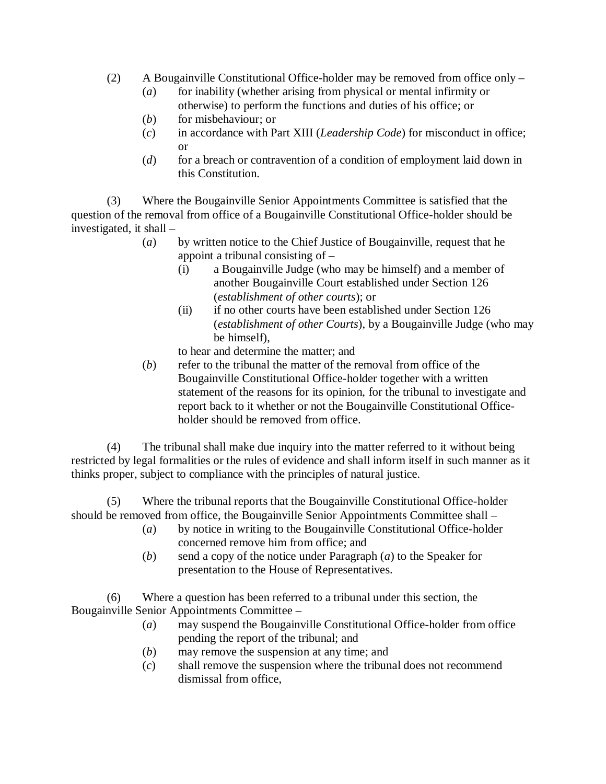- (2) A Bougainville Constitutional Office-holder may be removed from office only
	- (*a*) for inability (whether arising from physical or mental infirmity or otherwise) to perform the functions and duties of his office; or
	- (*b*) for misbehaviour; or
	- (*c*) in accordance with Part XIII (*Leadership Code*) for misconduct in office; or
	- (*d*) for a breach or contravention of a condition of employment laid down in this Constitution.

(3) Where the Bougainville Senior Appointments Committee is satisfied that the question of the removal from office of a Bougainville Constitutional Office-holder should be investigated, it shall –

- (*a*) by written notice to the Chief Justice of Bougainville, request that he appoint a tribunal consisting of –
	- (i) a Bougainville Judge (who may be himself) and a member of another Bougainville Court established under Section 126 (*establishment of other courts*); or
	- (ii) if no other courts have been established under Section 126 (*establishment of other Courts*), by a Bougainville Judge (who may be himself),

to hear and determine the matter; and

(*b*) refer to the tribunal the matter of the removal from office of the Bougainville Constitutional Office-holder together with a written statement of the reasons for its opinion, for the tribunal to investigate and report back to it whether or not the Bougainville Constitutional Officeholder should be removed from office.

(4) The tribunal shall make due inquiry into the matter referred to it without being restricted by legal formalities or the rules of evidence and shall inform itself in such manner as it thinks proper, subject to compliance with the principles of natural justice.

(5) Where the tribunal reports that the Bougainville Constitutional Office-holder should be removed from office, the Bougainville Senior Appointments Committee shall –

- (*a*) by notice in writing to the Bougainville Constitutional Office-holder concerned remove him from office; and
- (*b*) send a copy of the notice under Paragraph (*a*) to the Speaker for presentation to the House of Representatives.

(6) Where a question has been referred to a tribunal under this section, the Bougainville Senior Appointments Committee –

- (*a*) may suspend the Bougainville Constitutional Office-holder from office pending the report of the tribunal; and
- (*b*) may remove the suspension at any time; and
- (*c*) shall remove the suspension where the tribunal does not recommend dismissal from office,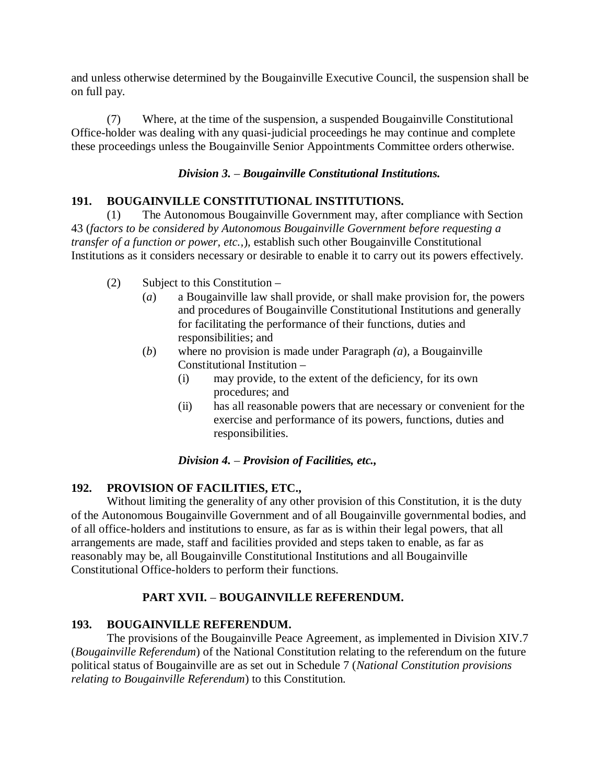and unless otherwise determined by the Bougainville Executive Council, the suspension shall be on full pay.

(7) Where, at the time of the suspension, a suspended Bougainville Constitutional Office-holder was dealing with any quasi-judicial proceedings he may continue and complete these proceedings unless the Bougainville Senior Appointments Committee orders otherwise.

### *Division 3. – Bougainville Constitutional Institutions.*

## **191. BOUGAINVILLE CONSTITUTIONAL INSTITUTIONS.**

(1) The Autonomous Bougainville Government may, after compliance with Section 43 (*factors to be considered by Autonomous Bougainville Government before requesting a transfer of a function or power, etc.,*), establish such other Bougainville Constitutional Institutions as it considers necessary or desirable to enable it to carry out its powers effectively.

- (2) Subject to this Constitution
	- (*a*) a Bougainville law shall provide, or shall make provision for, the powers and procedures of Bougainville Constitutional Institutions and generally for facilitating the performance of their functions, duties and responsibilities; and
	- (*b*) where no provision is made under Paragraph *(a*)*,* a Bougainville Constitutional Institution –
		- (i) may provide, to the extent of the deficiency, for its own procedures; and
		- (ii) has all reasonable powers that are necessary or convenient for the exercise and performance of its powers, functions, duties and responsibilities.

### *Division 4. – Provision of Facilities, etc.,*

### **192. PROVISION OF FACILITIES, ETC.,**

Without limiting the generality of any other provision of this Constitution, it is the duty of the Autonomous Bougainville Government and of all Bougainville governmental bodies, and of all office-holders and institutions to ensure, as far as is within their legal powers, that all arrangements are made, staff and facilities provided and steps taken to enable, as far as reasonably may be, all Bougainville Constitutional Institutions and all Bougainville Constitutional Office-holders to perform their functions.

## **PART XVII.** – **BOUGAINVILLE REFERENDUM.**

### **193. BOUGAINVILLE REFERENDUM.**

The provisions of the Bougainville Peace Agreement, as implemented in Division XIV.7 (*Bougainville Referendum*) of the National Constitution relating to the referendum on the future political status of Bougainville are as set out in Schedule 7 (*National Constitution provisions relating to Bougainville Referendum*) to this Constitution.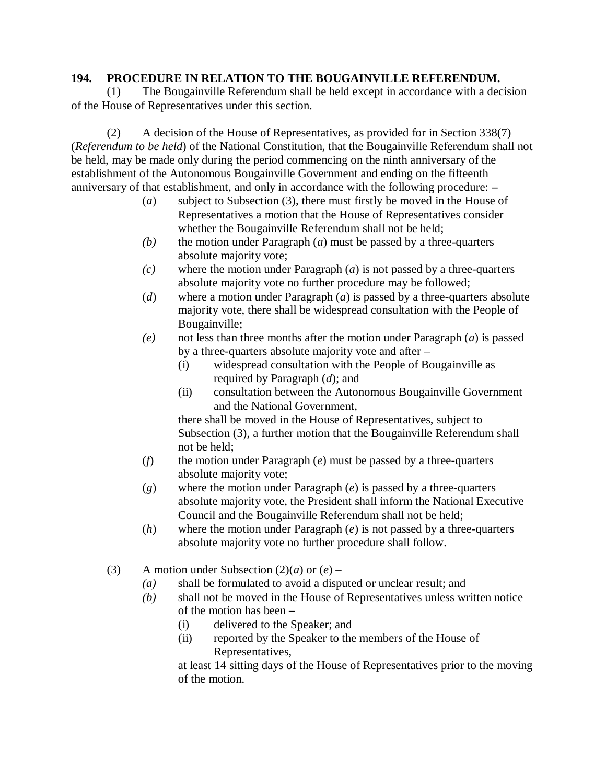#### **194. PROCEDURE IN RELATION TO THE BOUGAINVILLE REFERENDUM.**

(1) The Bougainville Referendum shall be held except in accordance with a decision of the House of Representatives under this section.

(2) A decision of the House of Representatives, as provided for in Section 338(7) (*Referendum to be held*) of the National Constitution, that the Bougainville Referendum shall not be held, may be made only during the period commencing on the ninth anniversary of the establishment of the Autonomous Bougainville Government and ending on the fifteenth anniversary of that establishment, and only in accordance with the following procedure: **–**

- (*a*) subject to Subsection (3), there must firstly be moved in the House of Representatives a motion that the House of Representatives consider whether the Bougainville Referendum shall not be held;
- *(b)* the motion under Paragraph (*a*) must be passed by a three-quarters absolute majority vote;
- *(c)* where the motion under Paragraph (*a*) is not passed by a three-quarters absolute majority vote no further procedure may be followed;
- (*d*) where a motion under Paragraph (*a*) is passed by a three-quarters absolute majority vote, there shall be widespread consultation with the People of Bougainville;
- *(e)* not less than three months after the motion under Paragraph (*a*) is passed by a three-quarters absolute majority vote and after –
	- (i) widespread consultation with the People of Bougainville as required by Paragraph (*d*); and
	- (ii) consultation between the Autonomous Bougainville Government and the National Government,

there shall be moved in the House of Representatives, subject to Subsection (3), a further motion that the Bougainville Referendum shall not be held;

- (*f*) the motion under Paragraph (*e*) must be passed by a three-quarters absolute majority vote;
- (*g*) where the motion under Paragraph (*e*) is passed by a three-quarters absolute majority vote, the President shall inform the National Executive Council and the Bougainville Referendum shall not be held;
- (*h*) where the motion under Paragraph (*e*) is not passed by a three-quarters absolute majority vote no further procedure shall follow.
- (3) A motion under Subsection  $(2)(a)$  or  $(e)$ 
	- *(a)* shall be formulated to avoid a disputed or unclear result; and
	- *(b)* shall not be moved in the House of Representatives unless written notice of the motion has been **–**
		- (i) delivered to the Speaker; and
		- (ii) reported by the Speaker to the members of the House of Representatives,

at least 14 sitting days of the House of Representatives prior to the moving of the motion.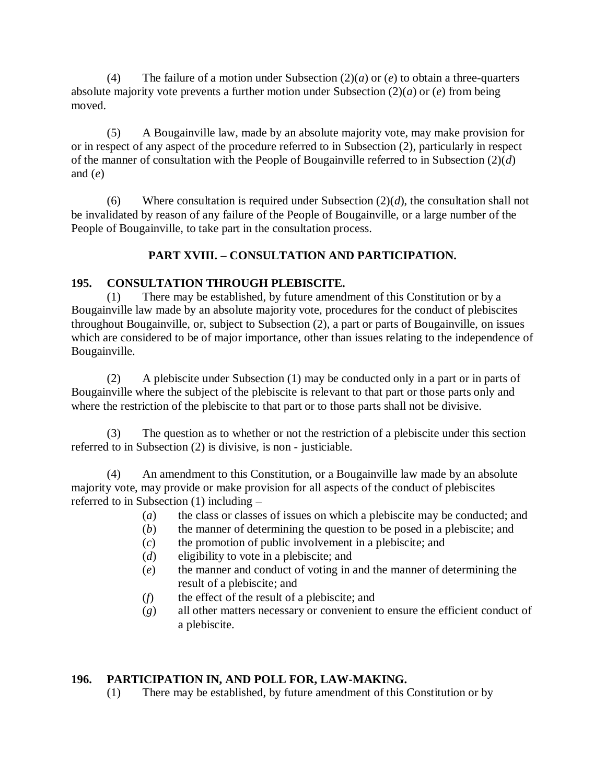(4) The failure of a motion under Subsection (2)(*a*) or (*e*) to obtain a three-quarters absolute majority vote prevents a further motion under Subsection (2)(*a*) or (*e*) from being moved.

(5) A Bougainville law, made by an absolute majority vote, may make provision for or in respect of any aspect of the procedure referred to in Subsection (2), particularly in respect of the manner of consultation with the People of Bougainville referred to in Subsection (2)(*d*) and (*e*)

(6) Where consultation is required under Subsection  $(2)(d)$ , the consultation shall not be invalidated by reason of any failure of the People of Bougainville, or a large number of the People of Bougainville, to take part in the consultation process.

## **PART XVIII. – CONSULTATION AND PARTICIPATION.**

## **195. CONSULTATION THROUGH PLEBISCITE.**

(1) There may be established, by future amendment of this Constitution or by a Bougainville law made by an absolute majority vote, procedures for the conduct of plebiscites throughout Bougainville, or, subject to Subsection (2), a part or parts of Bougainville, on issues which are considered to be of major importance, other than issues relating to the independence of Bougainville.

(2) A plebiscite under Subsection (1) may be conducted only in a part or in parts of Bougainville where the subject of the plebiscite is relevant to that part or those parts only and where the restriction of the plebiscite to that part or to those parts shall not be divisive.

(3) The question as to whether or not the restriction of a plebiscite under this section referred to in Subsection (2) is divisive, is non - justiciable.

(4) An amendment to this Constitution, or a Bougainville law made by an absolute majority vote, may provide or make provision for all aspects of the conduct of plebiscites referred to in Subsection (1) including –

- (*a*) the class or classes of issues on which a plebiscite may be conducted; and
- (*b*) the manner of determining the question to be posed in a plebiscite; and
- (*c*) the promotion of public involvement in a plebiscite; and
- (*d*) eligibility to vote in a plebiscite; and
- (*e*) the manner and conduct of voting in and the manner of determining the result of a plebiscite; and
- (*f*) the effect of the result of a plebiscite; and
- (*g*) all other matters necessary or convenient to ensure the efficient conduct of a plebiscite.

## **196. PARTICIPATION IN, AND POLL FOR, LAW-MAKING.**

(1) There may be established, by future amendment of this Constitution or by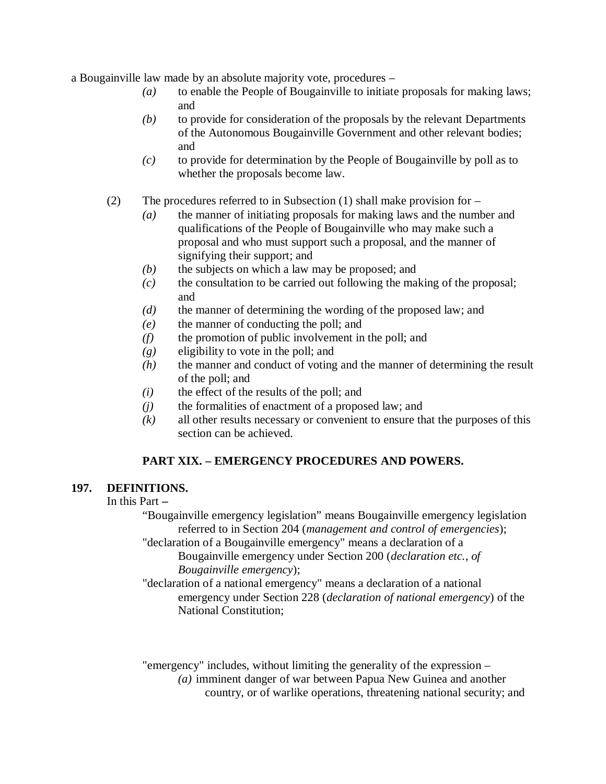a Bougainville law made by an absolute majority vote, procedures –

- *(a)* to enable the People of Bougainville to initiate proposals for making laws; and
- *(b)* to provide for consideration of the proposals by the relevant Departments of the Autonomous Bougainville Government and other relevant bodies; and
- *(c)* to provide for determination by the People of Bougainville by poll as to whether the proposals become law.
- (2) The procedures referred to in Subsection (1) shall make provision for
	- *(a)* the manner of initiating proposals for making laws and the number and qualifications of the People of Bougainville who may make such a proposal and who must support such a proposal, and the manner of signifying their support; and
	- *(b)* the subjects on which a law may be proposed; and
	- *(c)* the consultation to be carried out following the making of the proposal; and
	- *(d)* the manner of determining the wording of the proposed law; and
	- *(e)* the manner of conducting the poll; and
	- *(f)* the promotion of public involvement in the poll; and
	- *(g)* eligibility to vote in the poll; and
	- *(h)* the manner and conduct of voting and the manner of determining the result of the poll; and
	- *(i)* the effect of the results of the poll; and
	- *(j)* the formalities of enactment of a proposed law; and
	- *(k)* all other results necessary or convenient to ensure that the purposes of this section can be achieved.

## **PART XIX. – EMERGENCY PROCEDURES AND POWERS.**

#### **197. DEFINITIONS.**

In this Part **–**

"Bougainville emergency legislation" means Bougainville emergency legislation referred to in Section 204 (*management and control of emergencies*);

"declaration of a Bougainville emergency" means a declaration of a Bougainville emergency under Section 200 (*declaration etc., of Bougainville emergency*);

"declaration of a national emergency" means a declaration of a national emergency under Section 228 (*declaration of national emergency*) of the National Constitution;

"emergency" includes, without limiting the generality of the expression –

*(a)* imminent danger of war between Papua New Guinea and another country, or of warlike operations, threatening national security; and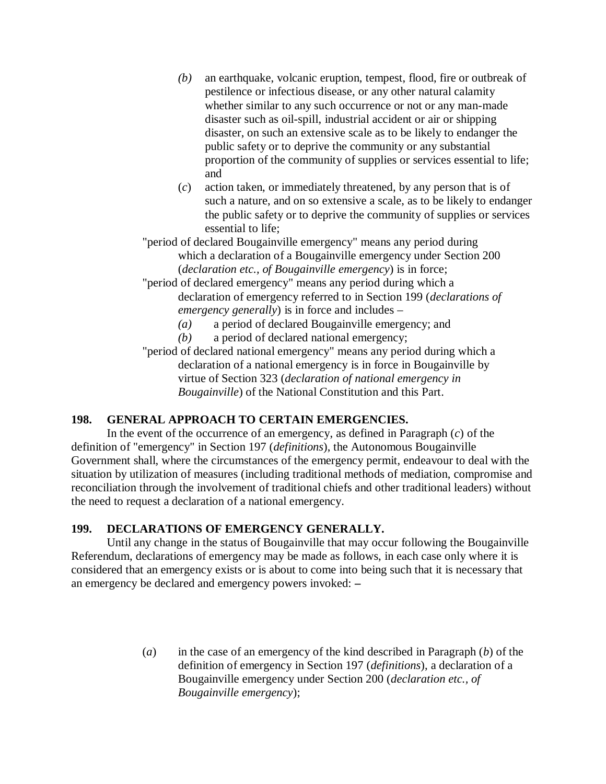- *(b)* an earthquake, volcanic eruption, tempest, flood, fire or outbreak of pestilence or infectious disease, or any other natural calamity whether similar to any such occurrence or not or any man-made disaster such as oil-spill, industrial accident or air or shipping disaster, on such an extensive scale as to be likely to endanger the public safety or to deprive the community or any substantial proportion of the community of supplies or services essential to life; and
- (*c*) action taken, or immediately threatened, by any person that is of such a nature, and on so extensive a scale, as to be likely to endanger the public safety or to deprive the community of supplies or services essential to life;
- "period of declared Bougainville emergency" means any period during which a declaration of a Bougainville emergency under Section 200 (*declaration etc., of Bougainville emergency*) is in force;
- "period of declared emergency" means any period during which a declaration of emergency referred to in Section 199 (*declarations of emergency generally*) is in force and includes –
	- *(a)* a period of declared Bougainville emergency; and
	- *(b)* a period of declared national emergency;
- "period of declared national emergency" means any period during which a declaration of a national emergency is in force in Bougainville by virtue of Section 323 (*declaration of national emergency in Bougainville*) of the National Constitution and this Part.

### **198. GENERAL APPROACH TO CERTAIN EMERGENCIES.**

In the event of the occurrence of an emergency, as defined in Paragraph (*c*) of the definition of "emergency" in Section 197 (*definitions*), the Autonomous Bougainville Government shall, where the circumstances of the emergency permit, endeavour to deal with the situation by utilization of measures (including traditional methods of mediation, compromise and reconciliation through the involvement of traditional chiefs and other traditional leaders) without the need to request a declaration of a national emergency.

### **199. DECLARATIONS OF EMERGENCY GENERALLY.**

Until any change in the status of Bougainville that may occur following the Bougainville Referendum, declarations of emergency may be made as follows, in each case only where it is considered that an emergency exists or is about to come into being such that it is necessary that an emergency be declared and emergency powers invoked: **–**

> (*a*) in the case of an emergency of the kind described in Paragraph (*b*) of the definition of emergency in Section 197 (*definitions*), a declaration of a Bougainville emergency under Section 200 (*declaration etc., of Bougainville emergency*);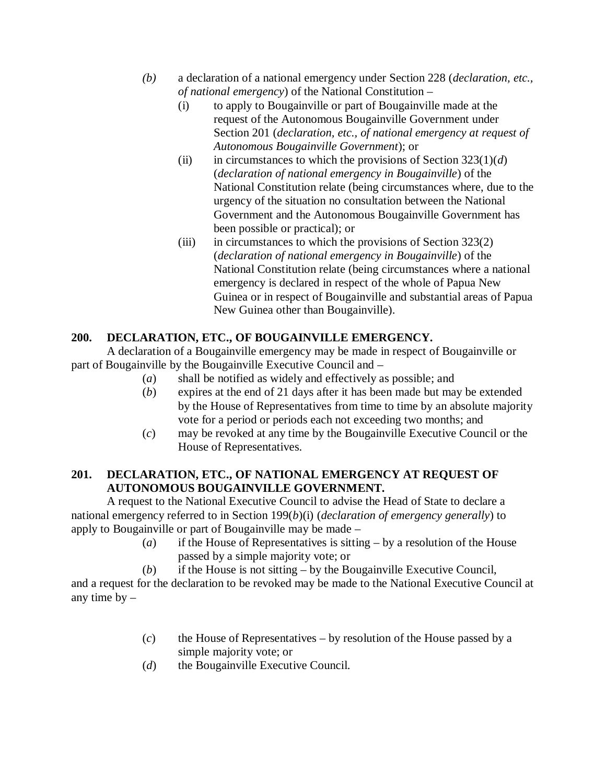- *(b)* a declaration of a national emergency under Section 228 (*declaration, etc., of national emergency*) of the National Constitution –
	- (i) to apply to Bougainville or part of Bougainville made at the request of the Autonomous Bougainville Government under Section 201 (*declaration, etc., of national emergency at request of Autonomous Bougainville Government*); or
	- (ii) in circumstances to which the provisions of Section  $323(1)(d)$ (*declaration of national emergency in Bougainville*) of the National Constitution relate (being circumstances where, due to the urgency of the situation no consultation between the National Government and the Autonomous Bougainville Government has been possible or practical); or
	- (iii) in circumstances to which the provisions of Section 323(2) (*declaration of national emergency in Bougainville*) of the National Constitution relate (being circumstances where a national emergency is declared in respect of the whole of Papua New Guinea or in respect of Bougainville and substantial areas of Papua New Guinea other than Bougainville).

## **200. DECLARATION, ETC., OF BOUGAINVILLE EMERGENCY.**

A declaration of a Bougainville emergency may be made in respect of Bougainville or part of Bougainville by the Bougainville Executive Council and –

- (*a*) shall be notified as widely and effectively as possible; and
- (*b*) expires at the end of 21 days after it has been made but may be extended by the House of Representatives from time to time by an absolute majority vote for a period or periods each not exceeding two months; and
- (*c*) may be revoked at any time by the Bougainville Executive Council or the House of Representatives.

## **201. DECLARATION, ETC., OF NATIONAL EMERGENCY AT REQUEST OF AUTONOMOUS BOUGAINVILLE GOVERNMENT.**

A request to the National Executive Council to advise the Head of State to declare a national emergency referred to in Section 199(*b*)(i) (*declaration of emergency generally*) to apply to Bougainville or part of Bougainville may be made –

- (*a*) if the House of Representatives is sitting by a resolution of the House passed by a simple majority vote; or
- (*b*) if the House is not sitting by the Bougainville Executive Council,

and a request for the declaration to be revoked may be made to the National Executive Council at any time  $by -$ 

- (*c*) the House of Representatives by resolution of the House passed by a simple majority vote; or
- (*d*) the Bougainville Executive Council.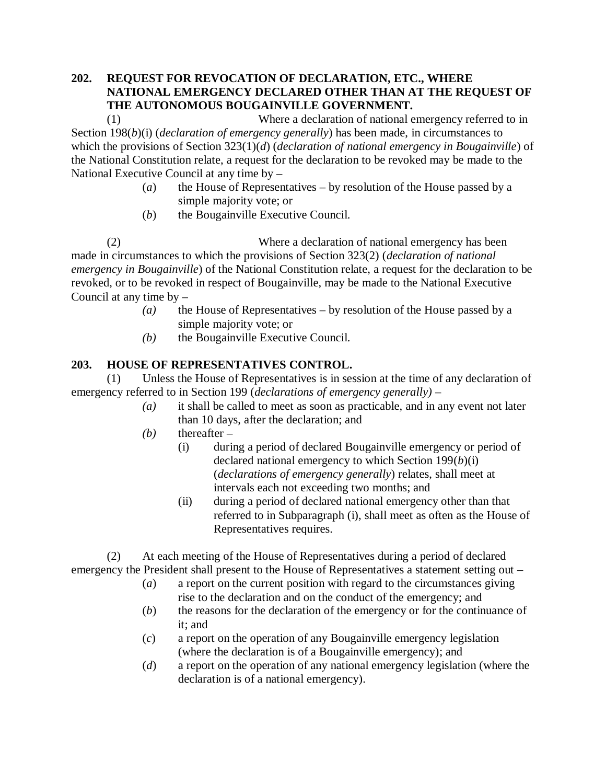## **202. REQUEST FOR REVOCATION OF DECLARATION, ETC., WHERE NATIONAL EMERGENCY DECLARED OTHER THAN AT THE REQUEST OF THE AUTONOMOUS BOUGAINVILLE GOVERNMENT.**

(1) Where a declaration of national emergency referred to in Section 198(*b*)(i) (*declaration of emergency generally*) has been made, in circumstances to which the provisions of Section 323(1)(*d*) (*declaration of national emergency in Bougainville*) of the National Constitution relate, a request for the declaration to be revoked may be made to the National Executive Council at any time by –

- (*a*) the House of Representatives by resolution of the House passed by a simple majority vote; or
- (*b*) the Bougainville Executive Council.

(2) Where a declaration of national emergency has been made in circumstances to which the provisions of Section 323(2) (*declaration of national emergency in Bougainville*) of the National Constitution relate, a request for the declaration to be revoked, or to be revoked in respect of Bougainville, may be made to the National Executive Council at any time  $by -$ 

- *(a)* the House of Representatives by resolution of the House passed by a simple majority vote; or
- *(b)* the Bougainville Executive Council.

# **203. HOUSE OF REPRESENTATIVES CONTROL.**

(1) Unless the House of Representatives is in session at the time of any declaration of emergency referred to in Section 199 (*declarations of emergency generally)* –

- *(a)* it shall be called to meet as soon as practicable, and in any event not later than 10 days, after the declaration; and
- *(b)* thereafter
	- (i) during a period of declared Bougainville emergency or period of declared national emergency to which Section 199(*b*)(i) (*declarations of emergency generally*) relates, shall meet at intervals each not exceeding two months; and
	- (ii) during a period of declared national emergency other than that referred to in Subparagraph (i), shall meet as often as the House of Representatives requires.

(2) At each meeting of the House of Representatives during a period of declared emergency the President shall present to the House of Representatives a statement setting out –

- (*a*) a report on the current position with regard to the circumstances giving rise to the declaration and on the conduct of the emergency; and
- (*b*) the reasons for the declaration of the emergency or for the continuance of it; and
- (*c*) a report on the operation of any Bougainville emergency legislation (where the declaration is of a Bougainville emergency); and
- (*d*) a report on the operation of any national emergency legislation (where the declaration is of a national emergency).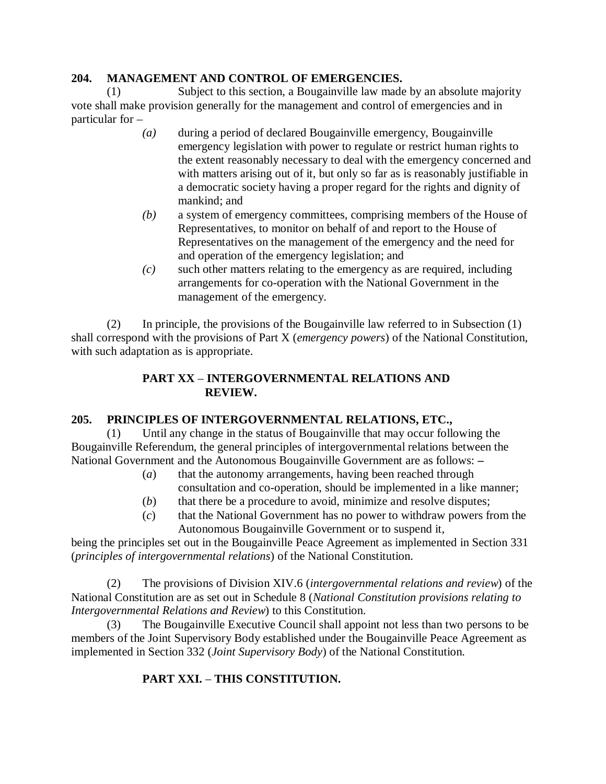### **204. MANAGEMENT AND CONTROL OF EMERGENCIES.**

(1) Subject to this section, a Bougainville law made by an absolute majority vote shall make provision generally for the management and control of emergencies and in particular for –

- *(a)* during a period of declared Bougainville emergency, Bougainville emergency legislation with power to regulate or restrict human rights to the extent reasonably necessary to deal with the emergency concerned and with matters arising out of it, but only so far as is reasonably justifiable in a democratic society having a proper regard for the rights and dignity of mankind; and
- *(b)* a system of emergency committees, comprising members of the House of Representatives, to monitor on behalf of and report to the House of Representatives on the management of the emergency and the need for and operation of the emergency legislation; and
- *(c)* such other matters relating to the emergency as are required, including arrangements for co-operation with the National Government in the management of the emergency.

(2) In principle, the provisions of the Bougainville law referred to in Subsection (1) shall correspond with the provisions of Part X (*emergency powers*) of the National Constitution, with such adaptation as is appropriate.

## **PART XX** – **INTERGOVERNMENTAL RELATIONS AND REVIEW.**

### **205. PRINCIPLES OF INTERGOVERNMENTAL RELATIONS, ETC.,**

(1) Until any change in the status of Bougainville that may occur following the Bougainville Referendum, the general principles of intergovernmental relations between the National Government and the Autonomous Bougainville Government are as follows: **–**

- (*a*) that the autonomy arrangements, having been reached through consultation and co-operation, should be implemented in a like manner;
- (*b*) that there be a procedure to avoid, minimize and resolve disputes;
- (*c*) that the National Government has no power to withdraw powers from the Autonomous Bougainville Government or to suspend it,

being the principles set out in the Bougainville Peace Agreement as implemented in Section 331 (*principles of intergovernmental relations*) of the National Constitution.

(2) The provisions of Division XIV.6 (*intergovernmental relations and review*) of the National Constitution are as set out in Schedule 8 (*National Constitution provisions relating to Intergovernmental Relations and Review*) to this Constitution.

(3) The Bougainville Executive Council shall appoint not less than two persons to be members of the Joint Supervisory Body established under the Bougainville Peace Agreement as implemented in Section 332 (*Joint Supervisory Body*) of the National Constitution.

# **PART XXI.** – **THIS CONSTITUTION.**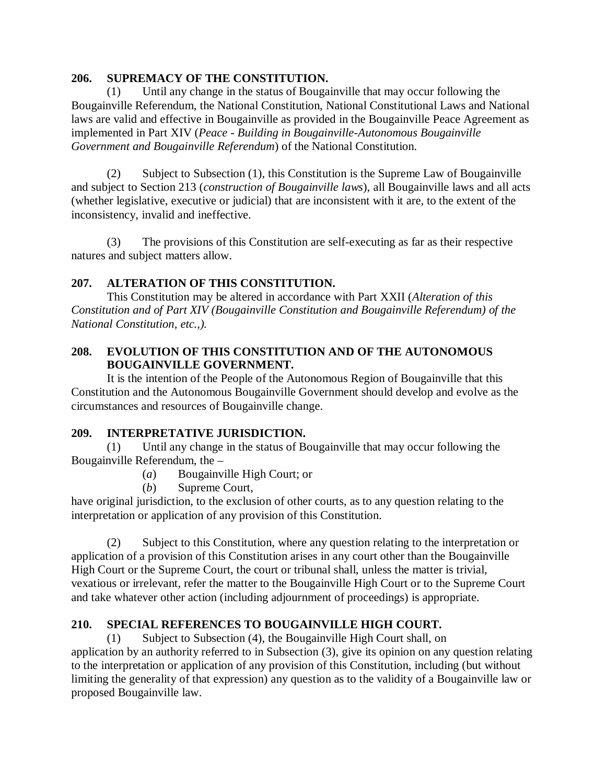### **206. SUPREMACY OF THE CONSTITUTION.**

(1) Until any change in the status of Bougainville that may occur following the Bougainville Referendum, the National Constitution, National Constitutional Laws and National laws are valid and effective in Bougainville as provided in the Bougainville Peace Agreement as implemented in Part XIV (*Peace - Building in Bougainville-Autonomous Bougainville Government and Bougainville Referendum*) of the National Constitution.

(2) Subject to Subsection (1), this Constitution is the Supreme Law of Bougainville and subject to Section 213 (*construction of Bougainville laws*), all Bougainville laws and all acts (whether legislative, executive or judicial) that are inconsistent with it are, to the extent of the inconsistency, invalid and ineffective.

(3) The provisions of this Constitution are self-executing as far as their respective natures and subject matters allow.

## **207. ALTERATION OF THIS CONSTITUTION.**

This Constitution may be altered in accordance with Part XXII (*Alteration of this Constitution and of Part XIV (Bougainville Constitution and Bougainville Referendum) of the National Constitution, etc.,).*

### **208. EVOLUTION OF THIS CONSTITUTION AND OF THE AUTONOMOUS BOUGAINVILLE GOVERNMENT.**

It is the intention of the People of the Autonomous Region of Bougainville that this Constitution and the Autonomous Bougainville Government should develop and evolve as the circumstances and resources of Bougainville change.

### **209. INTERPRETATIVE JURISDICTION.**

(1) Until any change in the status of Bougainville that may occur following the Bougainville Referendum, the –

- (*a*) Bougainville High Court; or
- (*b*) Supreme Court,

have original jurisdiction, to the exclusion of other courts, as to any question relating to the interpretation or application of any provision of this Constitution.

(2) Subject to this Constitution, where any question relating to the interpretation or application of a provision of this Constitution arises in any court other than the Bougainville High Court or the Supreme Court, the court or tribunal shall, unless the matter is trivial, vexatious or irrelevant, refer the matter to the Bougainville High Court or to the Supreme Court and take whatever other action (including adjournment of proceedings) is appropriate.

# **210. SPECIAL REFERENCES TO BOUGAINVILLE HIGH COURT.**

(1) Subject to Subsection (4), the Bougainville High Court shall, on application by an authority referred to in Subsection (3), give its opinion on any question relating to the interpretation or application of any provision of this Constitution, including (but without limiting the generality of that expression) any question as to the validity of a Bougainville law or proposed Bougainville law.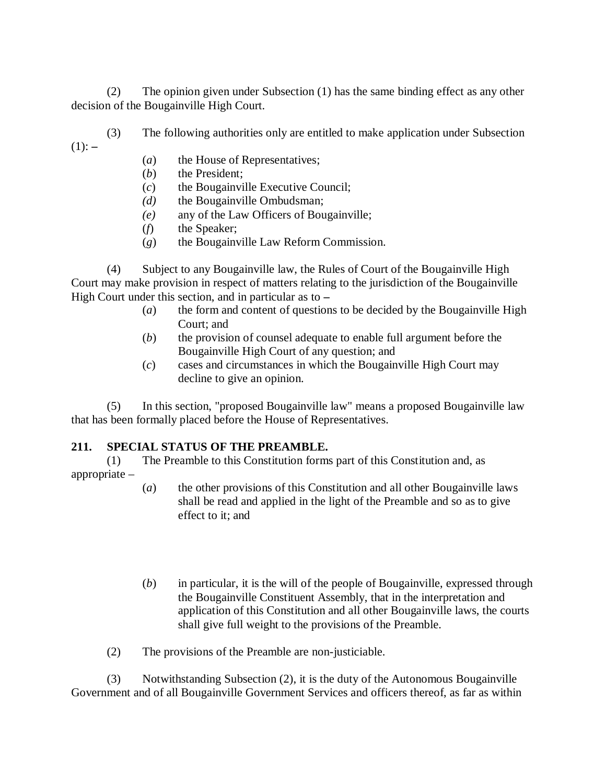(2) The opinion given under Subsection (1) has the same binding effect as any other decision of the Bougainville High Court.

(3) The following authorities only are entitled to make application under Subsection  $(1)$ : –

- (*a*) the House of Representatives;
- (*b*) the President;
- (*c*) the Bougainville Executive Council;
- *(d)* the Bougainville Ombudsman;
- *(e)* any of the Law Officers of Bougainville;
- (*f*) the Speaker;
- (*g*) the Bougainville Law Reform Commission.

(4) Subject to any Bougainville law, the Rules of Court of the Bougainville High Court may make provision in respect of matters relating to the jurisdiction of the Bougainville High Court under this section, and in particular as to **–**

- (*a*) the form and content of questions to be decided by the Bougainville High Court; and
- (*b*) the provision of counsel adequate to enable full argument before the Bougainville High Court of any question; and
- (*c*) cases and circumstances in which the Bougainville High Court may decline to give an opinion.

(5) In this section, "proposed Bougainville law" means a proposed Bougainville law that has been formally placed before the House of Representatives.

#### **211. SPECIAL STATUS OF THE PREAMBLE.**

(1) The Preamble to this Constitution forms part of this Constitution and, as appropriate –

- (*a*) the other provisions of this Constitution and all other Bougainville laws shall be read and applied in the light of the Preamble and so as to give effect to it; and
- (*b*) in particular, it is the will of the people of Bougainville, expressed through the Bougainville Constituent Assembly, that in the interpretation and application of this Constitution and all other Bougainville laws, the courts shall give full weight to the provisions of the Preamble.
- (2) The provisions of the Preamble are non-justiciable.

(3) Notwithstanding Subsection (2), it is the duty of the Autonomous Bougainville Government and of all Bougainville Government Services and officers thereof, as far as within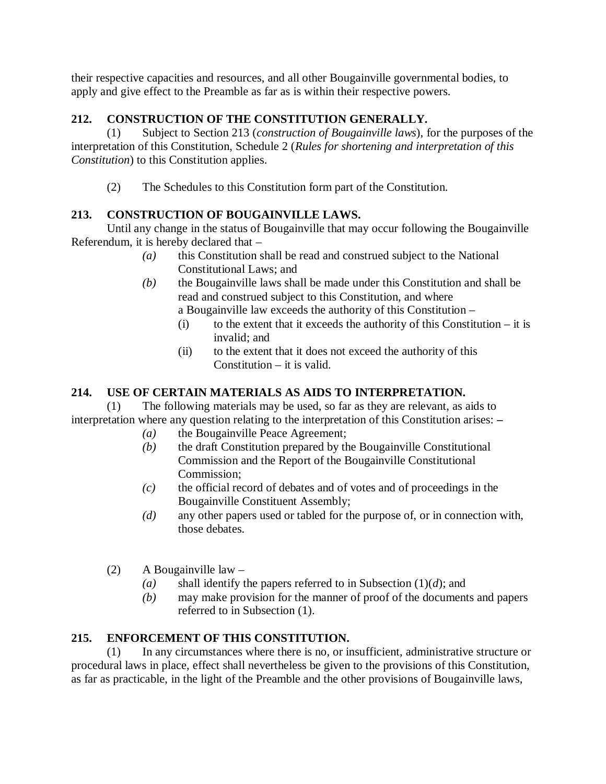their respective capacities and resources, and all other Bougainville governmental bodies, to apply and give effect to the Preamble as far as is within their respective powers.

## **212. CONSTRUCTION OF THE CONSTITUTION GENERALLY.**

(1) Subject to Section 213 (*construction of Bougainville laws*), for the purposes of the interpretation of this Constitution, Schedule 2 (*Rules for shortening and interpretation of this Constitution*) to this Constitution applies.

(2) The Schedules to this Constitution form part of the Constitution.

## **213. CONSTRUCTION OF BOUGAINVILLE LAWS.**

Until any change in the status of Bougainville that may occur following the Bougainville Referendum, it is hereby declared that –

- *(a)* this Constitution shall be read and construed subject to the National Constitutional Laws; and
- *(b)* the Bougainville laws shall be made under this Constitution and shall be read and construed subject to this Constitution, and where a Bougainville law exceeds the authority of this Constitution –
	- (i) to the extent that it exceeds the authority of this Constitution it is invalid; and
	- (ii) to the extent that it does not exceed the authority of this Constitution – it is valid.

## **214. USE OF CERTAIN MATERIALS AS AIDS TO INTERPRETATION.**

(1) The following materials may be used, so far as they are relevant, as aids to interpretation where any question relating to the interpretation of this Constitution arises: **–**

- *(a)* the Bougainville Peace Agreement;
- *(b)* the draft Constitution prepared by the Bougainville Constitutional Commission and the Report of the Bougainville Constitutional Commission;
- *(c)* the official record of debates and of votes and of proceedings in the Bougainville Constituent Assembly;
- *(d)* any other papers used or tabled for the purpose of, or in connection with, those debates.
- (2) A Bougainville law  $-$ 
	- (a) shall identify the papers referred to in Subsection  $(1)(d)$ ; and
	- *(b)* may make provision for the manner of proof of the documents and papers referred to in Subsection (1).

### **215. ENFORCEMENT OF THIS CONSTITUTION.**

(1) In any circumstances where there is no, or insufficient, administrative structure or procedural laws in place, effect shall nevertheless be given to the provisions of this Constitution, as far as practicable, in the light of the Preamble and the other provisions of Bougainville laws,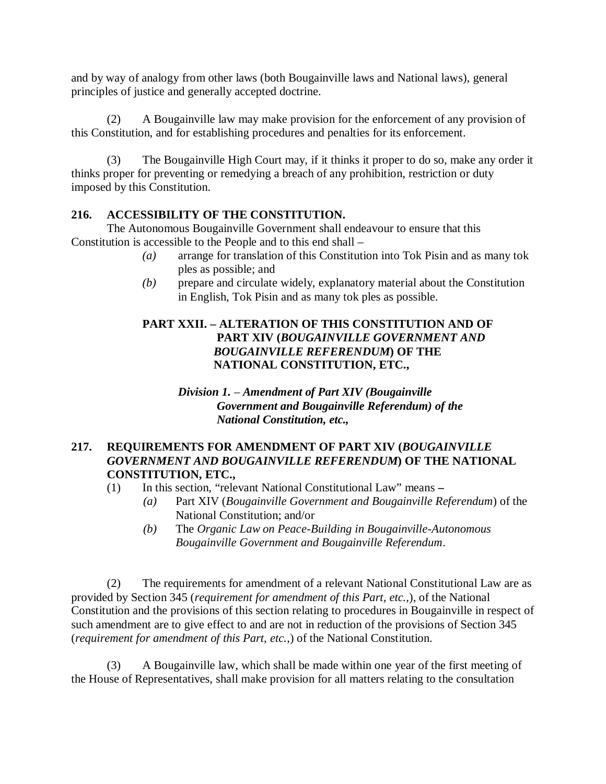and by way of analogy from other laws (both Bougainville laws and National laws), general principles of justice and generally accepted doctrine.

(2) A Bougainville law may make provision for the enforcement of any provision of this Constitution, and for establishing procedures and penalties for its enforcement.

(3) The Bougainville High Court may, if it thinks it proper to do so, make any order it thinks proper for preventing or remedying a breach of any prohibition, restriction or duty imposed by this Constitution.

# **216. ACCESSIBILITY OF THE CONSTITUTION.**

The Autonomous Bougainville Government shall endeavour to ensure that this Constitution is accessible to the People and to this end shall –

- *(a)* arrange for translation of this Constitution into Tok Pisin and as many tok ples as possible; and
- *(b)* prepare and circulate widely, explanatory material about the Constitution in English, Tok Pisin and as many tok ples as possible.

## **PART XXII. – ALTERATION OF THIS CONSTITUTION AND OF PART XIV (***BOUGAINVILLE GOVERNMENT AND BOUGAINVILLE REFERENDUM***) OF THE NATIONAL CONSTITUTION, ETC.,**

*Division 1. – Amendment of Part XIV (Bougainville Government and Bougainville Referendum) of the National Constitution, etc.,*

## **217. REQUIREMENTS FOR AMENDMENT OF PART XIV (***BOUGAINVILLE GOVERNMENT AND BOUGAINVILLE REFERENDUM***) OF THE NATIONAL CONSTITUTION, ETC.,**

(1) In this section, "relevant National Constitutional Law" means **–**

- *(a)* Part XIV (*Bougainville Government and Bougainville Referendum*) of the National Constitution; and/or
- *(b)* The *Organic Law on Peace-Building in Bougainville-Autonomous Bougainville Government and Bougainville Referendum*.

(2) The requirements for amendment of a relevant National Constitutional Law are as provided by Section 345 (*requirement for amendment of this Part, etc.,*), of the National Constitution and the provisions of this section relating to procedures in Bougainville in respect of such amendment are to give effect to and are not in reduction of the provisions of Section 345 (*requirement for amendment of this Part, etc.,*) of the National Constitution.

(3) A Bougainville law, which shall be made within one year of the first meeting of the House of Representatives, shall make provision for all matters relating to the consultation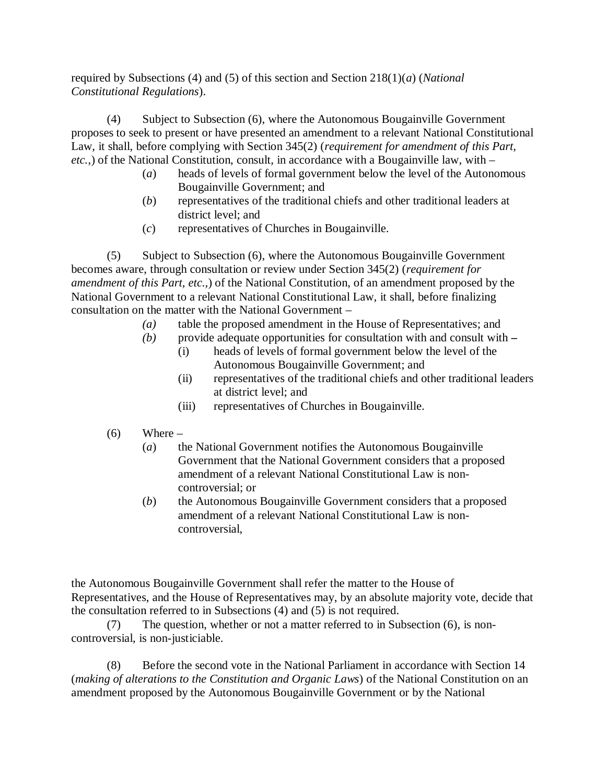required by Subsections (4) and (5) of this section and Section 218(1)(*a*) (*National Constitutional Regulations*).

(4) Subject to Subsection (6), where the Autonomous Bougainville Government proposes to seek to present or have presented an amendment to a relevant National Constitutional Law, it shall, before complying with Section 345(2) (*requirement for amendment of this Part, etc.,*) of the National Constitution, consult, in accordance with a Bougainville law, with –

- (*a*) heads of levels of formal government below the level of the Autonomous Bougainville Government; and
- (*b*) representatives of the traditional chiefs and other traditional leaders at district level; and
- (*c*) representatives of Churches in Bougainville.

(5) Subject to Subsection (6), where the Autonomous Bougainville Government becomes aware, through consultation or review under Section 345(2) (*requirement for amendment of this Part, etc.,*) of the National Constitution, of an amendment proposed by the National Government to a relevant National Constitutional Law, it shall, before finalizing consultation on the matter with the National Government –

- *(a)* table the proposed amendment in the House of Representatives; and
- *(b)* provide adequate opportunities for consultation with and consult with **–**
	- (i) heads of levels of formal government below the level of the Autonomous Bougainville Government; and
	- (ii) representatives of the traditional chiefs and other traditional leaders at district level; and
	- (iii) representatives of Churches in Bougainville.
- $(6)$  Where
	- (*a*) the National Government notifies the Autonomous Bougainville Government that the National Government considers that a proposed amendment of a relevant National Constitutional Law is noncontroversial; or
	- (*b*) the Autonomous Bougainville Government considers that a proposed amendment of a relevant National Constitutional Law is noncontroversial,

the Autonomous Bougainville Government shall refer the matter to the House of Representatives, and the House of Representatives may, by an absolute majority vote, decide that the consultation referred to in Subsections (4) and (5) is not required.

(7) The question, whether or not a matter referred to in Subsection (6), is noncontroversial, is non-justiciable.

(8) Before the second vote in the National Parliament in accordance with Section 14 (*making of alterations to the Constitution and Organic Laws*) of the National Constitution on an amendment proposed by the Autonomous Bougainville Government or by the National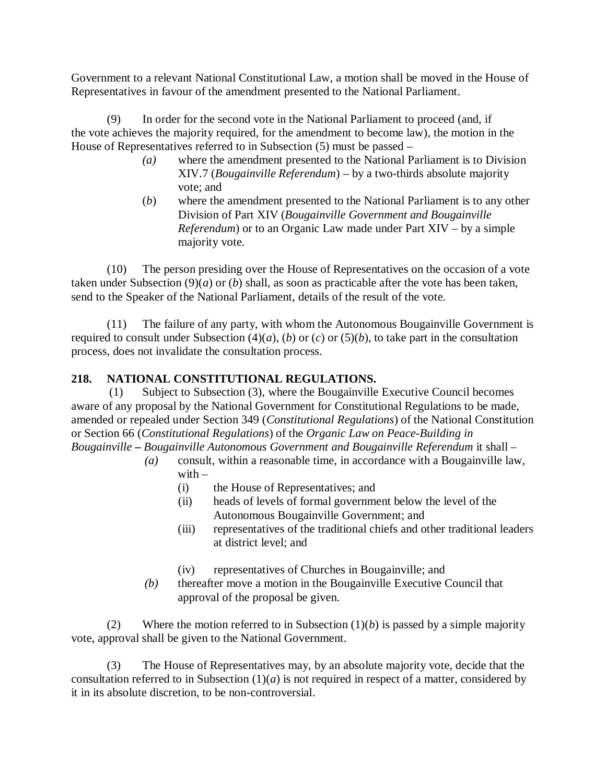Government to a relevant National Constitutional Law, a motion shall be moved in the House of Representatives in favour of the amendment presented to the National Parliament.

(9) In order for the second vote in the National Parliament to proceed (and, if the vote achieves the majority required, for the amendment to become law), the motion in the House of Representatives referred to in Subsection (5) must be passed –

- *(a)* where the amendment presented to the National Parliament is to Division XIV.7 (*Bougainville Referendum*) – by a two-thirds absolute majority vote; and
- (*b*) where the amendment presented to the National Parliament is to any other Division of Part XIV (*Bougainville Government and Bougainville Referendum*) or to an Organic Law made under Part XIV – by a simple majority vote.

(10) The person presiding over the House of Representatives on the occasion of a vote taken under Subsection (9)(*a*) or (*b*) shall, as soon as practicable after the vote has been taken, send to the Speaker of the National Parliament, details of the result of the vote.

(11) The failure of any party, with whom the Autonomous Bougainville Government is required to consult under Subsection  $(4)(a)$ ,  $(b)$  or  $(c)$  or  $(5)(b)$ , to take part in the consultation process, does not invalidate the consultation process.

## **218. NATIONAL CONSTITUTIONAL REGULATIONS.**

(1) Subject to Subsection (3), where the Bougainville Executive Council becomes aware of any proposal by the National Government for Constitutional Regulations to be made, amended or repealed under Section 349 (*Constitutional Regulations*) of the National Constitution or Section 66 (*Constitutional Regulations*) of the *Organic Law on Peace-Building in Bougainville* **–** *Bougainville Autonomous Government and Bougainville Referendum* it shall –

- *(a)* consult, within a reasonable time, in accordance with a Bougainville law, with  $-$ 
	- (i) the House of Representatives; and
	- (ii) heads of levels of formal government below the level of the Autonomous Bougainville Government; and
	- (iii) representatives of the traditional chiefs and other traditional leaders at district level; and
	- (iv) representatives of Churches in Bougainville; and
- *(b)* thereafter move a motion in the Bougainville Executive Council that approval of the proposal be given.

(2) Where the motion referred to in Subsection  $(1)(b)$  is passed by a simple majority vote, approval shall be given to the National Government.

(3) The House of Representatives may, by an absolute majority vote, decide that the consultation referred to in Subsection  $(1)(a)$  is not required in respect of a matter, considered by it in its absolute discretion, to be non-controversial.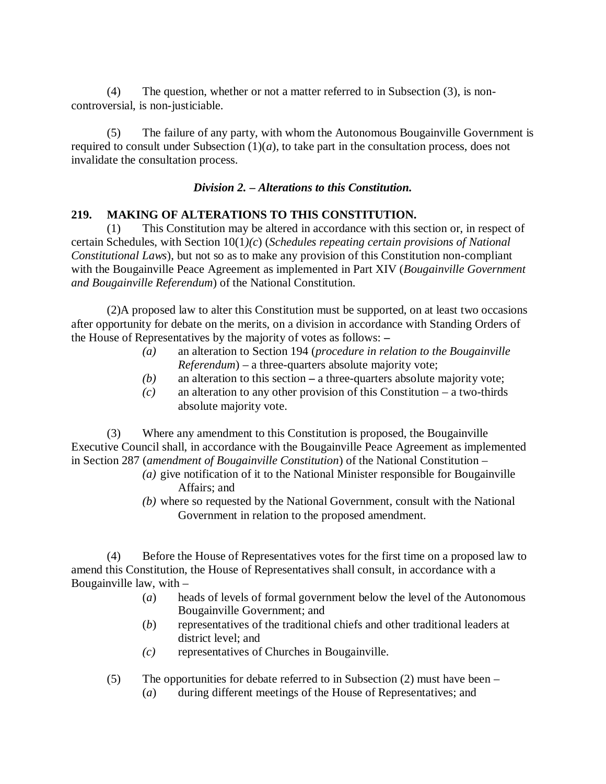(4) The question, whether or not a matter referred to in Subsection (3), is noncontroversial, is non-justiciable.

(5) The failure of any party, with whom the Autonomous Bougainville Government is required to consult under Subsection  $(1)(a)$ , to take part in the consultation process, does not invalidate the consultation process.

#### *Division 2.* **–** *Alterations to this Constitution.*

#### **219. MAKING OF ALTERATIONS TO THIS CONSTITUTION.**

(1) This Constitution may be altered in accordance with this section or, in respect of certain Schedules, with Section 10(1*)(c*) (*Schedules repeating certain provisions of National Constitutional Laws*), but not so as to make any provision of this Constitution non-compliant with the Bougainville Peace Agreement as implemented in Part XIV (*Bougainville Government and Bougainville Referendum*) of the National Constitution.

(2)A proposed law to alter this Constitution must be supported, on at least two occasions after opportunity for debate on the merits, on a division in accordance with Standing Orders of the House of Representatives by the majority of votes as follows: **–**

- *(a)* an alteration to Section 194 (*procedure in relation to the Bougainville Referendum*) – a three-quarters absolute majority vote;
- *(b)* an alteration to this section **–** a three-quarters absolute majority vote;
- *(c)* an alteration to any other provision of this Constitution a two-thirds absolute majority vote.

(3) Where any amendment to this Constitution is proposed, the Bougainville Executive Council shall, in accordance with the Bougainville Peace Agreement as implemented in Section 287 (*amendment of Bougainville Constitution*) of the National Constitution –

- *(a)* give notification of it to the National Minister responsible for Bougainville Affairs; and
- *(b)* where so requested by the National Government, consult with the National Government in relation to the proposed amendment.

(4) Before the House of Representatives votes for the first time on a proposed law to amend this Constitution, the House of Representatives shall consult, in accordance with a Bougainville law, with –

- (*a*) heads of levels of formal government below the level of the Autonomous Bougainville Government; and
- (*b*) representatives of the traditional chiefs and other traditional leaders at district level; and
- *(c)* representatives of Churches in Bougainville.

(5) The opportunities for debate referred to in Subsection (2) must have been –

(*a*) during different meetings of the House of Representatives; and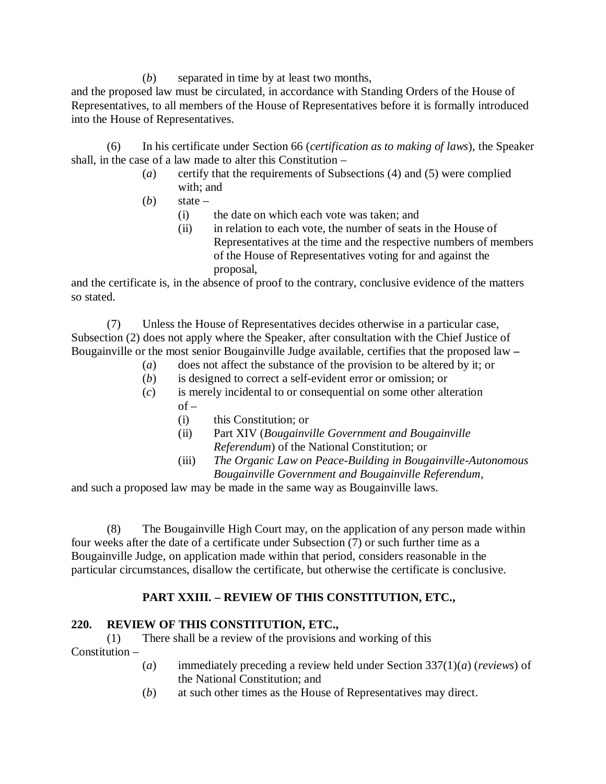(*b*) separated in time by at least two months,

and the proposed law must be circulated, in accordance with Standing Orders of the House of Representatives, to all members of the House of Representatives before it is formally introduced into the House of Representatives.

(6) In his certificate under Section 66 (*certification as to making of laws*), the Speaker shall, in the case of a law made to alter this Constitution –

- (*a*) certify that the requirements of Subsections (4) and (5) were complied with; and
- $(b)$  state
	- (i) the date on which each vote was taken; and
	- (ii) in relation to each vote, the number of seats in the House of Representatives at the time and the respective numbers of members of the House of Representatives voting for and against the proposal,

and the certificate is, in the absence of proof to the contrary, conclusive evidence of the matters so stated.

(7) Unless the House of Representatives decides otherwise in a particular case, Subsection (2) does not apply where the Speaker, after consultation with the Chief Justice of Bougainville or the most senior Bougainville Judge available, certifies that the proposed law **–**

- (*a*) does not affect the substance of the provision to be altered by it; or
- (*b*) is designed to correct a self-evident error or omission; or
- (*c*) is merely incidental to or consequential on some other alteration  $of -$ 
	- (i) this Constitution; or
	- (ii) Part XIV (*Bougainville Government and Bougainville Referendum*) of the National Constitution; or
	- (iii) *The Organic Law on Peace-Building in Bougainville-Autonomous Bougainville Government and Bougainville Referendum*,

and such a proposed law may be made in the same way as Bougainville laws.

(8) The Bougainville High Court may, on the application of any person made within four weeks after the date of a certificate under Subsection (7) or such further time as a Bougainville Judge, on application made within that period, considers reasonable in the particular circumstances, disallow the certificate, but otherwise the certificate is conclusive.

# **PART XXIII. – REVIEW OF THIS CONSTITUTION, ETC.,**

# **220. REVIEW OF THIS CONSTITUTION, ETC.,**

(1) There shall be a review of the provisions and working of this Constitution –

- (*a*) immediately preceding a review held under Section 337(1)(*a*) (*reviews*) of the National Constitution; and
- (*b*) at such other times as the House of Representatives may direct.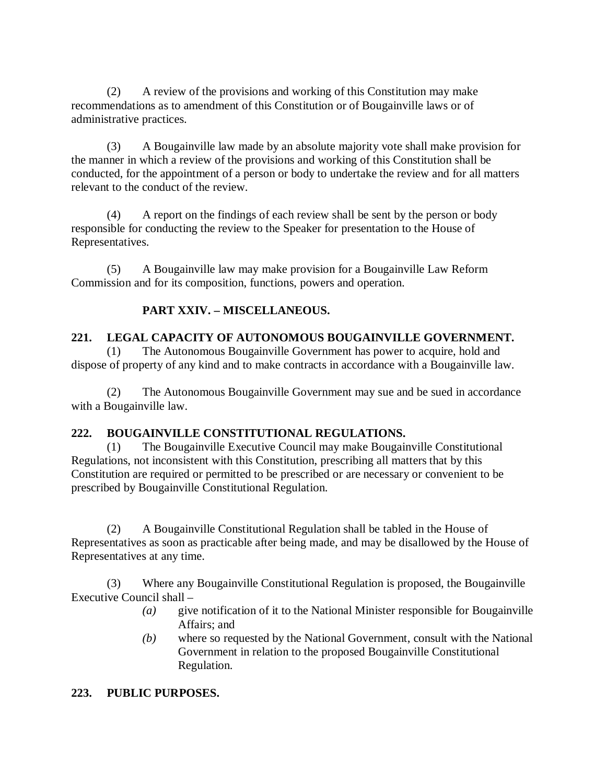(2) A review of the provisions and working of this Constitution may make recommendations as to amendment of this Constitution or of Bougainville laws or of administrative practices.

(3) A Bougainville law made by an absolute majority vote shall make provision for the manner in which a review of the provisions and working of this Constitution shall be conducted, for the appointment of a person or body to undertake the review and for all matters relevant to the conduct of the review.

(4) A report on the findings of each review shall be sent by the person or body responsible for conducting the review to the Speaker for presentation to the House of Representatives.

(5) A Bougainville law may make provision for a Bougainville Law Reform Commission and for its composition, functions, powers and operation.

# **PART XXIV. – MISCELLANEOUS.**

# **221. LEGAL CAPACITY OF AUTONOMOUS BOUGAINVILLE GOVERNMENT.**

(1) The Autonomous Bougainville Government has power to acquire, hold and dispose of property of any kind and to make contracts in accordance with a Bougainville law.

(2) The Autonomous Bougainville Government may sue and be sued in accordance with a Bougainville law.

# **222. BOUGAINVILLE CONSTITUTIONAL REGULATIONS.**

(1) The Bougainville Executive Council may make Bougainville Constitutional Regulations, not inconsistent with this Constitution, prescribing all matters that by this Constitution are required or permitted to be prescribed or are necessary or convenient to be prescribed by Bougainville Constitutional Regulation.

(2) A Bougainville Constitutional Regulation shall be tabled in the House of Representatives as soon as practicable after being made, and may be disallowed by the House of Representatives at any time.

(3) Where any Bougainville Constitutional Regulation is proposed, the Bougainville Executive Council shall –

- *(a)* give notification of it to the National Minister responsible for Bougainville Affairs; and
- *(b)* where so requested by the National Government, consult with the National Government in relation to the proposed Bougainville Constitutional Regulation.

# **223. PUBLIC PURPOSES.**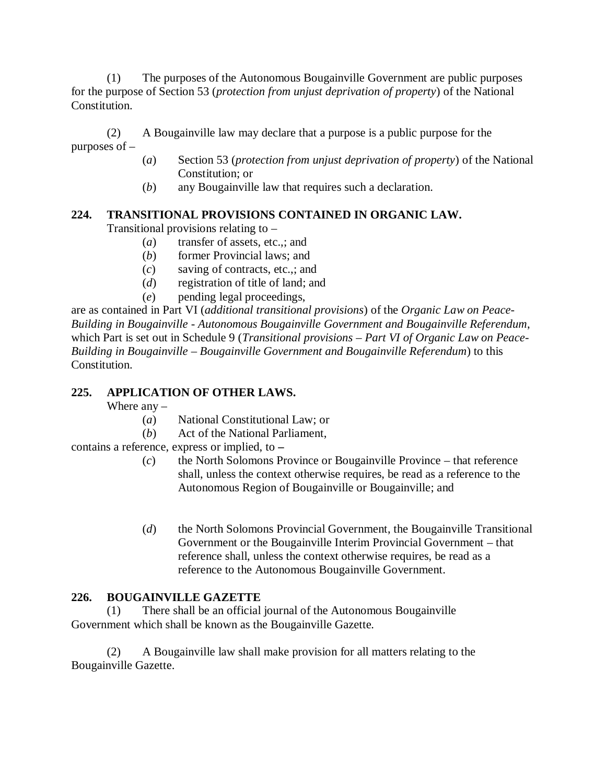(1) The purposes of the Autonomous Bougainville Government are public purposes for the purpose of Section 53 (*protection from unjust deprivation of property*) of the National Constitution.

(2) A Bougainville law may declare that a purpose is a public purpose for the purposes of –

- (*a*) Section 53 (*protection from unjust deprivation of property*) of the National Constitution; or
- (*b*) any Bougainville law that requires such a declaration.

## **224. TRANSITIONAL PROVISIONS CONTAINED IN ORGANIC LAW.**

Transitional provisions relating to –

- (*a*) transfer of assets, etc.,; and
- (*b*) former Provincial laws; and
- (*c*) saving of contracts, etc.,; and
- (*d*) registration of title of land; and
- (*e*) pending legal proceedings,

are as contained in Part VI (*additional transitional provisions*) of the *Organic Law on Peace-Building in Bougainville - Autonomous Bougainville Government and Bougainville Referendum*, which Part is set out in Schedule 9 (*Transitional provisions – Part VI of Organic Law on Peace-Building in Bougainville – Bougainville Government and Bougainville Referendum*) to this Constitution.

## **225. APPLICATION OF OTHER LAWS.**

Where any  $-$ 

(*a*) National Constitutional Law; or

(*b*) Act of the National Parliament,

contains a reference, express or implied, to **–**

- (*c*) the North Solomons Province or Bougainville Province that reference shall, unless the context otherwise requires, be read as a reference to the Autonomous Region of Bougainville or Bougainville; and
- (*d*) the North Solomons Provincial Government, the Bougainville Transitional Government or the Bougainville Interim Provincial Government – that reference shall, unless the context otherwise requires, be read as a reference to the Autonomous Bougainville Government.

### **226. BOUGAINVILLE GAZETTE**

(1) There shall be an official journal of the Autonomous Bougainville Government which shall be known as the Bougainville Gazette.

(2) A Bougainville law shall make provision for all matters relating to the Bougainville Gazette.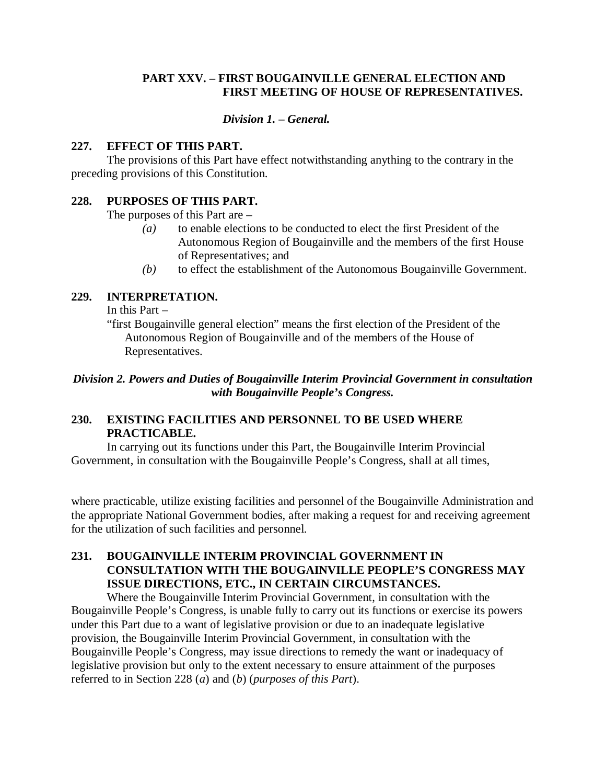### **PART XXV. – FIRST BOUGAINVILLE GENERAL ELECTION AND FIRST MEETING OF HOUSE OF REPRESENTATIVES.**

#### *Division 1. – General.*

#### **227. EFFECT OF THIS PART.**

The provisions of this Part have effect notwithstanding anything to the contrary in the preceding provisions of this Constitution.

#### **228. PURPOSES OF THIS PART.**

The purposes of this Part are –

- *(a)* to enable elections to be conducted to elect the first President of the Autonomous Region of Bougainville and the members of the first House of Representatives; and
- *(b)* to effect the establishment of the Autonomous Bougainville Government.

#### **229. INTERPRETATION.**

In this Part –

"first Bougainville general election" means the first election of the President of the Autonomous Region of Bougainville and of the members of the House of Representatives.

*Division 2. Powers and Duties of Bougainville Interim Provincial Government in consultation with Bougainville People's Congress.*

### **230. EXISTING FACILITIES AND PERSONNEL TO BE USED WHERE PRACTICABLE.**

In carrying out its functions under this Part, the Bougainville Interim Provincial Government, in consultation with the Bougainville People's Congress, shall at all times,

where practicable, utilize existing facilities and personnel of the Bougainville Administration and the appropriate National Government bodies, after making a request for and receiving agreement for the utilization of such facilities and personnel.

## **231. BOUGAINVILLE INTERIM PROVINCIAL GOVERNMENT IN CONSULTATION WITH THE BOUGAINVILLE PEOPLE'S CONGRESS MAY ISSUE DIRECTIONS, ETC., IN CERTAIN CIRCUMSTANCES.**

Where the Bougainville Interim Provincial Government, in consultation with the Bougainville People's Congress, is unable fully to carry out its functions or exercise its powers under this Part due to a want of legislative provision or due to an inadequate legislative provision, the Bougainville Interim Provincial Government, in consultation with the Bougainville People's Congress, may issue directions to remedy the want or inadequacy of legislative provision but only to the extent necessary to ensure attainment of the purposes referred to in Section 228 (*a*) and (*b*) (*purposes of this Part*).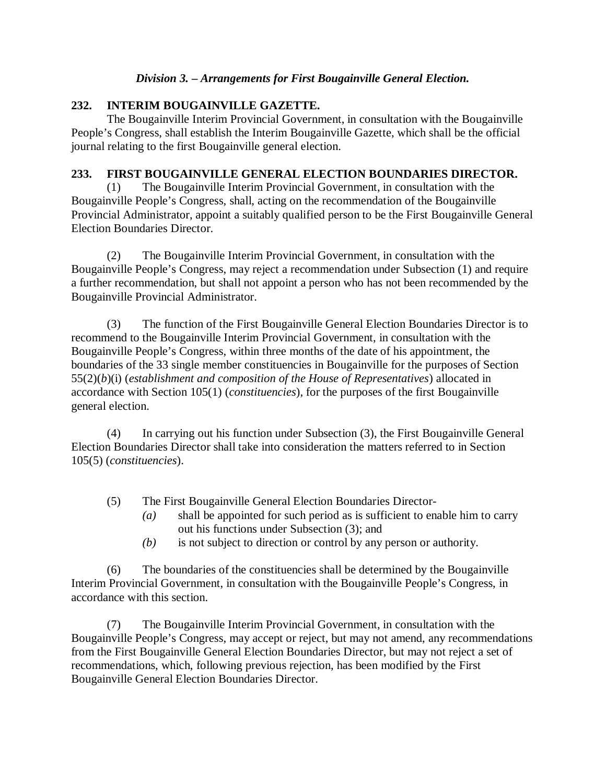## *Division 3. – Arrangements for First Bougainville General Election.*

## **232. INTERIM BOUGAINVILLE GAZETTE.**

The Bougainville Interim Provincial Government, in consultation with the Bougainville People's Congress, shall establish the Interim Bougainville Gazette, which shall be the official journal relating to the first Bougainville general election.

## **233. FIRST BOUGAINVILLE GENERAL ELECTION BOUNDARIES DIRECTOR.**

(1) The Bougainville Interim Provincial Government, in consultation with the Bougainville People's Congress, shall, acting on the recommendation of the Bougainville Provincial Administrator, appoint a suitably qualified person to be the First Bougainville General Election Boundaries Director.

(2) The Bougainville Interim Provincial Government, in consultation with the Bougainville People's Congress, may reject a recommendation under Subsection (1) and require a further recommendation, but shall not appoint a person who has not been recommended by the Bougainville Provincial Administrator.

(3) The function of the First Bougainville General Election Boundaries Director is to recommend to the Bougainville Interim Provincial Government, in consultation with the Bougainville People's Congress, within three months of the date of his appointment, the boundaries of the 33 single member constituencies in Bougainville for the purposes of Section 55(2)(*b*)(i) (*establishment and composition of the House of Representatives*) allocated in accordance with Section 105(1) (*constituencies*), for the purposes of the first Bougainville general election.

(4) In carrying out his function under Subsection (3), the First Bougainville General Election Boundaries Director shall take into consideration the matters referred to in Section 105(5) (*constituencies*).

(5) The First Bougainville General Election Boundaries Director-

- *(a)* shall be appointed for such period as is sufficient to enable him to carry out his functions under Subsection (3); and
- *(b)* is not subject to direction or control by any person or authority.

(6) The boundaries of the constituencies shall be determined by the Bougainville Interim Provincial Government, in consultation with the Bougainville People's Congress, in accordance with this section.

(7) The Bougainville Interim Provincial Government, in consultation with the Bougainville People's Congress, may accept or reject, but may not amend, any recommendations from the First Bougainville General Election Boundaries Director, but may not reject a set of recommendations, which, following previous rejection, has been modified by the First Bougainville General Election Boundaries Director.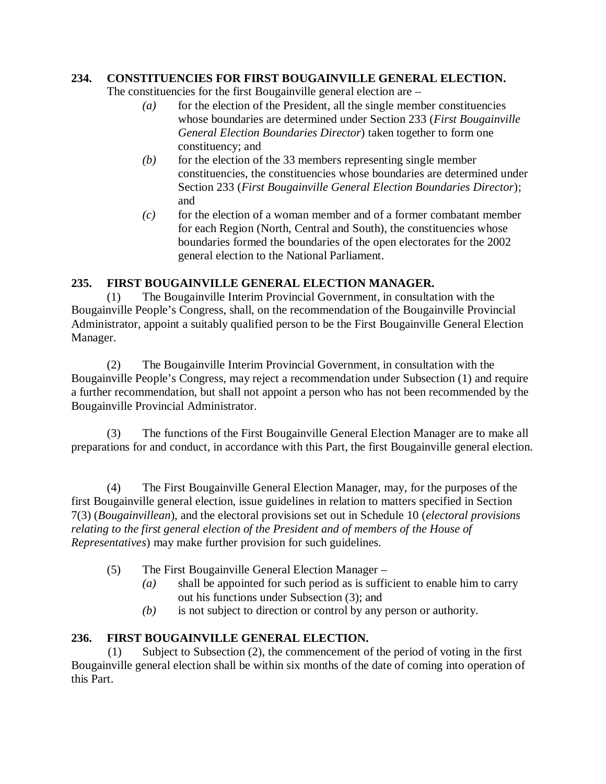### **234. CONSTITUENCIES FOR FIRST BOUGAINVILLE GENERAL ELECTION.**

The constituencies for the first Bougainville general election are –

- *(a)* for the election of the President, all the single member constituencies whose boundaries are determined under Section 233 (*First Bougainville General Election Boundaries Director*) taken together to form one constituency; and
- *(b)* for the election of the 33 members representing single member constituencies, the constituencies whose boundaries are determined under Section 233 (*First Bougainville General Election Boundaries Director*); and
- *(c)* for the election of a woman member and of a former combatant member for each Region (North, Central and South), the constituencies whose boundaries formed the boundaries of the open electorates for the 2002 general election to the National Parliament.

## **235. FIRST BOUGAINVILLE GENERAL ELECTION MANAGER.**

(1) The Bougainville Interim Provincial Government, in consultation with the Bougainville People's Congress, shall, on the recommendation of the Bougainville Provincial Administrator, appoint a suitably qualified person to be the First Bougainville General Election Manager.

(2) The Bougainville Interim Provincial Government, in consultation with the Bougainville People's Congress, may reject a recommendation under Subsection (1) and require a further recommendation, but shall not appoint a person who has not been recommended by the Bougainville Provincial Administrator.

(3) The functions of the First Bougainville General Election Manager are to make all preparations for and conduct, in accordance with this Part, the first Bougainville general election.

(4) The First Bougainville General Election Manager, may, for the purposes of the first Bougainville general election, issue guidelines in relation to matters specified in Section 7(3) (*Bougainvillean*), and the electoral provisions set out in Schedule 10 (*electoral provisions relating to the first general election of the President and of members of the House of Representatives*) may make further provision for such guidelines.

- (5) The First Bougainville General Election Manager
	- *(a)* shall be appointed for such period as is sufficient to enable him to carry out his functions under Subsection (3); and
	- *(b)* is not subject to direction or control by any person or authority.

# **236. FIRST BOUGAINVILLE GENERAL ELECTION.**

(1) Subject to Subsection (2), the commencement of the period of voting in the first Bougainville general election shall be within six months of the date of coming into operation of this Part.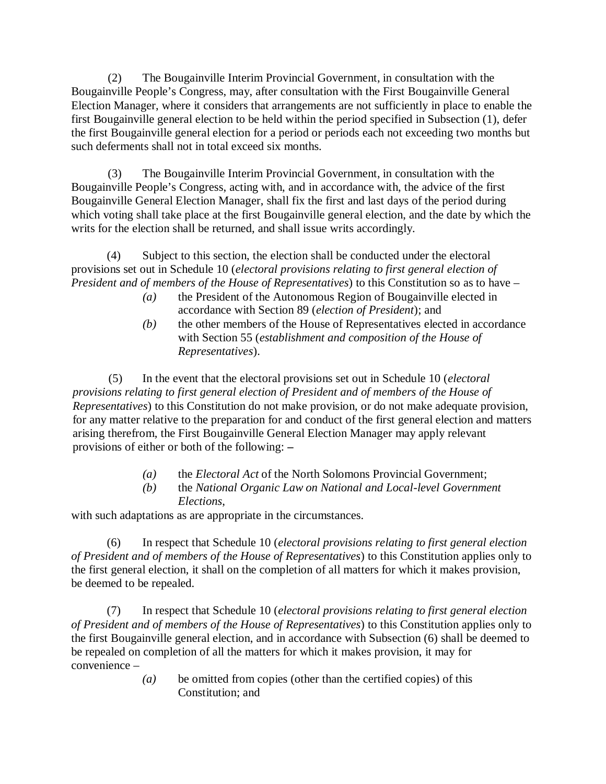(2) The Bougainville Interim Provincial Government, in consultation with the Bougainville People's Congress, may, after consultation with the First Bougainville General Election Manager, where it considers that arrangements are not sufficiently in place to enable the first Bougainville general election to be held within the period specified in Subsection (1), defer the first Bougainville general election for a period or periods each not exceeding two months but such deferments shall not in total exceed six months.

(3) The Bougainville Interim Provincial Government, in consultation with the Bougainville People's Congress, acting with, and in accordance with, the advice of the first Bougainville General Election Manager, shall fix the first and last days of the period during which voting shall take place at the first Bougainville general election, and the date by which the writs for the election shall be returned, and shall issue writs accordingly.

(4) Subject to this section, the election shall be conducted under the electoral provisions set out in Schedule 10 (*electoral provisions relating to first general election of President and of members of the House of Representatives*) to this Constitution so as to have –

- *(a)* the President of the Autonomous Region of Bougainville elected in accordance with Section 89 (*election of President*); and
- *(b)* the other members of the House of Representatives elected in accordance with Section 55 (*establishment and composition of the House of Representatives*).

(5) In the event that the electoral provisions set out in Schedule 10 (*electoral provisions relating to first general election of President and of members of the House of Representatives*) to this Constitution do not make provision, or do not make adequate provision, for any matter relative to the preparation for and conduct of the first general election and matters arising therefrom, the First Bougainville General Election Manager may apply relevant provisions of either or both of the following: **–**

- *(a)* the *Electoral Act* of the North Solomons Provincial Government;
- *(b)* the *National Organic Law on National and Local-level Government Elections*,

with such adaptations as are appropriate in the circumstances.

(6) In respect that Schedule 10 (*electoral provisions relating to first general election of President and of members of the House of Representatives*) to this Constitution applies only to the first general election, it shall on the completion of all matters for which it makes provision, be deemed to be repealed.

(7) In respect that Schedule 10 (*electoral provisions relating to first general election of President and of members of the House of Representatives*) to this Constitution applies only to the first Bougainville general election, and in accordance with Subsection (6) shall be deemed to be repealed on completion of all the matters for which it makes provision, it may for convenience –

> *(a)* be omitted from copies (other than the certified copies) of this Constitution; and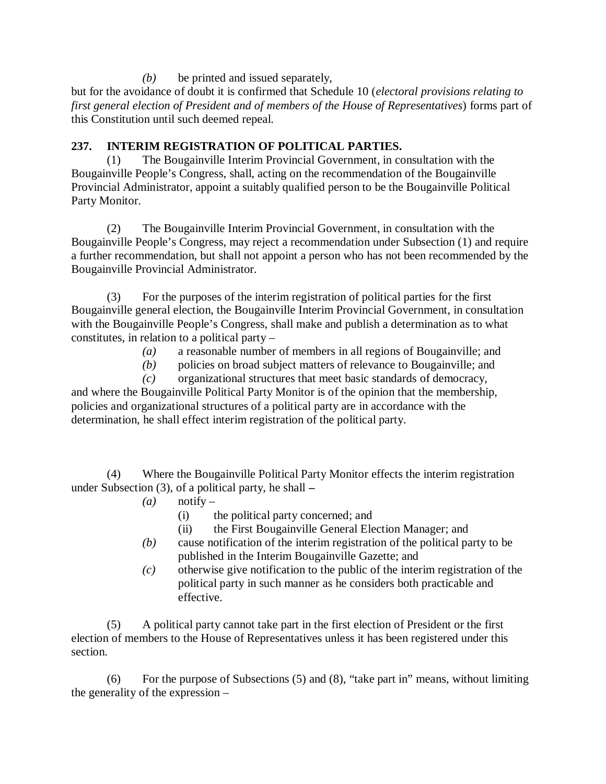*(b)* be printed and issued separately,

but for the avoidance of doubt it is confirmed that Schedule 10 (*electoral provisions relating to first general election of President and of members of the House of Representatives*) forms part of this Constitution until such deemed repeal.

## **237. INTERIM REGISTRATION OF POLITICAL PARTIES.**

(1) The Bougainville Interim Provincial Government, in consultation with the Bougainville People's Congress, shall, acting on the recommendation of the Bougainville Provincial Administrator, appoint a suitably qualified person to be the Bougainville Political Party Monitor.

(2) The Bougainville Interim Provincial Government, in consultation with the Bougainville People's Congress, may reject a recommendation under Subsection (1) and require a further recommendation, but shall not appoint a person who has not been recommended by the Bougainville Provincial Administrator.

(3) For the purposes of the interim registration of political parties for the first Bougainville general election, the Bougainville Interim Provincial Government, in consultation with the Bougainville People's Congress, shall make and publish a determination as to what constitutes, in relation to a political party –

- *(a)* a reasonable number of members in all regions of Bougainville; and
- *(b)* policies on broad subject matters of relevance to Bougainville; and

*(c)* organizational structures that meet basic standards of democracy, and where the Bougainville Political Party Monitor is of the opinion that the membership, policies and organizational structures of a political party are in accordance with the determination, he shall effect interim registration of the political party.

(4) Where the Bougainville Political Party Monitor effects the interim registration under Subsection (3), of a political party, he shall **–**

- *(a)* notify
	- (i) the political party concerned; and
	- (ii) the First Bougainville General Election Manager; and
- *(b)* cause notification of the interim registration of the political party to be published in the Interim Bougainville Gazette; and
- *(c)* otherwise give notification to the public of the interim registration of the political party in such manner as he considers both practicable and effective.

(5) A political party cannot take part in the first election of President or the first election of members to the House of Representatives unless it has been registered under this section.

(6) For the purpose of Subsections (5) and (8), "take part in" means, without limiting the generality of the expression –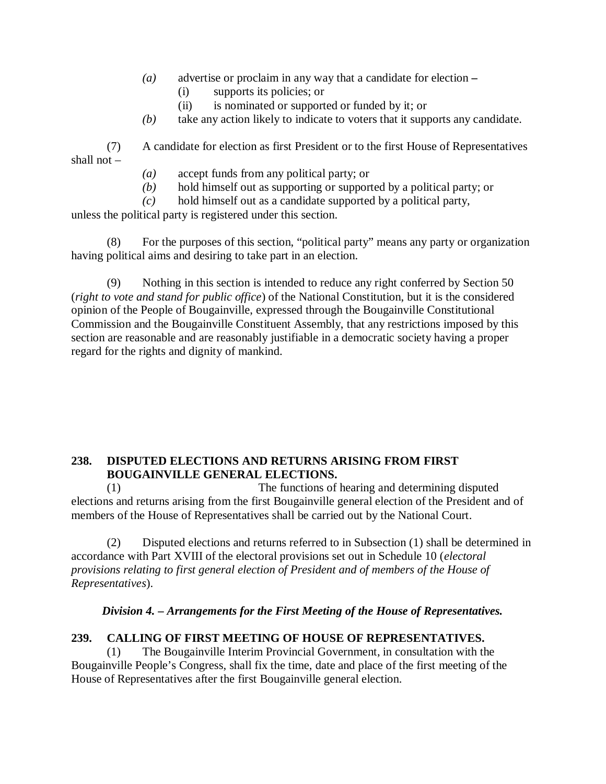- *(a)* advertise or proclaim in any way that a candidate for election **–**
	- (i) supports its policies; or
	- (ii) is nominated or supported or funded by it; or
- *(b)* take any action likely to indicate to voters that it supports any candidate.

(7) A candidate for election as first President or to the first House of Representatives shall not –

- *(a)* accept funds from any political party; or
- *(b)* hold himself out as supporting or supported by a political party; or
- *(c)* hold himself out as a candidate supported by a political party,

unless the political party is registered under this section.

(8) For the purposes of this section, "political party" means any party or organization having political aims and desiring to take part in an election.

(9) Nothing in this section is intended to reduce any right conferred by Section 50 (*right to vote and stand for public office*) of the National Constitution, but it is the considered opinion of the People of Bougainville, expressed through the Bougainville Constitutional Commission and the Bougainville Constituent Assembly, that any restrictions imposed by this section are reasonable and are reasonably justifiable in a democratic society having a proper regard for the rights and dignity of mankind.

## **238. DISPUTED ELECTIONS AND RETURNS ARISING FROM FIRST BOUGAINVILLE GENERAL ELECTIONS.**

(1) The functions of hearing and determining disputed elections and returns arising from the first Bougainville general election of the President and of members of the House of Representatives shall be carried out by the National Court.

(2) Disputed elections and returns referred to in Subsection (1) shall be determined in accordance with Part XVIII of the electoral provisions set out in Schedule 10 (*electoral provisions relating to first general election of President and of members of the House of Representatives*).

### *Division 4. – Arrangements for the First Meeting of the House of Representatives.*

# **239. CALLING OF FIRST MEETING OF HOUSE OF REPRESENTATIVES.**

(1) The Bougainville Interim Provincial Government, in consultation with the Bougainville People's Congress, shall fix the time, date and place of the first meeting of the House of Representatives after the first Bougainville general election.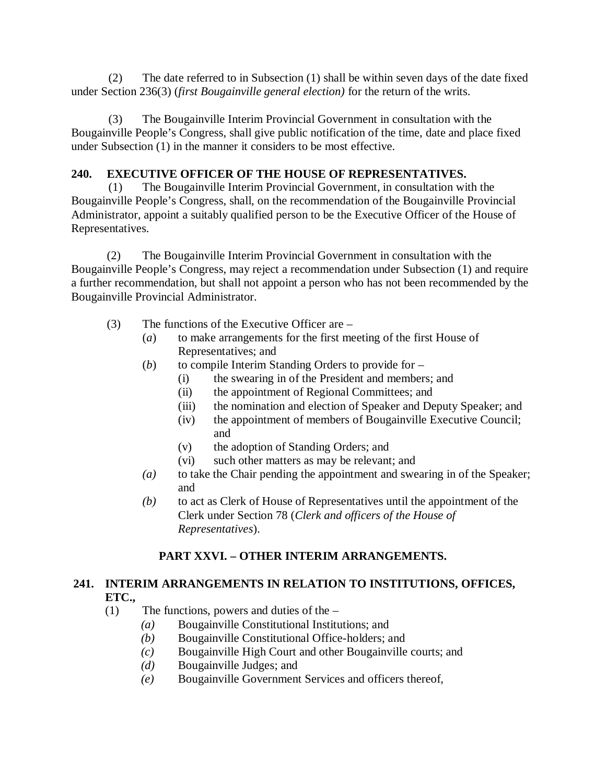(2) The date referred to in Subsection (1) shall be within seven days of the date fixed under Section 236(3) (*first Bougainville general election)* for the return of the writs.

(3) The Bougainville Interim Provincial Government in consultation with the Bougainville People's Congress, shall give public notification of the time, date and place fixed under Subsection (1) in the manner it considers to be most effective.

## **240. EXECUTIVE OFFICER OF THE HOUSE OF REPRESENTATIVES.**

(1) The Bougainville Interim Provincial Government, in consultation with the Bougainville People's Congress, shall, on the recommendation of the Bougainville Provincial Administrator, appoint a suitably qualified person to be the Executive Officer of the House of Representatives.

(2) The Bougainville Interim Provincial Government in consultation with the Bougainville People's Congress, may reject a recommendation under Subsection (1) and require a further recommendation, but shall not appoint a person who has not been recommended by the Bougainville Provincial Administrator.

- (3) The functions of the Executive Officer are
	- (*a*) to make arrangements for the first meeting of the first House of Representatives; and
	- (*b*) to compile Interim Standing Orders to provide for
		- (i) the swearing in of the President and members; and
		- (ii) the appointment of Regional Committees; and
		- (iii) the nomination and election of Speaker and Deputy Speaker; and
		- (iv) the appointment of members of Bougainville Executive Council; and
		- (v) the adoption of Standing Orders; and
		- (vi) such other matters as may be relevant; and
	- *(a)* to take the Chair pending the appointment and swearing in of the Speaker; and
	- *(b)* to act as Clerk of House of Representatives until the appointment of the Clerk under Section 78 (*Clerk and officers of the House of Representatives*).

# **PART XXVI. – OTHER INTERIM ARRANGEMENTS.**

# **241. INTERIM ARRANGEMENTS IN RELATION TO INSTITUTIONS, OFFICES, ETC.,**

- (1) The functions, powers and duties of the
	- *(a)* Bougainville Constitutional Institutions; and
	- *(b)* Bougainville Constitutional Office-holders; and
	- *(c)* Bougainville High Court and other Bougainville courts; and
	- *(d)* Bougainville Judges; and
	- *(e)* Bougainville Government Services and officers thereof,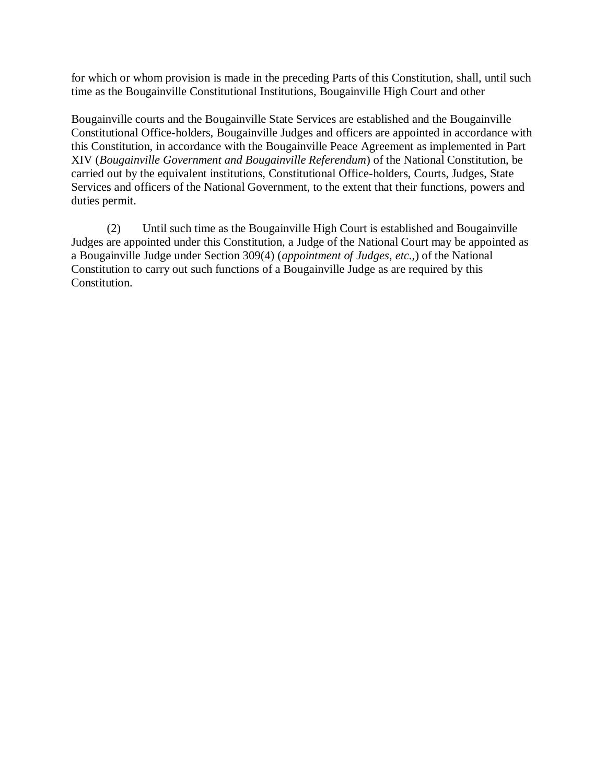for which or whom provision is made in the preceding Parts of this Constitution, shall, until such time as the Bougainville Constitutional Institutions, Bougainville High Court and other

Bougainville courts and the Bougainville State Services are established and the Bougainville Constitutional Office-holders, Bougainville Judges and officers are appointed in accordance with this Constitution, in accordance with the Bougainville Peace Agreement as implemented in Part XIV (*Bougainville Government and Bougainville Referendum*) of the National Constitution, be carried out by the equivalent institutions, Constitutional Office-holders, Courts, Judges, State Services and officers of the National Government, to the extent that their functions, powers and duties permit.

(2) Until such time as the Bougainville High Court is established and Bougainville Judges are appointed under this Constitution, a Judge of the National Court may be appointed as a Bougainville Judge under Section 309(4) (*appointment of Judges*, *etc.,*) of the National Constitution to carry out such functions of a Bougainville Judge as are required by this Constitution.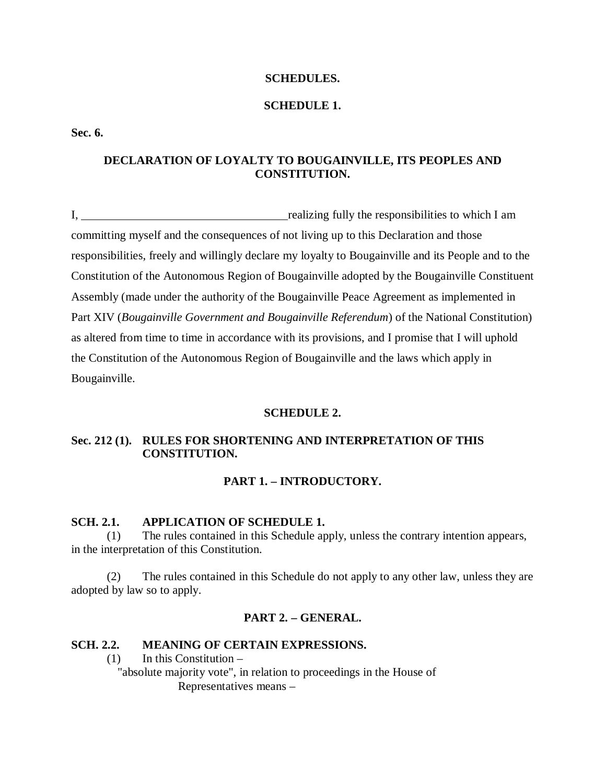#### **SCHEDULES.**

#### **SCHEDULE 1.**

**Sec. 6.**

#### **DECLARATION OF LOYALTY TO BOUGAINVILLE, ITS PEOPLES AND CONSTITUTION.**

I, <u>realizing fully the responsibilities to which I am</u> committing myself and the consequences of not living up to this Declaration and those responsibilities, freely and willingly declare my loyalty to Bougainville and its People and to the Constitution of the Autonomous Region of Bougainville adopted by the Bougainville Constituent Assembly (made under the authority of the Bougainville Peace Agreement as implemented in Part XIV (*Bougainville Government and Bougainville Referendum*) of the National Constitution) as altered from time to time in accordance with its provisions, and I promise that I will uphold the Constitution of the Autonomous Region of Bougainville and the laws which apply in Bougainville.

#### **SCHEDULE 2.**

#### **Sec. 212 (1). RULES FOR SHORTENING AND INTERPRETATION OF THIS CONSTITUTION.**

#### **PART 1. – INTRODUCTORY.**

#### **SCH. 2.1. APPLICATION OF SCHEDULE 1.**

(1) The rules contained in this Schedule apply, unless the contrary intention appears, in the interpretation of this Constitution.

(2) The rules contained in this Schedule do not apply to any other law, unless they are adopted by law so to apply.

#### **PART 2. – GENERAL.**

#### **SCH. 2.2. MEANING OF CERTAIN EXPRESSIONS.**

 $(1)$  In this Constitution –

"absolute majority vote", in relation to proceedings in the House of Representatives means –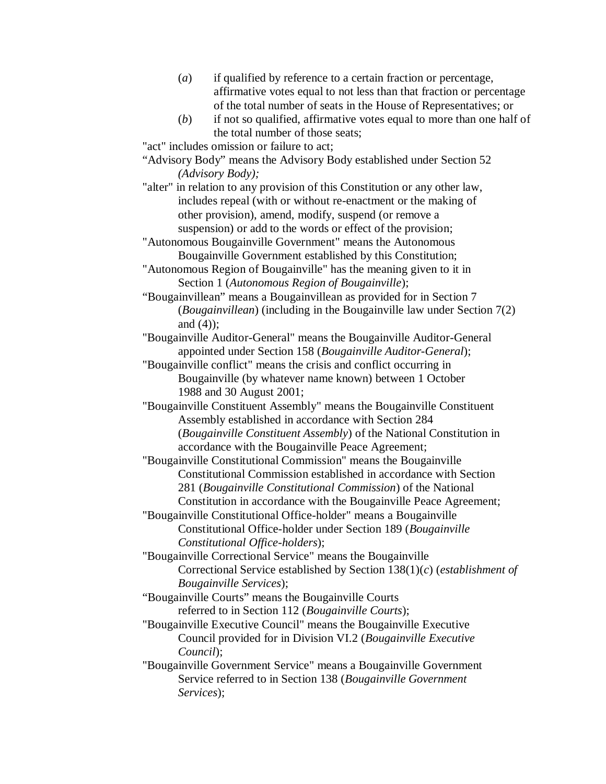- (*a*) if qualified by reference to a certain fraction or percentage, affirmative votes equal to not less than that fraction or percentage of the total number of seats in the House of Representatives; or
- (*b*) if not so qualified, affirmative votes equal to more than one half of the total number of those seats;

"act" includes omission or failure to act;

"Advisory Body" means the Advisory Body established under Section 52 *(Advisory Body);*

"alter" in relation to any provision of this Constitution or any other law, includes repeal (with or without re-enactment or the making of other provision), amend, modify, suspend (or remove a suspension) or add to the words or effect of the provision;

"Autonomous Bougainville Government" means the Autonomous Bougainville Government established by this Constitution;

"Autonomous Region of Bougainville" has the meaning given to it in Section 1 (*Autonomous Region of Bougainville*);

"Bougainvillean" means a Bougainvillean as provided for in Section 7 (*Bougainvillean*) (including in the Bougainville law under Section 7(2) and (4));

"Bougainville Auditor-General" means the Bougainville Auditor-General appointed under Section 158 (*Bougainville Auditor-General*);

"Bougainville conflict" means the crisis and conflict occurring in Bougainville (by whatever name known) between 1 October 1988 and 30 August 2001;

"Bougainville Constituent Assembly" means the Bougainville Constituent Assembly established in accordance with Section 284 (*Bougainville Constituent Assembly*) of the National Constitution in accordance with the Bougainville Peace Agreement;

"Bougainville Constitutional Commission" means the Bougainville Constitutional Commission established in accordance with Section 281 (*Bougainville Constitutional Commission*) of the National Constitution in accordance with the Bougainville Peace Agreement;

"Bougainville Constitutional Office-holder" means a Bougainville Constitutional Office-holder under Section 189 (*Bougainville Constitutional Office-holders*);

"Bougainville Correctional Service" means the Bougainville Correctional Service established by Section 138(1)(*c*) (*establishment of Bougainville Services*);

"Bougainville Courts" means the Bougainville Courts referred to in Section 112 (*Bougainville Courts*);

"Bougainville Executive Council" means the Bougainville Executive Council provided for in Division VI.2 (*Bougainville Executive Council*);

"Bougainville Government Service" means a Bougainville Government Service referred to in Section 138 (*Bougainville Government Services*);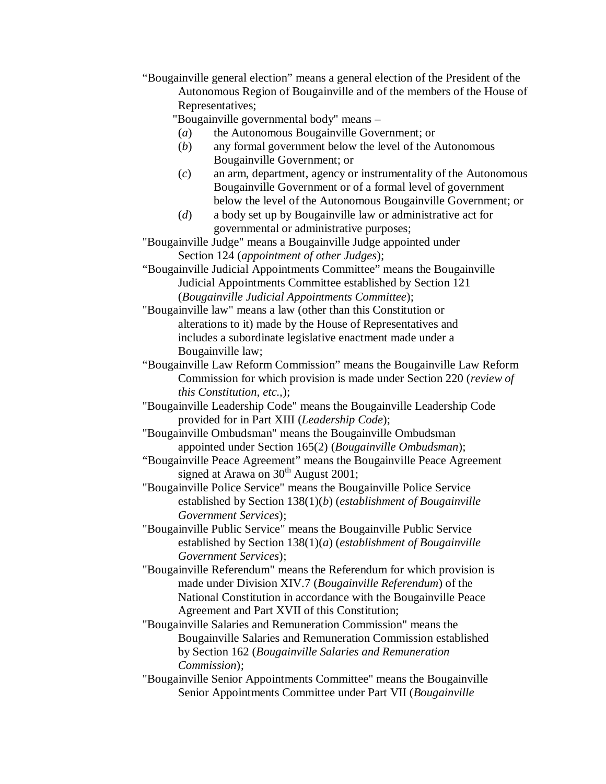"Bougainville general election" means a general election of the President of the Autonomous Region of Bougainville and of the members of the House of Representatives;

"Bougainville governmental body" means –

- (*a*) the Autonomous Bougainville Government; or
- (*b*) any formal government below the level of the Autonomous Bougainville Government; or
- (*c*) an arm, department, agency or instrumentality of the Autonomous Bougainville Government or of a formal level of government below the level of the Autonomous Bougainville Government; or
- (*d*) a body set up by Bougainville law or administrative act for governmental or administrative purposes;

"Bougainville Judge" means a Bougainville Judge appointed under Section 124 (*appointment of other Judges*);

"Bougainville Judicial Appointments Committee" means the Bougainville Judicial Appointments Committee established by Section 121 (*Bougainville Judicial Appointments Committee*);

"Bougainville law" means a law (other than this Constitution or alterations to it) made by the House of Representatives and includes a subordinate legislative enactment made under a Bougainville law;

- "Bougainville Law Reform Commission" means the Bougainville Law Reform Commission for which provision is made under Section 220 (*review of this Constitution, etc.,*);
- "Bougainville Leadership Code" means the Bougainville Leadership Code provided for in Part XIII (*Leadership Code*);
- "Bougainville Ombudsman" means the Bougainville Ombudsman appointed under Section 165(2) (*Bougainville Ombudsman*);
- "Bougainville Peace Agreement" means the Bougainville Peace Agreement signed at Arawa on  $30<sup>th</sup>$  August 2001;

"Bougainville Police Service" means the Bougainville Police Service established by Section 138(1)(*b*) (*establishment of Bougainville Government Services*);

- "Bougainville Public Service" means the Bougainville Public Service established by Section 138(1)(*a*) (*establishment of Bougainville Government Services*);
- "Bougainville Referendum" means the Referendum for which provision is made under Division XIV.7 (*Bougainville Referendum*) of the National Constitution in accordance with the Bougainville Peace Agreement and Part XVII of this Constitution;

"Bougainville Salaries and Remuneration Commission" means the Bougainville Salaries and Remuneration Commission established by Section 162 (*Bougainville Salaries and Remuneration Commission*);

"Bougainville Senior Appointments Committee" means the Bougainville Senior Appointments Committee under Part VII (*Bougainville*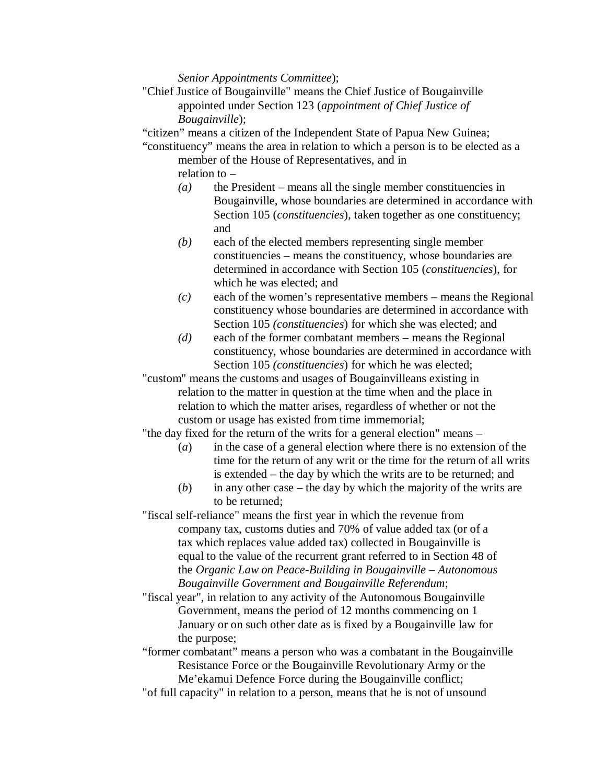*Senior Appointments Committee*);

"Chief Justice of Bougainville" means the Chief Justice of Bougainville appointed under Section 123 (*appointment of Chief Justice of Bougainville*);

"citizen" means a citizen of the Independent State of Papua New Guinea; "constituency" means the area in relation to which a person is to be elected as a

member of the House of Representatives, and in relation to –

- *(a)* the President means all the single member constituencies in Bougainville, whose boundaries are determined in accordance with Section 105 (*constituencies*), taken together as one constituency; and
- *(b)* each of the elected members representing single member constituencies – means the constituency, whose boundaries are determined in accordance with Section 105 (*constituencies*), for which he was elected; and
- *(c)* each of the women's representative members means the Regional constituency whose boundaries are determined in accordance with Section 105 *(constituencies*) for which she was elected; and
- *(d)* each of the former combatant members means the Regional constituency, whose boundaries are determined in accordance with Section 105 *(constituencies*) for which he was elected;

"custom" means the customs and usages of Bougainvilleans existing in relation to the matter in question at the time when and the place in relation to which the matter arises, regardless of whether or not the custom or usage has existed from time immemorial;

"the day fixed for the return of the writs for a general election" means –

- (*a*) in the case of a general election where there is no extension of the time for the return of any writ or the time for the return of all writs is extended – the day by which the writs are to be returned; and
- (*b*) in any other case the day by which the majority of the writs are to be returned;
- "fiscal self-reliance" means the first year in which the revenue from company tax, customs duties and 70% of value added tax (or of a tax which replaces value added tax) collected in Bougainville is equal to the value of the recurrent grant referred to in Section 48 of the *Organic Law on Peace-Building in Bougainville – Autonomous Bougainville Government and Bougainville Referendum*;
- "fiscal year", in relation to any activity of the Autonomous Bougainville Government, means the period of 12 months commencing on 1 January or on such other date as is fixed by a Bougainville law for the purpose;
- "former combatant" means a person who was a combatant in the Bougainville Resistance Force or the Bougainville Revolutionary Army or the Me'ekamui Defence Force during the Bougainville conflict;
- "of full capacity" in relation to a person, means that he is not of unsound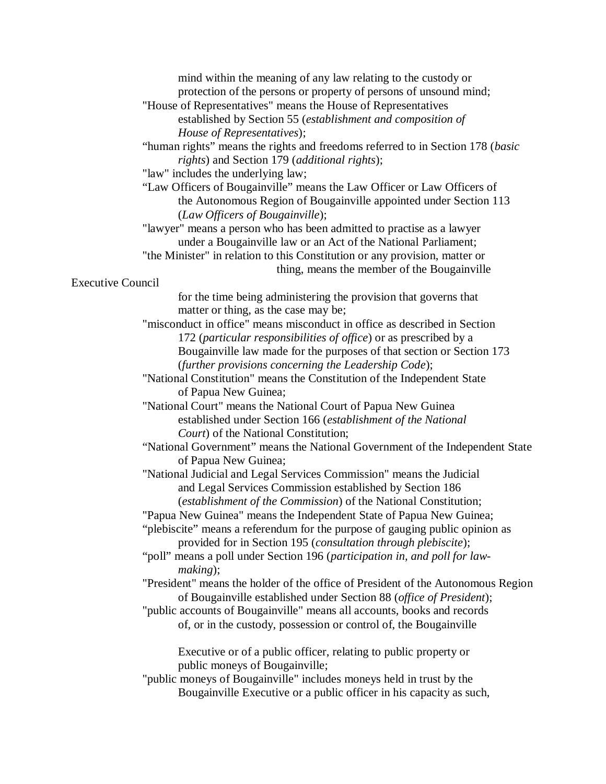mind within the meaning of any law relating to the custody or protection of the persons or property of persons of unsound mind;

- "House of Representatives" means the House of Representatives established by Section 55 (*establishment and composition of House of Representatives*);
- "human rights" means the rights and freedoms referred to in Section 178 (*basic rights*) and Section 179 (*additional rights*);
- "law" includes the underlying law;
- "Law Officers of Bougainville" means the Law Officer or Law Officers of the Autonomous Region of Bougainville appointed under Section 113 (*Law Officers of Bougainville*);
- "lawyer" means a person who has been admitted to practise as a lawyer under a Bougainville law or an Act of the National Parliament;
- "the Minister" in relation to this Constitution or any provision, matter or thing, means the member of the Bougainville

#### Executive Council

for the time being administering the provision that governs that matter or thing, as the case may be;

- "misconduct in office" means misconduct in office as described in Section 172 (*particular responsibilities of office*) or as prescribed by a Bougainville law made for the purposes of that section or Section 173 (*further provisions concerning the Leadership Code*);
- "National Constitution" means the Constitution of the Independent State of Papua New Guinea;
- "National Court" means the National Court of Papua New Guinea established under Section 166 (*establishment of the National Court*) of the National Constitution;
- "National Government" means the National Government of the Independent State of Papua New Guinea;
- "National Judicial and Legal Services Commission" means the Judicial and Legal Services Commission established by Section 186 (*establishment of the Commission*) of the National Constitution;
- "Papua New Guinea" means the Independent State of Papua New Guinea;
- "plebiscite" means a referendum for the purpose of gauging public opinion as provided for in Section 195 (*consultation through plebiscite*);
- "poll" means a poll under Section 196 (*participation in, and poll for lawmaking*);
- "President" means the holder of the office of President of the Autonomous Region of Bougainville established under Section 88 (*office of President*);
- "public accounts of Bougainville" means all accounts, books and records of, or in the custody, possession or control of, the Bougainville

Executive or of a public officer, relating to public property or public moneys of Bougainville;

"public moneys of Bougainville" includes moneys held in trust by the Bougainville Executive or a public officer in his capacity as such,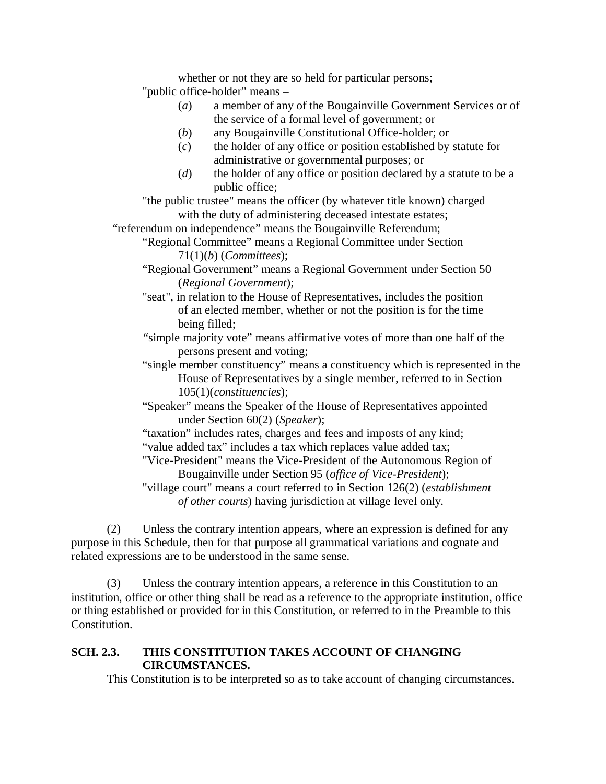whether or not they are so held for particular persons;

"public office-holder" means –

- (*a*) a member of any of the Bougainville Government Services or of the service of a formal level of government; or
- (*b*) any Bougainville Constitutional Office-holder; or
- (*c*) the holder of any office or position established by statute for administrative or governmental purposes; or
- (*d*) the holder of any office or position declared by a statute to be a public office;

"the public trustee" means the officer (by whatever title known) charged with the duty of administering deceased intestate estates;

"referendum on independence" means the Bougainville Referendum;

- "Regional Committee" means a Regional Committee under Section 71(1)(*b*) (*Committees*);
- "Regional Government" means a Regional Government under Section 50 (*Regional Government*);
- "seat", in relation to the House of Representatives, includes the position of an elected member, whether or not the position is for the time being filled;
- "simple majority vote" means affirmative votes of more than one half of the persons present and voting;
- "single member constituency" means a constituency which is represented in the House of Representatives by a single member, referred to in Section 105(1)(*constituencies*);
- "Speaker" means the Speaker of the House of Representatives appointed under Section 60(2) (*Speaker*);
- "taxation" includes rates, charges and fees and imposts of any kind; "value added tax" includes a tax which replaces value added tax;
- "Vice-President" means the Vice-President of the Autonomous Region of Bougainville under Section 95 (*office of Vice-President*);

"village court" means a court referred to in Section 126(2) (*establishment of other courts*) having jurisdiction at village level only.

(2) Unless the contrary intention appears, where an expression is defined for any purpose in this Schedule, then for that purpose all grammatical variations and cognate and related expressions are to be understood in the same sense.

(3) Unless the contrary intention appears, a reference in this Constitution to an institution, office or other thing shall be read as a reference to the appropriate institution, office or thing established or provided for in this Constitution, or referred to in the Preamble to this Constitution.

### **SCH. 2.3. THIS CONSTITUTION TAKES ACCOUNT OF CHANGING CIRCUMSTANCES.**

This Constitution is to be interpreted so as to take account of changing circumstances.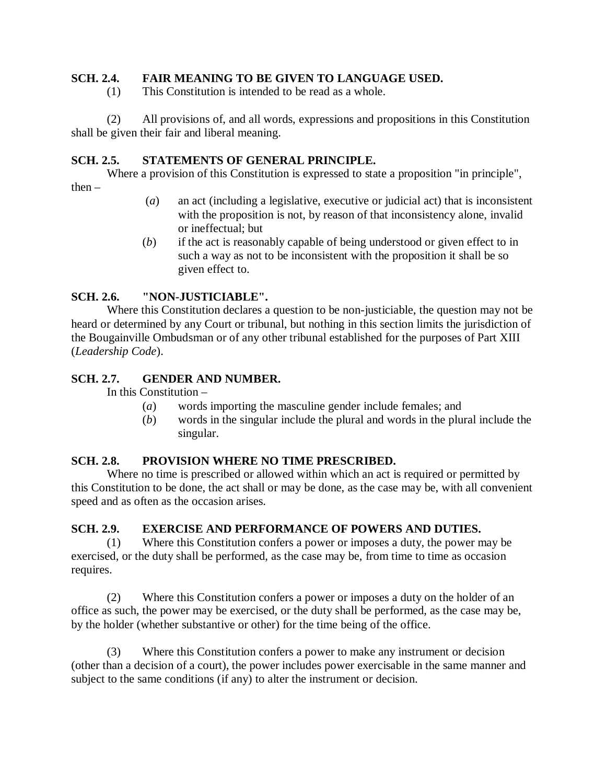## **SCH. 2.4. FAIR MEANING TO BE GIVEN TO LANGUAGE USED.**

(1) This Constitution is intended to be read as a whole.

(2) All provisions of, and all words, expressions and propositions in this Constitution shall be given their fair and liberal meaning.

## **SCH. 2.5. STATEMENTS OF GENERAL PRINCIPLE.**

Where a provision of this Constitution is expressed to state a proposition "in principle",

then  $-$ 

- (*a*) an act (including a legislative, executive or judicial act) that is inconsistent with the proposition is not, by reason of that inconsistency alone, invalid or ineffectual; but
- (*b*) if the act is reasonably capable of being understood or given effect to in such a way as not to be inconsistent with the proposition it shall be so given effect to.

# **SCH. 2.6. "NON-JUSTICIABLE".**

Where this Constitution declares a question to be non-justiciable, the question may not be heard or determined by any Court or tribunal, but nothing in this section limits the jurisdiction of the Bougainville Ombudsman or of any other tribunal established for the purposes of Part XIII (*Leadership Code*).

# **SCH. 2.7. GENDER AND NUMBER.**

In this Constitution –

- (*a*) words importing the masculine gender include females; and
- (*b*) words in the singular include the plural and words in the plural include the singular.

# **SCH. 2.8. PROVISION WHERE NO TIME PRESCRIBED.**

Where no time is prescribed or allowed within which an act is required or permitted by this Constitution to be done, the act shall or may be done, as the case may be, with all convenient speed and as often as the occasion arises.

# **SCH. 2.9. EXERCISE AND PERFORMANCE OF POWERS AND DUTIES.**

(1) Where this Constitution confers a power or imposes a duty, the power may be exercised, or the duty shall be performed, as the case may be, from time to time as occasion requires.

(2) Where this Constitution confers a power or imposes a duty on the holder of an office as such, the power may be exercised, or the duty shall be performed, as the case may be, by the holder (whether substantive or other) for the time being of the office.

(3) Where this Constitution confers a power to make any instrument or decision (other than a decision of a court), the power includes power exercisable in the same manner and subject to the same conditions (if any) to alter the instrument or decision.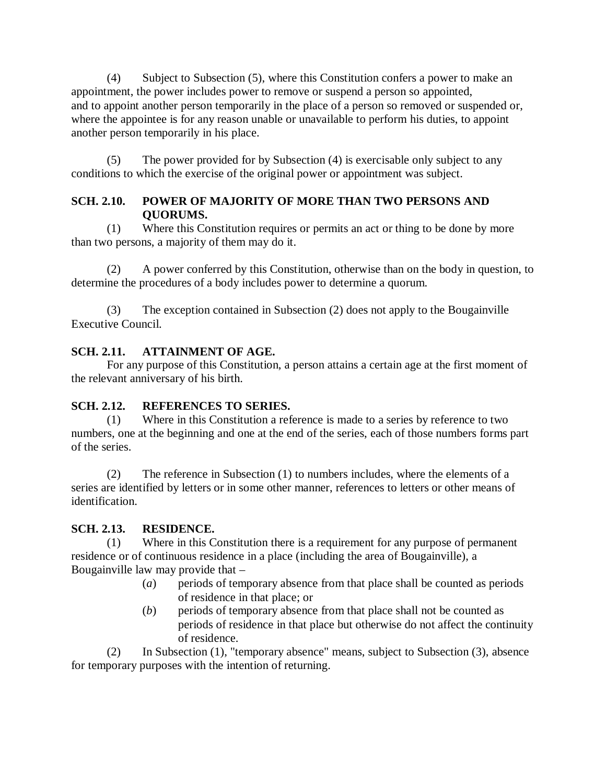(4) Subject to Subsection (5), where this Constitution confers a power to make an appointment, the power includes power to remove or suspend a person so appointed, and to appoint another person temporarily in the place of a person so removed or suspended or, where the appointee is for any reason unable or unavailable to perform his duties, to appoint another person temporarily in his place.

(5) The power provided for by Subsection (4) is exercisable only subject to any conditions to which the exercise of the original power or appointment was subject.

## **SCH. 2.10. POWER OF MAJORITY OF MORE THAN TWO PERSONS AND QUORUMS.**

(1) Where this Constitution requires or permits an act or thing to be done by more than two persons, a majority of them may do it.

(2) A power conferred by this Constitution, otherwise than on the body in question, to determine the procedures of a body includes power to determine a quorum.

(3) The exception contained in Subsection (2) does not apply to the Bougainville Executive Council.

# **SCH. 2.11. ATTAINMENT OF AGE.**

For any purpose of this Constitution, a person attains a certain age at the first moment of the relevant anniversary of his birth.

# **SCH. 2.12. REFERENCES TO SERIES.**

(1) Where in this Constitution a reference is made to a series by reference to two numbers, one at the beginning and one at the end of the series, each of those numbers forms part of the series.

(2) The reference in Subsection (1) to numbers includes, where the elements of a series are identified by letters or in some other manner, references to letters or other means of identification.

# **SCH. 2.13. RESIDENCE.**

(1) Where in this Constitution there is a requirement for any purpose of permanent residence or of continuous residence in a place (including the area of Bougainville), a Bougainville law may provide that –

- (*a*) periods of temporary absence from that place shall be counted as periods of residence in that place; or
- (*b*) periods of temporary absence from that place shall not be counted as periods of residence in that place but otherwise do not affect the continuity of residence.

(2) In Subsection (1), "temporary absence" means, subject to Subsection (3), absence for temporary purposes with the intention of returning.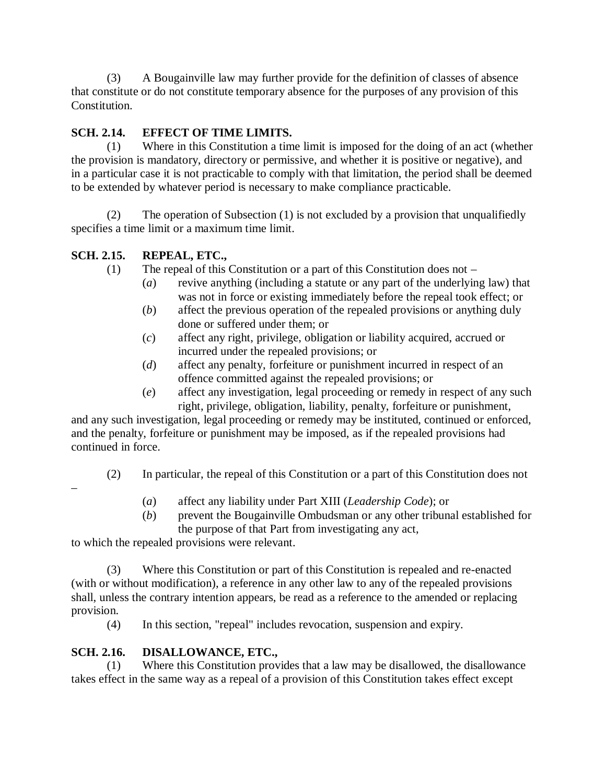(3) A Bougainville law may further provide for the definition of classes of absence that constitute or do not constitute temporary absence for the purposes of any provision of this Constitution.

# **SCH. 2.14. EFFECT OF TIME LIMITS.**

(1) Where in this Constitution a time limit is imposed for the doing of an act (whether the provision is mandatory, directory or permissive, and whether it is positive or negative), and in a particular case it is not practicable to comply with that limitation, the period shall be deemed to be extended by whatever period is necessary to make compliance practicable.

(2) The operation of Subsection (1) is not excluded by a provision that unqualifiedly specifies a time limit or a maximum time limit.

# **SCH. 2.15. REPEAL, ETC.,**

- (1) The repeal of this Constitution or a part of this Constitution does not
	- (*a*) revive anything (including a statute or any part of the underlying law) that was not in force or existing immediately before the repeal took effect; or
	- (*b*) affect the previous operation of the repealed provisions or anything duly done or suffered under them; or
	- (*c*) affect any right, privilege, obligation or liability acquired, accrued or incurred under the repealed provisions; or
	- (*d*) affect any penalty, forfeiture or punishment incurred in respect of an offence committed against the repealed provisions; or
	- (*e*) affect any investigation, legal proceeding or remedy in respect of any such right, privilege, obligation, liability, penalty, forfeiture or punishment,

and any such investigation, legal proceeding or remedy may be instituted, continued or enforced, and the penalty, forfeiture or punishment may be imposed, as if the repealed provisions had continued in force.

- 
- (2) In particular, the repeal of this Constitution or a part of this Constitution does not
- –
- (*a*) affect any liability under Part XIII (*Leadership Code*); or
- (*b*) prevent the Bougainville Ombudsman or any other tribunal established for the purpose of that Part from investigating any act,

to which the repealed provisions were relevant.

(3) Where this Constitution or part of this Constitution is repealed and re-enacted (with or without modification), a reference in any other law to any of the repealed provisions shall, unless the contrary intention appears, be read as a reference to the amended or replacing provision.

(4) In this section, "repeal" includes revocation, suspension and expiry.

# **SCH. 2.16. DISALLOWANCE, ETC.,**

(1) Where this Constitution provides that a law may be disallowed, the disallowance takes effect in the same way as a repeal of a provision of this Constitution takes effect except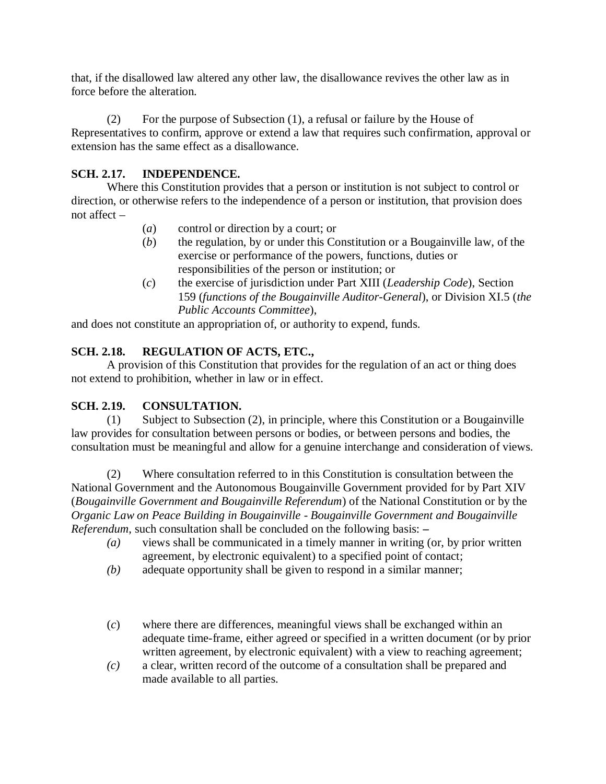that, if the disallowed law altered any other law, the disallowance revives the other law as in force before the alteration.

(2) For the purpose of Subsection (1), a refusal or failure by the House of Representatives to confirm, approve or extend a law that requires such confirmation, approval or extension has the same effect as a disallowance.

# **SCH. 2.17. INDEPENDENCE.**

Where this Constitution provides that a person or institution is not subject to control or direction, or otherwise refers to the independence of a person or institution, that provision does not affect –

- (*a*) control or direction by a court; or
- (*b*) the regulation, by or under this Constitution or a Bougainville law, of the exercise or performance of the powers, functions, duties or responsibilities of the person or institution; or
- (*c*) the exercise of jurisdiction under Part XIII (*Leadership Code*), Section 159 (*functions of the Bougainville Auditor-General*), or Division XI.5 (*the Public Accounts Committee*),

and does not constitute an appropriation of, or authority to expend, funds.

# **SCH. 2.18. REGULATION OF ACTS, ETC.,**

A provision of this Constitution that provides for the regulation of an act or thing does not extend to prohibition, whether in law or in effect.

# **SCH. 2.19. CONSULTATION.**

(1) Subject to Subsection (2), in principle, where this Constitution or a Bougainville law provides for consultation between persons or bodies, or between persons and bodies, the consultation must be meaningful and allow for a genuine interchange and consideration of views.

(2) Where consultation referred to in this Constitution is consultation between the National Government and the Autonomous Bougainville Government provided for by Part XIV (*Bougainville Government and Bougainville Referendum*) of the National Constitution or by the *Organic Law on Peace Building in Bougainville* - *Bougainville Government and Bougainville Referendum*, such consultation shall be concluded on the following basis: **–**

- *(a)* views shall be communicated in a timely manner in writing (or, by prior written agreement, by electronic equivalent) to a specified point of contact;
- *(b)* adequate opportunity shall be given to respond in a similar manner;
- (*c*) where there are differences, meaningful views shall be exchanged within an adequate time-frame, either agreed or specified in a written document (or by prior written agreement, by electronic equivalent) with a view to reaching agreement;
- *(c)* a clear, written record of the outcome of a consultation shall be prepared and made available to all parties.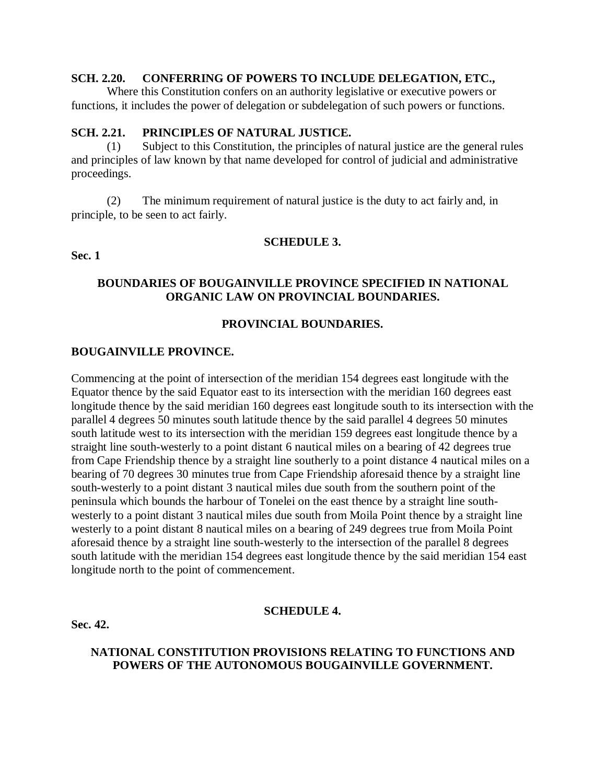#### **SCH. 2.20. CONFERRING OF POWERS TO INCLUDE DELEGATION, ETC.,**

Where this Constitution confers on an authority legislative or executive powers or functions, it includes the power of delegation or subdelegation of such powers or functions.

#### **SCH. 2.21. PRINCIPLES OF NATURAL JUSTICE.**

(1) Subject to this Constitution, the principles of natural justice are the general rules and principles of law known by that name developed for control of judicial and administrative proceedings.

(2) The minimum requirement of natural justice is the duty to act fairly and, in principle, to be seen to act fairly.

#### **SCHEDULE 3.**

**Sec. 1**

#### **BOUNDARIES OF BOUGAINVILLE PROVINCE SPECIFIED IN NATIONAL ORGANIC LAW ON PROVINCIAL BOUNDARIES.**

#### **PROVINCIAL BOUNDARIES.**

#### **BOUGAINVILLE PROVINCE.**

Commencing at the point of intersection of the meridian 154 degrees east longitude with the Equator thence by the said Equator east to its intersection with the meridian 160 degrees east longitude thence by the said meridian 160 degrees east longitude south to its intersection with the parallel 4 degrees 50 minutes south latitude thence by the said parallel 4 degrees 50 minutes south latitude west to its intersection with the meridian 159 degrees east longitude thence by a straight line south-westerly to a point distant 6 nautical miles on a bearing of 42 degrees true from Cape Friendship thence by a straight line southerly to a point distance 4 nautical miles on a bearing of 70 degrees 30 minutes true from Cape Friendship aforesaid thence by a straight line south-westerly to a point distant 3 nautical miles due south from the southern point of the peninsula which bounds the harbour of Tonelei on the east thence by a straight line southwesterly to a point distant 3 nautical miles due south from Moila Point thence by a straight line westerly to a point distant 8 nautical miles on a bearing of 249 degrees true from Moila Point aforesaid thence by a straight line south-westerly to the intersection of the parallel 8 degrees south latitude with the meridian 154 degrees east longitude thence by the said meridian 154 east longitude north to the point of commencement.

#### **SCHEDULE 4.**

**Sec. 42.**

#### **NATIONAL CONSTITUTION PROVISIONS RELATING TO FUNCTIONS AND POWERS OF THE AUTONOMOUS BOUGAINVILLE GOVERNMENT.**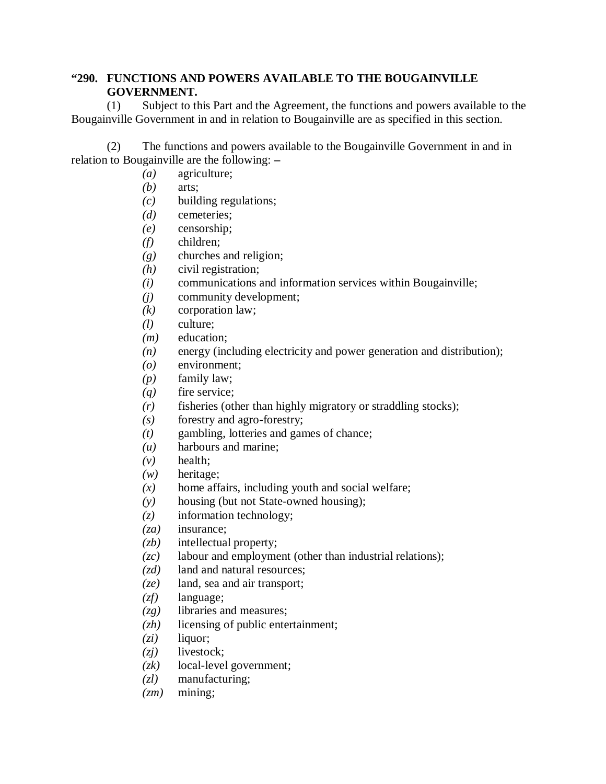#### **"290. FUNCTIONS AND POWERS AVAILABLE TO THE BOUGAINVILLE GOVERNMENT.**

(1) Subject to this Part and the Agreement, the functions and powers available to the Bougainville Government in and in relation to Bougainville are as specified in this section.

(2) The functions and powers available to the Bougainville Government in and in relation to Bougainville are the following: **–**

- *(a)* agriculture;
- *(b)* arts;
- *(c)* building regulations;
- *(d)* cemeteries;
- *(e)* censorship;
- *(f)* children;
- *(g)* churches and religion;
- *(h)* civil registration;
- *(i)* communications and information services within Bougainville;
- *(j)* community development;
- *(k)* corporation law;
- *(l)* culture;
- *(m)* education;
- *(n)* energy (including electricity and power generation and distribution);
- *(o)* environment;
- *(p)* family law;
- *(q)* fire service;
- *(r)* fisheries (other than highly migratory or straddling stocks);
- *(s)* forestry and agro-forestry;
- *(t)* gambling, lotteries and games of chance;
- *(u)* harbours and marine;
- *(v)* health;
- *(w)* heritage;
- $(x)$  home affairs, including youth and social welfare;
- *(y)* housing (but not State-owned housing);
- *(z)* information technology;
- *(za)* insurance;
- *(zb)* intellectual property;
- *(zc)* labour and employment (other than industrial relations);
- *(zd)* land and natural resources;
- *(ze)* land, sea and air transport;
- *(zf)* language;
- *(zg)* libraries and measures;
- *(zh)* licensing of public entertainment;
- *(zi)* liquor;
- *(zj)* livestock;
- *(zk)* local-level government;
- *(zl)* manufacturing;
- $(zm)$  mining;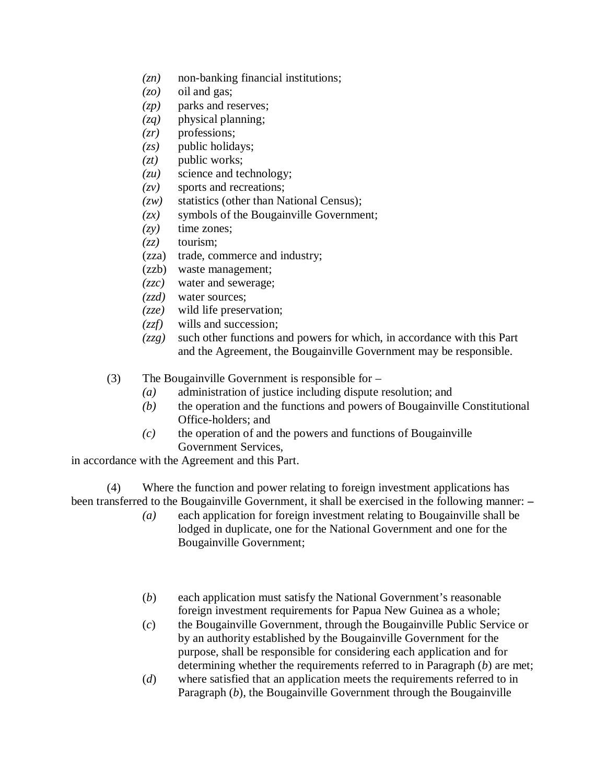- *(zn)* non-banking financial institutions;
- *(zo)* oil and gas;
- *(zp)* parks and reserves;
- *(zq)* physical planning;
- *(zr)* professions;
- *(zs)* public holidays;
- *(zt)* public works;
- *(zu)* science and technology;
- *(zv)* sports and recreations;
- *(zw)* statistics (other than National Census);
- *(zx)* symbols of the Bougainville Government;
- *(zy)* time zones;
- *(zz)* tourism;
- (zza) trade, commerce and industry;
- (zzb) waste management;
- *(zzc)* water and sewerage;
- *(zzd)* water sources;
- *(zze)* wild life preservation;
- *(zzf)* wills and succession;
- *(zzg)* such other functions and powers for which, in accordance with this Part and the Agreement, the Bougainville Government may be responsible.
- (3) The Bougainville Government is responsible for
	- *(a)* administration of justice including dispute resolution; and
	- *(b)* the operation and the functions and powers of Bougainville Constitutional Office-holders; and
	- *(c)* the operation of and the powers and functions of Bougainville Government Services,

in accordance with the Agreement and this Part.

(4) Where the function and power relating to foreign investment applications has been transferred to the Bougainville Government, it shall be exercised in the following manner: **–**

- *(a)* each application for foreign investment relating to Bougainville shall be lodged in duplicate, one for the National Government and one for the Bougainville Government;
- (*b*) each application must satisfy the National Government's reasonable foreign investment requirements for Papua New Guinea as a whole;
- (*c*) the Bougainville Government, through the Bougainville Public Service or by an authority established by the Bougainville Government for the purpose, shall be responsible for considering each application and for determining whether the requirements referred to in Paragraph (*b*) are met;
- (*d*) where satisfied that an application meets the requirements referred to in Paragraph (*b*), the Bougainville Government through the Bougainville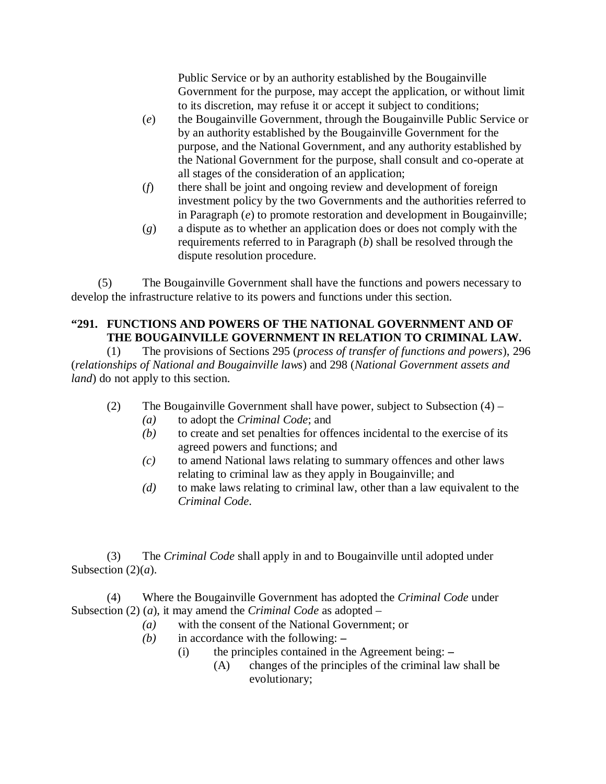Public Service or by an authority established by the Bougainville Government for the purpose, may accept the application, or without limit to its discretion, may refuse it or accept it subject to conditions;

- (*e*) the Bougainville Government, through the Bougainville Public Service or by an authority established by the Bougainville Government for the purpose, and the National Government, and any authority established by the National Government for the purpose, shall consult and co-operate at all stages of the consideration of an application;
- (*f*) there shall be joint and ongoing review and development of foreign investment policy by the two Governments and the authorities referred to in Paragraph (*e*) to promote restoration and development in Bougainville;
- (*g*) a dispute as to whether an application does or does not comply with the requirements referred to in Paragraph (*b*) shall be resolved through the dispute resolution procedure.

(5) The Bougainville Government shall have the functions and powers necessary to develop the infrastructure relative to its powers and functions under this section.

## **"291. FUNCTIONS AND POWERS OF THE NATIONAL GOVERNMENT AND OF THE BOUGAINVILLE GOVERNMENT IN RELATION TO CRIMINAL LAW.**

(1) The provisions of Sections 295 (*process of transfer of functions and powers*), 296 (*relationships of National and Bougainville laws*) and 298 (*National Government assets and land*) do not apply to this section.

- (2) The Bougainville Government shall have power, subject to Subsection (4)
	- *(a)* to adopt the *Criminal Code*; and
	- *(b)* to create and set penalties for offences incidental to the exercise of its agreed powers and functions; and
	- *(c)* to amend National laws relating to summary offences and other laws relating to criminal law as they apply in Bougainville; and
	- *(d)* to make laws relating to criminal law, other than a law equivalent to the *Criminal Code*.

(3) The *Criminal Code* shall apply in and to Bougainville until adopted under Subsection (2)(*a*).

(4) Where the Bougainville Government has adopted the *Criminal Code* under Subsection (2) (*a*), it may amend the *Criminal Code* as adopted –

- *(a)* with the consent of the National Government; or
- *(b)* in accordance with the following: **–**
	- (i) the principles contained in the Agreement being: **–**
		- (A) changes of the principles of the criminal law shall be evolutionary;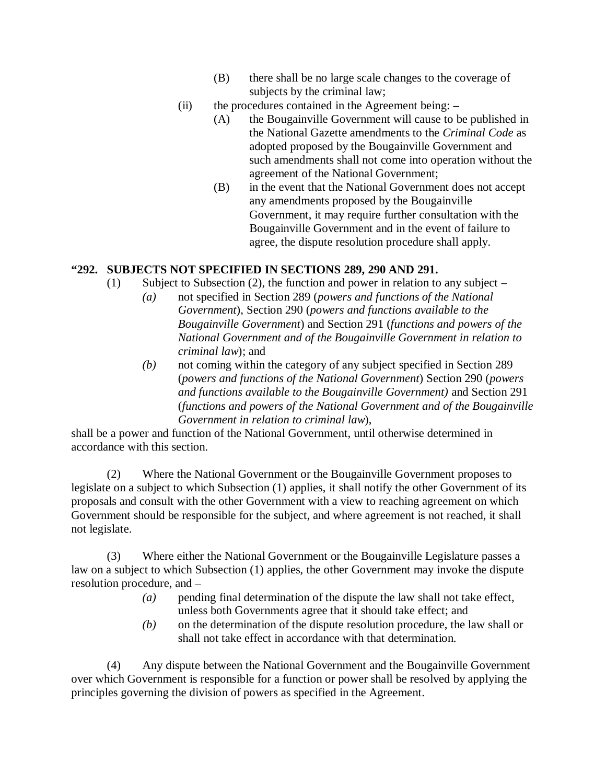- (B) there shall be no large scale changes to the coverage of subjects by the criminal law;
- (ii) the procedures contained in the Agreement being: **–**
	- (A) the Bougainville Government will cause to be published in the National Gazette amendments to the *Criminal Code* as adopted proposed by the Bougainville Government and such amendments shall not come into operation without the agreement of the National Government;
	- (B) in the event that the National Government does not accept any amendments proposed by the Bougainville Government, it may require further consultation with the Bougainville Government and in the event of failure to agree, the dispute resolution procedure shall apply.

# **"292. SUBJECTS NOT SPECIFIED IN SECTIONS 289, 290 AND 291.**

- (1) Subject to Subsection (2), the function and power in relation to any subject
	- *(a)* not specified in Section 289 (*powers and functions of the National Government*), Section 290 (*powers and functions available to the Bougainville Government*) and Section 291 (*functions and powers of the National Government and of the Bougainville Government in relation to criminal law*); and
	- *(b)* not coming within the category of any subject specified in Section 289 (*powers and functions of the National Government*) Section 290 (*powers and functions available to the Bougainville Government)* and Section 291 (*functions and powers of the National Government and of the Bougainville Government in relation to criminal law*),

shall be a power and function of the National Government, until otherwise determined in accordance with this section.

(2) Where the National Government or the Bougainville Government proposes to legislate on a subject to which Subsection (1) applies, it shall notify the other Government of its proposals and consult with the other Government with a view to reaching agreement on which Government should be responsible for the subject, and where agreement is not reached, it shall not legislate.

(3) Where either the National Government or the Bougainville Legislature passes a law on a subject to which Subsection (1) applies, the other Government may invoke the dispute resolution procedure, and –

- *(a)* pending final determination of the dispute the law shall not take effect, unless both Governments agree that it should take effect; and
- *(b)* on the determination of the dispute resolution procedure, the law shall or shall not take effect in accordance with that determination.

(4) Any dispute between the National Government and the Bougainville Government over which Government is responsible for a function or power shall be resolved by applying the principles governing the division of powers as specified in the Agreement.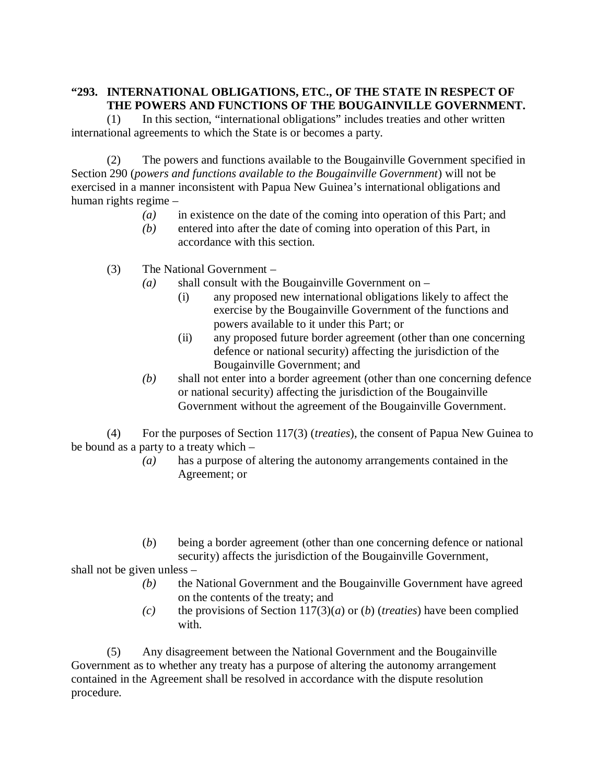### **"293. INTERNATIONAL OBLIGATIONS, ETC., OF THE STATE IN RESPECT OF THE POWERS AND FUNCTIONS OF THE BOUGAINVILLE GOVERNMENT.**

(1) In this section, "international obligations" includes treaties and other written international agreements to which the State is or becomes a party.

(2) The powers and functions available to the Bougainville Government specified in Section 290 (*powers and functions available to the Bougainville Government*) will not be exercised in a manner inconsistent with Papua New Guinea's international obligations and human rights regime –

- *(a)* in existence on the date of the coming into operation of this Part; and
- *(b)* entered into after the date of coming into operation of this Part, in accordance with this section.
- (3) The National Government
	- *(a)* shall consult with the Bougainville Government on
		- (i) any proposed new international obligations likely to affect the exercise by the Bougainville Government of the functions and powers available to it under this Part; or
		- (ii) any proposed future border agreement (other than one concerning defence or national security) affecting the jurisdiction of the Bougainville Government; and
	- *(b)* shall not enter into a border agreement (other than one concerning defence or national security) affecting the jurisdiction of the Bougainville Government without the agreement of the Bougainville Government.

(4) For the purposes of Section 117(3) (*treaties*), the consent of Papua New Guinea to be bound as a party to a treaty which –

- *(a)* has a purpose of altering the autonomy arrangements contained in the Agreement; or
- (*b*) being a border agreement (other than one concerning defence or national security) affects the jurisdiction of the Bougainville Government,

shall not be given unless –

- *(b)* the National Government and the Bougainville Government have agreed on the contents of the treaty; and
- *(c)* the provisions of Section 117(3)(*a*) or (*b*) (*treaties*) have been complied with.

(5) Any disagreement between the National Government and the Bougainville Government as to whether any treaty has a purpose of altering the autonomy arrangement contained in the Agreement shall be resolved in accordance with the dispute resolution procedure.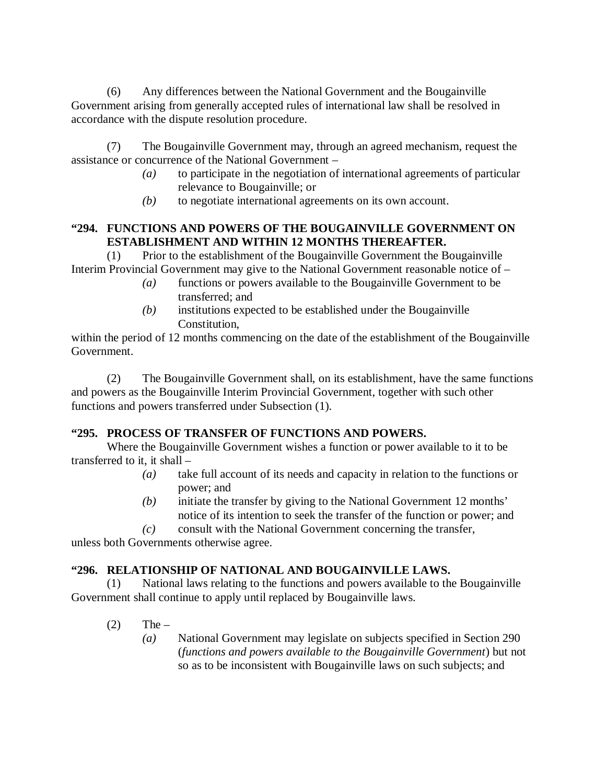(6) Any differences between the National Government and the Bougainville Government arising from generally accepted rules of international law shall be resolved in accordance with the dispute resolution procedure.

(7) The Bougainville Government may, through an agreed mechanism, request the assistance or concurrence of the National Government –

- *(a)* to participate in the negotiation of international agreements of particular relevance to Bougainville; or
- *(b)* to negotiate international agreements on its own account.

## **"294. FUNCTIONS AND POWERS OF THE BOUGAINVILLE GOVERNMENT ON ESTABLISHMENT AND WITHIN 12 MONTHS THEREAFTER.**

(1) Prior to the establishment of the Bougainville Government the Bougainville Interim Provincial Government may give to the National Government reasonable notice of –

- *(a)* functions or powers available to the Bougainville Government to be transferred; and
- *(b)* institutions expected to be established under the Bougainville Constitution,

within the period of 12 months commencing on the date of the establishment of the Bougainville Government.

(2) The Bougainville Government shall, on its establishment, have the same functions and powers as the Bougainville Interim Provincial Government, together with such other functions and powers transferred under Subsection (1).

# **"295. PROCESS OF TRANSFER OF FUNCTIONS AND POWERS.**

Where the Bougainville Government wishes a function or power available to it to be transferred to it, it shall –

- *(a)* take full account of its needs and capacity in relation to the functions or power; and
- *(b)* initiate the transfer by giving to the National Government 12 months' notice of its intention to seek the transfer of the function or power; and
- *(c)* consult with the National Government concerning the transfer,

unless both Governments otherwise agree.

# **"296. RELATIONSHIP OF NATIONAL AND BOUGAINVILLE LAWS.**

(1) National laws relating to the functions and powers available to the Bougainville Government shall continue to apply until replaced by Bougainville laws.

- $(2)$  The
	- *(a)* National Government may legislate on subjects specified in Section 290 (*functions and powers available to the Bougainville Government*) but not so as to be inconsistent with Bougainville laws on such subjects; and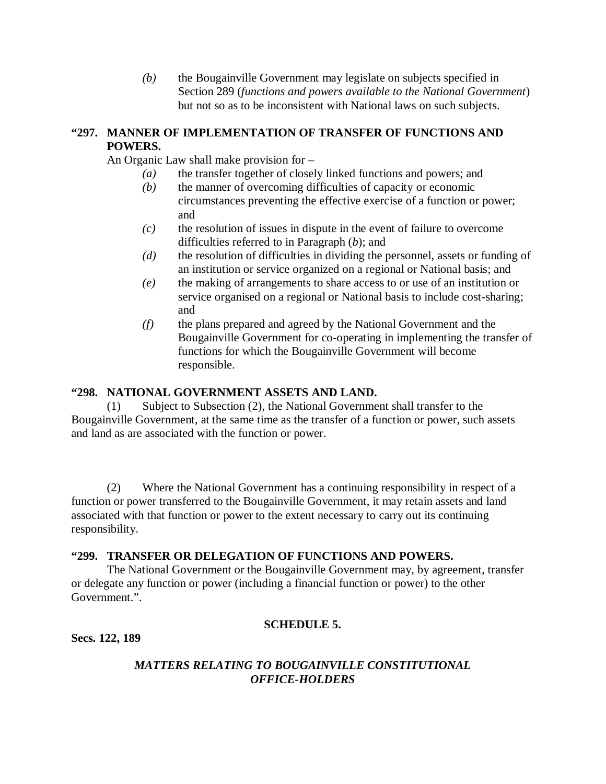*(b)* the Bougainville Government may legislate on subjects specified in Section 289 (*functions and powers available to the National Government*) but not so as to be inconsistent with National laws on such subjects.

## **"297. MANNER OF IMPLEMENTATION OF TRANSFER OF FUNCTIONS AND POWERS.**

An Organic Law shall make provision for –

- *(a)* the transfer together of closely linked functions and powers; and
- *(b)* the manner of overcoming difficulties of capacity or economic circumstances preventing the effective exercise of a function or power; and
- *(c)* the resolution of issues in dispute in the event of failure to overcome difficulties referred to in Paragraph (*b*); and
- *(d)* the resolution of difficulties in dividing the personnel, assets or funding of an institution or service organized on a regional or National basis; and
- *(e)* the making of arrangements to share access to or use of an institution or service organised on a regional or National basis to include cost-sharing; and
- *(f)* the plans prepared and agreed by the National Government and the Bougainville Government for co-operating in implementing the transfer of functions for which the Bougainville Government will become responsible.

### **"298. NATIONAL GOVERNMENT ASSETS AND LAND.**

(1) Subject to Subsection (2), the National Government shall transfer to the Bougainville Government, at the same time as the transfer of a function or power, such assets and land as are associated with the function or power.

(2) Where the National Government has a continuing responsibility in respect of a function or power transferred to the Bougainville Government, it may retain assets and land associated with that function or power to the extent necessary to carry out its continuing responsibility.

#### **"299. TRANSFER OR DELEGATION OF FUNCTIONS AND POWERS.**

The National Government or the Bougainville Government may, by agreement, transfer or delegate any function or power (including a financial function or power) to the other Government.".

#### **SCHEDULE 5.**

**Secs. 122, 189**

### *MATTERS RELATING TO BOUGAINVILLE CONSTITUTIONAL OFFICE-HOLDERS*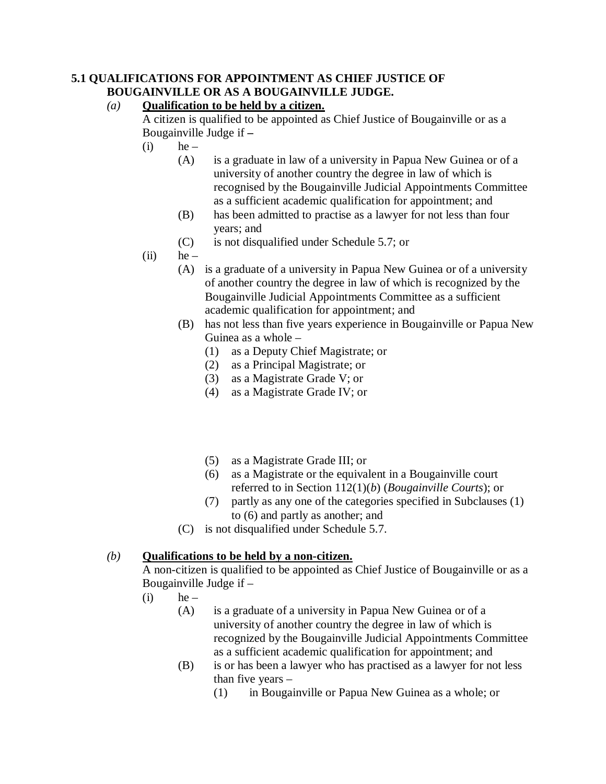## **5.1 QUALIFICATIONS FOR APPOINTMENT AS CHIEF JUSTICE OF BOUGAINVILLE OR AS A BOUGAINVILLE JUDGE.**

## *(a)* **Qualification to be held by a citizen.**

A citizen is qualified to be appointed as Chief Justice of Bougainville or as a Bougainville Judge if **–**

- $(i)$  he
	- (A) is a graduate in law of a university in Papua New Guinea or of a university of another country the degree in law of which is recognised by the Bougainville Judicial Appointments Committee as a sufficient academic qualification for appointment; and
	- (B) has been admitted to practise as a lawyer for not less than four years; and
	- (C) is not disqualified under Schedule 5.7; or
- $(ii)$  he
	- (A) is a graduate of a university in Papua New Guinea or of a university of another country the degree in law of which is recognized by the Bougainville Judicial Appointments Committee as a sufficient academic qualification for appointment; and
	- (B) has not less than five years experience in Bougainville or Papua New Guinea as a whole –
		- (1) as a Deputy Chief Magistrate; or
		- (2) as a Principal Magistrate; or
		- (3) as a Magistrate Grade V; or
		- (4) as a Magistrate Grade IV; or
		- (5) as a Magistrate Grade III; or
		- (6) as a Magistrate or the equivalent in a Bougainville court referred to in Section 112(1)(*b*) (*Bougainville Courts*); or
		- (7) partly as any one of the categories specified in Subclauses (1) to (6) and partly as another; and
	- (C) is not disqualified under Schedule 5.7.

## *(b)* **Qualifications to be held by a non-citizen.**

A non-citizen is qualified to be appointed as Chief Justice of Bougainville or as a Bougainville Judge if –

- $(i)$  he
	- (A) is a graduate of a university in Papua New Guinea or of a university of another country the degree in law of which is recognized by the Bougainville Judicial Appointments Committee as a sufficient academic qualification for appointment; and
	- (B) is or has been a lawyer who has practised as a lawyer for not less than five years –
		- (1) in Bougainville or Papua New Guinea as a whole; or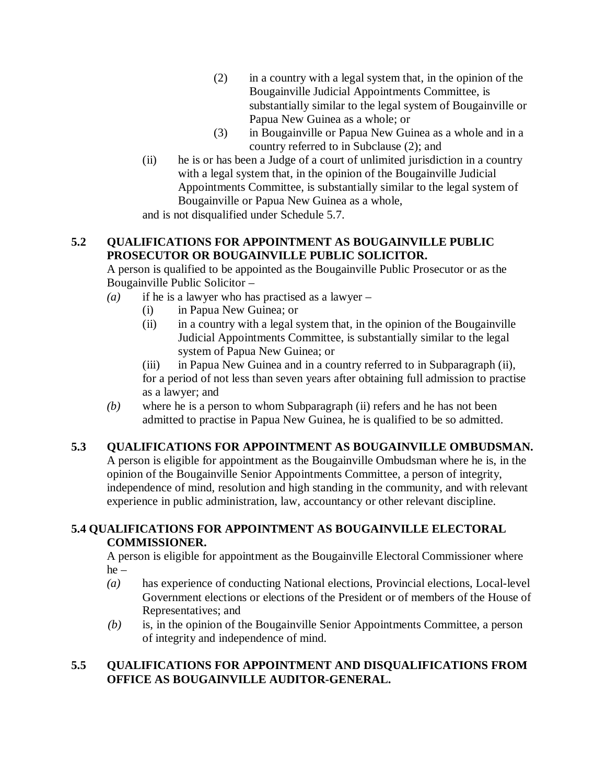- $(2)$  in a country with a legal system that, in the opinion of the Bougainville Judicial Appointments Committee, is substantially similar to the legal system of Bougainville or Papua New Guinea as a whole; or
- (3) in Bougainville or Papua New Guinea as a whole and in a country referred to in Subclause (2); and
- (ii) he is or has been a Judge of a court of unlimited jurisdiction in a country with a legal system that, in the opinion of the Bougainville Judicial Appointments Committee, is substantially similar to the legal system of Bougainville or Papua New Guinea as a whole,

and is not disqualified under Schedule 5.7.

# **5.2 QUALIFICATIONS FOR APPOINTMENT AS BOUGAINVILLE PUBLIC PROSECUTOR OR BOUGAINVILLE PUBLIC SOLICITOR.**

A person is qualified to be appointed as the Bougainville Public Prosecutor or as the Bougainville Public Solicitor –

- *(a)* if he is a lawyer who has practised as a lawyer
	- (i) in Papua New Guinea; or
	- (ii) in a country with a legal system that, in the opinion of the Bougainville Judicial Appointments Committee, is substantially similar to the legal system of Papua New Guinea; or

(iii) in Papua New Guinea and in a country referred to in Subparagraph (ii), for a period of not less than seven years after obtaining full admission to practise as a lawyer; and

*(b)* where he is a person to whom Subparagraph (ii) refers and he has not been admitted to practise in Papua New Guinea, he is qualified to be so admitted.

# **5.3 QUALIFICATIONS FOR APPOINTMENT AS BOUGAINVILLE OMBUDSMAN.**

A person is eligible for appointment as the Bougainville Ombudsman where he is, in the opinion of the Bougainville Senior Appointments Committee, a person of integrity, independence of mind, resolution and high standing in the community, and with relevant experience in public administration, law, accountancy or other relevant discipline.

## **5.4 QUALIFICATIONS FOR APPOINTMENT AS BOUGAINVILLE ELECTORAL COMMISSIONER.**

A person is eligible for appointment as the Bougainville Electoral Commissioner where he –

- *(a)* has experience of conducting National elections, Provincial elections, Local-level Government elections or elections of the President or of members of the House of Representatives; and
- *(b)* is, in the opinion of the Bougainville Senior Appointments Committee, a person of integrity and independence of mind.

## **5.5 QUALIFICATIONS FOR APPOINTMENT AND DISQUALIFICATIONS FROM OFFICE AS BOUGAINVILLE AUDITOR-GENERAL.**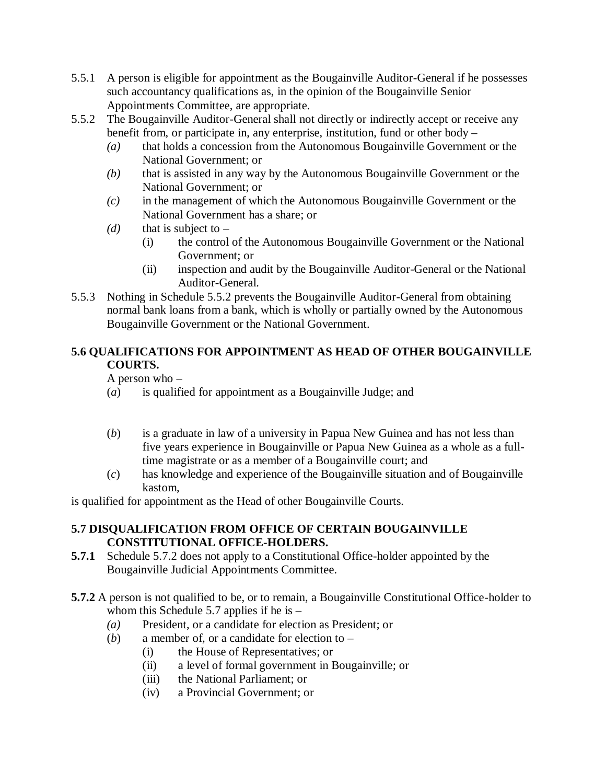- 5.5.1 A person is eligible for appointment as the Bougainville Auditor-General if he possesses such accountancy qualifications as, in the opinion of the Bougainville Senior Appointments Committee, are appropriate.
- 5.5.2 The Bougainville Auditor-General shall not directly or indirectly accept or receive any benefit from, or participate in, any enterprise, institution, fund or other body –
	- *(a)* that holds a concession from the Autonomous Bougainville Government or the National Government; or
	- *(b)* that is assisted in any way by the Autonomous Bougainville Government or the National Government; or
	- *(c)* in the management of which the Autonomous Bougainville Government or the National Government has a share; or
	- (*d*) that is subject to
		- (i) the control of the Autonomous Bougainville Government or the National Government; or
		- (ii) inspection and audit by the Bougainville Auditor-General or the National Auditor-General.
- 5.5.3 Nothing in Schedule 5.5.2 prevents the Bougainville Auditor-General from obtaining normal bank loans from a bank, which is wholly or partially owned by the Autonomous Bougainville Government or the National Government.

# **5.6 QUALIFICATIONS FOR APPOINTMENT AS HEAD OF OTHER BOUGAINVILLE COURTS.**

A person who –

- (*a*) is qualified for appointment as a Bougainville Judge; and
- (*b*) is a graduate in law of a university in Papua New Guinea and has not less than five years experience in Bougainville or Papua New Guinea as a whole as a fulltime magistrate or as a member of a Bougainville court; and
- (*c*) has knowledge and experience of the Bougainville situation and of Bougainville kastom,

is qualified for appointment as the Head of other Bougainville Courts.

## **5.7 DISQUALIFICATION FROM OFFICE OF CERTAIN BOUGAINVILLE CONSTITUTIONAL OFFICE-HOLDERS.**

- **5.7.1** Schedule 5.7.2 does not apply to a Constitutional Office-holder appointed by the Bougainville Judicial Appointments Committee.
- **5.7.2** A person is not qualified to be, or to remain, a Bougainville Constitutional Office-holder to whom this Schedule 5.7 applies if he is  $-$ 
	- *(a)* President, or a candidate for election as President; or
	- (*b*) a member of, or a candidate for election to
		- (i) the House of Representatives; or
		- (ii) a level of formal government in Bougainville; or
		- (iii) the National Parliament; or
		- (iv) a Provincial Government; or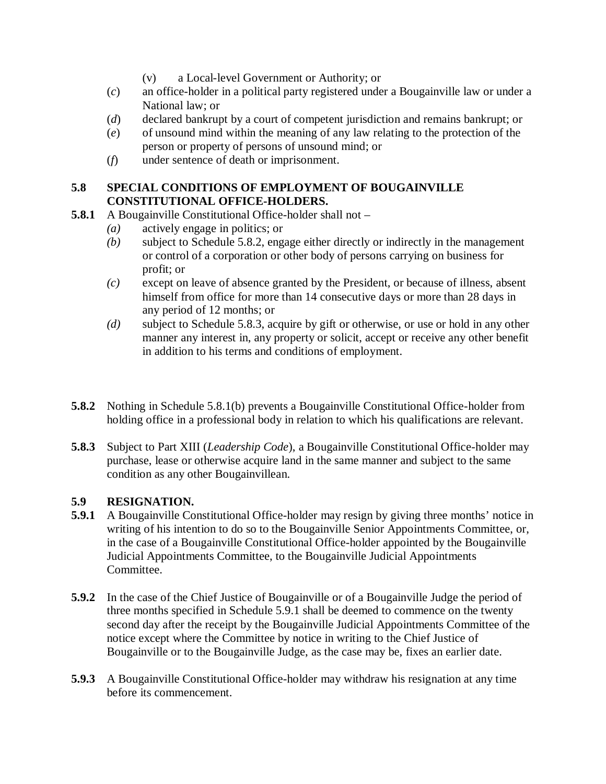- (v) a Local-level Government or Authority; or
- (*c*) an office-holder in a political party registered under a Bougainville law or under a National law; or
- (*d*) declared bankrupt by a court of competent jurisdiction and remains bankrupt; or
- (*e*) of unsound mind within the meaning of any law relating to the protection of the person or property of persons of unsound mind; or
- (*f*) under sentence of death or imprisonment.

### **5.8 SPECIAL CONDITIONS OF EMPLOYMENT OF BOUGAINVILLE CONSTITUTIONAL OFFICE-HOLDERS.**

- **5.8.1** A Bougainville Constitutional Office-holder shall not
	- *(a)* actively engage in politics; or
	- *(b)* subject to Schedule 5.8.2, engage either directly or indirectly in the management or control of a corporation or other body of persons carrying on business for profit; or
	- *(c)* except on leave of absence granted by the President, or because of illness, absent himself from office for more than 14 consecutive days or more than 28 days in any period of 12 months; or
	- *(d)* subject to Schedule 5.8.3, acquire by gift or otherwise, or use or hold in any other manner any interest in, any property or solicit, accept or receive any other benefit in addition to his terms and conditions of employment.
- **5.8.2** Nothing in Schedule 5.8.1(b) prevents a Bougainville Constitutional Office-holder from holding office in a professional body in relation to which his qualifications are relevant.
- **5.8.3** Subject to Part XIII (*Leadership Code*), a Bougainville Constitutional Office-holder may purchase, lease or otherwise acquire land in the same manner and subject to the same condition as any other Bougainvillean.

## **5.9 RESIGNATION.**

- **5.9.1** A Bougainville Constitutional Office-holder may resign by giving three months' notice in writing of his intention to do so to the Bougainville Senior Appointments Committee, or, in the case of a Bougainville Constitutional Office-holder appointed by the Bougainville Judicial Appointments Committee, to the Bougainville Judicial Appointments Committee.
- **5.9.2** In the case of the Chief Justice of Bougainville or of a Bougainville Judge the period of three months specified in Schedule 5.9.1 shall be deemed to commence on the twenty second day after the receipt by the Bougainville Judicial Appointments Committee of the notice except where the Committee by notice in writing to the Chief Justice of Bougainville or to the Bougainville Judge, as the case may be, fixes an earlier date.
- **5.9.3** A Bougainville Constitutional Office-holder may withdraw his resignation at any time before its commencement.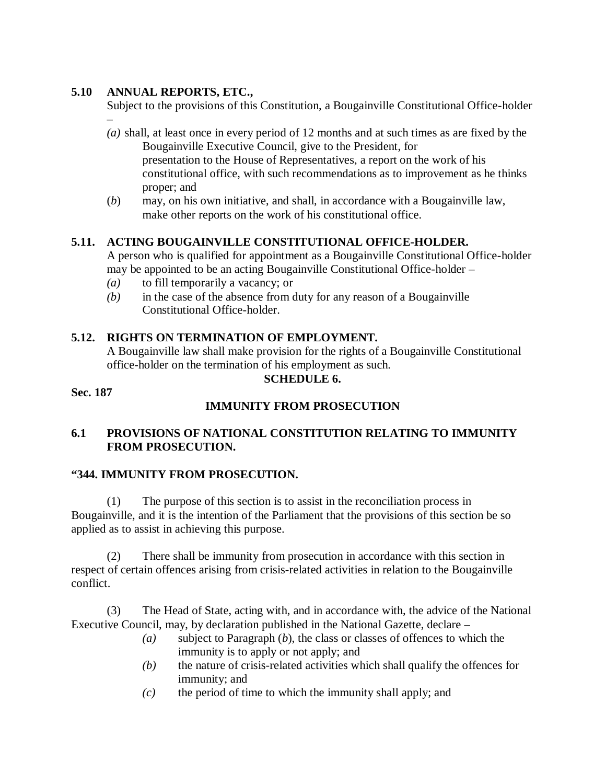## **5.10 ANNUAL REPORTS, ETC.,**

Subject to the provisions of this Constitution, a Bougainville Constitutional Office-holder –

- *(a)* shall, at least once in every period of 12 months and at such times as are fixed by the Bougainville Executive Council, give to the President, for presentation to the House of Representatives, a report on the work of his constitutional office, with such recommendations as to improvement as he thinks proper; and
- (*b*) may, on his own initiative, and shall, in accordance with a Bougainville law, make other reports on the work of his constitutional office.

## **5.11. ACTING BOUGAINVILLE CONSTITUTIONAL OFFICE-HOLDER.**

A person who is qualified for appointment as a Bougainville Constitutional Office-holder may be appointed to be an acting Bougainville Constitutional Office-holder –

- *(a)* to fill temporarily a vacancy; or
- *(b)* in the case of the absence from duty for any reason of a Bougainville Constitutional Office-holder.

## **5.12. RIGHTS ON TERMINATION OF EMPLOYMENT.**

A Bougainville law shall make provision for the rights of a Bougainville Constitutional office-holder on the termination of his employment as such.

## **SCHEDULE 6.**

### **Sec. 187**

# **IMMUNITY FROM PROSECUTION**

## **6.1 PROVISIONS OF NATIONAL CONSTITUTION RELATING TO IMMUNITY FROM PROSECUTION.**

## **"344. IMMUNITY FROM PROSECUTION.**

(1) The purpose of this section is to assist in the reconciliation process in Bougainville, and it is the intention of the Parliament that the provisions of this section be so applied as to assist in achieving this purpose.

(2) There shall be immunity from prosecution in accordance with this section in respect of certain offences arising from crisis-related activities in relation to the Bougainville conflict.

(3) The Head of State, acting with, and in accordance with, the advice of the National Executive Council, may, by declaration published in the National Gazette, declare –

- *(a)* subject to Paragraph (*b*), the class or classes of offences to which the immunity is to apply or not apply; and
- *(b)* the nature of crisis-related activities which shall qualify the offences for immunity; and
- *(c)* the period of time to which the immunity shall apply; and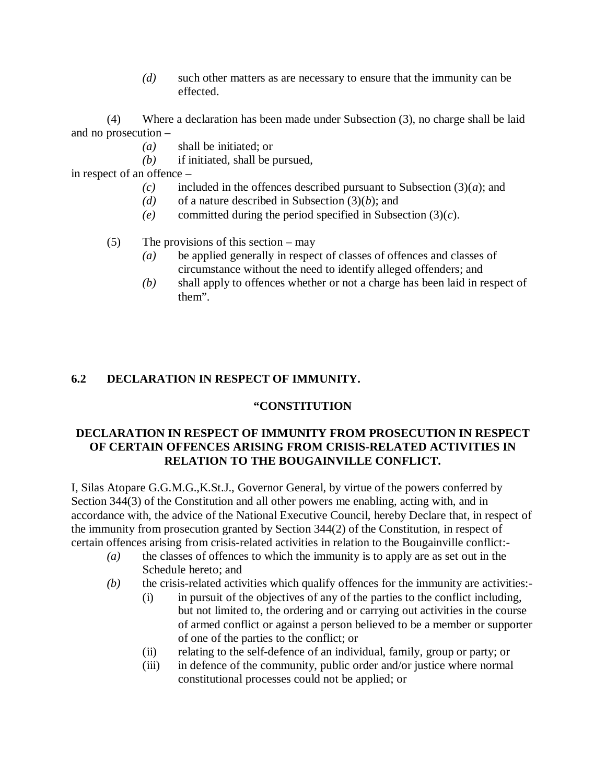*(d)* such other matters as are necessary to ensure that the immunity can be effected.

(4) Where a declaration has been made under Subsection (3), no charge shall be laid and no prosecution –

- *(a)* shall be initiated; or
- *(b)* if initiated, shall be pursued,

in respect of an offence –

- *(c)* included in the offences described pursuant to Subsection (3)(*a*); and
- *(d)* of a nature described in Subsection (3)(*b*); and
- $(e)$  committed during the period specified in Subsection  $(3)(c)$ .
- (5) The provisions of this section may
	- *(a)* be applied generally in respect of classes of offences and classes of circumstance without the need to identify alleged offenders; and
	- *(b)* shall apply to offences whether or not a charge has been laid in respect of them".

## **6.2 DECLARATION IN RESPECT OF IMMUNITY.**

## **"CONSTITUTION**

## **DECLARATION IN RESPECT OF IMMUNITY FROM PROSECUTION IN RESPECT OF CERTAIN OFFENCES ARISING FROM CRISIS-RELATED ACTIVITIES IN RELATION TO THE BOUGAINVILLE CONFLICT.**

I, Silas Atopare G.G.M.G.,K.St.J., Governor General, by virtue of the powers conferred by Section 344(3) of the Constitution and all other powers me enabling, acting with, and in accordance with, the advice of the National Executive Council, hereby Declare that, in respect of the immunity from prosecution granted by Section 344(2) of the Constitution, in respect of certain offences arising from crisis-related activities in relation to the Bougainville conflict:-

- *(a)* the classes of offences to which the immunity is to apply are as set out in the Schedule hereto; and
- *(b)* the crisis-related activities which qualify offences for the immunity are activities:-
	- (i) in pursuit of the objectives of any of the parties to the conflict including, but not limited to, the ordering and or carrying out activities in the course of armed conflict or against a person believed to be a member or supporter of one of the parties to the conflict; or
	- (ii) relating to the self-defence of an individual, family, group or party; or
	- (iii) in defence of the community, public order and/or justice where normal constitutional processes could not be applied; or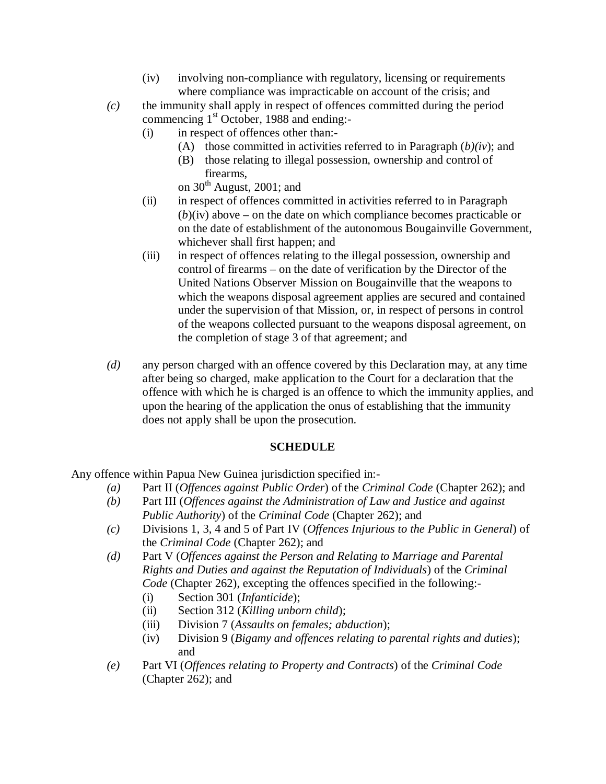- (iv) involving non-compliance with regulatory, licensing or requirements where compliance was impracticable on account of the crisis; and
- *(c)* the immunity shall apply in respect of offences committed during the period commencing  $1<sup>st</sup>$  October, 1988 and ending:-
	- (i) in respect of offences other than:-
		- (A) those committed in activities referred to in Paragraph  $(b)(iv)$ ; and
		- (B) those relating to illegal possession, ownership and control of firearms,
		- on  $30<sup>th</sup>$  August, 2001; and
	- (ii) in respect of offences committed in activities referred to in Paragraph (*b*)(iv) above – on the date on which compliance becomes practicable or on the date of establishment of the autonomous Bougainville Government, whichever shall first happen; and
	- (iii) in respect of offences relating to the illegal possession, ownership and control of firearms – on the date of verification by the Director of the United Nations Observer Mission on Bougainville that the weapons to which the weapons disposal agreement applies are secured and contained under the supervision of that Mission, or, in respect of persons in control of the weapons collected pursuant to the weapons disposal agreement, on the completion of stage 3 of that agreement; and
- *(d)* any person charged with an offence covered by this Declaration may, at any time after being so charged, make application to the Court for a declaration that the offence with which he is charged is an offence to which the immunity applies, and upon the hearing of the application the onus of establishing that the immunity does not apply shall be upon the prosecution.

## **SCHEDULE**

Any offence within Papua New Guinea jurisdiction specified in:-

- *(a)* Part II (*Offences against Public Order*) of the *Criminal Code* (Chapter 262); and
- *(b)* Part III (*Offences against the Administration of Law and Justice and against Public Authority*) of the *Criminal Code* (Chapter 262); and
- *(c)* Divisions 1, 3, 4 and 5 of Part IV (*Offences Injurious to the Public in General*) of the *Criminal Code* (Chapter 262); and
- *(d)* Part V (*Offences against the Person and Relating to Marriage and Parental Rights and Duties and against the Reputation of Individuals*) of the *Criminal Code* (Chapter 262), excepting the offences specified in the following:-
	- (i) Section 301 (*Infanticide*);
	- (ii) Section 312 (*Killing unborn child*);
	- (iii) Division 7 (*Assaults on females; abduction*);
	- (iv) Division 9 (*Bigamy and offences relating to parental rights and duties*); and
- *(e)* Part VI (*Offences relating to Property and Contracts*) of the *Criminal Code* (Chapter 262); and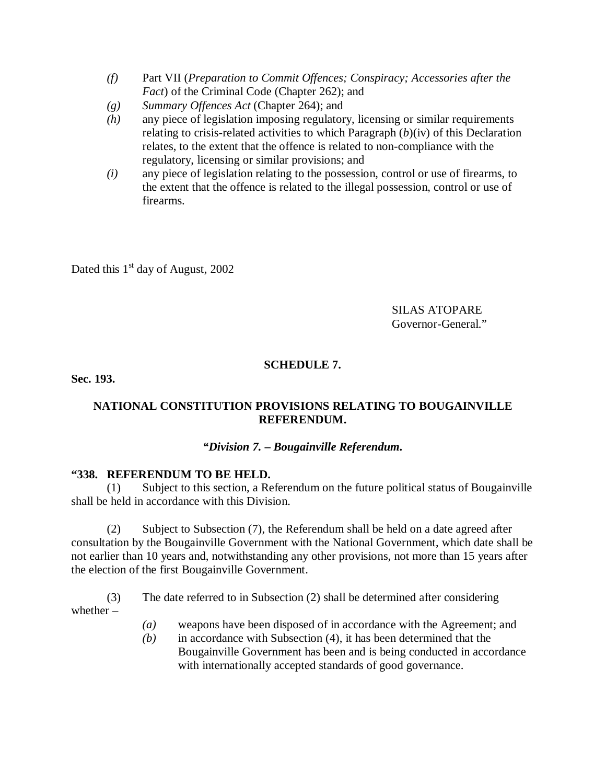- *(f)* Part VII (*Preparation to Commit Offences; Conspiracy; Accessories after the Fact*) of the Criminal Code (Chapter 262); and
- *(g) Summary Offences Act* (Chapter 264); and
- *(h)* any piece of legislation imposing regulatory, licensing or similar requirements relating to crisis-related activities to which Paragraph (*b*)(iv) of this Declaration relates, to the extent that the offence is related to non-compliance with the regulatory, licensing or similar provisions; and
- *(i)* any piece of legislation relating to the possession, control or use of firearms, to the extent that the offence is related to the illegal possession, control or use of firearms.

Dated this  $1<sup>st</sup>$  day of August, 2002

SILAS ATOPARE Governor-General."

## **SCHEDULE 7.**

**Sec. 193.**

## **NATIONAL CONSTITUTION PROVISIONS RELATING TO BOUGAINVILLE REFERENDUM.**

#### *"Division 7. – Bougainville Referendum.*

#### **"338. REFERENDUM TO BE HELD.**

(1) Subject to this section, a Referendum on the future political status of Bougainville shall be held in accordance with this Division.

(2) Subject to Subsection (7), the Referendum shall be held on a date agreed after consultation by the Bougainville Government with the National Government, which date shall be not earlier than 10 years and, notwithstanding any other provisions, not more than 15 years after the election of the first Bougainville Government.

(3) The date referred to in Subsection (2) shall be determined after considering whether –

- *(a)* weapons have been disposed of in accordance with the Agreement; and
- *(b)* in accordance with Subsection (4), it has been determined that the Bougainville Government has been and is being conducted in accordance with internationally accepted standards of good governance.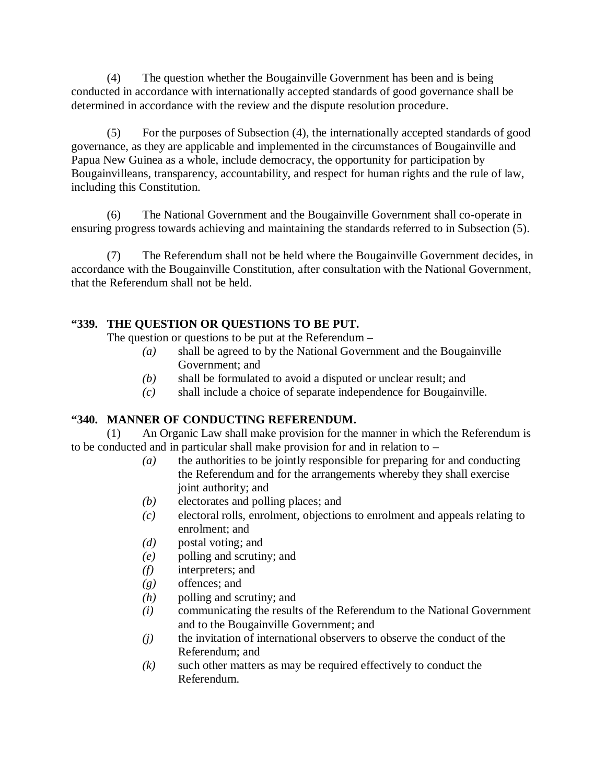(4) The question whether the Bougainville Government has been and is being conducted in accordance with internationally accepted standards of good governance shall be determined in accordance with the review and the dispute resolution procedure.

(5) For the purposes of Subsection (4), the internationally accepted standards of good governance, as they are applicable and implemented in the circumstances of Bougainville and Papua New Guinea as a whole, include democracy, the opportunity for participation by Bougainvilleans, transparency, accountability, and respect for human rights and the rule of law, including this Constitution.

(6) The National Government and the Bougainville Government shall co-operate in ensuring progress towards achieving and maintaining the standards referred to in Subsection (5).

(7) The Referendum shall not be held where the Bougainville Government decides, in accordance with the Bougainville Constitution, after consultation with the National Government, that the Referendum shall not be held.

# **"339. THE QUESTION OR QUESTIONS TO BE PUT.**

The question or questions to be put at the Referendum –

- *(a)* shall be agreed to by the National Government and the Bougainville Government; and
- *(b)* shall be formulated to avoid a disputed or unclear result; and
- *(c)* shall include a choice of separate independence for Bougainville.

# **"340. MANNER OF CONDUCTING REFERENDUM.**

(1) An Organic Law shall make provision for the manner in which the Referendum is to be conducted and in particular shall make provision for and in relation to –

- *(a)* the authorities to be jointly responsible for preparing for and conducting the Referendum and for the arrangements whereby they shall exercise joint authority; and
- *(b)* electorates and polling places; and
- *(c)* electoral rolls, enrolment, objections to enrolment and appeals relating to enrolment; and
- *(d)* postal voting; and
- *(e)* polling and scrutiny; and
- *(f)* interpreters; and
- *(g)* offences; and
- *(h)* polling and scrutiny; and
- *(i)* communicating the results of the Referendum to the National Government and to the Bougainville Government; and
- *(j)* the invitation of international observers to observe the conduct of the Referendum; and
- $(k)$  such other matters as may be required effectively to conduct the Referendum.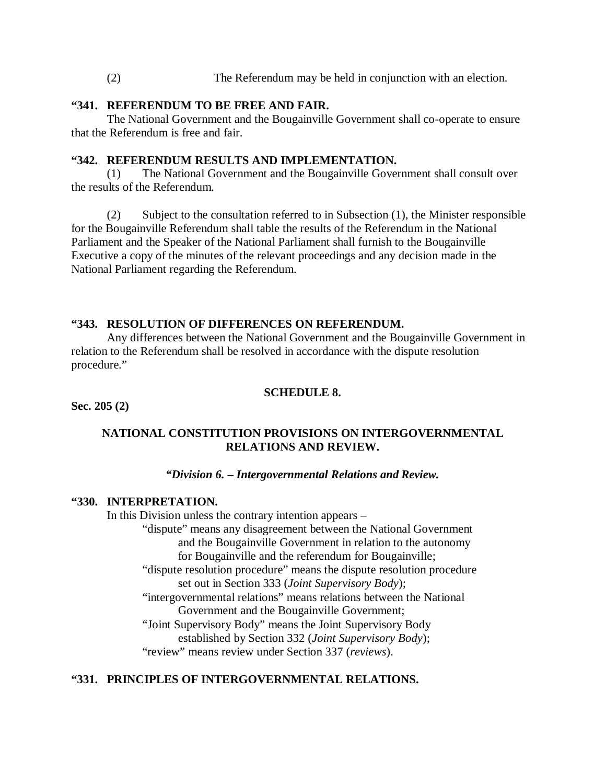(2) The Referendum may be held in conjunction with an election.

#### **"341. REFERENDUM TO BE FREE AND FAIR.**

The National Government and the Bougainville Government shall co-operate to ensure that the Referendum is free and fair.

#### **"342. REFERENDUM RESULTS AND IMPLEMENTATION.**

(1) The National Government and the Bougainville Government shall consult over the results of the Referendum.

(2) Subject to the consultation referred to in Subsection (1), the Minister responsible for the Bougainville Referendum shall table the results of the Referendum in the National Parliament and the Speaker of the National Parliament shall furnish to the Bougainville Executive a copy of the minutes of the relevant proceedings and any decision made in the National Parliament regarding the Referendum.

#### **"343. RESOLUTION OF DIFFERENCES ON REFERENDUM.**

Any differences between the National Government and the Bougainville Government in relation to the Referendum shall be resolved in accordance with the dispute resolution procedure."

#### **SCHEDULE 8.**

**Sec. 205 (2)**

#### **NATIONAL CONSTITUTION PROVISIONS ON INTERGOVERNMENTAL RELATIONS AND REVIEW.**

#### *"Division 6. – Intergovernmental Relations and Review.*

#### **"330. INTERPRETATION.**

In this Division unless the contrary intention appears – "dispute" means any disagreement between the National Government and the Bougainville Government in relation to the autonomy for Bougainville and the referendum for Bougainville; "dispute resolution procedure" means the dispute resolution procedure set out in Section 333 (*Joint Supervisory Body*); "intergovernmental relations" means relations between the National Government and the Bougainville Government; "Joint Supervisory Body" means the Joint Supervisory Body established by Section 332 (*Joint Supervisory Body*); "review" means review under Section 337 (*reviews*).

### **"331. PRINCIPLES OF INTERGOVERNMENTAL RELATIONS.**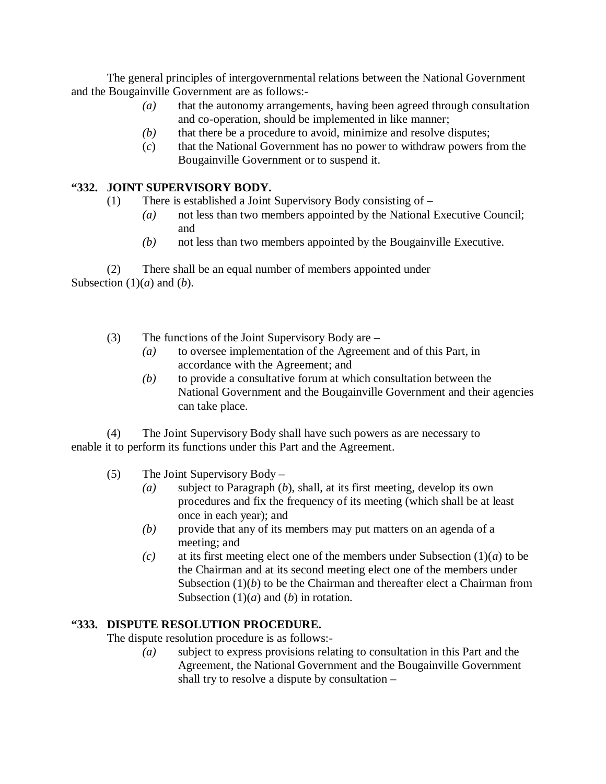The general principles of intergovernmental relations between the National Government and the Bougainville Government are as follows:-

- *(a)* that the autonomy arrangements, having been agreed through consultation and co-operation, should be implemented in like manner;
- *(b)* that there be a procedure to avoid, minimize and resolve disputes;
- (*c*) that the National Government has no power to withdraw powers from the Bougainville Government or to suspend it.

## **"332. JOINT SUPERVISORY BODY.**

- (1) There is established a Joint Supervisory Body consisting of
	- *(a)* not less than two members appointed by the National Executive Council; and
	- *(b)* not less than two members appointed by the Bougainville Executive.

(2) There shall be an equal number of members appointed under Subsection  $(1)(a)$  and  $(b)$ .

- (3) The functions of the Joint Supervisory Body are
	- *(a)* to oversee implementation of the Agreement and of this Part, in accordance with the Agreement; and
	- *(b)* to provide a consultative forum at which consultation between the National Government and the Bougainville Government and their agencies can take place.

(4) The Joint Supervisory Body shall have such powers as are necessary to enable it to perform its functions under this Part and the Agreement.

- (5) The Joint Supervisory Body
	- *(a)* subject to Paragraph (*b*), shall, at its first meeting, develop its own procedures and fix the frequency of its meeting (which shall be at least once in each year); and
	- *(b)* provide that any of its members may put matters on an agenda of a meeting; and
	- *(c)* at its first meeting elect one of the members under Subsection (1)(*a*) to be the Chairman and at its second meeting elect one of the members under Subsection  $(1)(b)$  to be the Chairman and thereafter elect a Chairman from Subsection  $(1)(a)$  and  $(b)$  in rotation.

## **"333. DISPUTE RESOLUTION PROCEDURE.**

The dispute resolution procedure is as follows:-

*(a)* subject to express provisions relating to consultation in this Part and the Agreement, the National Government and the Bougainville Government shall try to resolve a dispute by consultation –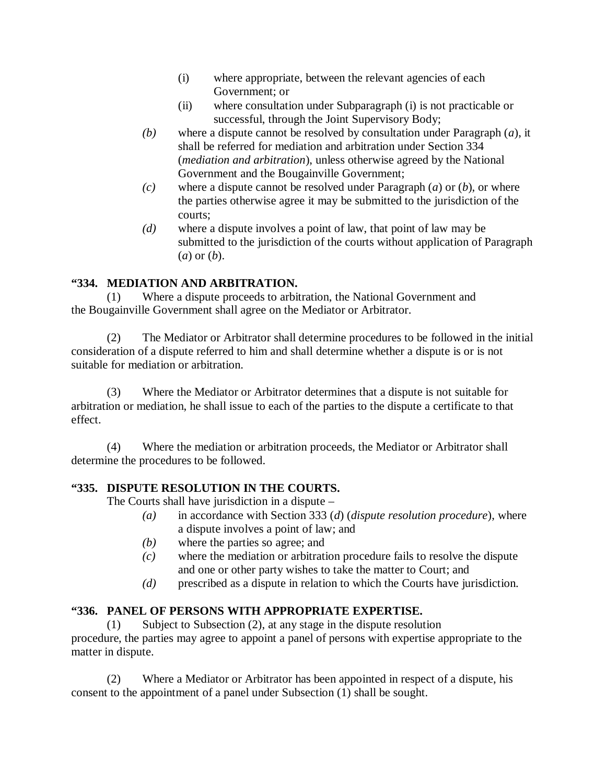- (i) where appropriate, between the relevant agencies of each Government; or
- (ii) where consultation under Subparagraph (i) is not practicable or successful, through the Joint Supervisory Body;
- *(b)* where a dispute cannot be resolved by consultation under Paragraph (*a*), it shall be referred for mediation and arbitration under Section 334 (*mediation and arbitration*), unless otherwise agreed by the National Government and the Bougainville Government;
- *(c)* where a dispute cannot be resolved under Paragraph (*a*) or (*b*), or where the parties otherwise agree it may be submitted to the jurisdiction of the courts;
- *(d)* where a dispute involves a point of law, that point of law may be submitted to the jurisdiction of the courts without application of Paragraph (*a*) or (*b*).

## **"334. MEDIATION AND ARBITRATION.**

(1) Where a dispute proceeds to arbitration, the National Government and the Bougainville Government shall agree on the Mediator or Arbitrator.

(2) The Mediator or Arbitrator shall determine procedures to be followed in the initial consideration of a dispute referred to him and shall determine whether a dispute is or is not suitable for mediation or arbitration.

(3) Where the Mediator or Arbitrator determines that a dispute is not suitable for arbitration or mediation, he shall issue to each of the parties to the dispute a certificate to that effect.

(4) Where the mediation or arbitration proceeds, the Mediator or Arbitrator shall determine the procedures to be followed.

## **"335. DISPUTE RESOLUTION IN THE COURTS.**

The Courts shall have jurisdiction in a dispute –

- *(a)* in accordance with Section 333 (*d*) (*dispute resolution procedure*), where a dispute involves a point of law; and
- *(b)* where the parties so agree; and
- *(c)* where the mediation or arbitration procedure fails to resolve the dispute and one or other party wishes to take the matter to Court; and
- *(d)* prescribed as a dispute in relation to which the Courts have jurisdiction.

## **"336. PANEL OF PERSONS WITH APPROPRIATE EXPERTISE.**

(1) Subject to Subsection (2), at any stage in the dispute resolution procedure, the parties may agree to appoint a panel of persons with expertise appropriate to the matter in dispute.

(2) Where a Mediator or Arbitrator has been appointed in respect of a dispute, his consent to the appointment of a panel under Subsection (1) shall be sought.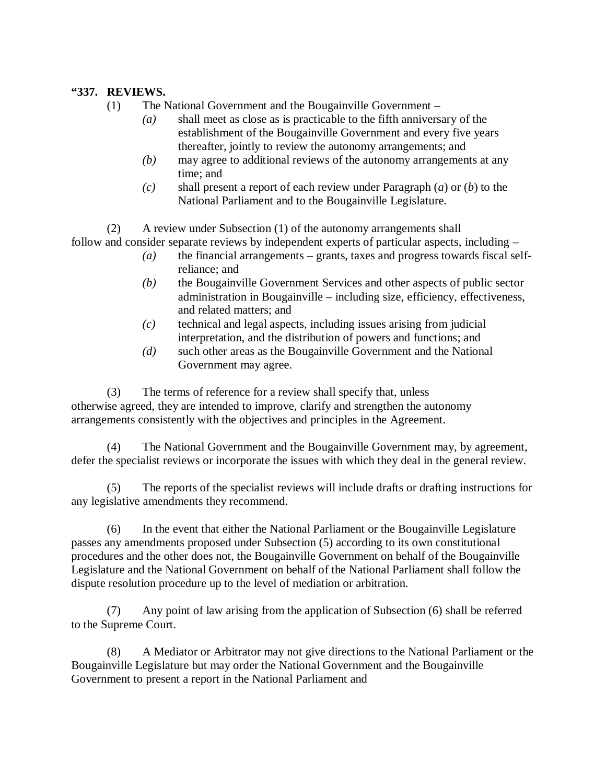### **"337. REVIEWS.**

- (1) The National Government and the Bougainville Government
	- *(a)* shall meet as close as is practicable to the fifth anniversary of the establishment of the Bougainville Government and every five years thereafter, jointly to review the autonomy arrangements; and
	- *(b)* may agree to additional reviews of the autonomy arrangements at any time; and
	- *(c)* shall present a report of each review under Paragraph (*a*) or (*b*) to the National Parliament and to the Bougainville Legislature.

(2) A review under Subsection (1) of the autonomy arrangements shall follow and consider separate reviews by independent experts of particular aspects, including –

- *(a)* the financial arrangements grants, taxes and progress towards fiscal selfreliance; and
- *(b)* the Bougainville Government Services and other aspects of public sector administration in Bougainville – including size, efficiency, effectiveness, and related matters; and
- *(c)* technical and legal aspects, including issues arising from judicial interpretation, and the distribution of powers and functions; and
- *(d)* such other areas as the Bougainville Government and the National Government may agree.

(3) The terms of reference for a review shall specify that, unless otherwise agreed, they are intended to improve, clarify and strengthen the autonomy arrangements consistently with the objectives and principles in the Agreement.

(4) The National Government and the Bougainville Government may, by agreement, defer the specialist reviews or incorporate the issues with which they deal in the general review.

(5) The reports of the specialist reviews will include drafts or drafting instructions for any legislative amendments they recommend.

(6) In the event that either the National Parliament or the Bougainville Legislature passes any amendments proposed under Subsection (5) according to its own constitutional procedures and the other does not, the Bougainville Government on behalf of the Bougainville Legislature and the National Government on behalf of the National Parliament shall follow the dispute resolution procedure up to the level of mediation or arbitration.

(7) Any point of law arising from the application of Subsection (6) shall be referred to the Supreme Court.

(8) A Mediator or Arbitrator may not give directions to the National Parliament or the Bougainville Legislature but may order the National Government and the Bougainville Government to present a report in the National Parliament and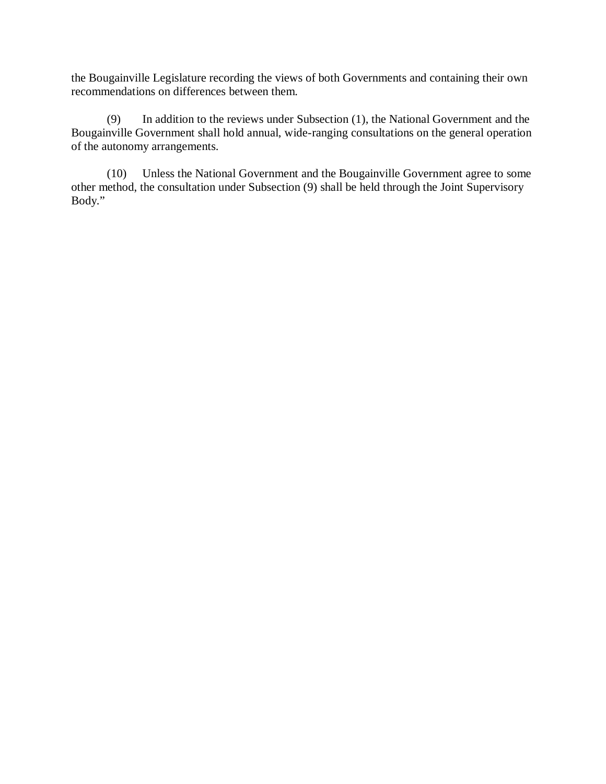the Bougainville Legislature recording the views of both Governments and containing their own recommendations on differences between them.

(9) In addition to the reviews under Subsection (1), the National Government and the Bougainville Government shall hold annual, wide-ranging consultations on the general operation of the autonomy arrangements.

(10) Unless the National Government and the Bougainville Government agree to some other method, the consultation under Subsection (9) shall be held through the Joint Supervisory Body."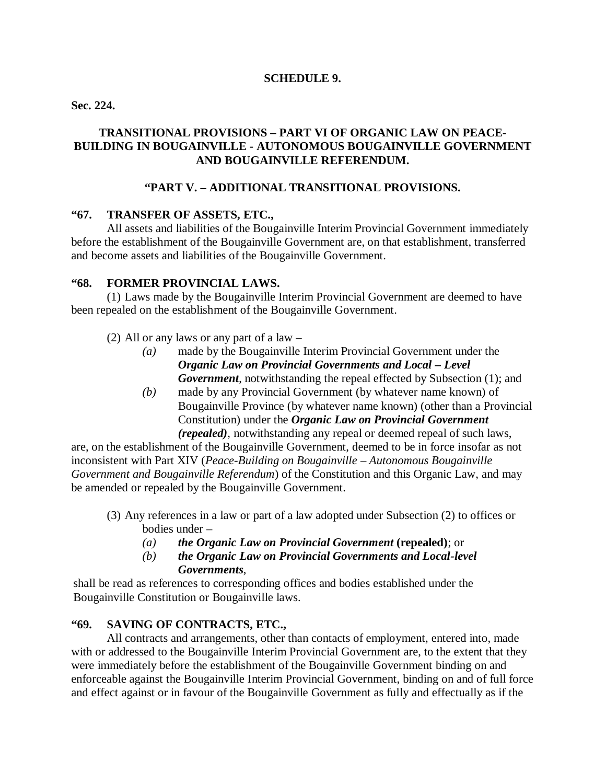#### **SCHEDULE 9.**

#### **Sec. 224.**

### **TRANSITIONAL PROVISIONS – PART VI OF ORGANIC LAW ON PEACE-BUILDING IN BOUGAINVILLE - AUTONOMOUS BOUGAINVILLE GOVERNMENT AND BOUGAINVILLE REFERENDUM.**

#### **"PART V. – ADDITIONAL TRANSITIONAL PROVISIONS.**

#### **"67. TRANSFER OF ASSETS, ETC.,**

All assets and liabilities of the Bougainville Interim Provincial Government immediately before the establishment of the Bougainville Government are, on that establishment, transferred and become assets and liabilities of the Bougainville Government.

#### **"68. FORMER PROVINCIAL LAWS.**

(1) Laws made by the Bougainville Interim Provincial Government are deemed to have been repealed on the establishment of the Bougainville Government.

- (2) All or any laws or any part of a law
	- *(a)* made by the Bougainville Interim Provincial Government under the *Organic Law on Provincial Governments and Local* **–** *Level Government*, notwithstanding the repeal effected by Subsection (1); and
	- *(b)* made by any Provincial Government (by whatever name known) of Bougainville Province (by whatever name known) (other than a Provincial Constitution) under the *Organic Law on Provincial Government (repealed)*, notwithstanding any repeal or deemed repeal of such laws,

are, on the establishment of the Bougainville Government, deemed to be in force insofar as not inconsistent with Part XIV (*Peace-Building on Bougainville* – *Autonomous Bougainville Government and Bougainville Referendum*) of the Constitution and this Organic Law, and may be amended or repealed by the Bougainville Government.

- (3) Any references in a law or part of a law adopted under Subsection (2) to offices or bodies under –
	- *(a) the Organic Law on Provincial Government* **(repealed)**; or
	- *(b) the Organic Law on Provincial Governments and Local-level Governments*,

shall be read as references to corresponding offices and bodies established under the Bougainville Constitution or Bougainville laws.

#### **"69. SAVING OF CONTRACTS, ETC.,**

All contracts and arrangements, other than contacts of employment, entered into, made with or addressed to the Bougainville Interim Provincial Government are, to the extent that they were immediately before the establishment of the Bougainville Government binding on and enforceable against the Bougainville Interim Provincial Government, binding on and of full force and effect against or in favour of the Bougainville Government as fully and effectually as if the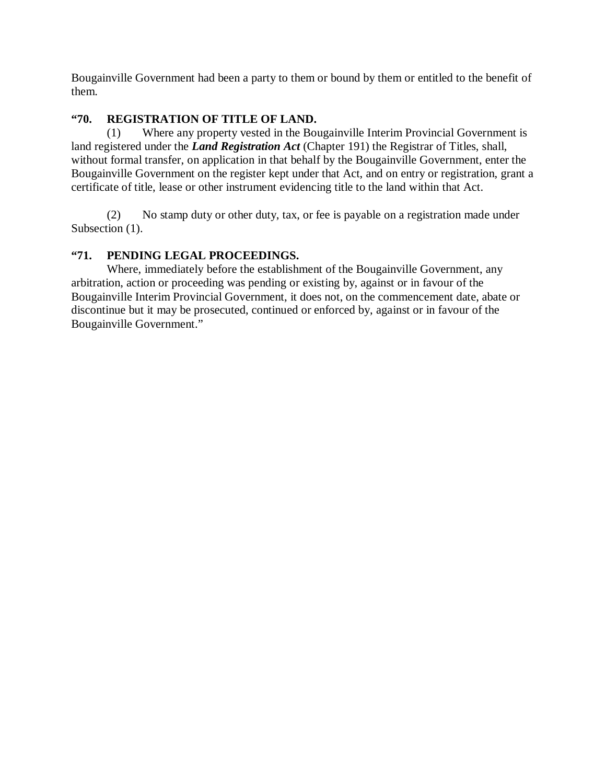Bougainville Government had been a party to them or bound by them or entitled to the benefit of them.

## **"70. REGISTRATION OF TITLE OF LAND.**

(1) Where any property vested in the Bougainville Interim Provincial Government is land registered under the *Land Registration Act* (Chapter 191) the Registrar of Titles, shall, without formal transfer, on application in that behalf by the Bougainville Government, enter the Bougainville Government on the register kept under that Act, and on entry or registration, grant a certificate of title, lease or other instrument evidencing title to the land within that Act.

(2) No stamp duty or other duty, tax, or fee is payable on a registration made under Subsection (1).

# **"71. PENDING LEGAL PROCEEDINGS.**

Where, immediately before the establishment of the Bougainville Government, any arbitration, action or proceeding was pending or existing by, against or in favour of the Bougainville Interim Provincial Government, it does not, on the commencement date, abate or discontinue but it may be prosecuted, continued or enforced by, against or in favour of the Bougainville Government."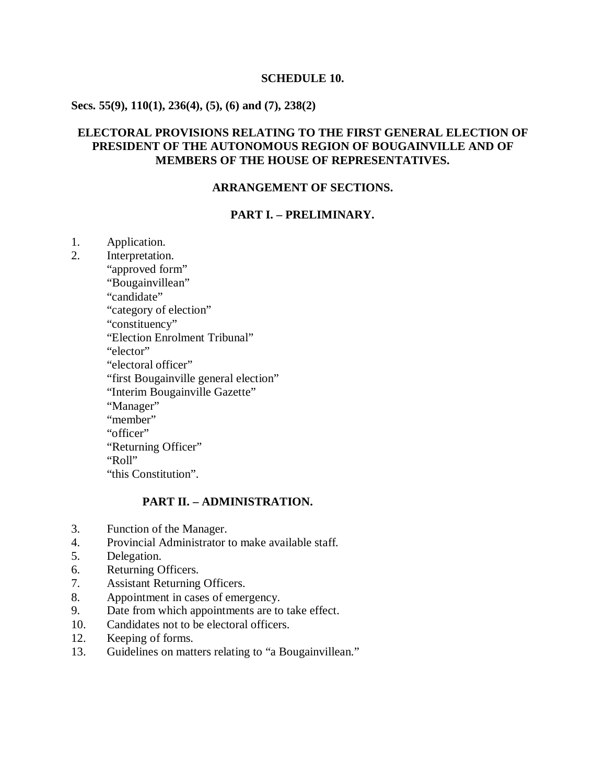#### **SCHEDULE 10.**

#### **Secs. 55(9), 110(1), 236(4), (5), (6) and (7), 238(2)**

### **ELECTORAL PROVISIONS RELATING TO THE FIRST GENERAL ELECTION OF PRESIDENT OF THE AUTONOMOUS REGION OF BOUGAINVILLE AND OF MEMBERS OF THE HOUSE OF REPRESENTATIVES.**

#### **ARRANGEMENT OF SECTIONS.**

#### **PART I. – PRELIMINARY.**

1. Application.

2. Interpretation. "approved form" "Bougainvillean" "candidate" "category of election" "constituency" "Election Enrolment Tribunal" "elector" "electoral officer" "first Bougainville general election" "Interim Bougainville Gazette" "Manager" "member" "officer" "Returning Officer" "Roll" "this Constitution".

#### **PART II. – ADMINISTRATION.**

- 3. Function of the Manager.
- 4. Provincial Administrator to make available staff.
- 5. Delegation.
- 6. Returning Officers.
- 7. Assistant Returning Officers.
- 8. Appointment in cases of emergency.
- 9. Date from which appointments are to take effect.
- 10. Candidates not to be electoral officers.
- 12. Keeping of forms.
- 13. Guidelines on matters relating to "a Bougainvillean."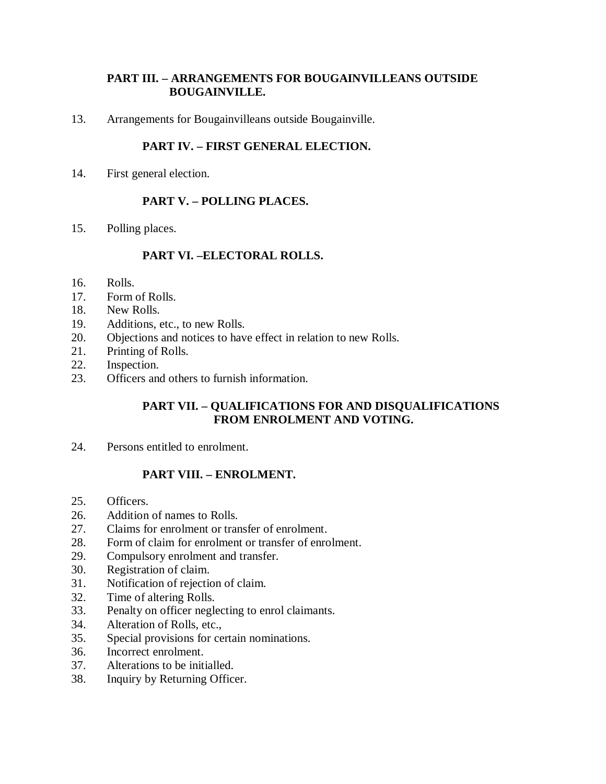### **PART III. – ARRANGEMENTS FOR BOUGAINVILLEANS OUTSIDE BOUGAINVILLE.**

13. Arrangements for Bougainvilleans outside Bougainville.

### **PART IV. – FIRST GENERAL ELECTION.**

14. First general election.

#### **PART V. – POLLING PLACES.**

15. Polling places.

#### **PART VI. –ELECTORAL ROLLS.**

- 16. Rolls.
- 17. Form of Rolls.
- 18. New Rolls.
- 19. Additions, etc., to new Rolls.
- 20. Objections and notices to have effect in relation to new Rolls.
- 21. Printing of Rolls.
- 22. Inspection.
- 23. Officers and others to furnish information.

## **PART VII. – QUALIFICATIONS FOR AND DISQUALIFICATIONS FROM ENROLMENT AND VOTING.**

24. Persons entitled to enrolment.

#### **PART VIII. – ENROLMENT.**

- 25. Officers.
- 26. Addition of names to Rolls.
- 27. Claims for enrolment or transfer of enrolment.
- 28. Form of claim for enrolment or transfer of enrolment.
- 29. Compulsory enrolment and transfer.
- 30. Registration of claim.
- 31. Notification of rejection of claim.
- 32. Time of altering Rolls.
- 33. Penalty on officer neglecting to enrol claimants.
- 34. Alteration of Rolls, etc.,
- 35. Special provisions for certain nominations.
- 36. Incorrect enrolment.
- 37. Alterations to be initialled.
- 38. Inquiry by Returning Officer.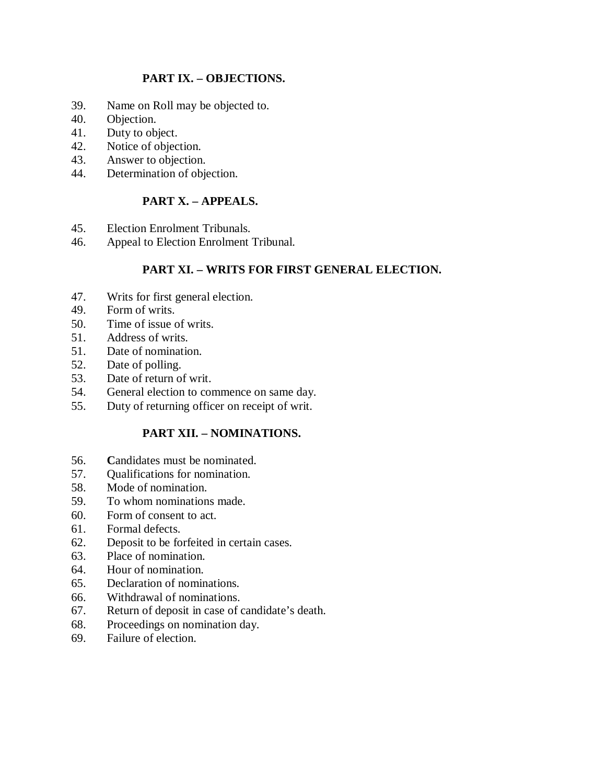## **PART IX. – OBJECTIONS.**

- 39. Name on Roll may be objected to.
- 40. Objection.
- 41. Duty to object.
- 42. Notice of objection.
- 43. Answer to objection.
- 44. Determination of objection.

#### **PART X. – APPEALS.**

- 45. Election Enrolment Tribunals.
- 46. Appeal to Election Enrolment Tribunal.

### **PART XI. – WRITS FOR FIRST GENERAL ELECTION.**

- 47. Writs for first general election.
- 49. Form of writs.
- 50. Time of issue of writs.
- 51. Address of writs.
- 51. Date of nomination.
- 52. Date of polling.
- 53. Date of return of writ.
- 54. General election to commence on same day.
- 55. Duty of returning officer on receipt of writ.

#### **PART XII. – NOMINATIONS.**

- 56. **C**andidates must be nominated.
- 57. Qualifications for nomination.
- 58. Mode of nomination.
- 59. To whom nominations made.
- 60. Form of consent to act.
- 61. Formal defects.
- 62. Deposit to be forfeited in certain cases.
- 63. Place of nomination.
- 64. Hour of nomination.
- 65. Declaration of nominations.
- 66. Withdrawal of nominations.
- 67. Return of deposit in case of candidate's death.
- 68. Proceedings on nomination day.
- 69. Failure of election.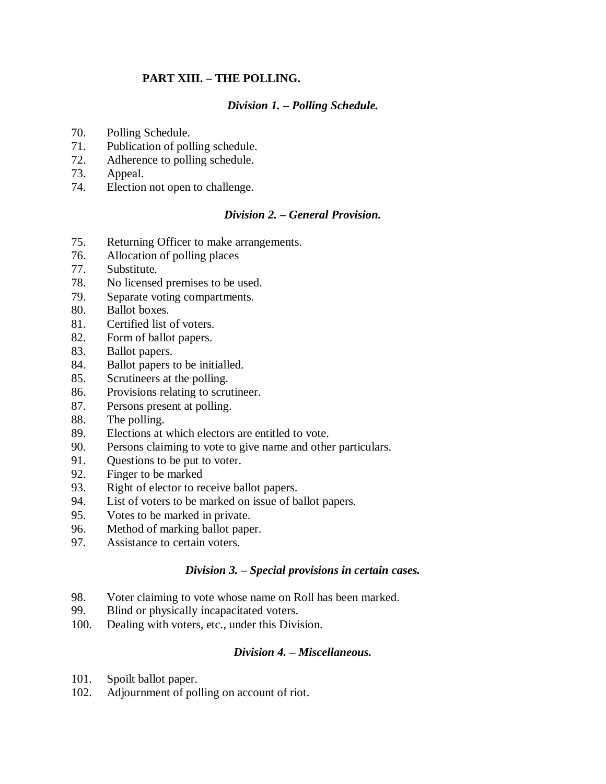## **PART XIII. – THE POLLING.**

#### *Division 1. – Polling Schedule.*

- 70. Polling Schedule.
- 71. Publication of polling schedule.
- 72. Adherence to polling schedule.
- 73. Appeal.
- 74. Election not open to challenge.

### *Division 2. – General Provision.*

- 75. Returning Officer to make arrangements.
- 76. Allocation of polling places
- 77. Substitute.
- 78. No licensed premises to be used.
- 79. Separate voting compartments.
- 80. Ballot boxes.
- 81. Certified list of voters.
- 82. Form of ballot papers.
- 83. Ballot papers.
- 84. Ballot papers to be initialled.
- 85. Scrutineers at the polling.
- 86. Provisions relating to scrutineer.
- 87. Persons present at polling.
- 88. The polling.
- 89. Elections at which electors are entitled to vote.
- 90. Persons claiming to vote to give name and other particulars.
- 91. Questions to be put to voter.
- 92. Finger to be marked
- 93. Right of elector to receive ballot papers.
- 94. List of voters to be marked on issue of ballot papers.
- 95. Votes to be marked in private.
- 96. Method of marking ballot paper.
- 97. Assistance to certain voters.

#### *Division 3. – Special provisions in certain cases.*

- 98. Voter claiming to vote whose name on Roll has been marked.
- 99. Blind or physically incapacitated voters.
- 100. Dealing with voters, etc., under this Division.

#### *Division 4. – Miscellaneous.*

- 101. Spoilt ballot paper.
- 102. Adjournment of polling on account of riot.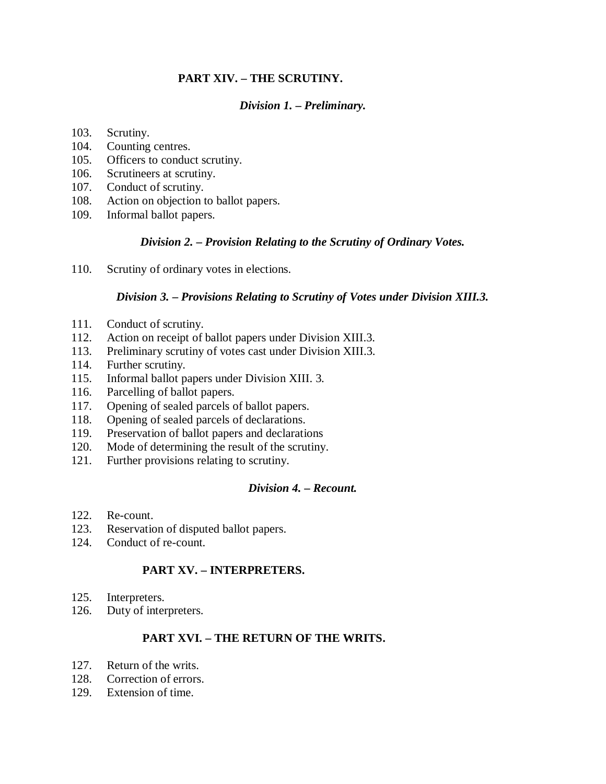## **PART XIV. – THE SCRUTINY.**

#### *Division 1. – Preliminary.*

- 103. Scrutiny.
- 104. Counting centres.
- 105. Officers to conduct scrutiny.
- 106. Scrutineers at scrutiny.
- 107. Conduct of scrutiny.
- 108. Action on objection to ballot papers.
- 109. Informal ballot papers.

### *Division 2. – Provision Relating to the Scrutiny of Ordinary Votes.*

110. Scrutiny of ordinary votes in elections.

### *Division 3. – Provisions Relating to Scrutiny of Votes under Division XIII.3.*

- 111. Conduct of scrutiny.
- 112. Action on receipt of ballot papers under Division XIII.3.
- 113. Preliminary scrutiny of votes cast under Division XIII.3.
- 114. Further scrutiny.
- 115. Informal ballot papers under Division XIII. 3.
- 116. Parcelling of ballot papers.
- 117. Opening of sealed parcels of ballot papers.
- 118. Opening of sealed parcels of declarations.
- 119. Preservation of ballot papers and declarations
- 120. Mode of determining the result of the scrutiny.
- 121. Further provisions relating to scrutiny.

#### *Division 4. – Recount.*

- 122. Re-count.
- 123. Reservation of disputed ballot papers.
- 124. Conduct of re-count.

## **PART XV. – INTERPRETERS.**

- 125. Interpreters.
- 126. Duty of interpreters.

## **PART XVI. – THE RETURN OF THE WRITS.**

- 127. Return of the writs.
- 128. Correction of errors.
- 129. Extension of time.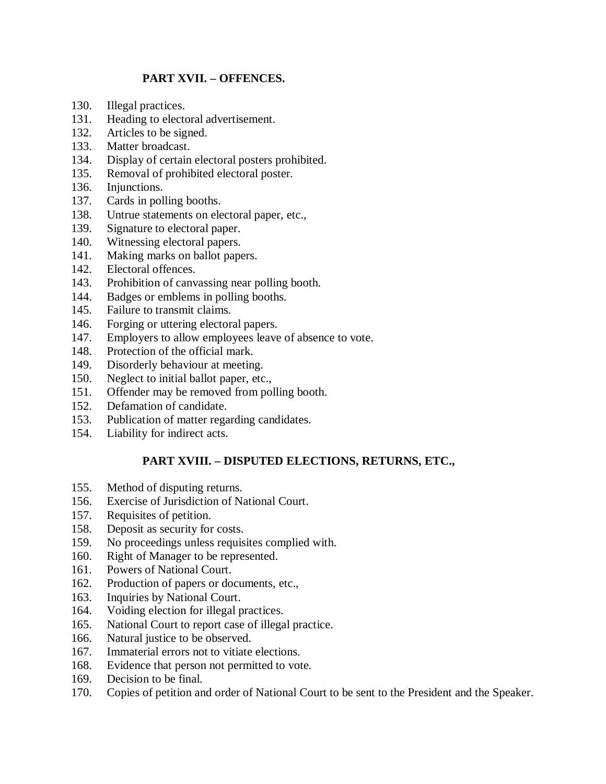# **PART XVII. – OFFENCES.**

- 130. Illegal practices.
- 131. Heading to electoral advertisement.
- 132. Articles to be signed.
- 133. Matter broadcast.
- 134. Display of certain electoral posters prohibited.
- 135. Removal of prohibited electoral poster.
- 136. Injunctions.
- 137. Cards in polling booths.
- 138. Untrue statements on electoral paper, etc.,
- 139. Signature to electoral paper.
- 140. Witnessing electoral papers.
- 141. Making marks on ballot papers.
- 142. Electoral offences.
- 143. Prohibition of canvassing near polling booth.
- 144. Badges or emblems in polling booths.
- 145. Failure to transmit claims.
- 146. Forging or uttering electoral papers.
- 147. Employers to allow employees leave of absence to vote.
- 148. Protection of the official mark.
- 149. Disorderly behaviour at meeting.
- 150. Neglect to initial ballot paper, etc.,
- 151. Offender may be removed from polling booth.
- 152. Defamation of candidate.
- 153. Publication of matter regarding candidates.
- 154. Liability for indirect acts.

# **PART XVIII. – DISPUTED ELECTIONS, RETURNS, ETC.,**

- 155. Method of disputing returns.
- 156. Exercise of Jurisdiction of National Court.
- 157. Requisites of petition.
- 158. Deposit as security for costs.
- 159. No proceedings unless requisites complied with.
- 160. Right of Manager to be represented.
- 161. Powers of National Court.
- 162. Production of papers or documents, etc.,
- 163. Inquiries by National Court.
- 164. Voiding election for illegal practices.
- 165. National Court to report case of illegal practice.
- 166. Natural justice to be observed.
- 167. Immaterial errors not to vitiate elections.
- 168. Evidence that person not permitted to vote.
- 169. Decision to be final.
- 170. Copies of petition and order of National Court to be sent to the President and the Speaker.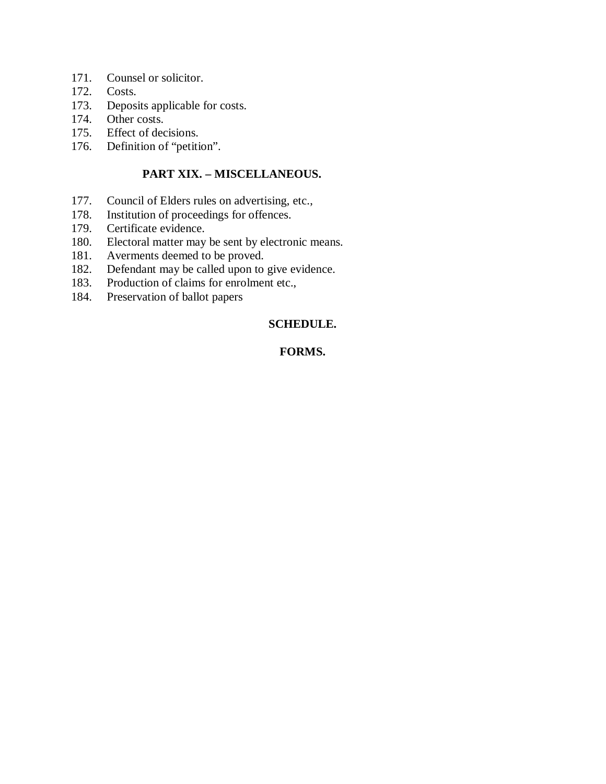- 171. Counsel or solicitor.
- 172. Costs.
- 173. Deposits applicable for costs.
- 174. Other costs.
- 175. Effect of decisions.
- 176. Definition of "petition".

### **PART XIX. – MISCELLANEOUS.**

- 177. Council of Elders rules on advertising, etc., 178. Institution of proceedings for offences.
- Institution of proceedings for offences.
- 179. Certificate evidence.
- 180. Electoral matter may be sent by electronic means.
- 181. Averments deemed to be proved.
- 182. Defendant may be called upon to give evidence.
- 183. Production of claims for enrolment etc.,
- 184. Preservation of ballot papers

## **SCHEDULE.**

## **FORMS.**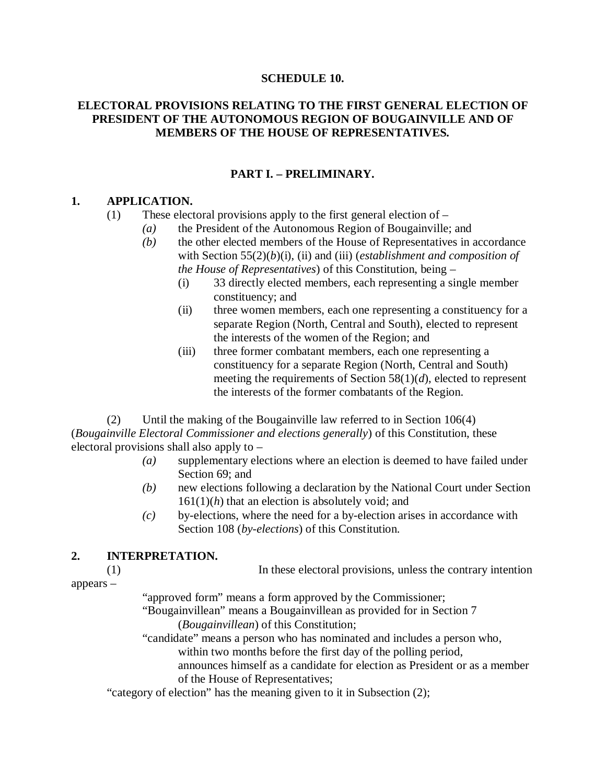#### **SCHEDULE 10.**

#### **ELECTORAL PROVISIONS RELATING TO THE FIRST GENERAL ELECTION OF PRESIDENT OF THE AUTONOMOUS REGION OF BOUGAINVILLE AND OF MEMBERS OF THE HOUSE OF REPRESENTATIVES***.*

### **PART I. – PRELIMINARY.**

#### **1. APPLICATION.**

- (1) These electoral provisions apply to the first general election of
	- *(a)* the President of the Autonomous Region of Bougainville; and
	- *(b)* the other elected members of the House of Representatives in accordance with Section 55(2)(*b*)(i), (ii) and (iii) (*establishment and composition of the House of Representatives*) of this Constitution, being –
		- (i) 33 directly elected members, each representing a single member constituency; and
		- (ii) three women members, each one representing a constituency for a separate Region (North, Central and South), elected to represent the interests of the women of the Region; and
		- (iii) three former combatant members, each one representing a constituency for a separate Region (North, Central and South) meeting the requirements of Section 58(1)(*d*), elected to represent the interests of the former combatants of the Region.

(2) Until the making of the Bougainville law referred to in Section 106(4) (*Bougainville Electoral Commissioner and elections generally*) of this Constitution, these electoral provisions shall also apply to –

- *(a)* supplementary elections where an election is deemed to have failed under Section 69; and
- *(b)* new elections following a declaration by the National Court under Section  $161(1)(h)$  that an election is absolutely void; and
- *(c)* by-elections, where the need for a by-election arises in accordance with Section 108 (*by-elections*) of this Constitution.

#### **2. INTERPRETATION.**

(1) In these electoral provisions, unless the contrary intention

appears –

"approved form" means a form approved by the Commissioner;

- "Bougainvillean" means a Bougainvillean as provided for in Section 7 (*Bougainvillean*) of this Constitution;
- "candidate" means a person who has nominated and includes a person who,

within two months before the first day of the polling period,

announces himself as a candidate for election as President or as a member of the House of Representatives;

"category of election" has the meaning given to it in Subsection (2);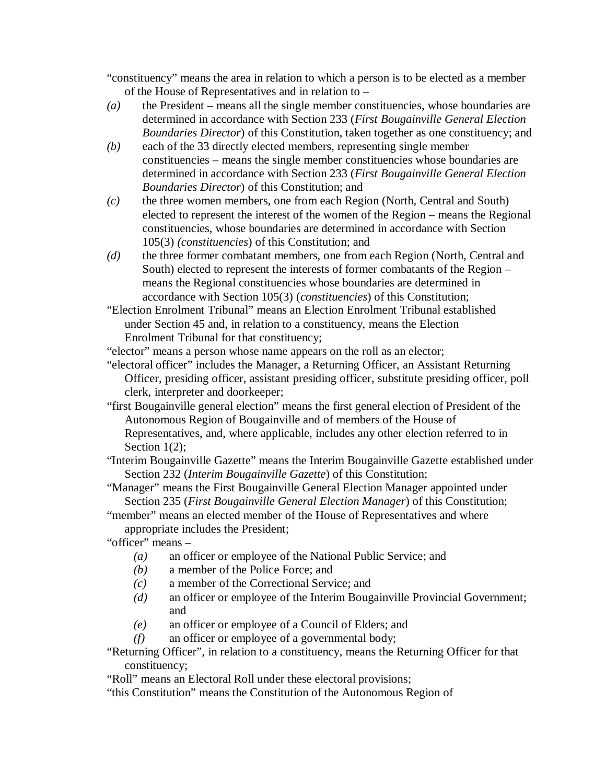"constituency" means the area in relation to which a person is to be elected as a member of the House of Representatives and in relation to –

- *(a)* the President means all the single member constituencies, whose boundaries are determined in accordance with Section 233 (*First Bougainville General Election Boundaries Director*) of this Constitution, taken together as one constituency; and
- *(b)* each of the 33 directly elected members, representing single member constituencies – means the single member constituencies whose boundaries are determined in accordance with Section 233 (*First Bougainville General Election Boundaries Director*) of this Constitution; and
- *(c)* the three women members, one from each Region (North, Central and South) elected to represent the interest of the women of the Region – means the Regional constituencies, whose boundaries are determined in accordance with Section 105(3) *(constituencies*) of this Constitution; and
- *(d)* the three former combatant members, one from each Region (North, Central and South) elected to represent the interests of former combatants of the Region – means the Regional constituencies whose boundaries are determined in accordance with Section 105(3) (*constituencies*) of this Constitution;
- "Election Enrolment Tribunal" means an Election Enrolment Tribunal established under Section 45 and, in relation to a constituency, means the Election Enrolment Tribunal for that constituency;

"elector" means a person whose name appears on the roll as an elector;

- "electoral officer" includes the Manager, a Returning Officer, an Assistant Returning Officer, presiding officer, assistant presiding officer, substitute presiding officer, poll clerk, interpreter and doorkeeper;
- "first Bougainville general election" means the first general election of President of the Autonomous Region of Bougainville and of members of the House of Representatives, and, where applicable, includes any other election referred to in Section 1(2);
- "Interim Bougainville Gazette" means the Interim Bougainville Gazette established under Section 232 (*Interim Bougainville Gazette*) of this Constitution;
- "Manager" means the First Bougainville General Election Manager appointed under Section 235 (*First Bougainville General Election Manager*) of this Constitution;
- "member" means an elected member of the House of Representatives and where appropriate includes the President;

"officer" means –

- *(a)* an officer or employee of the National Public Service; and
- *(b)* a member of the Police Force; and
- *(c)* a member of the Correctional Service; and
- *(d)* an officer or employee of the Interim Bougainville Provincial Government; and
- *(e)* an officer or employee of a Council of Elders; and
- *(f)* an officer or employee of a governmental body;
- "Returning Officer", in relation to a constituency, means the Returning Officer for that constituency;

"Roll" means an Electoral Roll under these electoral provisions;

"this Constitution" means the Constitution of the Autonomous Region of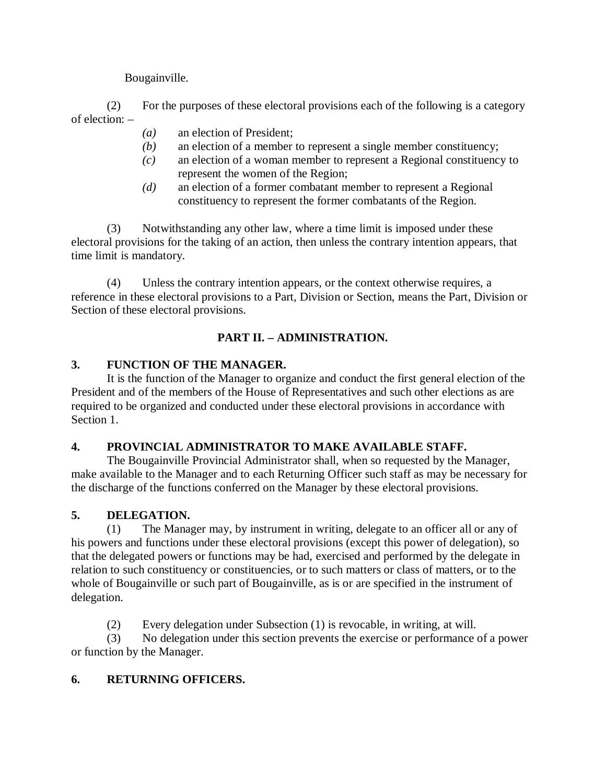Bougainville.

(2) For the purposes of these electoral provisions each of the following is a category of election: –

- *(a)* an election of President;
- *(b)* an election of a member to represent a single member constituency;
- *(c)* an election of a woman member to represent a Regional constituency to represent the women of the Region;
- *(d)* an election of a former combatant member to represent a Regional constituency to represent the former combatants of the Region.

(3) Notwithstanding any other law, where a time limit is imposed under these electoral provisions for the taking of an action, then unless the contrary intention appears, that time limit is mandatory.

(4) Unless the contrary intention appears, or the context otherwise requires, a reference in these electoral provisions to a Part, Division or Section, means the Part, Division or Section of these electoral provisions.

# **PART II. – ADMINISTRATION.**

## **3. FUNCTION OF THE MANAGER.**

It is the function of the Manager to organize and conduct the first general election of the President and of the members of the House of Representatives and such other elections as are required to be organized and conducted under these electoral provisions in accordance with Section 1.

## **4. PROVINCIAL ADMINISTRATOR TO MAKE AVAILABLE STAFF.**

The Bougainville Provincial Administrator shall, when so requested by the Manager, make available to the Manager and to each Returning Officer such staff as may be necessary for the discharge of the functions conferred on the Manager by these electoral provisions.

## **5. DELEGATION.**

(1) The Manager may, by instrument in writing, delegate to an officer all or any of his powers and functions under these electoral provisions (except this power of delegation), so that the delegated powers or functions may be had, exercised and performed by the delegate in relation to such constituency or constituencies, or to such matters or class of matters, or to the whole of Bougainville or such part of Bougainville, as is or are specified in the instrument of delegation.

(2) Every delegation under Subsection (1) is revocable, in writing, at will.

(3) No delegation under this section prevents the exercise or performance of a power or function by the Manager.

# **6. RETURNING OFFICERS.**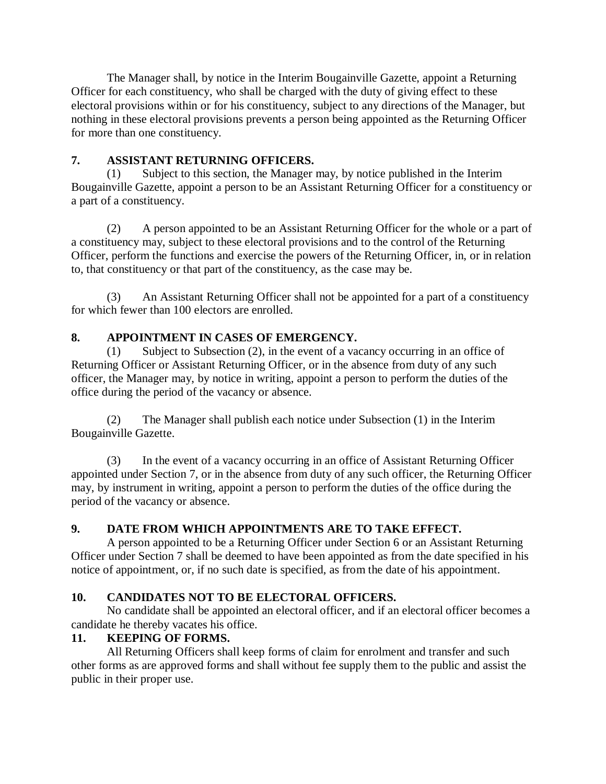The Manager shall, by notice in the Interim Bougainville Gazette, appoint a Returning Officer for each constituency, who shall be charged with the duty of giving effect to these electoral provisions within or for his constituency, subject to any directions of the Manager, but nothing in these electoral provisions prevents a person being appointed as the Returning Officer for more than one constituency.

# **7. ASSISTANT RETURNING OFFICERS.**

(1) Subject to this section, the Manager may, by notice published in the Interim Bougainville Gazette, appoint a person to be an Assistant Returning Officer for a constituency or a part of a constituency.

(2) A person appointed to be an Assistant Returning Officer for the whole or a part of a constituency may, subject to these electoral provisions and to the control of the Returning Officer, perform the functions and exercise the powers of the Returning Officer, in, or in relation to, that constituency or that part of the constituency, as the case may be.

(3) An Assistant Returning Officer shall not be appointed for a part of a constituency for which fewer than 100 electors are enrolled.

# **8. APPOINTMENT IN CASES OF EMERGENCY.**

(1) Subject to Subsection (2), in the event of a vacancy occurring in an office of Returning Officer or Assistant Returning Officer, or in the absence from duty of any such officer, the Manager may, by notice in writing, appoint a person to perform the duties of the office during the period of the vacancy or absence.

(2) The Manager shall publish each notice under Subsection (1) in the Interim Bougainville Gazette.

(3) In the event of a vacancy occurring in an office of Assistant Returning Officer appointed under Section 7, or in the absence from duty of any such officer, the Returning Officer may, by instrument in writing, appoint a person to perform the duties of the office during the period of the vacancy or absence.

# **9. DATE FROM WHICH APPOINTMENTS ARE TO TAKE EFFECT.**

A person appointed to be a Returning Officer under Section 6 or an Assistant Returning Officer under Section 7 shall be deemed to have been appointed as from the date specified in his notice of appointment, or, if no such date is specified, as from the date of his appointment.

# **10. CANDIDATES NOT TO BE ELECTORAL OFFICERS.**

No candidate shall be appointed an electoral officer, and if an electoral officer becomes a candidate he thereby vacates his office.

# **11. KEEPING OF FORMS.**

All Returning Officers shall keep forms of claim for enrolment and transfer and such other forms as are approved forms and shall without fee supply them to the public and assist the public in their proper use.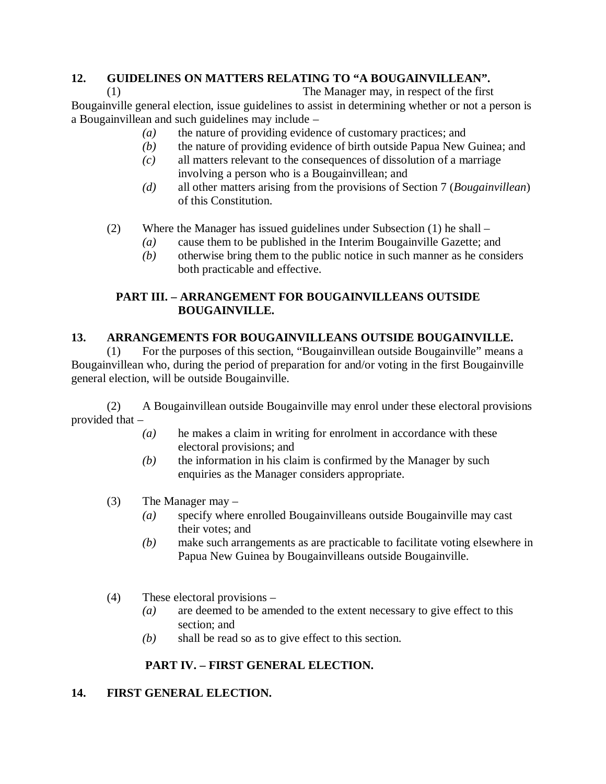## **12. GUIDELINES ON MATTERS RELATING TO "A BOUGAINVILLEAN".**

(1) The Manager may, in respect of the first

Bougainville general election, issue guidelines to assist in determining whether or not a person is a Bougainvillean and such guidelines may include –

- *(a)* the nature of providing evidence of customary practices; and
- *(b)* the nature of providing evidence of birth outside Papua New Guinea; and
- *(c)* all matters relevant to the consequences of dissolution of a marriage involving a person who is a Bougainvillean; and
- *(d)* all other matters arising from the provisions of Section 7 (*Bougainvillean*) of this Constitution.
- (2) Where the Manager has issued guidelines under Subsection (1) he shall
	- *(a)* cause them to be published in the Interim Bougainville Gazette; and
	- *(b)* otherwise bring them to the public notice in such manner as he considers both practicable and effective.

# **PART III. – ARRANGEMENT FOR BOUGAINVILLEANS OUTSIDE BOUGAINVILLE.**

# **13. ARRANGEMENTS FOR BOUGAINVILLEANS OUTSIDE BOUGAINVILLE.**

(1) For the purposes of this section, "Bougainvillean outside Bougainville" means a Bougainvillean who, during the period of preparation for and/or voting in the first Bougainville general election, will be outside Bougainville.

(2) A Bougainvillean outside Bougainville may enrol under these electoral provisions provided that –

- *(a)* he makes a claim in writing for enrolment in accordance with these electoral provisions; and
- *(b)* the information in his claim is confirmed by the Manager by such enquiries as the Manager considers appropriate.
- (3) The Manager may
	- *(a)* specify where enrolled Bougainvilleans outside Bougainville may cast their votes; and
	- *(b)* make such arrangements as are practicable to facilitate voting elsewhere in Papua New Guinea by Bougainvilleans outside Bougainville.
- (4) These electoral provisions
	- *(a)* are deemed to be amended to the extent necessary to give effect to this section; and
	- *(b)* shall be read so as to give effect to this section.

# **PART IV. – FIRST GENERAL ELECTION.**

# **14. FIRST GENERAL ELECTION.**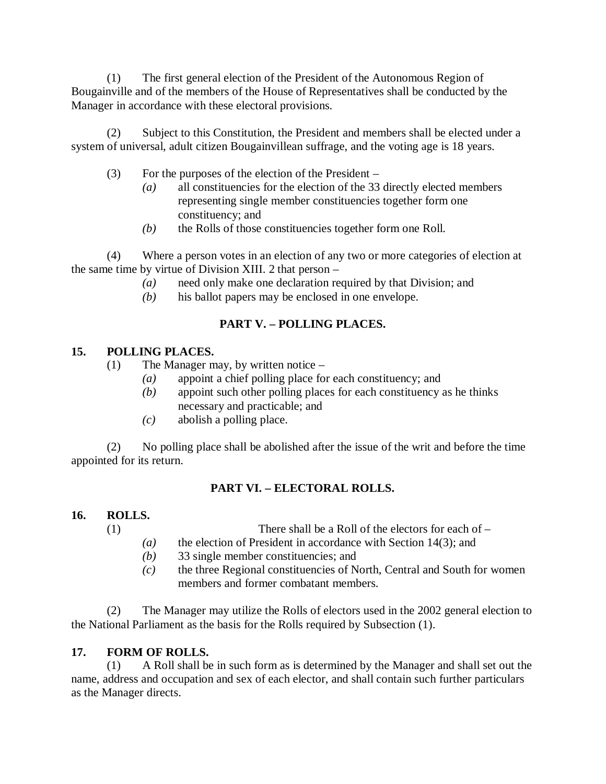(1) The first general election of the President of the Autonomous Region of Bougainville and of the members of the House of Representatives shall be conducted by the Manager in accordance with these electoral provisions.

(2) Subject to this Constitution, the President and members shall be elected under a system of universal, adult citizen Bougainvillean suffrage, and the voting age is 18 years.

- (3) For the purposes of the election of the President
	- *(a)* all constituencies for the election of the 33 directly elected members representing single member constituencies together form one constituency; and
	- *(b)* the Rolls of those constituencies together form one Roll.

(4) Where a person votes in an election of any two or more categories of election at the same time by virtue of Division XIII. 2 that person –

- *(a)* need only make one declaration required by that Division; and
- *(b)* his ballot papers may be enclosed in one envelope.

# **PART V. – POLLING PLACES.**

## **15. POLLING PLACES.**

- (1) The Manager may, by written notice
	- *(a)* appoint a chief polling place for each constituency; and
	- *(b)* appoint such other polling places for each constituency as he thinks necessary and practicable; and
	- *(c)* abolish a polling place.

(2) No polling place shall be abolished after the issue of the writ and before the time appointed for its return.

# **PART VI. – ELECTORAL ROLLS.**

# **16. ROLLS.**

(1) There shall be a Roll of the electors for each of –

- *(a)* the election of President in accordance with Section 14(3); and
- *(b)* 33 single member constituencies; and
- *(c)* the three Regional constituencies of North, Central and South for women members and former combatant members.

(2) The Manager may utilize the Rolls of electors used in the 2002 general election to the National Parliament as the basis for the Rolls required by Subsection (1).

## **17. FORM OF ROLLS.**

(1) A Roll shall be in such form as is determined by the Manager and shall set out the name, address and occupation and sex of each elector, and shall contain such further particulars as the Manager directs.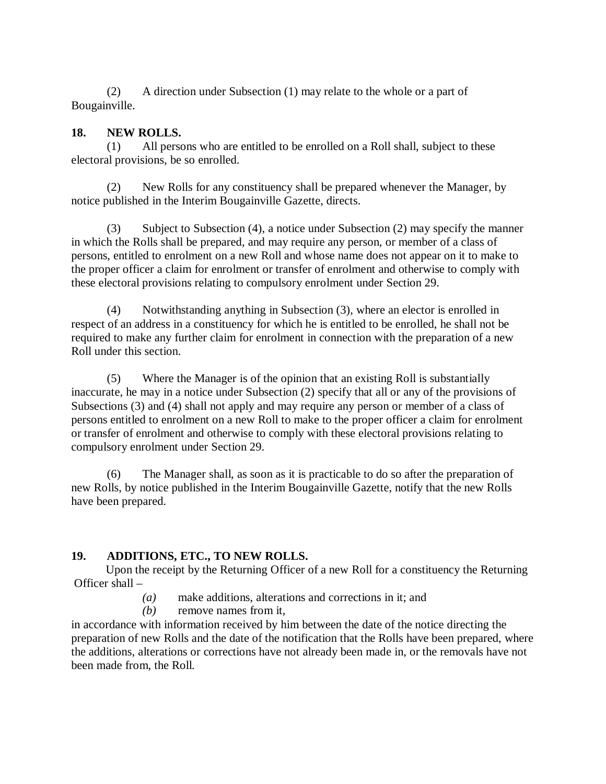(2) A direction under Subsection (1) may relate to the whole or a part of Bougainville.

## **18. NEW ROLLS.**

(1) All persons who are entitled to be enrolled on a Roll shall, subject to these electoral provisions, be so enrolled.

(2) New Rolls for any constituency shall be prepared whenever the Manager, by notice published in the Interim Bougainville Gazette, directs.

(3) Subject to Subsection (4), a notice under Subsection (2) may specify the manner in which the Rolls shall be prepared, and may require any person, or member of a class of persons, entitled to enrolment on a new Roll and whose name does not appear on it to make to the proper officer a claim for enrolment or transfer of enrolment and otherwise to comply with these electoral provisions relating to compulsory enrolment under Section 29.

(4) Notwithstanding anything in Subsection (3), where an elector is enrolled in respect of an address in a constituency for which he is entitled to be enrolled, he shall not be required to make any further claim for enrolment in connection with the preparation of a new Roll under this section.

(5) Where the Manager is of the opinion that an existing Roll is substantially inaccurate, he may in a notice under Subsection (2) specify that all or any of the provisions of Subsections (3) and (4) shall not apply and may require any person or member of a class of persons entitled to enrolment on a new Roll to make to the proper officer a claim for enrolment or transfer of enrolment and otherwise to comply with these electoral provisions relating to compulsory enrolment under Section 29.

(6) The Manager shall, as soon as it is practicable to do so after the preparation of new Rolls, by notice published in the Interim Bougainville Gazette, notify that the new Rolls have been prepared.

## **19. ADDITIONS, ETC., TO NEW ROLLS.**

Upon the receipt by the Returning Officer of a new Roll for a constituency the Returning Officer shall –

- *(a)* make additions, alterations and corrections in it; and
- *(b)* remove names from it,

in accordance with information received by him between the date of the notice directing the preparation of new Rolls and the date of the notification that the Rolls have been prepared, where the additions, alterations or corrections have not already been made in, or the removals have not been made from, the Roll.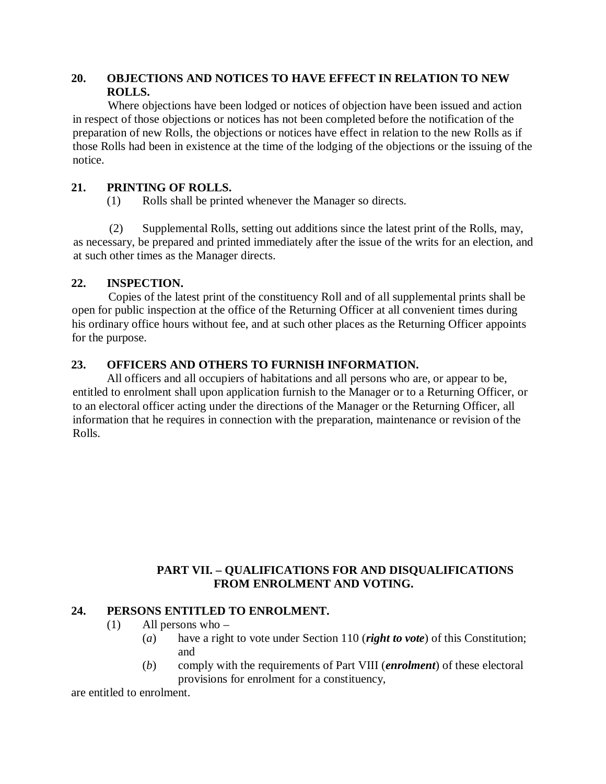## **20. OBJECTIONS AND NOTICES TO HAVE EFFECT IN RELATION TO NEW ROLLS.**

Where objections have been lodged or notices of objection have been issued and action in respect of those objections or notices has not been completed before the notification of the preparation of new Rolls, the objections or notices have effect in relation to the new Rolls as if those Rolls had been in existence at the time of the lodging of the objections or the issuing of the notice.

## **21. PRINTING OF ROLLS.**

(1) Rolls shall be printed whenever the Manager so directs.

(2) Supplemental Rolls, setting out additions since the latest print of the Rolls, may, as necessary, be prepared and printed immediately after the issue of the writs for an election, and at such other times as the Manager directs.

## **22. INSPECTION.**

Copies of the latest print of the constituency Roll and of all supplemental prints shall be open for public inspection at the office of the Returning Officer at all convenient times during his ordinary office hours without fee, and at such other places as the Returning Officer appoints for the purpose.

## **23. OFFICERS AND OTHERS TO FURNISH INFORMATION.**

All officers and all occupiers of habitations and all persons who are, or appear to be, entitled to enrolment shall upon application furnish to the Manager or to a Returning Officer, or to an electoral officer acting under the directions of the Manager or the Returning Officer, all information that he requires in connection with the preparation, maintenance or revision of the Rolls.

## **PART VII. – QUALIFICATIONS FOR AND DISQUALIFICATIONS FROM ENROLMENT AND VOTING.**

## **24. PERSONS ENTITLED TO ENROLMENT.**

- $(1)$  All persons who
	- (*a*) have a right to vote under Section 110 (*right to vote*) of this Constitution; and
	- (*b*) comply with the requirements of Part VIII (*enrolment*) of these electoral provisions for enrolment for a constituency,

are entitled to enrolment.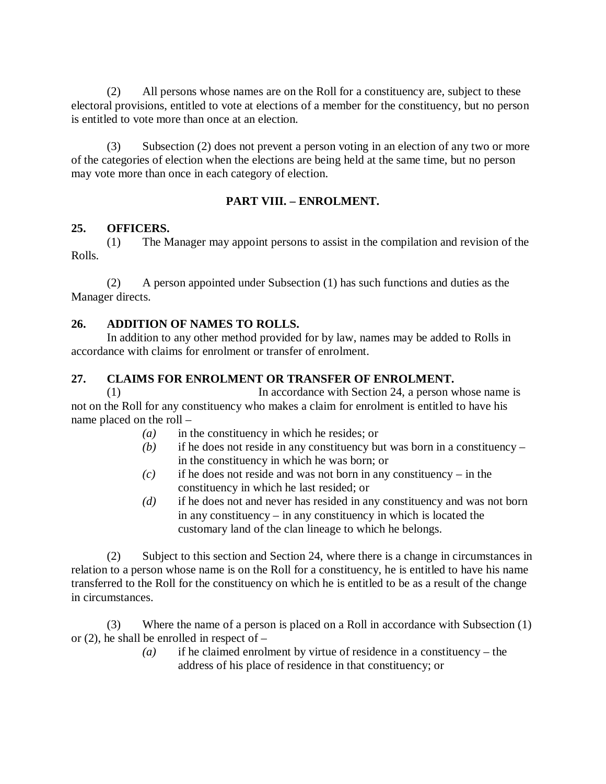(2) All persons whose names are on the Roll for a constituency are, subject to these electoral provisions, entitled to vote at elections of a member for the constituency, but no person is entitled to vote more than once at an election.

(3) Subsection (2) does not prevent a person voting in an election of any two or more of the categories of election when the elections are being held at the same time, but no person may vote more than once in each category of election.

## **PART VIII. – ENROLMENT.**

### **25. OFFICERS.**

(1) The Manager may appoint persons to assist in the compilation and revision of the Rolls.

(2) A person appointed under Subsection (1) has such functions and duties as the Manager directs.

## **26. ADDITION OF NAMES TO ROLLS.**

In addition to any other method provided for by law, names may be added to Rolls in accordance with claims for enrolment or transfer of enrolment.

## **27. CLAIMS FOR ENROLMENT OR TRANSFER OF ENROLMENT.**

(1) In accordance with Section 24, a person whose name is not on the Roll for any constituency who makes a claim for enrolment is entitled to have his name placed on the roll –

- *(a)* in the constituency in which he resides; or
- *(b)* if he does not reside in any constituency but was born in a constituency in the constituency in which he was born; or
- *(c)* if he does not reside and was not born in any constituency in the constituency in which he last resided; or
- *(d)* if he does not and never has resided in any constituency and was not born in any constituency – in any constituency in which is located the customary land of the clan lineage to which he belongs.

(2) Subject to this section and Section 24, where there is a change in circumstances in relation to a person whose name is on the Roll for a constituency, he is entitled to have his name transferred to the Roll for the constituency on which he is entitled to be as a result of the change in circumstances.

(3) Where the name of a person is placed on a Roll in accordance with Subsection (1) or (2), he shall be enrolled in respect of –

> *(a)* if he claimed enrolment by virtue of residence in a constituency – the address of his place of residence in that constituency; or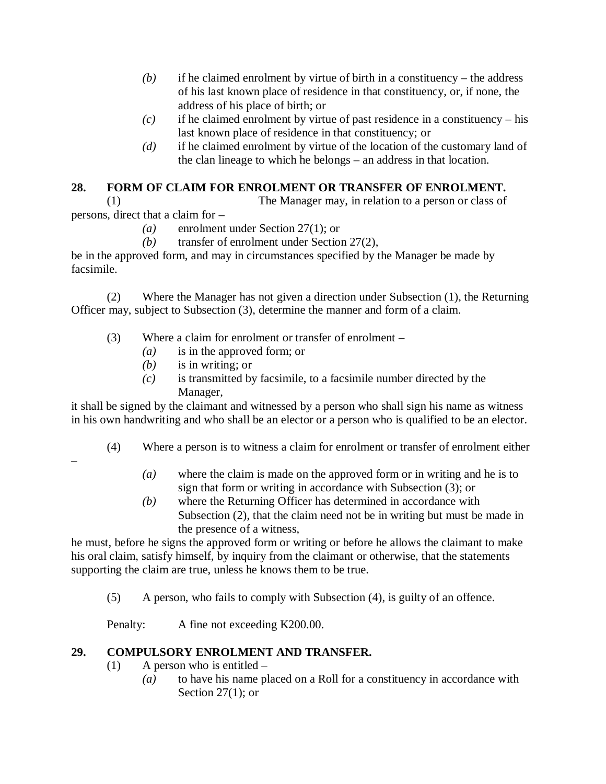- *(b)* if he claimed enrolment by virtue of birth in a constituency the address of his last known place of residence in that constituency, or, if none, the address of his place of birth; or
- *(c)* if he claimed enrolment by virtue of past residence in a constituency his last known place of residence in that constituency; or
- *(d)* if he claimed enrolment by virtue of the location of the customary land of the clan lineage to which he belongs – an address in that location.

# **28. FORM OF CLAIM FOR ENROLMENT OR TRANSFER OF ENROLMENT.**

(1) The Manager may, in relation to a person or class of

persons, direct that a claim for –

- *(a)* enrolment under Section 27(1); or
- *(b)* transfer of enrolment under Section 27(2),

be in the approved form, and may in circumstances specified by the Manager be made by facsimile.

(2) Where the Manager has not given a direction under Subsection (1), the Returning Officer may, subject to Subsection (3), determine the manner and form of a claim.

- (3) Where a claim for enrolment or transfer of enrolment
	- *(a)* is in the approved form; or
	- *(b)* is in writing; or
	- *(c)* is transmitted by facsimile, to a facsimile number directed by the Manager,

it shall be signed by the claimant and witnessed by a person who shall sign his name as witness in his own handwriting and who shall be an elector or a person who is qualified to be an elector.

- (4) Where a person is to witness a claim for enrolment or transfer of enrolment either
- –
- *(a)* where the claim is made on the approved form or in writing and he is to sign that form or writing in accordance with Subsection (3); or
- *(b)* where the Returning Officer has determined in accordance with Subsection (2), that the claim need not be in writing but must be made in the presence of a witness,

he must, before he signs the approved form or writing or before he allows the claimant to make his oral claim, satisfy himself, by inquiry from the claimant or otherwise, that the statements supporting the claim are true, unless he knows them to be true.

(5) A person, who fails to comply with Subsection (4), is guilty of an offence.

Penalty: A fine not exceeding K200.00.

# **29. COMPULSORY ENROLMENT AND TRANSFER.**

- (1) A person who is entitled  $-$ 
	- *(a)* to have his name placed on a Roll for a constituency in accordance with Section  $27(1)$ ; or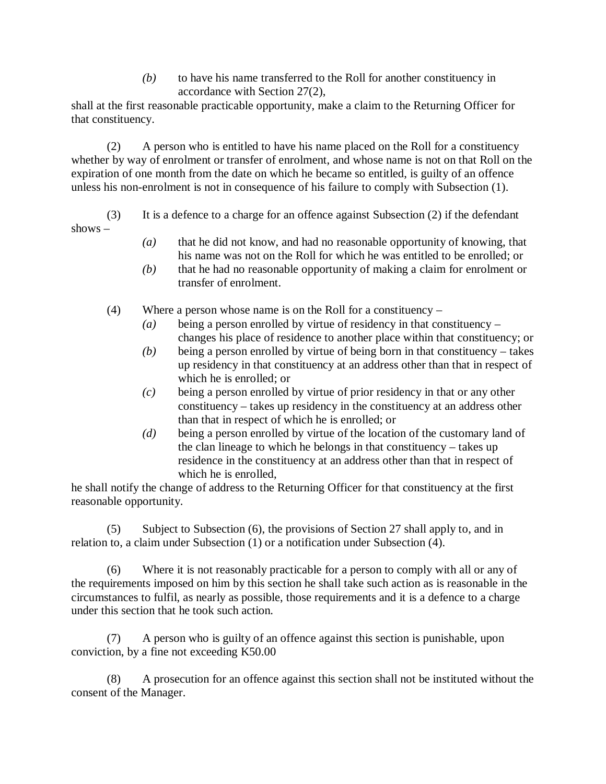*(b)* to have his name transferred to the Roll for another constituency in accordance with Section 27(2),

shall at the first reasonable practicable opportunity, make a claim to the Returning Officer for that constituency.

(2) A person who is entitled to have his name placed on the Roll for a constituency whether by way of enrolment or transfer of enrolment, and whose name is not on that Roll on the expiration of one month from the date on which he became so entitled, is guilty of an offence unless his non-enrolment is not in consequence of his failure to comply with Subsection (1).

(3) It is a defence to a charge for an offence against Subsection (2) if the defendant shows –

- *(a)* that he did not know, and had no reasonable opportunity of knowing, that his name was not on the Roll for which he was entitled to be enrolled; or
- *(b)* that he had no reasonable opportunity of making a claim for enrolment or transfer of enrolment.
- (4) Where a person whose name is on the Roll for a constituency
	- *(a)* being a person enrolled by virtue of residency in that constituency changes his place of residence to another place within that constituency; or
	- *(b)* being a person enrolled by virtue of being born in that constituency takes up residency in that constituency at an address other than that in respect of which he is enrolled; or
	- *(c)* being a person enrolled by virtue of prior residency in that or any other constituency – takes up residency in the constituency at an address other than that in respect of which he is enrolled; or
	- *(d)* being a person enrolled by virtue of the location of the customary land of the clan lineage to which he belongs in that constituency – takes up residence in the constituency at an address other than that in respect of which he is enrolled,

he shall notify the change of address to the Returning Officer for that constituency at the first reasonable opportunity.

(5) Subject to Subsection (6), the provisions of Section 27 shall apply to, and in relation to, a claim under Subsection (1) or a notification under Subsection (4).

(6) Where it is not reasonably practicable for a person to comply with all or any of the requirements imposed on him by this section he shall take such action as is reasonable in the circumstances to fulfil, as nearly as possible, those requirements and it is a defence to a charge under this section that he took such action.

(7) A person who is guilty of an offence against this section is punishable, upon conviction, by a fine not exceeding K50.00

(8) A prosecution for an offence against this section shall not be instituted without the consent of the Manager.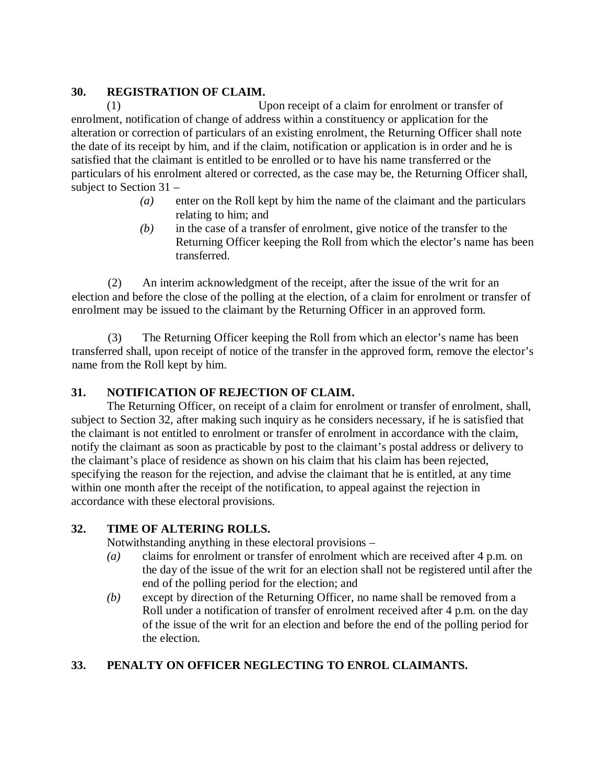#### **30. REGISTRATION OF CLAIM.**

(1) Upon receipt of a claim for enrolment or transfer of enrolment, notification of change of address within a constituency or application for the alteration or correction of particulars of an existing enrolment, the Returning Officer shall note the date of its receipt by him, and if the claim, notification or application is in order and he is satisfied that the claimant is entitled to be enrolled or to have his name transferred or the particulars of his enrolment altered or corrected, as the case may be, the Returning Officer shall, subject to Section 31 –

- *(a)* enter on the Roll kept by him the name of the claimant and the particulars relating to him; and
- *(b)* in the case of a transfer of enrolment, give notice of the transfer to the Returning Officer keeping the Roll from which the elector's name has been transferred.

(2) An interim acknowledgment of the receipt, after the issue of the writ for an election and before the close of the polling at the election, of a claim for enrolment or transfer of enrolment may be issued to the claimant by the Returning Officer in an approved form.

(3) The Returning Officer keeping the Roll from which an elector's name has been transferred shall, upon receipt of notice of the transfer in the approved form, remove the elector's name from the Roll kept by him.

### **31. NOTIFICATION OF REJECTION OF CLAIM.**

The Returning Officer, on receipt of a claim for enrolment or transfer of enrolment, shall, subject to Section 32, after making such inquiry as he considers necessary, if he is satisfied that the claimant is not entitled to enrolment or transfer of enrolment in accordance with the claim, notify the claimant as soon as practicable by post to the claimant's postal address or delivery to the claimant's place of residence as shown on his claim that his claim has been rejected, specifying the reason for the rejection, and advise the claimant that he is entitled, at any time within one month after the receipt of the notification, to appeal against the rejection in accordance with these electoral provisions.

### **32. TIME OF ALTERING ROLLS.**

Notwithstanding anything in these electoral provisions –

- *(a)* claims for enrolment or transfer of enrolment which are received after 4 p.m. on the day of the issue of the writ for an election shall not be registered until after the end of the polling period for the election; and
- *(b)* except by direction of the Returning Officer, no name shall be removed from a Roll under a notification of transfer of enrolment received after 4 p.m. on the day of the issue of the writ for an election and before the end of the polling period for the election.

# **33. PENALTY ON OFFICER NEGLECTING TO ENROL CLAIMANTS.**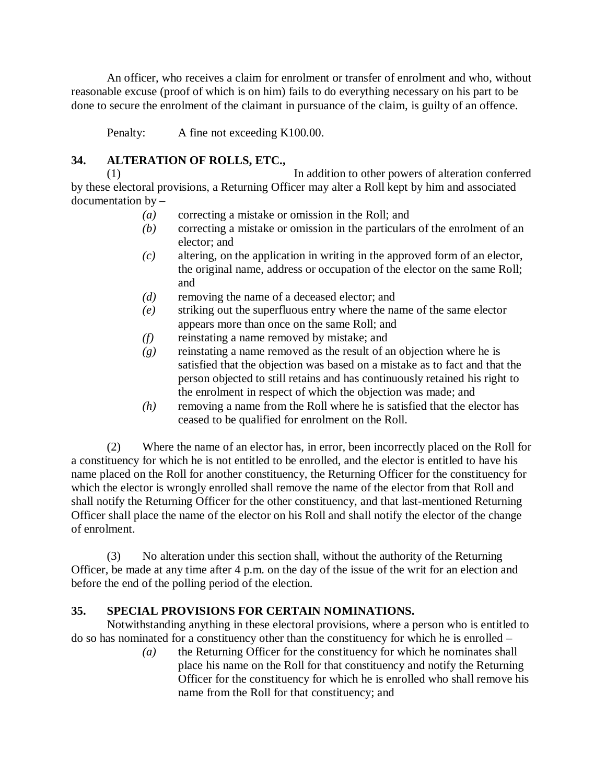An officer, who receives a claim for enrolment or transfer of enrolment and who, without reasonable excuse (proof of which is on him) fails to do everything necessary on his part to be done to secure the enrolment of the claimant in pursuance of the claim, is guilty of an offence.

Penalty: A fine not exceeding K100.00.

# **34. ALTERATION OF ROLLS, ETC.,**

(1) In addition to other powers of alteration conferred by these electoral provisions, a Returning Officer may alter a Roll kept by him and associated documentation by –

- *(a)* correcting a mistake or omission in the Roll; and
- *(b)* correcting a mistake or omission in the particulars of the enrolment of an elector; and
- *(c)* altering, on the application in writing in the approved form of an elector, the original name, address or occupation of the elector on the same Roll; and
- *(d)* removing the name of a deceased elector; and
- *(e)* striking out the superfluous entry where the name of the same elector appears more than once on the same Roll; and
- *(f)* reinstating a name removed by mistake; and
- *(g)* reinstating a name removed as the result of an objection where he is satisfied that the objection was based on a mistake as to fact and that the person objected to still retains and has continuously retained his right to the enrolment in respect of which the objection was made; and
- *(h)* removing a name from the Roll where he is satisfied that the elector has ceased to be qualified for enrolment on the Roll.

(2) Where the name of an elector has, in error, been incorrectly placed on the Roll for a constituency for which he is not entitled to be enrolled, and the elector is entitled to have his name placed on the Roll for another constituency, the Returning Officer for the constituency for which the elector is wrongly enrolled shall remove the name of the elector from that Roll and shall notify the Returning Officer for the other constituency, and that last-mentioned Returning Officer shall place the name of the elector on his Roll and shall notify the elector of the change of enrolment.

(3) No alteration under this section shall, without the authority of the Returning Officer, be made at any time after 4 p.m. on the day of the issue of the writ for an election and before the end of the polling period of the election.

# **35. SPECIAL PROVISIONS FOR CERTAIN NOMINATIONS.**

Notwithstanding anything in these electoral provisions, where a person who is entitled to do so has nominated for a constituency other than the constituency for which he is enrolled –

*(a)* the Returning Officer for the constituency for which he nominates shall place his name on the Roll for that constituency and notify the Returning Officer for the constituency for which he is enrolled who shall remove his name from the Roll for that constituency; and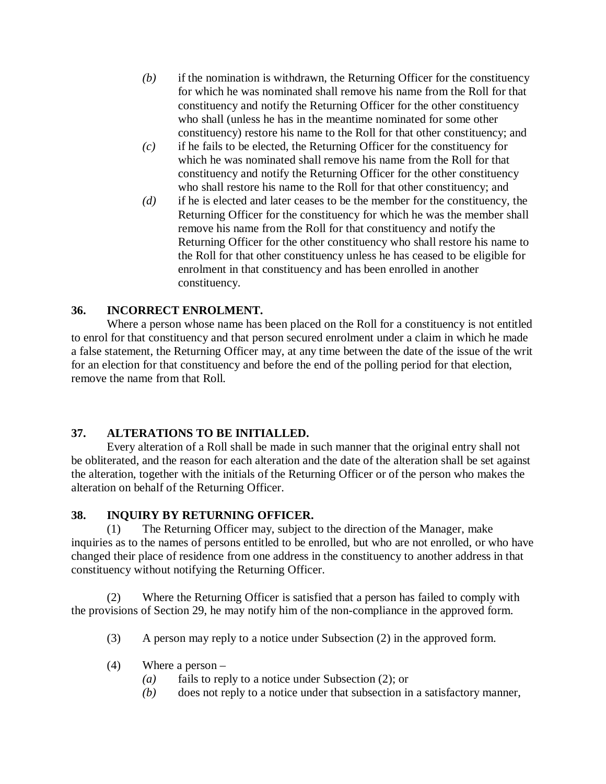- *(b)* if the nomination is withdrawn, the Returning Officer for the constituency for which he was nominated shall remove his name from the Roll for that constituency and notify the Returning Officer for the other constituency who shall (unless he has in the meantime nominated for some other constituency) restore his name to the Roll for that other constituency; and
- *(c)* if he fails to be elected, the Returning Officer for the constituency for which he was nominated shall remove his name from the Roll for that constituency and notify the Returning Officer for the other constituency who shall restore his name to the Roll for that other constituency; and
- *(d)* if he is elected and later ceases to be the member for the constituency, the Returning Officer for the constituency for which he was the member shall remove his name from the Roll for that constituency and notify the Returning Officer for the other constituency who shall restore his name to the Roll for that other constituency unless he has ceased to be eligible for enrolment in that constituency and has been enrolled in another constituency.

### **36. INCORRECT ENROLMENT.**

Where a person whose name has been placed on the Roll for a constituency is not entitled to enrol for that constituency and that person secured enrolment under a claim in which he made a false statement, the Returning Officer may, at any time between the date of the issue of the writ for an election for that constituency and before the end of the polling period for that election, remove the name from that Roll.

### **37. ALTERATIONS TO BE INITIALLED.**

Every alteration of a Roll shall be made in such manner that the original entry shall not be obliterated, and the reason for each alteration and the date of the alteration shall be set against the alteration, together with the initials of the Returning Officer or of the person who makes the alteration on behalf of the Returning Officer.

# **38. INQUIRY BY RETURNING OFFICER.**

(1) The Returning Officer may, subject to the direction of the Manager, make inquiries as to the names of persons entitled to be enrolled, but who are not enrolled, or who have changed their place of residence from one address in the constituency to another address in that constituency without notifying the Returning Officer.

(2) Where the Returning Officer is satisfied that a person has failed to comply with the provisions of Section 29, he may notify him of the non-compliance in the approved form.

- (3) A person may reply to a notice under Subsection (2) in the approved form.
- (4) Where a person
	- *(a)* fails to reply to a notice under Subsection (2); or
	- *(b)* does not reply to a notice under that subsection in a satisfactory manner,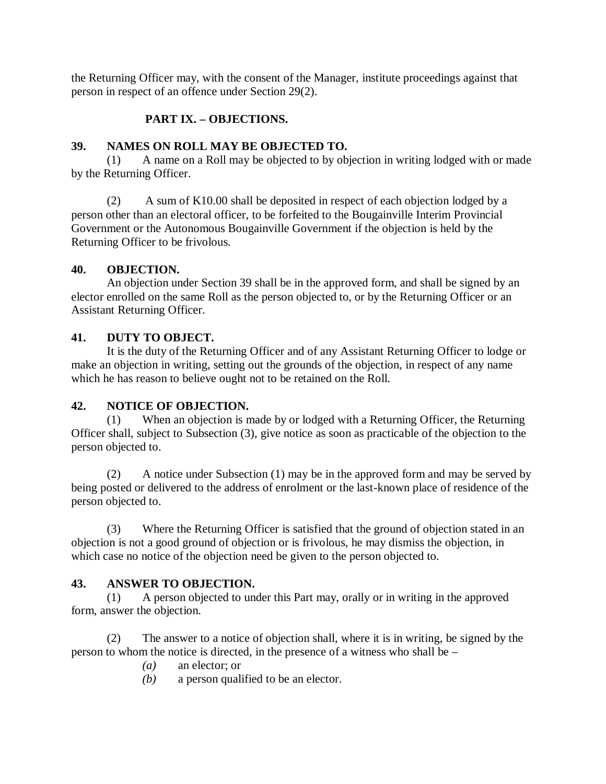the Returning Officer may, with the consent of the Manager, institute proceedings against that person in respect of an offence under Section 29(2).

### **PART IX. – OBJECTIONS.**

### **39. NAMES ON ROLL MAY BE OBJECTED TO.**

(1) A name on a Roll may be objected to by objection in writing lodged with or made by the Returning Officer.

(2) A sum of K10.00 shall be deposited in respect of each objection lodged by a person other than an electoral officer, to be forfeited to the Bougainville Interim Provincial Government or the Autonomous Bougainville Government if the objection is held by the Returning Officer to be frivolous.

### **40. OBJECTION.**

An objection under Section 39 shall be in the approved form, and shall be signed by an elector enrolled on the same Roll as the person objected to, or by the Returning Officer or an Assistant Returning Officer.

### **41. DUTY TO OBJECT.**

It is the duty of the Returning Officer and of any Assistant Returning Officer to lodge or make an objection in writing, setting out the grounds of the objection, in respect of any name which he has reason to believe ought not to be retained on the Roll.

# **42. NOTICE OF OBJECTION.** (1) When an objection is n

When an objection is made by or lodged with a Returning Officer, the Returning Officer shall, subject to Subsection (3), give notice as soon as practicable of the objection to the person objected to.

(2) A notice under Subsection (1) may be in the approved form and may be served by being posted or delivered to the address of enrolment or the last-known place of residence of the person objected to.

(3) Where the Returning Officer is satisfied that the ground of objection stated in an objection is not a good ground of objection or is frivolous, he may dismiss the objection, in which case no notice of the objection need be given to the person objected to.

# **43. ANSWER TO OBJECTION.**

(1) A person objected to under this Part may, orally or in writing in the approved form, answer the objection.

(2) The answer to a notice of objection shall, where it is in writing, be signed by the person to whom the notice is directed, in the presence of a witness who shall be –

- *(a)* an elector; or
- *(b)* a person qualified to be an elector.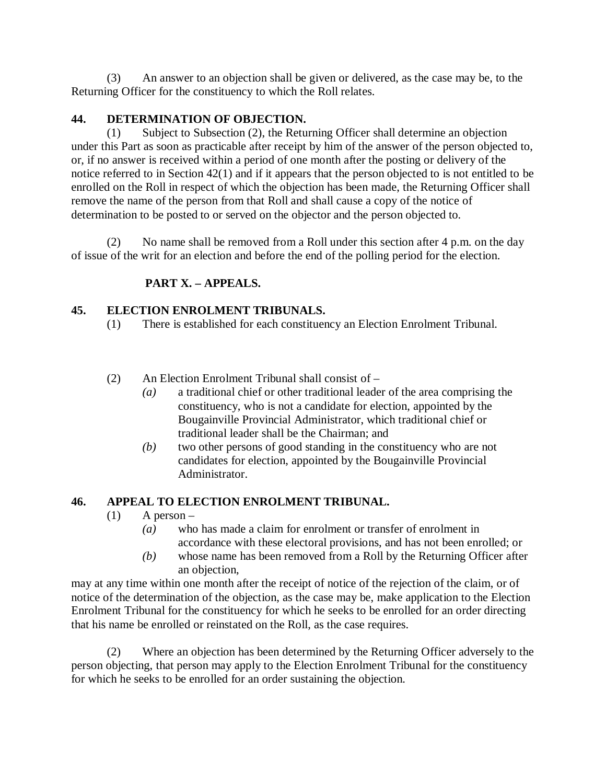(3) An answer to an objection shall be given or delivered, as the case may be, to the Returning Officer for the constituency to which the Roll relates.

### **44. DETERMINATION OF OBJECTION.**

(1) Subject to Subsection (2), the Returning Officer shall determine an objection under this Part as soon as practicable after receipt by him of the answer of the person objected to, or, if no answer is received within a period of one month after the posting or delivery of the notice referred to in Section 42(1) and if it appears that the person objected to is not entitled to be enrolled on the Roll in respect of which the objection has been made, the Returning Officer shall remove the name of the person from that Roll and shall cause a copy of the notice of determination to be posted to or served on the objector and the person objected to.

(2) No name shall be removed from a Roll under this section after 4 p.m. on the day of issue of the writ for an election and before the end of the polling period for the election.

### **PART X. – APPEALS.**

### **45. ELECTION ENROLMENT TRIBUNALS.**

- (1) There is established for each constituency an Election Enrolment Tribunal.
- (2) An Election Enrolment Tribunal shall consist of
	- *(a)* a traditional chief or other traditional leader of the area comprising the constituency, who is not a candidate for election, appointed by the Bougainville Provincial Administrator, which traditional chief or traditional leader shall be the Chairman; and
	- *(b)* two other persons of good standing in the constituency who are not candidates for election, appointed by the Bougainville Provincial Administrator.

### **46. APPEAL TO ELECTION ENROLMENT TRIBUNAL.**

- $(1)$  A person
	- *(a)* who has made a claim for enrolment or transfer of enrolment in accordance with these electoral provisions, and has not been enrolled; or
	- *(b)* whose name has been removed from a Roll by the Returning Officer after an objection,

may at any time within one month after the receipt of notice of the rejection of the claim, or of notice of the determination of the objection, as the case may be, make application to the Election Enrolment Tribunal for the constituency for which he seeks to be enrolled for an order directing that his name be enrolled or reinstated on the Roll, as the case requires.

(2) Where an objection has been determined by the Returning Officer adversely to the person objecting, that person may apply to the Election Enrolment Tribunal for the constituency for which he seeks to be enrolled for an order sustaining the objection.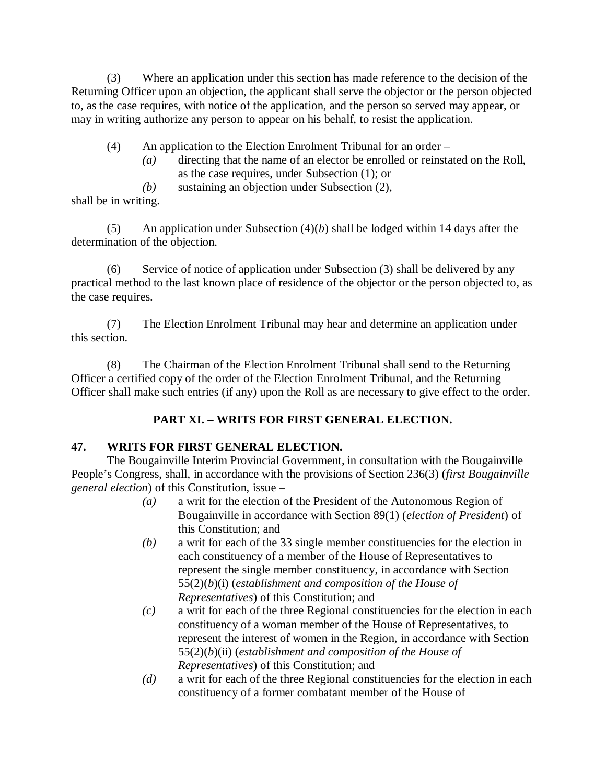(3) Where an application under this section has made reference to the decision of the Returning Officer upon an objection, the applicant shall serve the objector or the person objected to, as the case requires, with notice of the application, and the person so served may appear, or may in writing authorize any person to appear on his behalf, to resist the application.

- (4) An application to the Election Enrolment Tribunal for an order
	- *(a)* directing that the name of an elector be enrolled or reinstated on the Roll, as the case requires, under Subsection (1); or
	- *(b)* sustaining an objection under Subsection (2),

shall be in writing.

(5) An application under Subsection (4)(*b*) shall be lodged within 14 days after the determination of the objection.

(6) Service of notice of application under Subsection (3) shall be delivered by any practical method to the last known place of residence of the objector or the person objected to, as the case requires.

(7) The Election Enrolment Tribunal may hear and determine an application under this section.

(8) The Chairman of the Election Enrolment Tribunal shall send to the Returning Officer a certified copy of the order of the Election Enrolment Tribunal, and the Returning Officer shall make such entries (if any) upon the Roll as are necessary to give effect to the order.

# **PART XI. – WRITS FOR FIRST GENERAL ELECTION.**

# **47. WRITS FOR FIRST GENERAL ELECTION.**

The Bougainville Interim Provincial Government, in consultation with the Bougainville People's Congress, shall, in accordance with the provisions of Section 236(3) (*first Bougainville general election*) of this Constitution, issue –

- *(a)* a writ for the election of the President of the Autonomous Region of Bougainville in accordance with Section 89(1) (*election of President*) of this Constitution; and
- *(b)* a writ for each of the 33 single member constituencies for the election in each constituency of a member of the House of Representatives to represent the single member constituency, in accordance with Section 55(2)(*b*)(i) (*establishment and composition of the House of Representatives*) of this Constitution; and
- *(c)* a writ for each of the three Regional constituencies for the election in each constituency of a woman member of the House of Representatives, to represent the interest of women in the Region, in accordance with Section 55(2)(*b*)(ii) (*establishment and composition of the House of Representatives*) of this Constitution; and
- *(d)* a writ for each of the three Regional constituencies for the election in each constituency of a former combatant member of the House of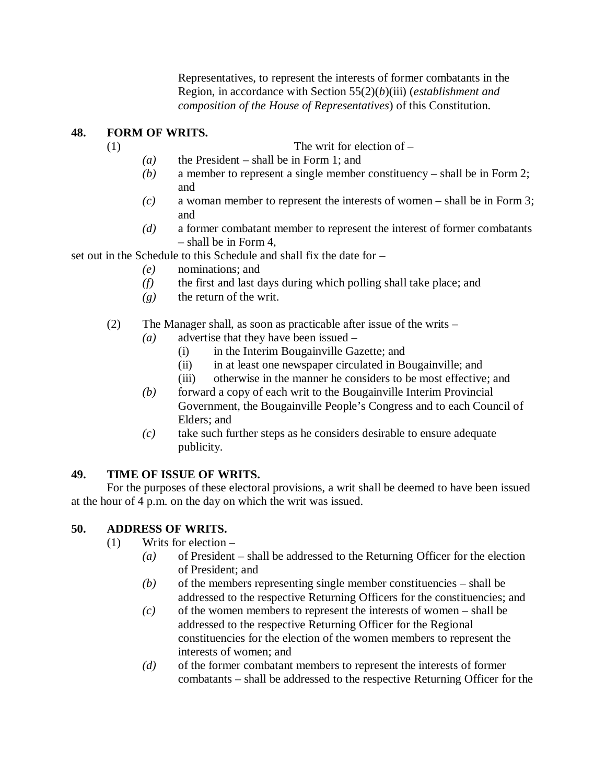Representatives, to represent the interests of former combatants in the Region, in accordance with Section 55(2)(*b*)(iii) (*establishment and composition of the House of Representatives*) of this Constitution.

### **48. FORM OF WRITS.**

- (1) The writ for election of
	- *(a)* the President shall be in Form 1; and
	- *(b)* a member to represent a single member constituency shall be in Form 2; and
	- *(c)* a woman member to represent the interests of women shall be in Form 3; and
	- *(d)* a former combatant member to represent the interest of former combatants – shall be in Form 4,

set out in the Schedule to this Schedule and shall fix the date for –

- *(e)* nominations; and
- *(f)* the first and last days during which polling shall take place; and
- *(g)* the return of the writ.
- (2) The Manager shall, as soon as practicable after issue of the writs
	- *(a)* advertise that they have been issued
		- (i) in the Interim Bougainville Gazette; and
		- (ii) in at least one newspaper circulated in Bougainville; and
		- (iii) otherwise in the manner he considers to be most effective; and
	- *(b)* forward a copy of each writ to the Bougainville Interim Provincial Government, the Bougainville People's Congress and to each Council of Elders; and
	- *(c)* take such further steps as he considers desirable to ensure adequate publicity.

### **49. TIME OF ISSUE OF WRITS.**

For the purposes of these electoral provisions, a writ shall be deemed to have been issued at the hour of 4 p.m. on the day on which the writ was issued.

### **50. ADDRESS OF WRITS.**

- (1) Writs for election
	- *(a)* of President shall be addressed to the Returning Officer for the election of President; and
	- *(b)* of the members representing single member constituencies shall be addressed to the respective Returning Officers for the constituencies; and
	- *(c)* of the women members to represent the interests of women shall be addressed to the respective Returning Officer for the Regional constituencies for the election of the women members to represent the interests of women; and
	- *(d)* of the former combatant members to represent the interests of former combatants – shall be addressed to the respective Returning Officer for the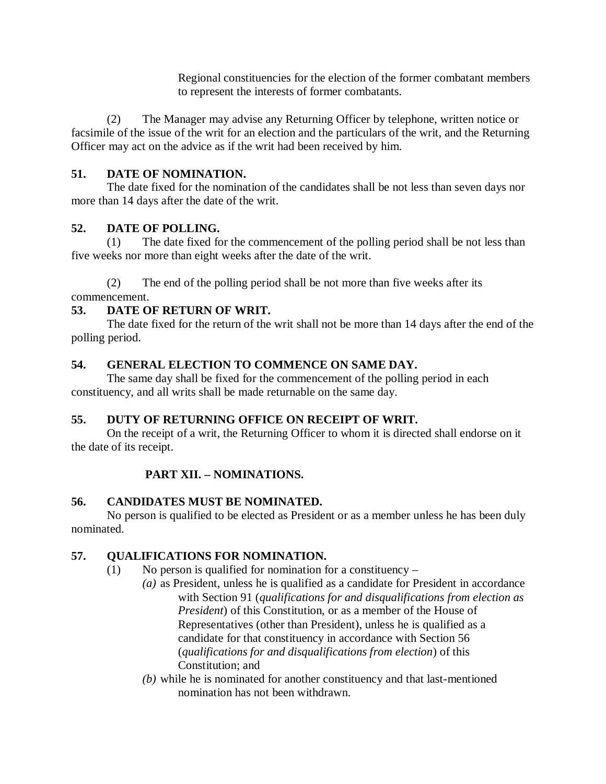Regional constituencies for the election of the former combatant members to represent the interests of former combatants.

(2) The Manager may advise any Returning Officer by telephone, written notice or facsimile of the issue of the writ for an election and the particulars of the writ, and the Returning Officer may act on the advice as if the writ had been received by him.

### **51. DATE OF NOMINATION.**

The date fixed for the nomination of the candidates shall be not less than seven days nor more than 14 days after the date of the writ.

# **52. DATE OF POLLING.**

(1) The date fixed for the commencement of the polling period shall be not less than five weeks nor more than eight weeks after the date of the writ.

(2) The end of the polling period shall be not more than five weeks after its commencement.

# **53. DATE OF RETURN OF WRIT.**

The date fixed for the return of the writ shall not be more than 14 days after the end of the polling period.

# **54. GENERAL ELECTION TO COMMENCE ON SAME DAY.**

The same day shall be fixed for the commencement of the polling period in each constituency, and all writs shall be made returnable on the same day.

# **55. DUTY OF RETURNING OFFICE ON RECEIPT OF WRIT.**

On the receipt of a writ, the Returning Officer to whom it is directed shall endorse on it the date of its receipt.

# **PART XII. – NOMINATIONS.**

# **56. CANDIDATES MUST BE NOMINATED.**

No person is qualified to be elected as President or as a member unless he has been duly nominated.

# **57. QUALIFICATIONS FOR NOMINATION.**

- (1) No person is qualified for nomination for a constituency
	- *(a)* as President, unless he is qualified as a candidate for President in accordance with Section 91 (*qualifications for and disqualifications from election as President*) of this Constitution, or as a member of the House of Representatives (other than President), unless he is qualified as a candidate for that constituency in accordance with Section 56 (*qualifications for and disqualifications from election*) of this Constitution; and
	- *(b)* while he is nominated for another constituency and that last-mentioned nomination has not been withdrawn.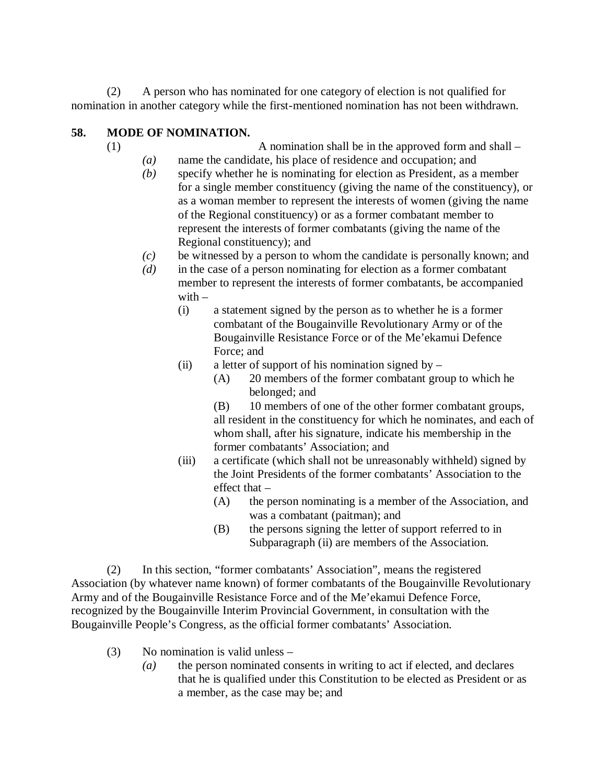(2) A person who has nominated for one category of election is not qualified for nomination in another category while the first-mentioned nomination has not been withdrawn.

#### **58. MODE OF NOMINATION.**

- 
- (1) A nomination shall be in the approved form and shall
	- *(a)* name the candidate, his place of residence and occupation; and
	- *(b)* specify whether he is nominating for election as President, as a member for a single member constituency (giving the name of the constituency), or as a woman member to represent the interests of women (giving the name of the Regional constituency) or as a former combatant member to represent the interests of former combatants (giving the name of the Regional constituency); and
	- *(c)* be witnessed by a person to whom the candidate is personally known; and
	- *(d)* in the case of a person nominating for election as a former combatant member to represent the interests of former combatants, be accompanied with  $-$ 
		- (i) a statement signed by the person as to whether he is a former combatant of the Bougainville Revolutionary Army or of the Bougainville Resistance Force or of the Me'ekamui Defence Force; and
		- (ii) a letter of support of his nomination signed by  $-$ 
			- (A) 20 members of the former combatant group to which he belonged; and

(B) 10 members of one of the other former combatant groups, all resident in the constituency for which he nominates, and each of whom shall, after his signature, indicate his membership in the former combatants' Association; and

- (iii) a certificate (which shall not be unreasonably withheld) signed by the Joint Presidents of the former combatants' Association to the effect that –
	- (A) the person nominating is a member of the Association, and was a combatant (paitman); and
	- (B) the persons signing the letter of support referred to in Subparagraph (ii) are members of the Association.

(2) In this section, "former combatants' Association", means the registered Association (by whatever name known) of former combatants of the Bougainville Revolutionary Army and of the Bougainville Resistance Force and of the Me'ekamui Defence Force, recognized by the Bougainville Interim Provincial Government, in consultation with the Bougainville People's Congress, as the official former combatants' Association.

- (3) No nomination is valid unless
	- *(a)* the person nominated consents in writing to act if elected, and declares that he is qualified under this Constitution to be elected as President or as a member, as the case may be; and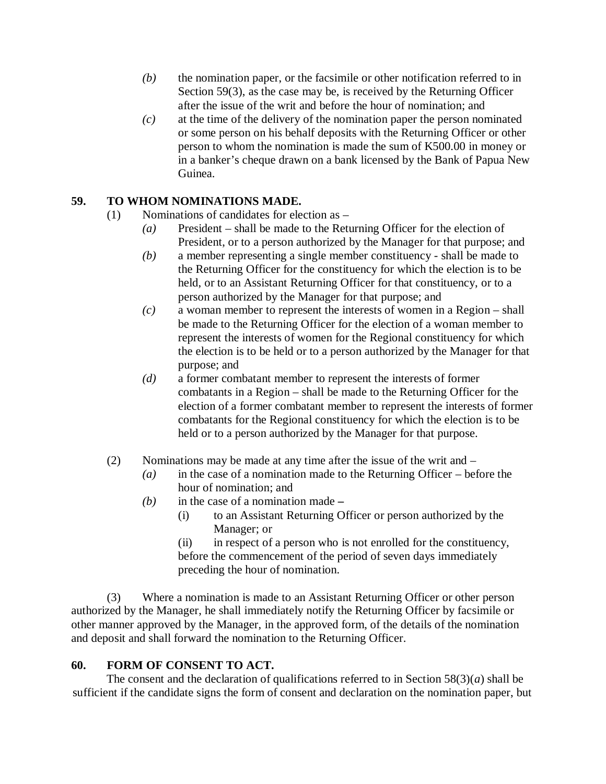- *(b)* the nomination paper, or the facsimile or other notification referred to in Section 59(3), as the case may be, is received by the Returning Officer after the issue of the writ and before the hour of nomination; and
- *(c)* at the time of the delivery of the nomination paper the person nominated or some person on his behalf deposits with the Returning Officer or other person to whom the nomination is made the sum of K500.00 in money or in a banker's cheque drawn on a bank licensed by the Bank of Papua New Guinea.

### **59. TO WHOM NOMINATIONS MADE.**

- (1) Nominations of candidates for election as
	- *(a)* President shall be made to the Returning Officer for the election of President, or to a person authorized by the Manager for that purpose; and
	- *(b)* a member representing a single member constituency shall be made to the Returning Officer for the constituency for which the election is to be held, or to an Assistant Returning Officer for that constituency, or to a person authorized by the Manager for that purpose; and
	- *(c)* a woman member to represent the interests of women in a Region shall be made to the Returning Officer for the election of a woman member to represent the interests of women for the Regional constituency for which the election is to be held or to a person authorized by the Manager for that purpose; and
	- *(d)* a former combatant member to represent the interests of former combatants in a Region – shall be made to the Returning Officer for the election of a former combatant member to represent the interests of former combatants for the Regional constituency for which the election is to be held or to a person authorized by the Manager for that purpose.
- (2) Nominations may be made at any time after the issue of the writ and
	- *(a)* in the case of a nomination made to the Returning Officer before the hour of nomination; and
	- *(b)* in the case of a nomination made **–**
		- (i) to an Assistant Returning Officer or person authorized by the Manager; or
		- (ii) in respect of a person who is not enrolled for the constituency, before the commencement of the period of seven days immediately preceding the hour of nomination.

(3) Where a nomination is made to an Assistant Returning Officer or other person authorized by the Manager, he shall immediately notify the Returning Officer by facsimile or other manner approved by the Manager, in the approved form, of the details of the nomination and deposit and shall forward the nomination to the Returning Officer.

### **60. FORM OF CONSENT TO ACT.**

The consent and the declaration of qualifications referred to in Section 58(3)(*a*) shall be sufficient if the candidate signs the form of consent and declaration on the nomination paper, but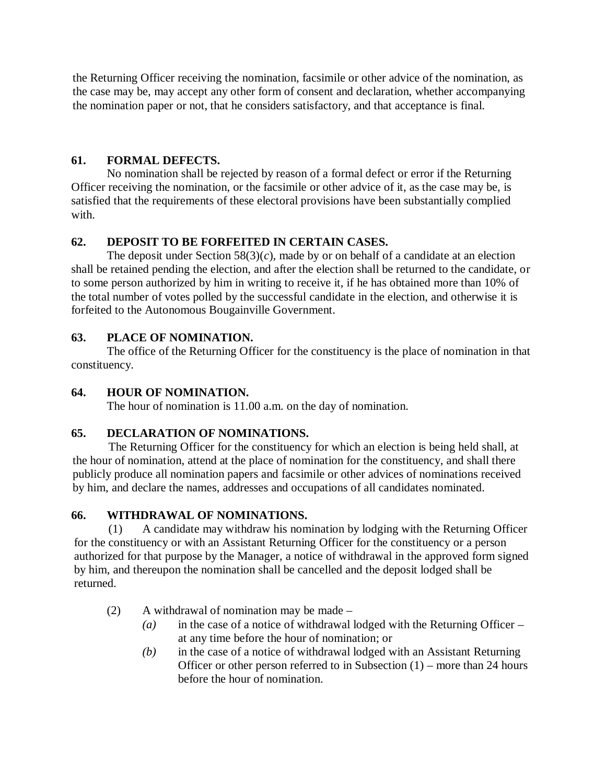the Returning Officer receiving the nomination, facsimile or other advice of the nomination, as the case may be, may accept any other form of consent and declaration, whether accompanying the nomination paper or not, that he considers satisfactory, and that acceptance is final.

### **61. FORMAL DEFECTS.**

No nomination shall be rejected by reason of a formal defect or error if the Returning Officer receiving the nomination, or the facsimile or other advice of it, as the case may be, is satisfied that the requirements of these electoral provisions have been substantially complied with.

# **62. DEPOSIT TO BE FORFEITED IN CERTAIN CASES.**

The deposit under Section  $58(3)(c)$ , made by or on behalf of a candidate at an election shall be retained pending the election, and after the election shall be returned to the candidate, or to some person authorized by him in writing to receive it, if he has obtained more than 10% of the total number of votes polled by the successful candidate in the election, and otherwise it is forfeited to the Autonomous Bougainville Government.

# **63. PLACE OF NOMINATION.**

The office of the Returning Officer for the constituency is the place of nomination in that constituency.

# **64. HOUR OF NOMINATION.**

The hour of nomination is 11.00 a.m. on the day of nomination.

# **65. DECLARATION OF NOMINATIONS.**

The Returning Officer for the constituency for which an election is being held shall, at the hour of nomination, attend at the place of nomination for the constituency, and shall there publicly produce all nomination papers and facsimile or other advices of nominations received by him, and declare the names, addresses and occupations of all candidates nominated.

# **66. WITHDRAWAL OF NOMINATIONS.**

(1) A candidate may withdraw his nomination by lodging with the Returning Officer for the constituency or with an Assistant Returning Officer for the constituency or a person authorized for that purpose by the Manager, a notice of withdrawal in the approved form signed by him, and thereupon the nomination shall be cancelled and the deposit lodged shall be returned.

- (2) A withdrawal of nomination may be made
	- *(a)* in the case of a notice of withdrawal lodged with the Returning Officer at any time before the hour of nomination; or
	- *(b)* in the case of a notice of withdrawal lodged with an Assistant Returning Officer or other person referred to in Subsection  $(1)$  – more than 24 hours before the hour of nomination.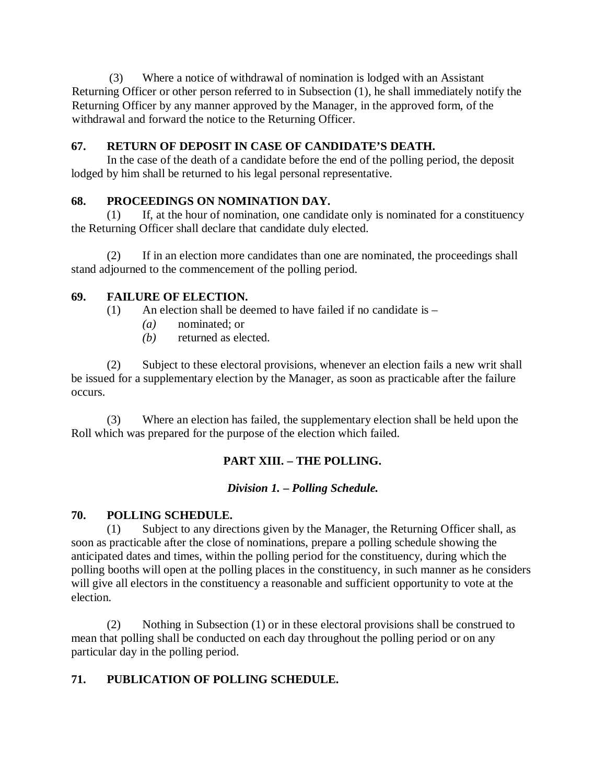(3) Where a notice of withdrawal of nomination is lodged with an Assistant Returning Officer or other person referred to in Subsection (1), he shall immediately notify the Returning Officer by any manner approved by the Manager, in the approved form, of the withdrawal and forward the notice to the Returning Officer.

# **67. RETURN OF DEPOSIT IN CASE OF CANDIDATE'S DEATH.**

In the case of the death of a candidate before the end of the polling period, the deposit lodged by him shall be returned to his legal personal representative.

# **68. PROCEEDINGS ON NOMINATION DAY.**

(1) If, at the hour of nomination, one candidate only is nominated for a constituency the Returning Officer shall declare that candidate duly elected.

(2) If in an election more candidates than one are nominated, the proceedings shall stand adjourned to the commencement of the polling period.

# **69. FAILURE OF ELECTION.**

- (1) An election shall be deemed to have failed if no candidate is  $-$ 
	- *(a)* nominated; or
	- *(b)* returned as elected.

(2) Subject to these electoral provisions, whenever an election fails a new writ shall be issued for a supplementary election by the Manager, as soon as practicable after the failure occurs.

(3) Where an election has failed, the supplementary election shall be held upon the Roll which was prepared for the purpose of the election which failed.

# **PART XIII. – THE POLLING.**

# *Division 1. – Polling Schedule.*

# **70. POLLING SCHEDULE.**

(1) Subject to any directions given by the Manager, the Returning Officer shall, as soon as practicable after the close of nominations, prepare a polling schedule showing the anticipated dates and times, within the polling period for the constituency, during which the polling booths will open at the polling places in the constituency, in such manner as he considers will give all electors in the constituency a reasonable and sufficient opportunity to vote at the election.

(2) Nothing in Subsection (1) or in these electoral provisions shall be construed to mean that polling shall be conducted on each day throughout the polling period or on any particular day in the polling period.

# **71. PUBLICATION OF POLLING SCHEDULE.**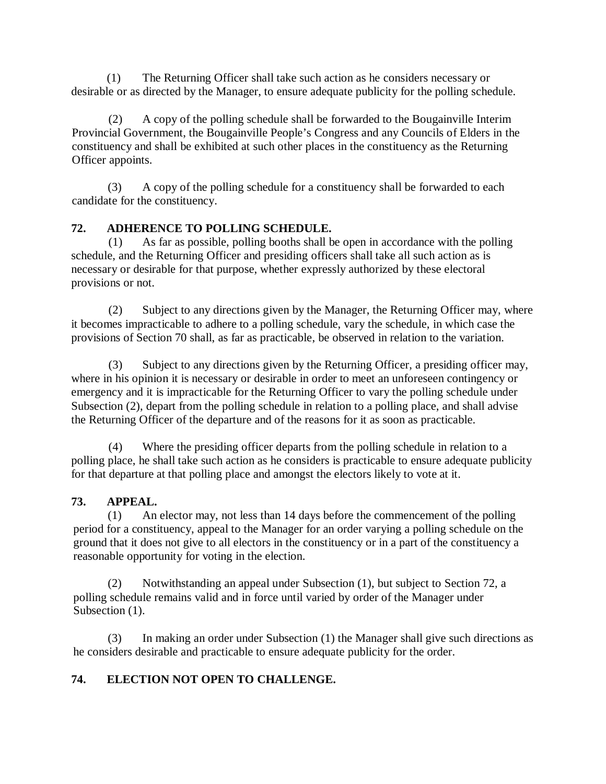(1) The Returning Officer shall take such action as he considers necessary or desirable or as directed by the Manager, to ensure adequate publicity for the polling schedule.

(2) A copy of the polling schedule shall be forwarded to the Bougainville Interim Provincial Government, the Bougainville People's Congress and any Councils of Elders in the constituency and shall be exhibited at such other places in the constituency as the Returning Officer appoints.

(3) A copy of the polling schedule for a constituency shall be forwarded to each candidate for the constituency.

# **72. ADHERENCE TO POLLING SCHEDULE.**

(1) As far as possible, polling booths shall be open in accordance with the polling schedule, and the Returning Officer and presiding officers shall take all such action as is necessary or desirable for that purpose, whether expressly authorized by these electoral provisions or not.

(2) Subject to any directions given by the Manager, the Returning Officer may, where it becomes impracticable to adhere to a polling schedule, vary the schedule, in which case the provisions of Section 70 shall, as far as practicable, be observed in relation to the variation.

(3) Subject to any directions given by the Returning Officer, a presiding officer may, where in his opinion it is necessary or desirable in order to meet an unforeseen contingency or emergency and it is impracticable for the Returning Officer to vary the polling schedule under Subsection (2), depart from the polling schedule in relation to a polling place, and shall advise the Returning Officer of the departure and of the reasons for it as soon as practicable.

(4) Where the presiding officer departs from the polling schedule in relation to a polling place, he shall take such action as he considers is practicable to ensure adequate publicity for that departure at that polling place and amongst the electors likely to vote at it.

# **73. APPEAL.**

(1) An elector may, not less than 14 days before the commencement of the polling period for a constituency, appeal to the Manager for an order varying a polling schedule on the ground that it does not give to all electors in the constituency or in a part of the constituency a reasonable opportunity for voting in the election.

(2) Notwithstanding an appeal under Subsection (1), but subject to Section 72, a polling schedule remains valid and in force until varied by order of the Manager under Subsection  $(1)$ .

(3) In making an order under Subsection (1) the Manager shall give such directions as he considers desirable and practicable to ensure adequate publicity for the order.

# **74. ELECTION NOT OPEN TO CHALLENGE.**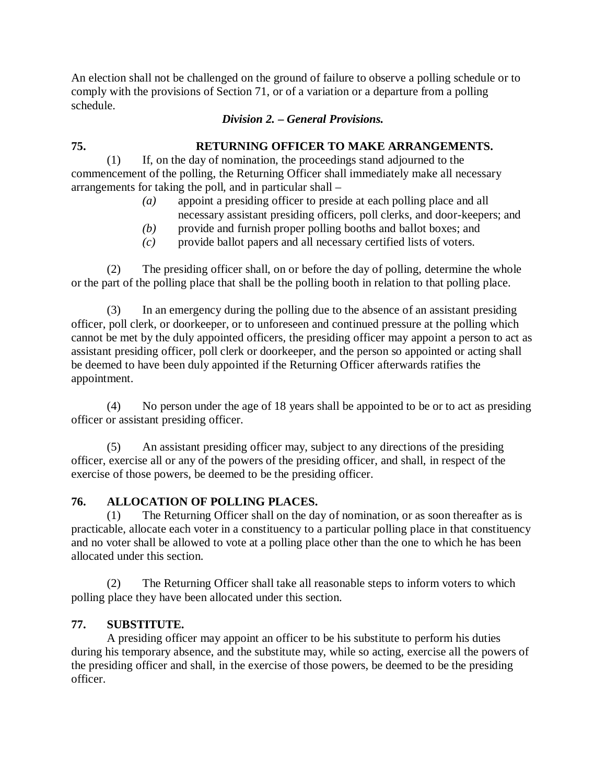An election shall not be challenged on the ground of failure to observe a polling schedule or to comply with the provisions of Section 71, or of a variation or a departure from a polling schedule.

### *Division 2. – General Provisions.*

### **75. RETURNING OFFICER TO MAKE ARRANGEMENTS.**

(1) If, on the day of nomination, the proceedings stand adjourned to the commencement of the polling, the Returning Officer shall immediately make all necessary arrangements for taking the poll, and in particular shall –

- *(a)* appoint a presiding officer to preside at each polling place and all necessary assistant presiding officers, poll clerks, and door-keepers; and
- *(b)* provide and furnish proper polling booths and ballot boxes; and
- *(c)* provide ballot papers and all necessary certified lists of voters.

(2) The presiding officer shall, on or before the day of polling, determine the whole or the part of the polling place that shall be the polling booth in relation to that polling place.

(3) In an emergency during the polling due to the absence of an assistant presiding officer, poll clerk, or doorkeeper, or to unforeseen and continued pressure at the polling which cannot be met by the duly appointed officers, the presiding officer may appoint a person to act as assistant presiding officer, poll clerk or doorkeeper, and the person so appointed or acting shall be deemed to have been duly appointed if the Returning Officer afterwards ratifies the appointment.

(4) No person under the age of 18 years shall be appointed to be or to act as presiding officer or assistant presiding officer.

(5) An assistant presiding officer may, subject to any directions of the presiding officer, exercise all or any of the powers of the presiding officer, and shall, in respect of the exercise of those powers, be deemed to be the presiding officer.

# **76. ALLOCATION OF POLLING PLACES.**

(1) The Returning Officer shall on the day of nomination, or as soon thereafter as is practicable, allocate each voter in a constituency to a particular polling place in that constituency and no voter shall be allowed to vote at a polling place other than the one to which he has been allocated under this section.

(2) The Returning Officer shall take all reasonable steps to inform voters to which polling place they have been allocated under this section.

# **77. SUBSTITUTE.**

A presiding officer may appoint an officer to be his substitute to perform his duties during his temporary absence, and the substitute may, while so acting, exercise all the powers of the presiding officer and shall, in the exercise of those powers, be deemed to be the presiding officer.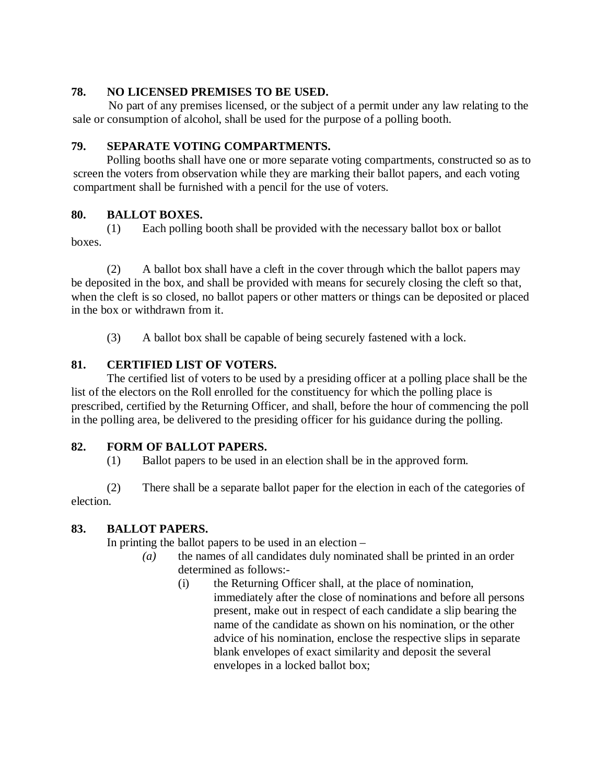### **78. NO LICENSED PREMISES TO BE USED.**

No part of any premises licensed, or the subject of a permit under any law relating to the sale or consumption of alcohol, shall be used for the purpose of a polling booth.

# **79. SEPARATE VOTING COMPARTMENTS.**

Polling booths shall have one or more separate voting compartments, constructed so as to screen the voters from observation while they are marking their ballot papers, and each voting compartment shall be furnished with a pencil for the use of voters.

### **80. BALLOT BOXES.**

(1) Each polling booth shall be provided with the necessary ballot box or ballot boxes.

(2) A ballot box shall have a cleft in the cover through which the ballot papers may be deposited in the box, and shall be provided with means for securely closing the cleft so that, when the cleft is so closed, no ballot papers or other matters or things can be deposited or placed in the box or withdrawn from it.

(3) A ballot box shall be capable of being securely fastened with a lock.

# **81. CERTIFIED LIST OF VOTERS.**

The certified list of voters to be used by a presiding officer at a polling place shall be the list of the electors on the Roll enrolled for the constituency for which the polling place is prescribed, certified by the Returning Officer, and shall, before the hour of commencing the poll in the polling area, be delivered to the presiding officer for his guidance during the polling.

# **82. FORM OF BALLOT PAPERS.**

(1) Ballot papers to be used in an election shall be in the approved form.

(2) There shall be a separate ballot paper for the election in each of the categories of election.

# **83. BALLOT PAPERS.**

In printing the ballot papers to be used in an election –

- *(a)* the names of all candidates duly nominated shall be printed in an order determined as follows:-
	- (i) the Returning Officer shall, at the place of nomination, immediately after the close of nominations and before all persons present, make out in respect of each candidate a slip bearing the name of the candidate as shown on his nomination, or the other advice of his nomination, enclose the respective slips in separate blank envelopes of exact similarity and deposit the several envelopes in a locked ballot box;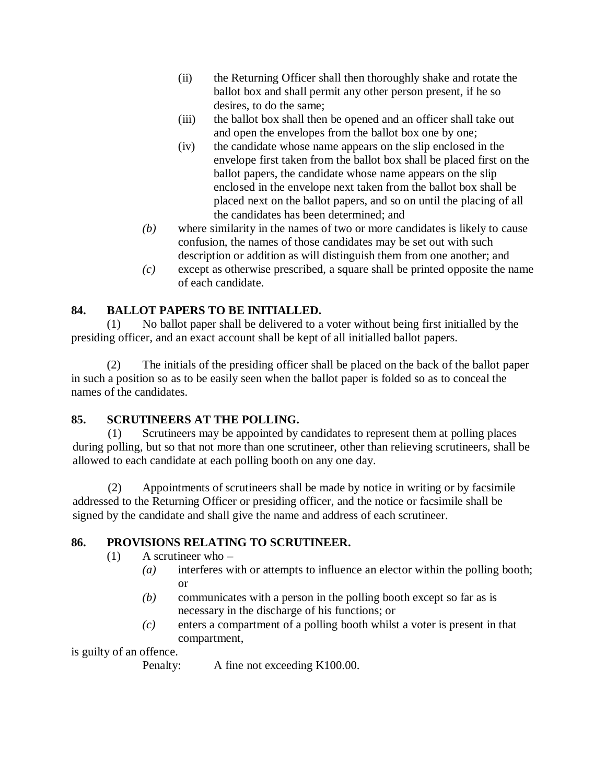- (ii) the Returning Officer shall then thoroughly shake and rotate the ballot box and shall permit any other person present, if he so desires, to do the same;
- (iii) the ballot box shall then be opened and an officer shall take out and open the envelopes from the ballot box one by one;
- (iv) the candidate whose name appears on the slip enclosed in the envelope first taken from the ballot box shall be placed first on the ballot papers, the candidate whose name appears on the slip enclosed in the envelope next taken from the ballot box shall be placed next on the ballot papers, and so on until the placing of all the candidates has been determined; and
- *(b)* where similarity in the names of two or more candidates is likely to cause confusion, the names of those candidates may be set out with such description or addition as will distinguish them from one another; and
- *(c)* except as otherwise prescribed, a square shall be printed opposite the name of each candidate.

# **84. BALLOT PAPERS TO BE INITIALLED.**

(1) No ballot paper shall be delivered to a voter without being first initialled by the presiding officer, and an exact account shall be kept of all initialled ballot papers.

(2) The initials of the presiding officer shall be placed on the back of the ballot paper in such a position so as to be easily seen when the ballot paper is folded so as to conceal the names of the candidates.

# **85. SCRUTINEERS AT THE POLLING.**

(1) Scrutineers may be appointed by candidates to represent them at polling places during polling, but so that not more than one scrutineer, other than relieving scrutineers, shall be allowed to each candidate at each polling booth on any one day.

(2) Appointments of scrutineers shall be made by notice in writing or by facsimile addressed to the Returning Officer or presiding officer, and the notice or facsimile shall be signed by the candidate and shall give the name and address of each scrutineer.

# **86. PROVISIONS RELATING TO SCRUTINEER.**

- (1) A scrutineer who
	- *(a)* interferes with or attempts to influence an elector within the polling booth; or
	- *(b)* communicates with a person in the polling booth except so far as is necessary in the discharge of his functions; or
	- *(c)* enters a compartment of a polling booth whilst a voter is present in that compartment,

is guilty of an offence.

Penalty: A fine not exceeding K100.00.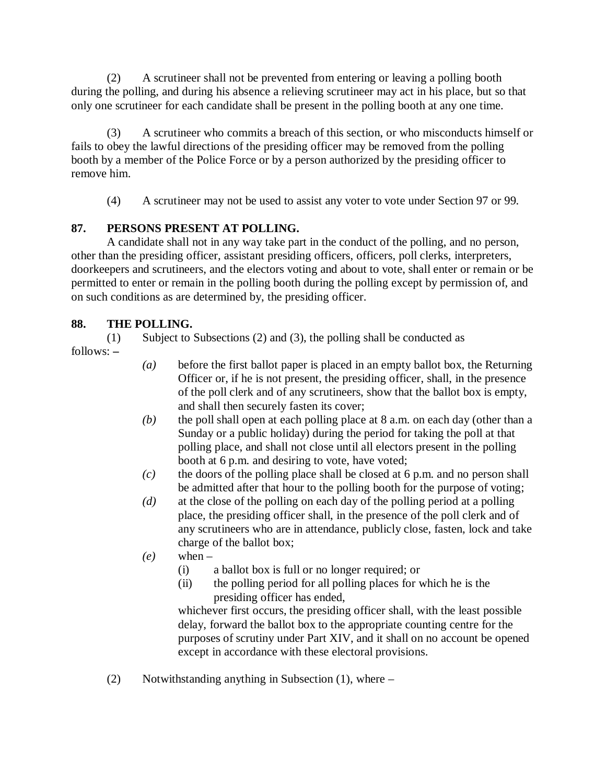(2) A scrutineer shall not be prevented from entering or leaving a polling booth during the polling, and during his absence a relieving scrutineer may act in his place, but so that only one scrutineer for each candidate shall be present in the polling booth at any one time.

(3) A scrutineer who commits a breach of this section, or who misconducts himself or fails to obey the lawful directions of the presiding officer may be removed from the polling booth by a member of the Police Force or by a person authorized by the presiding officer to remove him.

(4) A scrutineer may not be used to assist any voter to vote under Section 97 or 99.

# **87. PERSONS PRESENT AT POLLING.**

A candidate shall not in any way take part in the conduct of the polling, and no person, other than the presiding officer, assistant presiding officers, officers, poll clerks, interpreters, doorkeepers and scrutineers, and the electors voting and about to vote, shall enter or remain or be permitted to enter or remain in the polling booth during the polling except by permission of, and on such conditions as are determined by, the presiding officer.

# **88. THE POLLING.**

(1) Subject to Subsections (2) and (3), the polling shall be conducted as follows: **–**

- *(a)* before the first ballot paper is placed in an empty ballot box, the Returning Officer or, if he is not present, the presiding officer, shall, in the presence of the poll clerk and of any scrutineers, show that the ballot box is empty, and shall then securely fasten its cover;
- *(b)* the poll shall open at each polling place at 8 a.m. on each day (other than a Sunday or a public holiday) during the period for taking the poll at that polling place, and shall not close until all electors present in the polling booth at 6 p.m. and desiring to vote, have voted;
- *(c)* the doors of the polling place shall be closed at 6 p.m. and no person shall be admitted after that hour to the polling booth for the purpose of voting;
- *(d)* at the close of the polling on each day of the polling period at a polling place, the presiding officer shall, in the presence of the poll clerk and of any scrutineers who are in attendance, publicly close, fasten, lock and take charge of the ballot box;
- *(e)* when
	- (i) a ballot box is full or no longer required; or
	- (ii) the polling period for all polling places for which he is the presiding officer has ended,

whichever first occurs, the presiding officer shall, with the least possible delay, forward the ballot box to the appropriate counting centre for the purposes of scrutiny under Part XIV, and it shall on no account be opened except in accordance with these electoral provisions.

(2) Notwithstanding anything in Subsection (1), where –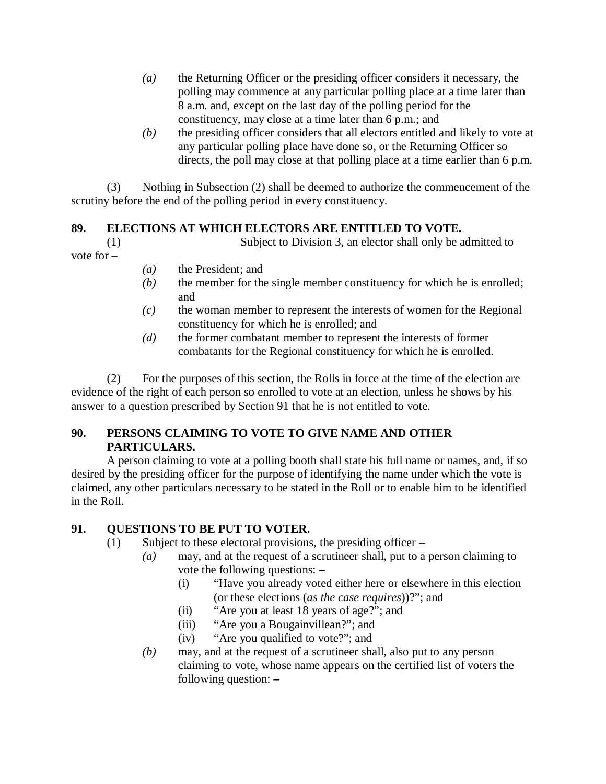- *(a)* the Returning Officer or the presiding officer considers it necessary, the polling may commence at any particular polling place at a time later than 8 a.m. and, except on the last day of the polling period for the constituency, may close at a time later than 6 p.m.; and
- *(b)* the presiding officer considers that all electors entitled and likely to vote at any particular polling place have done so, or the Returning Officer so directs, the poll may close at that polling place at a time earlier than 6 p.m.

(3) Nothing in Subsection (2) shall be deemed to authorize the commencement of the scrutiny before the end of the polling period in every constituency.

### **89. ELECTIONS AT WHICH ELECTORS ARE ENTITLED TO VOTE.**

(1) Subject to Division 3, an elector shall only be admitted to vote for –

- *(a)* the President; and
- *(b)* the member for the single member constituency for which he is enrolled; and
- *(c)* the woman member to represent the interests of women for the Regional constituency for which he is enrolled; and
- *(d)* the former combatant member to represent the interests of former combatants for the Regional constituency for which he is enrolled.

(2) For the purposes of this section, the Rolls in force at the time of the election are evidence of the right of each person so enrolled to vote at an election, unless he shows by his answer to a question prescribed by Section 91 that he is not entitled to vote.

### **90. PERSONS CLAIMING TO VOTE TO GIVE NAME AND OTHER PARTICULARS.**

A person claiming to vote at a polling booth shall state his full name or names, and, if so desired by the presiding officer for the purpose of identifying the name under which the vote is claimed, any other particulars necessary to be stated in the Roll or to enable him to be identified in the Roll.

# **91. QUESTIONS TO BE PUT TO VOTER.**

- (1) Subject to these electoral provisions, the presiding officer
	- *(a)* may, and at the request of a scrutineer shall, put to a person claiming to vote the following questions: **–**
		- (i) "Have you already voted either here or elsewhere in this election (or these elections (*as the case requires*))?"; and
		- (ii) "Are you at least 18 years of age?"; and
		- (iii) "Are you a Bougainvillean?"; and
		- (iv) "Are you qualified to vote?"; and
	- *(b)* may, and at the request of a scrutineer shall, also put to any person claiming to vote, whose name appears on the certified list of voters the following question: **–**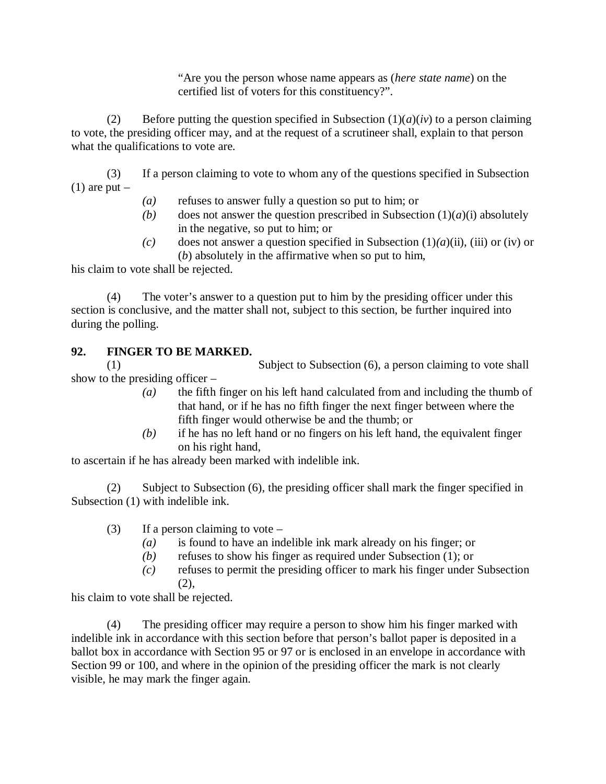"Are you the person whose name appears as (*here state name*) on the certified list of voters for this constituency?".

(2) Before putting the question specified in Subsection  $(1)(a)(iv)$  to a person claiming to vote, the presiding officer may, and at the request of a scrutineer shall, explain to that person what the qualifications to vote are.

(3) If a person claiming to vote to whom any of the questions specified in Subsection  $(1)$  are put –

- *(a)* refuses to answer fully a question so put to him; or
- *(b)* does not answer the question prescribed in Subsection  $(1)(a)(i)$  absolutely in the negative, so put to him; or
- *(c)* does not answer a question specified in Subsection  $(1)(a)(ii)$ , *(iii)* or *(iv)* or (*b*) absolutely in the affirmative when so put to him,

his claim to vote shall be rejected.

(4) The voter's answer to a question put to him by the presiding officer under this section is conclusive, and the matter shall not, subject to this section, be further inquired into during the polling.

# **92. FINGER TO BE MARKED.**

(1) Subject to Subsection (6), a person claiming to vote shall show to the presiding officer –

- *(a)* the fifth finger on his left hand calculated from and including the thumb of that hand, or if he has no fifth finger the next finger between where the fifth finger would otherwise be and the thumb; or
- *(b)* if he has no left hand or no fingers on his left hand, the equivalent finger on his right hand,

to ascertain if he has already been marked with indelible ink.

(2) Subject to Subsection (6), the presiding officer shall mark the finger specified in Subsection (1) with indelible ink.

- (3) If a person claiming to vote  $-$ 
	- *(a)* is found to have an indelible ink mark already on his finger; or
	- *(b)* refuses to show his finger as required under Subsection (1); or
	- *(c)* refuses to permit the presiding officer to mark his finger under Subsection (2),

his claim to vote shall be rejected.

(4) The presiding officer may require a person to show him his finger marked with indelible ink in accordance with this section before that person's ballot paper is deposited in a ballot box in accordance with Section 95 or 97 or is enclosed in an envelope in accordance with Section 99 or 100, and where in the opinion of the presiding officer the mark is not clearly visible, he may mark the finger again.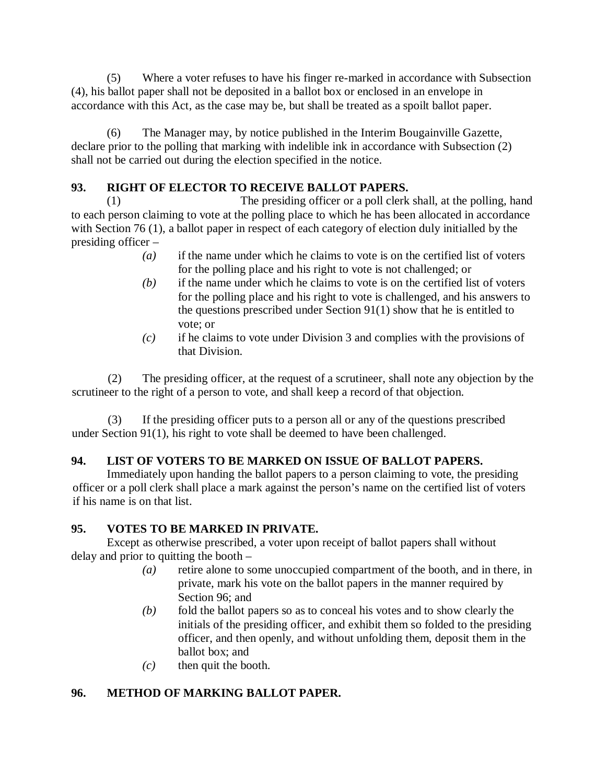(5) Where a voter refuses to have his finger re-marked in accordance with Subsection (4), his ballot paper shall not be deposited in a ballot box or enclosed in an envelope in accordance with this Act, as the case may be, but shall be treated as a spoilt ballot paper.

(6) The Manager may, by notice published in the Interim Bougainville Gazette, declare prior to the polling that marking with indelible ink in accordance with Subsection (2) shall not be carried out during the election specified in the notice.

# **93. RIGHT OF ELECTOR TO RECEIVE BALLOT PAPERS.**

(1) The presiding officer or a poll clerk shall, at the polling, hand to each person claiming to vote at the polling place to which he has been allocated in accordance with Section 76 (1), a ballot paper in respect of each category of election duly initialled by the presiding officer –

- *(a)* if the name under which he claims to vote is on the certified list of voters for the polling place and his right to vote is not challenged; or
- *(b)* if the name under which he claims to vote is on the certified list of voters for the polling place and his right to vote is challenged, and his answers to the questions prescribed under Section 91(1) show that he is entitled to vote; or
- *(c)* if he claims to vote under Division 3 and complies with the provisions of that Division.

(2) The presiding officer, at the request of a scrutineer, shall note any objection by the scrutineer to the right of a person to vote, and shall keep a record of that objection.

(3) If the presiding officer puts to a person all or any of the questions prescribed under Section 91(1), his right to vote shall be deemed to have been challenged.

# **94. LIST OF VOTERS TO BE MARKED ON ISSUE OF BALLOT PAPERS.**

Immediately upon handing the ballot papers to a person claiming to vote, the presiding officer or a poll clerk shall place a mark against the person's name on the certified list of voters if his name is on that list.

# **95. VOTES TO BE MARKED IN PRIVATE.**

Except as otherwise prescribed, a voter upon receipt of ballot papers shall without delay and prior to quitting the booth –

- *(a)* retire alone to some unoccupied compartment of the booth, and in there, in private, mark his vote on the ballot papers in the manner required by Section 96; and
- *(b)* fold the ballot papers so as to conceal his votes and to show clearly the initials of the presiding officer, and exhibit them so folded to the presiding officer, and then openly, and without unfolding them, deposit them in the ballot box; and
- *(c)* then quit the booth.

# **96. METHOD OF MARKING BALLOT PAPER.**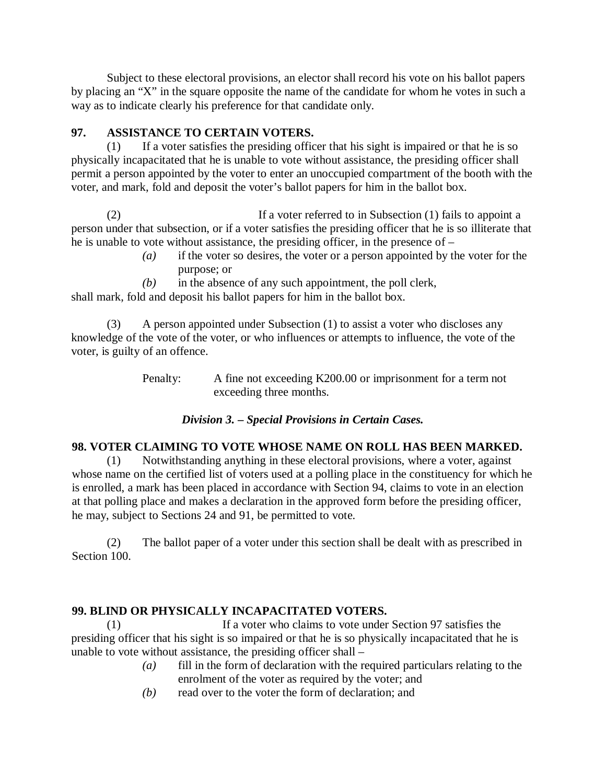Subject to these electoral provisions, an elector shall record his vote on his ballot papers by placing an "X" in the square opposite the name of the candidate for whom he votes in such a way as to indicate clearly his preference for that candidate only.

### **97. ASSISTANCE TO CERTAIN VOTERS.**

(1) If a voter satisfies the presiding officer that his sight is impaired or that he is so physically incapacitated that he is unable to vote without assistance, the presiding officer shall permit a person appointed by the voter to enter an unoccupied compartment of the booth with the voter, and mark, fold and deposit the voter's ballot papers for him in the ballot box.

(2) If a voter referred to in Subsection (1) fails to appoint a person under that subsection, or if a voter satisfies the presiding officer that he is so illiterate that he is unable to vote without assistance, the presiding officer, in the presence of –

- *(a)* if the voter so desires, the voter or a person appointed by the voter for the purpose; or
- *(b)* in the absence of any such appointment, the poll clerk,

shall mark, fold and deposit his ballot papers for him in the ballot box.

(3) A person appointed under Subsection (1) to assist a voter who discloses any knowledge of the vote of the voter, or who influences or attempts to influence, the vote of the voter, is guilty of an offence.

> Penalty: A fine not exceeding K200.00 or imprisonment for a term not exceeding three months.

# *Division 3. – Special Provisions in Certain Cases.*

# **98. VOTER CLAIMING TO VOTE WHOSE NAME ON ROLL HAS BEEN MARKED.**

(1) Notwithstanding anything in these electoral provisions, where a voter, against whose name on the certified list of voters used at a polling place in the constituency for which he is enrolled, a mark has been placed in accordance with Section 94, claims to vote in an election at that polling place and makes a declaration in the approved form before the presiding officer, he may, subject to Sections 24 and 91, be permitted to vote.

(2) The ballot paper of a voter under this section shall be dealt with as prescribed in Section 100.

# **99. BLIND OR PHYSICALLY INCAPACITATED VOTERS.**

(1) If a voter who claims to vote under Section 97 satisfies the presiding officer that his sight is so impaired or that he is so physically incapacitated that he is unable to vote without assistance, the presiding officer shall –

- *(a)* fill in the form of declaration with the required particulars relating to the enrolment of the voter as required by the voter; and
- *(b)* read over to the voter the form of declaration; and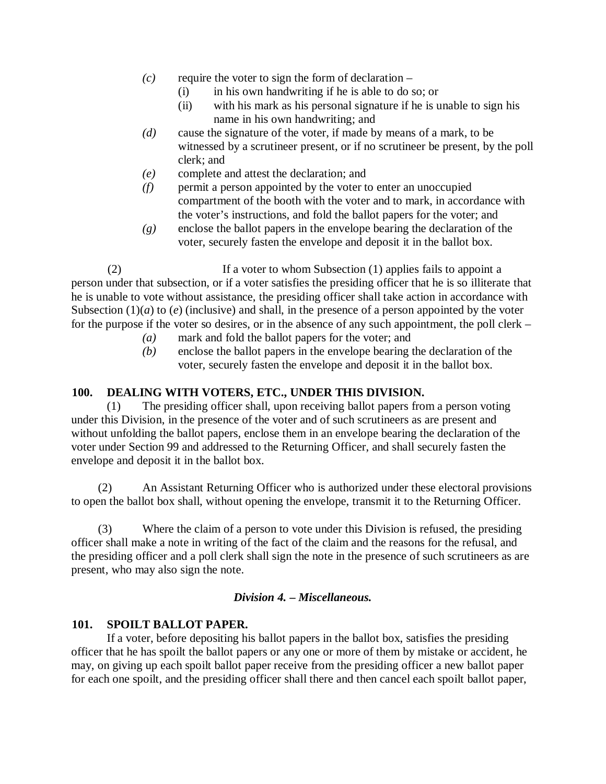- *(c)* require the voter to sign the form of declaration
	- (i) in his own handwriting if he is able to do so; or
	- (ii) with his mark as his personal signature if he is unable to sign his name in his own handwriting; and
- *(d)* cause the signature of the voter, if made by means of a mark, to be witnessed by a scrutineer present, or if no scrutineer be present, by the poll clerk; and
- *(e)* complete and attest the declaration; and
- *(f)* permit a person appointed by the voter to enter an unoccupied compartment of the booth with the voter and to mark, in accordance with the voter's instructions, and fold the ballot papers for the voter; and
- *(g)* enclose the ballot papers in the envelope bearing the declaration of the voter, securely fasten the envelope and deposit it in the ballot box.

(2) If a voter to whom Subsection (1) applies fails to appoint a person under that subsection, or if a voter satisfies the presiding officer that he is so illiterate that he is unable to vote without assistance, the presiding officer shall take action in accordance with Subsection  $(1)(a)$  to  $(e)$  (inclusive) and shall, in the presence of a person appointed by the voter for the purpose if the voter so desires, or in the absence of any such appointment, the poll clerk –

- *(a)* mark and fold the ballot papers for the voter; and
- *(b)* enclose the ballot papers in the envelope bearing the declaration of the voter, securely fasten the envelope and deposit it in the ballot box.

### **100. DEALING WITH VOTERS, ETC., UNDER THIS DIVISION.**

(1) The presiding officer shall, upon receiving ballot papers from a person voting under this Division, in the presence of the voter and of such scrutineers as are present and without unfolding the ballot papers, enclose them in an envelope bearing the declaration of the voter under Section 99 and addressed to the Returning Officer, and shall securely fasten the envelope and deposit it in the ballot box.

(2) An Assistant Returning Officer who is authorized under these electoral provisions to open the ballot box shall, without opening the envelope, transmit it to the Returning Officer.

(3) Where the claim of a person to vote under this Division is refused, the presiding officer shall make a note in writing of the fact of the claim and the reasons for the refusal, and the presiding officer and a poll clerk shall sign the note in the presence of such scrutineers as are present, who may also sign the note.

### *Division 4. – Miscellaneous.*

# **101. SPOILT BALLOT PAPER.**

If a voter, before depositing his ballot papers in the ballot box, satisfies the presiding officer that he has spoilt the ballot papers or any one or more of them by mistake or accident, he may, on giving up each spoilt ballot paper receive from the presiding officer a new ballot paper for each one spoilt, and the presiding officer shall there and then cancel each spoilt ballot paper,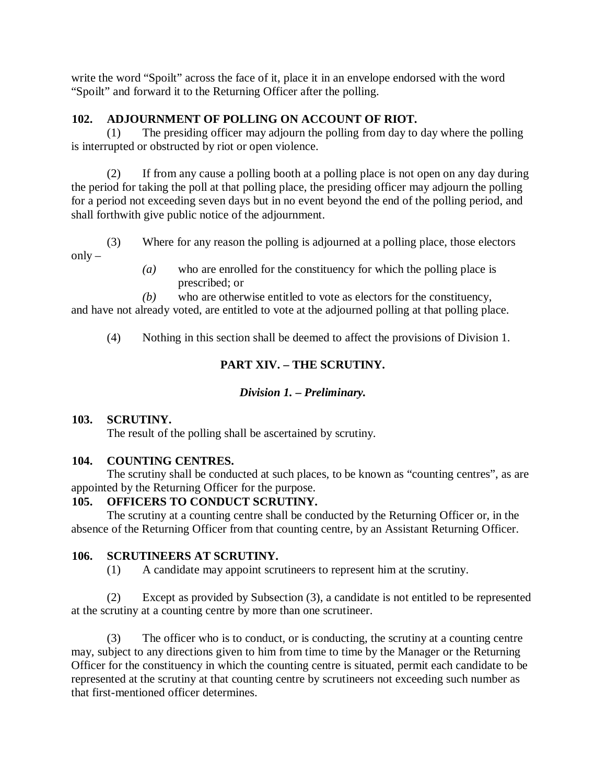write the word "Spoilt" across the face of it, place it in an envelope endorsed with the word "Spoilt" and forward it to the Returning Officer after the polling.

#### **102. ADJOURNMENT OF POLLING ON ACCOUNT OF RIOT.**

(1) The presiding officer may adjourn the polling from day to day where the polling is interrupted or obstructed by riot or open violence.

(2) If from any cause a polling booth at a polling place is not open on any day during the period for taking the poll at that polling place, the presiding officer may adjourn the polling for a period not exceeding seven days but in no event beyond the end of the polling period, and shall forthwith give public notice of the adjournment.

(3) Where for any reason the polling is adjourned at a polling place, those electors only –

- *(a)* who are enrolled for the constituency for which the polling place is prescribed; or
- *(b)* who are otherwise entitled to vote as electors for the constituency,

and have not already voted, are entitled to vote at the adjourned polling at that polling place.

(4) Nothing in this section shall be deemed to affect the provisions of Division 1.

# **PART XIV. – THE SCRUTINY.**

# *Division 1. – Preliminary.*

### **103. SCRUTINY.**

The result of the polling shall be ascertained by scrutiny.

### **104. COUNTING CENTRES.**

The scrutiny shall be conducted at such places, to be known as "counting centres", as are appointed by the Returning Officer for the purpose.

### **105. OFFICERS TO CONDUCT SCRUTINY.**

The scrutiny at a counting centre shall be conducted by the Returning Officer or, in the absence of the Returning Officer from that counting centre, by an Assistant Returning Officer.

# **106. SCRUTINEERS AT SCRUTINY.**

(1) A candidate may appoint scrutineers to represent him at the scrutiny.

(2) Except as provided by Subsection (3), a candidate is not entitled to be represented at the scrutiny at a counting centre by more than one scrutineer.

(3) The officer who is to conduct, or is conducting, the scrutiny at a counting centre may, subject to any directions given to him from time to time by the Manager or the Returning Officer for the constituency in which the counting centre is situated, permit each candidate to be represented at the scrutiny at that counting centre by scrutineers not exceeding such number as that first-mentioned officer determines.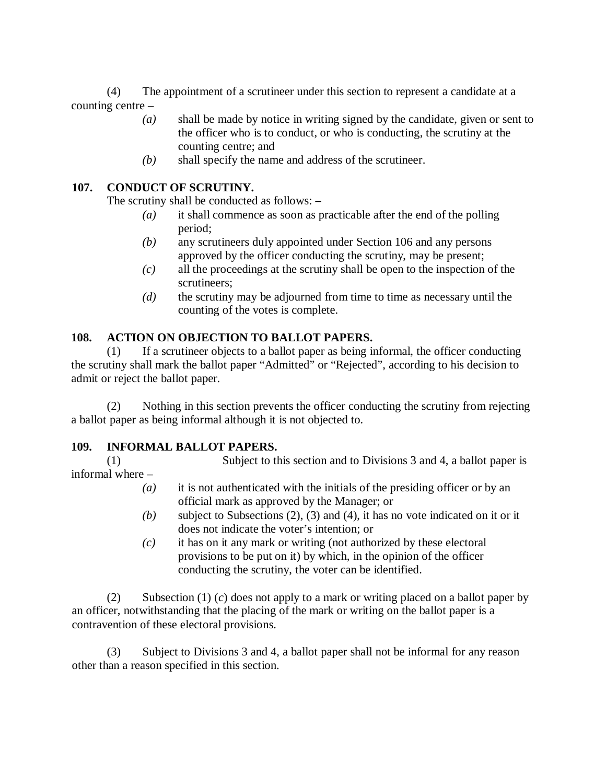(4) The appointment of a scrutineer under this section to represent a candidate at a counting centre –

- *(a)* shall be made by notice in writing signed by the candidate, given or sent to the officer who is to conduct, or who is conducting, the scrutiny at the counting centre; and
- *(b)* shall specify the name and address of the scrutineer.

### **107. CONDUCT OF SCRUTINY.**

The scrutiny shall be conducted as follows: **–**

- *(a)* it shall commence as soon as practicable after the end of the polling period;
- *(b)* any scrutineers duly appointed under Section 106 and any persons approved by the officer conducting the scrutiny, may be present;
- *(c)* all the proceedings at the scrutiny shall be open to the inspection of the scrutineers;
- *(d)* the scrutiny may be adjourned from time to time as necessary until the counting of the votes is complete.

### **108. ACTION ON OBJECTION TO BALLOT PAPERS.**

(1) If a scrutineer objects to a ballot paper as being informal, the officer conducting the scrutiny shall mark the ballot paper "Admitted" or "Rejected", according to his decision to admit or reject the ballot paper.

(2) Nothing in this section prevents the officer conducting the scrutiny from rejecting a ballot paper as being informal although it is not objected to.

# **109. INFORMAL BALLOT PAPERS.**

(1) Subject to this section and to Divisions 3 and 4, a ballot paper is informal where –

- *(a)* it is not authenticated with the initials of the presiding officer or by an official mark as approved by the Manager; or
- *(b)* subject to Subsections (2), (3) and (4), it has no vote indicated on it or it does not indicate the voter's intention; or
- *(c)* it has on it any mark or writing (not authorized by these electoral provisions to be put on it) by which, in the opinion of the officer conducting the scrutiny, the voter can be identified.

(2) Subsection (1) (*c*) does not apply to a mark or writing placed on a ballot paper by an officer, notwithstanding that the placing of the mark or writing on the ballot paper is a contravention of these electoral provisions.

(3) Subject to Divisions 3 and 4, a ballot paper shall not be informal for any reason other than a reason specified in this section.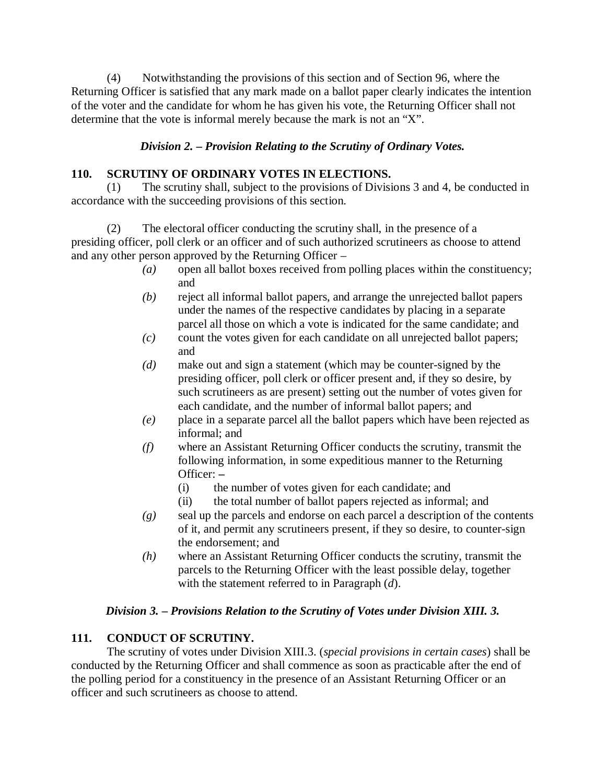(4) Notwithstanding the provisions of this section and of Section 96, where the Returning Officer is satisfied that any mark made on a ballot paper clearly indicates the intention of the voter and the candidate for whom he has given his vote, the Returning Officer shall not determine that the vote is informal merely because the mark is not an "X".

### *Division 2. – Provision Relating to the Scrutiny of Ordinary Votes.*

### **110. SCRUTINY OF ORDINARY VOTES IN ELECTIONS.**

(1) The scrutiny shall, subject to the provisions of Divisions 3 and 4, be conducted in accordance with the succeeding provisions of this section.

(2) The electoral officer conducting the scrutiny shall, in the presence of a presiding officer, poll clerk or an officer and of such authorized scrutineers as choose to attend and any other person approved by the Returning Officer –

- *(a)* open all ballot boxes received from polling places within the constituency; and
- *(b)* reject all informal ballot papers, and arrange the unrejected ballot papers under the names of the respective candidates by placing in a separate parcel all those on which a vote is indicated for the same candidate; and
- *(c)* count the votes given for each candidate on all unrejected ballot papers; and
- *(d)* make out and sign a statement (which may be counter-signed by the presiding officer, poll clerk or officer present and, if they so desire, by such scrutineers as are present) setting out the number of votes given for each candidate, and the number of informal ballot papers; and
- *(e)* place in a separate parcel all the ballot papers which have been rejected as informal; and
- *(f)* where an Assistant Returning Officer conducts the scrutiny, transmit the following information, in some expeditious manner to the Returning Officer: **–**
	- (i) the number of votes given for each candidate; and
	- (ii) the total number of ballot papers rejected as informal; and
- *(g)* seal up the parcels and endorse on each parcel a description of the contents of it, and permit any scrutineers present, if they so desire, to counter-sign the endorsement; and
- *(h)* where an Assistant Returning Officer conducts the scrutiny, transmit the parcels to the Returning Officer with the least possible delay, together with the statement referred to in Paragraph (*d*).

### *Division 3. – Provisions Relation to the Scrutiny of Votes under Division XIII. 3.*

# **111. CONDUCT OF SCRUTINY.**

The scrutiny of votes under Division XIII.3. (*special provisions in certain cases*) shall be conducted by the Returning Officer and shall commence as soon as practicable after the end of the polling period for a constituency in the presence of an Assistant Returning Officer or an officer and such scrutineers as choose to attend.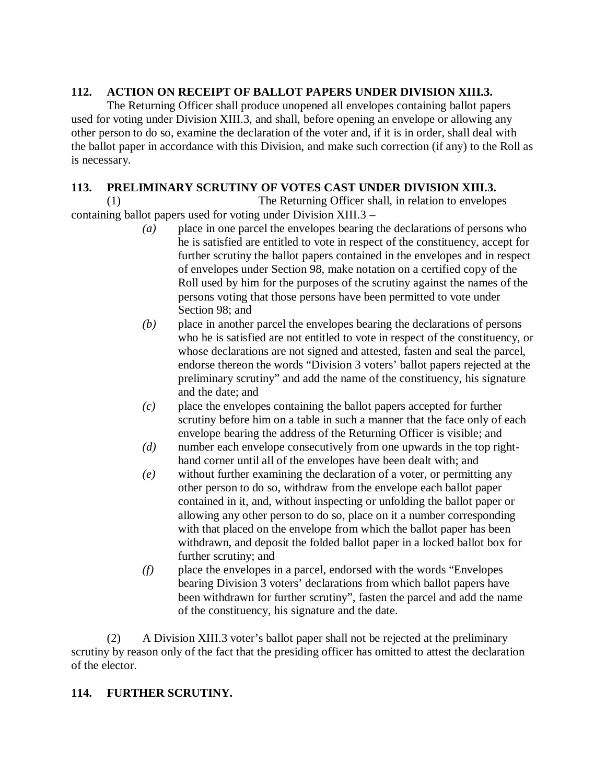### **112. ACTION ON RECEIPT OF BALLOT PAPERS UNDER DIVISION XIII.3.**

The Returning Officer shall produce unopened all envelopes containing ballot papers used for voting under Division XIII.3, and shall, before opening an envelope or allowing any other person to do so, examine the declaration of the voter and, if it is in order, shall deal with the ballot paper in accordance with this Division, and make such correction (if any) to the Roll as is necessary.

#### **113. PRELIMINARY SCRUTINY OF VOTES CAST UNDER DIVISION XIII.3.**

The Returning Officer shall, in relation to envelopes containing ballot papers used for voting under Division XIII.3 –

- *(a)* place in one parcel the envelopes bearing the declarations of persons who he is satisfied are entitled to vote in respect of the constituency, accept for further scrutiny the ballot papers contained in the envelopes and in respect of envelopes under Section 98, make notation on a certified copy of the Roll used by him for the purposes of the scrutiny against the names of the persons voting that those persons have been permitted to vote under Section 98; and
- *(b)* place in another parcel the envelopes bearing the declarations of persons who he is satisfied are not entitled to vote in respect of the constituency, or whose declarations are not signed and attested, fasten and seal the parcel, endorse thereon the words "Division 3 voters' ballot papers rejected at the preliminary scrutiny" and add the name of the constituency, his signature and the date; and
- *(c)* place the envelopes containing the ballot papers accepted for further scrutiny before him on a table in such a manner that the face only of each envelope bearing the address of the Returning Officer is visible; and
- *(d)* number each envelope consecutively from one upwards in the top righthand corner until all of the envelopes have been dealt with; and
- *(e)* without further examining the declaration of a voter, or permitting any other person to do so, withdraw from the envelope each ballot paper contained in it, and, without inspecting or unfolding the ballot paper or allowing any other person to do so, place on it a number corresponding with that placed on the envelope from which the ballot paper has been withdrawn, and deposit the folded ballot paper in a locked ballot box for further scrutiny; and
- *(f)* place the envelopes in a parcel, endorsed with the words "Envelopes bearing Division 3 voters' declarations from which ballot papers have been withdrawn for further scrutiny", fasten the parcel and add the name of the constituency, his signature and the date.

(2) A Division XIII.3 voter's ballot paper shall not be rejected at the preliminary scrutiny by reason only of the fact that the presiding officer has omitted to attest the declaration of the elector.

#### **114. FURTHER SCRUTINY.**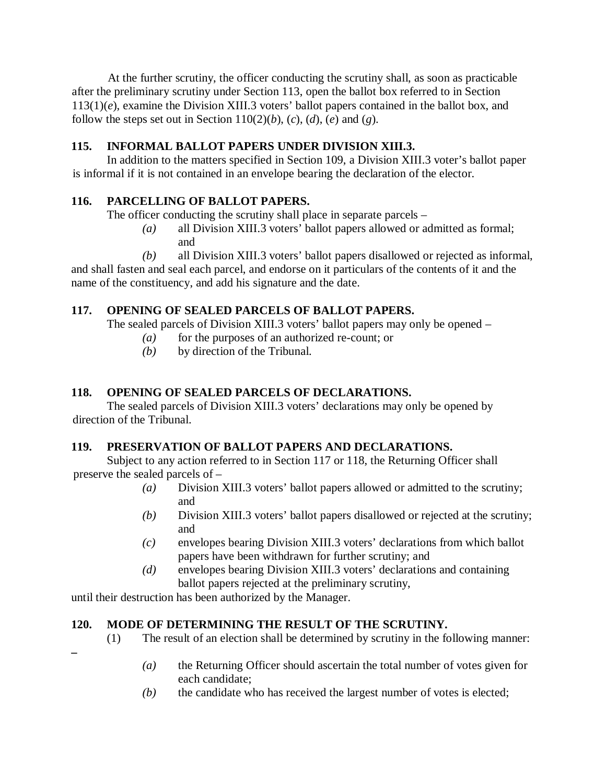At the further scrutiny, the officer conducting the scrutiny shall, as soon as practicable after the preliminary scrutiny under Section 113, open the ballot box referred to in Section  $113(1)(e)$ , examine the Division XIII.3 voters' ballot papers contained in the ballot box, and follow the steps set out in Section  $110(2)(b)$ ,  $(c)$ ,  $(d)$ ,  $(e)$  and  $(g)$ .

### **115. INFORMAL BALLOT PAPERS UNDER DIVISION XIII.3.**

In addition to the matters specified in Section 109, a Division XIII.3 voter's ballot paper is informal if it is not contained in an envelope bearing the declaration of the elector.

### **116. PARCELLING OF BALLOT PAPERS.**

The officer conducting the scrutiny shall place in separate parcels –

- *(a)* all Division XIII.3 voters' ballot papers allowed or admitted as formal; and
- *(b)* all Division XIII.3 voters' ballot papers disallowed or rejected as informal,

and shall fasten and seal each parcel, and endorse on it particulars of the contents of it and the name of the constituency, and add his signature and the date.

### **117. OPENING OF SEALED PARCELS OF BALLOT PAPERS.**

The sealed parcels of Division XIII.3 voters' ballot papers may only be opened –

- *(a)* for the purposes of an authorized re-count; or
- *(b)* by direction of the Tribunal.

### **118. OPENING OF SEALED PARCELS OF DECLARATIONS.**

The sealed parcels of Division XIII.3 voters' declarations may only be opened by direction of the Tribunal.

### **119. PRESERVATION OF BALLOT PAPERS AND DECLARATIONS.**

Subject to any action referred to in Section 117 or 118, the Returning Officer shall preserve the sealed parcels of –

- *(a)* Division XIII.3 voters' ballot papers allowed or admitted to the scrutiny; and
- *(b)* Division XIII.3 voters' ballot papers disallowed or rejected at the scrutiny; and
- *(c)* envelopes bearing Division XIII.3 voters' declarations from which ballot papers have been withdrawn for further scrutiny; and
- *(d)* envelopes bearing Division XIII.3 voters' declarations and containing ballot papers rejected at the preliminary scrutiny,

until their destruction has been authorized by the Manager.

### **120. MODE OF DETERMINING THE RESULT OF THE SCRUTINY.**

- (1) The result of an election shall be determined by scrutiny in the following manner:
- **–**
- *(a)* the Returning Officer should ascertain the total number of votes given for each candidate;
- *(b)* the candidate who has received the largest number of votes is elected;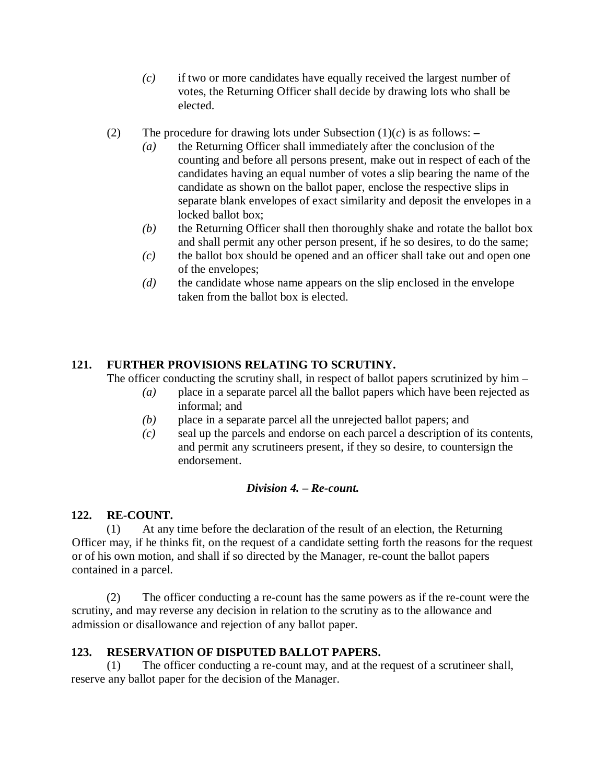- *(c)* if two or more candidates have equally received the largest number of votes, the Returning Officer shall decide by drawing lots who shall be elected.
- (2) The procedure for drawing lots under Subsection  $(1)(c)$  is as follows:  $-$ 
	- *(a)* the Returning Officer shall immediately after the conclusion of the counting and before all persons present, make out in respect of each of the candidates having an equal number of votes a slip bearing the name of the candidate as shown on the ballot paper, enclose the respective slips in separate blank envelopes of exact similarity and deposit the envelopes in a locked ballot box:
	- *(b)* the Returning Officer shall then thoroughly shake and rotate the ballot box and shall permit any other person present, if he so desires, to do the same;
	- *(c)* the ballot box should be opened and an officer shall take out and open one of the envelopes;
	- *(d)* the candidate whose name appears on the slip enclosed in the envelope taken from the ballot box is elected.

# **121. FURTHER PROVISIONS RELATING TO SCRUTINY.**

The officer conducting the scrutiny shall, in respect of ballot papers scrutinized by him –

- *(a)* place in a separate parcel all the ballot papers which have been rejected as informal; and
- *(b)* place in a separate parcel all the unrejected ballot papers; and
- *(c)* seal up the parcels and endorse on each parcel a description of its contents, and permit any scrutineers present, if they so desire, to countersign the endorsement.

### *Division 4. – Re-count.*

### **122. RE-COUNT.**

(1) At any time before the declaration of the result of an election, the Returning Officer may, if he thinks fit, on the request of a candidate setting forth the reasons for the request or of his own motion, and shall if so directed by the Manager, re-count the ballot papers contained in a parcel.

(2) The officer conducting a re-count has the same powers as if the re-count were the scrutiny, and may reverse any decision in relation to the scrutiny as to the allowance and admission or disallowance and rejection of any ballot paper.

### **123. RESERVATION OF DISPUTED BALLOT PAPERS.**

(1) The officer conducting a re-count may, and at the request of a scrutineer shall, reserve any ballot paper for the decision of the Manager.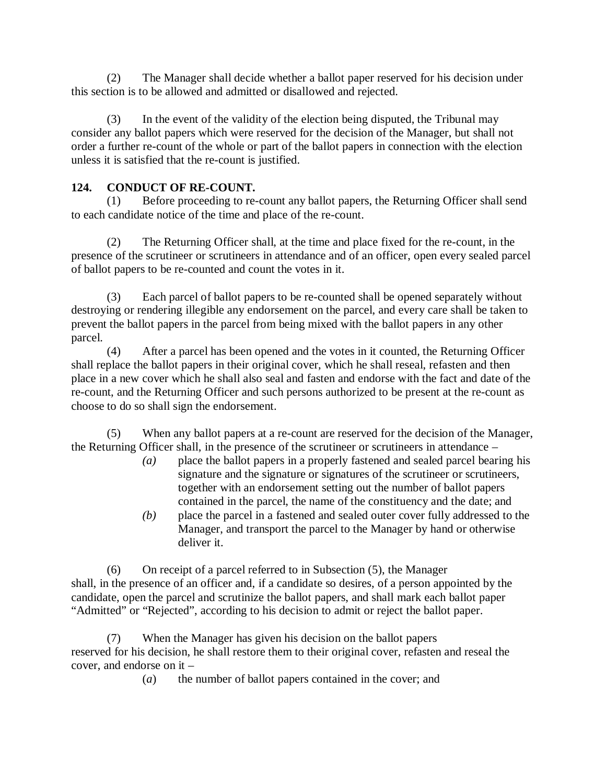(2) The Manager shall decide whether a ballot paper reserved for his decision under this section is to be allowed and admitted or disallowed and rejected.

(3) In the event of the validity of the election being disputed, the Tribunal may consider any ballot papers which were reserved for the decision of the Manager, but shall not order a further re-count of the whole or part of the ballot papers in connection with the election unless it is satisfied that the re-count is justified.

# **124. CONDUCT OF RE-COUNT.**

(1) Before proceeding to re-count any ballot papers, the Returning Officer shall send to each candidate notice of the time and place of the re-count.

(2) The Returning Officer shall, at the time and place fixed for the re-count, in the presence of the scrutineer or scrutineers in attendance and of an officer, open every sealed parcel of ballot papers to be re-counted and count the votes in it.

(3) Each parcel of ballot papers to be re-counted shall be opened separately without destroying or rendering illegible any endorsement on the parcel, and every care shall be taken to prevent the ballot papers in the parcel from being mixed with the ballot papers in any other parcel.

(4) After a parcel has been opened and the votes in it counted, the Returning Officer shall replace the ballot papers in their original cover, which he shall reseal, refasten and then place in a new cover which he shall also seal and fasten and endorse with the fact and date of the re-count, and the Returning Officer and such persons authorized to be present at the re-count as choose to do so shall sign the endorsement.

(5) When any ballot papers at a re-count are reserved for the decision of the Manager, the Returning Officer shall, in the presence of the scrutineer or scrutineers in attendance –

- *(a)* place the ballot papers in a properly fastened and sealed parcel bearing his signature and the signature or signatures of the scrutineer or scrutineers, together with an endorsement setting out the number of ballot papers contained in the parcel, the name of the constituency and the date; and
- *(b)* place the parcel in a fastened and sealed outer cover fully addressed to the Manager, and transport the parcel to the Manager by hand or otherwise deliver it.

(6) On receipt of a parcel referred to in Subsection (5), the Manager shall, in the presence of an officer and, if a candidate so desires, of a person appointed by the candidate, open the parcel and scrutinize the ballot papers, and shall mark each ballot paper "Admitted" or "Rejected", according to his decision to admit or reject the ballot paper.

(7) When the Manager has given his decision on the ballot papers reserved for his decision, he shall restore them to their original cover, refasten and reseal the cover, and endorse on it –

(*a*) the number of ballot papers contained in the cover; and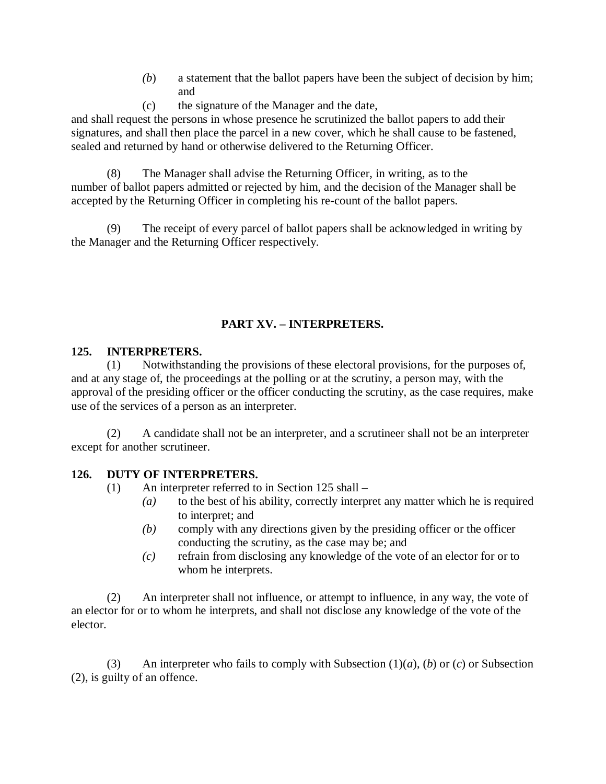- *(b*) a statement that the ballot papers have been the subject of decision by him; and
- (c) the signature of the Manager and the date,

and shall request the persons in whose presence he scrutinized the ballot papers to add their signatures, and shall then place the parcel in a new cover, which he shall cause to be fastened, sealed and returned by hand or otherwise delivered to the Returning Officer.

(8) The Manager shall advise the Returning Officer, in writing, as to the number of ballot papers admitted or rejected by him, and the decision of the Manager shall be accepted by the Returning Officer in completing his re-count of the ballot papers.

(9) The receipt of every parcel of ballot papers shall be acknowledged in writing by the Manager and the Returning Officer respectively.

# **PART XV. – INTERPRETERS.**

### **125. INTERPRETERS.**

(1) Notwithstanding the provisions of these electoral provisions, for the purposes of, and at any stage of, the proceedings at the polling or at the scrutiny, a person may, with the approval of the presiding officer or the officer conducting the scrutiny, as the case requires, make use of the services of a person as an interpreter.

(2) A candidate shall not be an interpreter, and a scrutineer shall not be an interpreter except for another scrutineer.

# **126. DUTY OF INTERPRETERS.**

(1) An interpreter referred to in Section 125 shall –

- *(a)* to the best of his ability, correctly interpret any matter which he is required to interpret; and
- *(b)* comply with any directions given by the presiding officer or the officer conducting the scrutiny, as the case may be; and
- *(c)* refrain from disclosing any knowledge of the vote of an elector for or to whom he interprets.

(2) An interpreter shall not influence, or attempt to influence, in any way, the vote of an elector for or to whom he interprets, and shall not disclose any knowledge of the vote of the elector.

(3) An interpreter who fails to comply with Subsection  $(1)(a)$ ,  $(b)$  or  $(c)$  or Subsection (2), is guilty of an offence.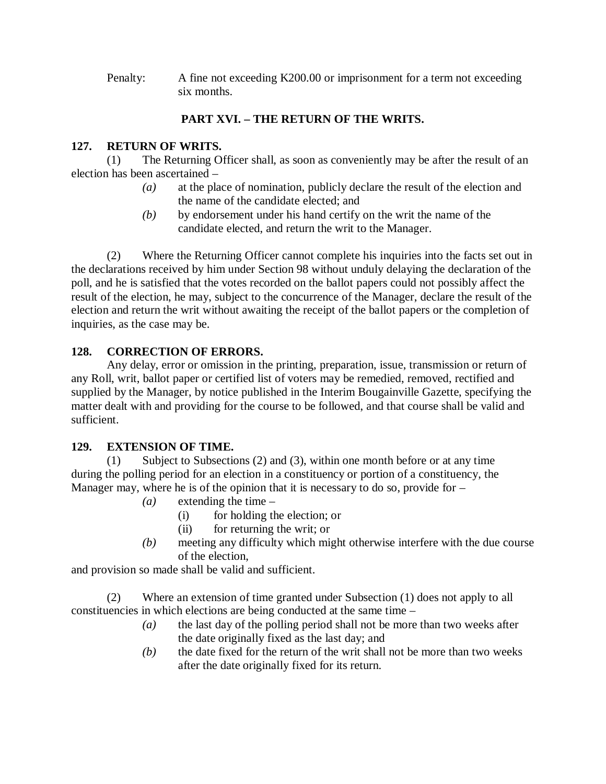Penalty: A fine not exceeding K200.00 or imprisonment for a term not exceeding six months.

### **PART XVI. – THE RETURN OF THE WRITS.**

### **127. RETURN OF WRITS.**

(1) The Returning Officer shall, as soon as conveniently may be after the result of an election has been ascertained –

- *(a)* at the place of nomination, publicly declare the result of the election and the name of the candidate elected; and
- *(b)* by endorsement under his hand certify on the writ the name of the candidate elected, and return the writ to the Manager.

(2) Where the Returning Officer cannot complete his inquiries into the facts set out in the declarations received by him under Section 98 without unduly delaying the declaration of the poll, and he is satisfied that the votes recorded on the ballot papers could not possibly affect the result of the election, he may, subject to the concurrence of the Manager, declare the result of the election and return the writ without awaiting the receipt of the ballot papers or the completion of inquiries, as the case may be.

### **128. CORRECTION OF ERRORS.**

Any delay, error or omission in the printing, preparation, issue, transmission or return of any Roll, writ, ballot paper or certified list of voters may be remedied, removed, rectified and supplied by the Manager, by notice published in the Interim Bougainville Gazette, specifying the matter dealt with and providing for the course to be followed, and that course shall be valid and sufficient.

### **129. EXTENSION OF TIME.**

(1) Subject to Subsections (2) and (3), within one month before or at any time during the polling period for an election in a constituency or portion of a constituency, the Manager may, where he is of the opinion that it is necessary to do so, provide for  $-$ 

- *(a)* extending the time
	- (i) for holding the election; or
	- (ii) for returning the writ; or
- *(b)* meeting any difficulty which might otherwise interfere with the due course of the election,

and provision so made shall be valid and sufficient.

(2) Where an extension of time granted under Subsection (1) does not apply to all constituencies in which elections are being conducted at the same time –

- *(a)* the last day of the polling period shall not be more than two weeks after the date originally fixed as the last day; and
- *(b)* the date fixed for the return of the writ shall not be more than two weeks after the date originally fixed for its return.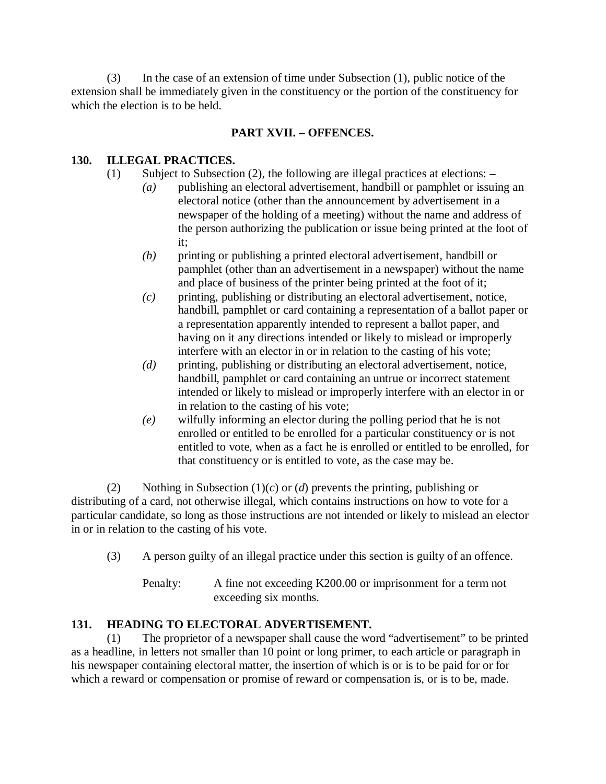(3) In the case of an extension of time under Subsection (1), public notice of the extension shall be immediately given in the constituency or the portion of the constituency for which the election is to be held.

### **PART XVII. – OFFENCES.**

#### **130. ILLEGAL PRACTICES.**

- (1) Subject to Subsection (2), the following are illegal practices at elections: **–**
	- *(a)* publishing an electoral advertisement, handbill or pamphlet or issuing an electoral notice (other than the announcement by advertisement in a newspaper of the holding of a meeting) without the name and address of the person authorizing the publication or issue being printed at the foot of it;
	- *(b)* printing or publishing a printed electoral advertisement, handbill or pamphlet (other than an advertisement in a newspaper) without the name and place of business of the printer being printed at the foot of it;
	- *(c)* printing, publishing or distributing an electoral advertisement, notice, handbill, pamphlet or card containing a representation of a ballot paper or a representation apparently intended to represent a ballot paper, and having on it any directions intended or likely to mislead or improperly interfere with an elector in or in relation to the casting of his vote;
	- *(d)* printing, publishing or distributing an electoral advertisement, notice, handbill, pamphlet or card containing an untrue or incorrect statement intended or likely to mislead or improperly interfere with an elector in or in relation to the casting of his vote;
	- *(e)* wilfully informing an elector during the polling period that he is not enrolled or entitled to be enrolled for a particular constituency or is not entitled to vote, when as a fact he is enrolled or entitled to be enrolled, for that constituency or is entitled to vote, as the case may be.

(2) Nothing in Subsection (1)(*c*) or (*d*) prevents the printing, publishing or distributing of a card, not otherwise illegal, which contains instructions on how to vote for a particular candidate, so long as those instructions are not intended or likely to mislead an elector in or in relation to the casting of his vote.

- (3) A person guilty of an illegal practice under this section is guilty of an offence.
	- Penalty: A fine not exceeding K200.00 or imprisonment for a term not exceeding six months.

### **131. HEADING TO ELECTORAL ADVERTISEMENT.**

(1) The proprietor of a newspaper shall cause the word "advertisement" to be printed as a headline, in letters not smaller than 10 point or long primer, to each article or paragraph in his newspaper containing electoral matter, the insertion of which is or is to be paid for or for which a reward or compensation or promise of reward or compensation is, or is to be, made.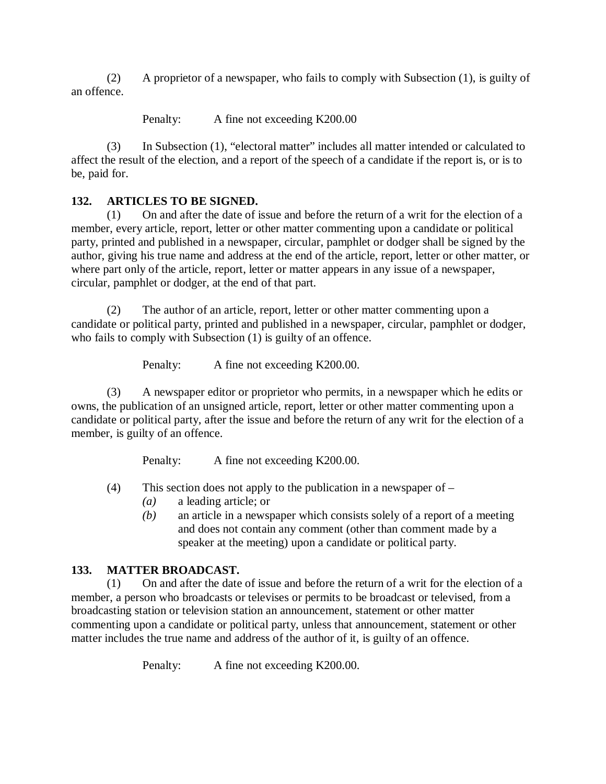(2) A proprietor of a newspaper, who fails to comply with Subsection (1), is guilty of an offence.

Penalty: A fine not exceeding K200.00

(3) In Subsection (1), "electoral matter" includes all matter intended or calculated to affect the result of the election, and a report of the speech of a candidate if the report is, or is to be, paid for.

### **132. ARTICLES TO BE SIGNED.**

(1) On and after the date of issue and before the return of a writ for the election of a member, every article, report, letter or other matter commenting upon a candidate or political party, printed and published in a newspaper, circular, pamphlet or dodger shall be signed by the author, giving his true name and address at the end of the article, report, letter or other matter, or where part only of the article, report, letter or matter appears in any issue of a newspaper, circular, pamphlet or dodger, at the end of that part.

(2) The author of an article, report, letter or other matter commenting upon a candidate or political party, printed and published in a newspaper, circular, pamphlet or dodger, who fails to comply with Subsection (1) is guilty of an offence.

Penalty: A fine not exceeding K200.00.

(3) A newspaper editor or proprietor who permits, in a newspaper which he edits or owns, the publication of an unsigned article, report, letter or other matter commenting upon a candidate or political party, after the issue and before the return of any writ for the election of a member, is guilty of an offence.

Penalty: A fine not exceeding K200.00.

- (4) This section does not apply to the publication in a newspaper of
	- *(a)* a leading article; or
	- *(b)* an article in a newspaper which consists solely of a report of a meeting and does not contain any comment (other than comment made by a speaker at the meeting) upon a candidate or political party.

# **133. MATTER BROADCAST.**

(1) On and after the date of issue and before the return of a writ for the election of a member, a person who broadcasts or televises or permits to be broadcast or televised, from a broadcasting station or television station an announcement, statement or other matter commenting upon a candidate or political party, unless that announcement, statement or other matter includes the true name and address of the author of it, is guilty of an offence.

Penalty: A fine not exceeding K200.00.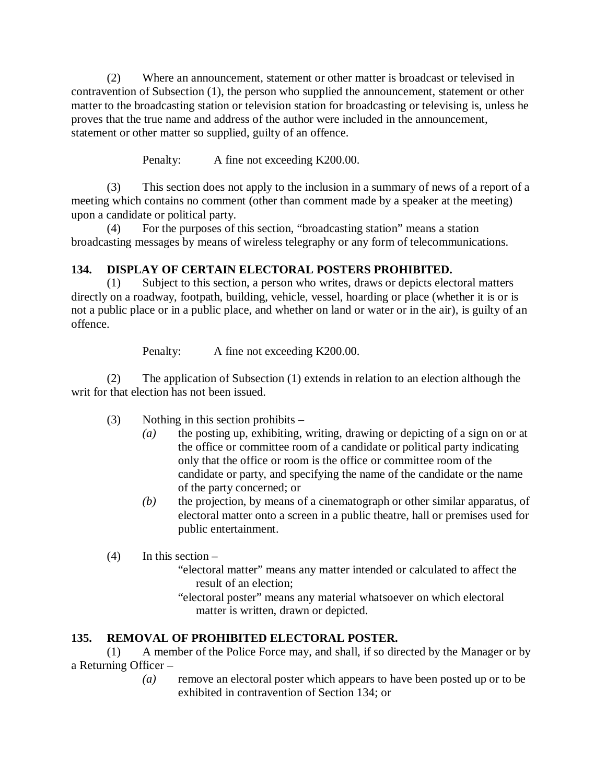(2) Where an announcement, statement or other matter is broadcast or televised in contravention of Subsection (1), the person who supplied the announcement, statement or other matter to the broadcasting station or television station for broadcasting or televising is, unless he proves that the true name and address of the author were included in the announcement, statement or other matter so supplied, guilty of an offence.

Penalty: A fine not exceeding K200.00.

(3) This section does not apply to the inclusion in a summary of news of a report of a meeting which contains no comment (other than comment made by a speaker at the meeting) upon a candidate or political party.

(4) For the purposes of this section, "broadcasting station" means a station broadcasting messages by means of wireless telegraphy or any form of telecommunications.

# **134. DISPLAY OF CERTAIN ELECTORAL POSTERS PROHIBITED.**

(1) Subject to this section, a person who writes, draws or depicts electoral matters directly on a roadway, footpath, building, vehicle, vessel, hoarding or place (whether it is or is not a public place or in a public place, and whether on land or water or in the air), is guilty of an offence.

Penalty: A fine not exceeding K200.00.

(2) The application of Subsection (1) extends in relation to an election although the writ for that election has not been issued.

- (3) Nothing in this section prohibits
	- *(a)* the posting up, exhibiting, writing, drawing or depicting of a sign on or at the office or committee room of a candidate or political party indicating only that the office or room is the office or committee room of the candidate or party, and specifying the name of the candidate or the name of the party concerned; or
	- *(b)* the projection, by means of a cinematograph or other similar apparatus, of electoral matter onto a screen in a public theatre, hall or premises used for public entertainment.
- $(4)$  In this section
	- "electoral matter" means any matter intended or calculated to affect the result of an election;
	- "electoral poster" means any material whatsoever on which electoral matter is written, drawn or depicted.

### **135. REMOVAL OF PROHIBITED ELECTORAL POSTER.**

(1) A member of the Police Force may, and shall, if so directed by the Manager or by a Returning Officer –

> *(a)* remove an electoral poster which appears to have been posted up or to be exhibited in contravention of Section 134; or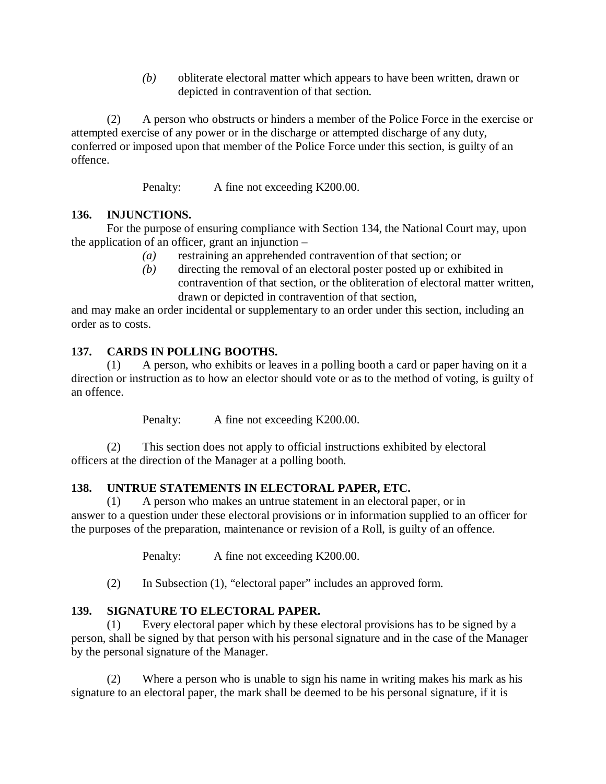*(b)* obliterate electoral matter which appears to have been written, drawn or depicted in contravention of that section.

(2) A person who obstructs or hinders a member of the Police Force in the exercise or attempted exercise of any power or in the discharge or attempted discharge of any duty, conferred or imposed upon that member of the Police Force under this section, is guilty of an offence.

Penalty: A fine not exceeding K200.00.

# **136. INJUNCTIONS.**

For the purpose of ensuring compliance with Section 134, the National Court may, upon the application of an officer, grant an injunction –

- *(a)* restraining an apprehended contravention of that section; or
- *(b)* directing the removal of an electoral poster posted up or exhibited in contravention of that section, or the obliteration of electoral matter written, drawn or depicted in contravention of that section,

and may make an order incidental or supplementary to an order under this section, including an order as to costs.

# **137. CARDS IN POLLING BOOTHS.**

(1) A person, who exhibits or leaves in a polling booth a card or paper having on it a direction or instruction as to how an elector should vote or as to the method of voting, is guilty of an offence.

Penalty: A fine not exceeding K200.00.

(2) This section does not apply to official instructions exhibited by electoral officers at the direction of the Manager at a polling booth.

# **138. UNTRUE STATEMENTS IN ELECTORAL PAPER, ETC.**

(1) A person who makes an untrue statement in an electoral paper, or in answer to a question under these electoral provisions or in information supplied to an officer for the purposes of the preparation, maintenance or revision of a Roll, is guilty of an offence.

Penalty: A fine not exceeding K200.00.

(2) In Subsection (1), "electoral paper" includes an approved form.

# **139. SIGNATURE TO ELECTORAL PAPER.**

(1) Every electoral paper which by these electoral provisions has to be signed by a person, shall be signed by that person with his personal signature and in the case of the Manager by the personal signature of the Manager.

(2) Where a person who is unable to sign his name in writing makes his mark as his signature to an electoral paper, the mark shall be deemed to be his personal signature, if it is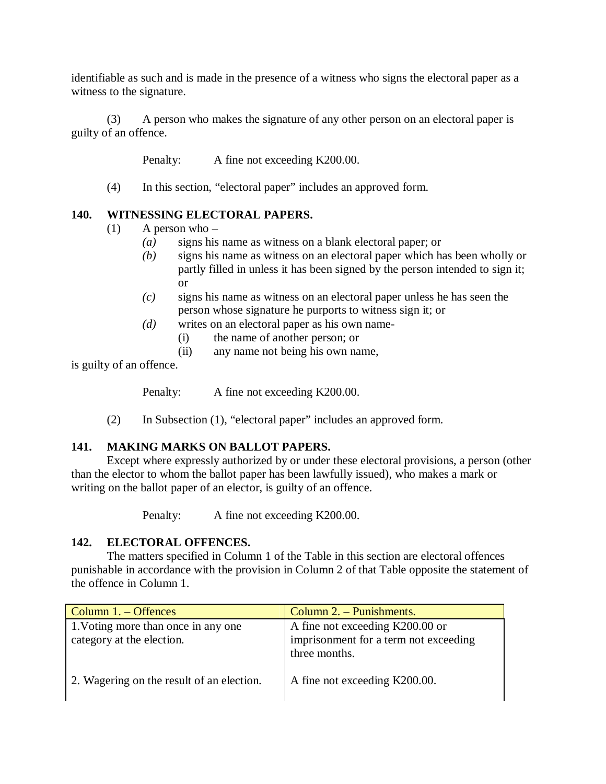identifiable as such and is made in the presence of a witness who signs the electoral paper as a witness to the signature.

(3) A person who makes the signature of any other person on an electoral paper is guilty of an offence.

Penalty: A fine not exceeding K200.00.

(4) In this section, "electoral paper" includes an approved form.

### **140. WITNESSING ELECTORAL PAPERS.**

- (1) A person who  $-$ 
	- *(a)* signs his name as witness on a blank electoral paper; or
	- *(b)* signs his name as witness on an electoral paper which has been wholly or partly filled in unless it has been signed by the person intended to sign it; or
	- *(c)* signs his name as witness on an electoral paper unless he has seen the person whose signature he purports to witness sign it; or
	- *(d)* writes on an electoral paper as his own name-
		- (i) the name of another person; or
		- (ii) any name not being his own name,

is guilty of an offence.

Penalty: A fine not exceeding K200.00.

(2) In Subsection (1), "electoral paper" includes an approved form.

### **141. MAKING MARKS ON BALLOT PAPERS.**

Except where expressly authorized by or under these electoral provisions, a person (other than the elector to whom the ballot paper has been lawfully issued), who makes a mark or writing on the ballot paper of an elector, is guilty of an offence.

Penalty: A fine not exceeding K200.00.

#### **142. ELECTORAL OFFENCES.**

The matters specified in Column 1 of the Table in this section are electoral offences punishable in accordance with the provision in Column 2 of that Table opposite the statement of the offence in Column 1.

| Column $1. -$ Offences                    | Column 2. – Punishments.                               |
|-------------------------------------------|--------------------------------------------------------|
| 1. Voting more than once in any one       | A fine not exceeding K200.00 or                        |
| category at the election.                 | imprisonment for a term not exceeding<br>three months. |
| 2. Wagering on the result of an election. | A fine not exceeding K200.00.                          |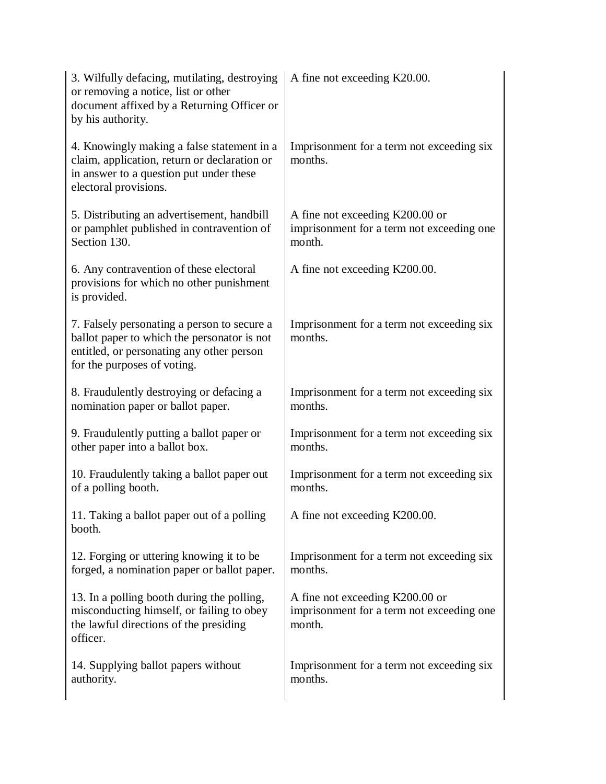| 3. Wilfully defacing, mutilating, destroying<br>or removing a notice, list or other<br>document affixed by a Returning Officer or<br>by his authority.                 | A fine not exceeding K20.00.                                                           |
|------------------------------------------------------------------------------------------------------------------------------------------------------------------------|----------------------------------------------------------------------------------------|
| 4. Knowingly making a false statement in a<br>claim, application, return or declaration or<br>in answer to a question put under these<br>electoral provisions.         | Imprisonment for a term not exceeding six<br>months.                                   |
| 5. Distributing an advertisement, handbill                                                                                                                             | A fine not exceeding K200.00 or                                                        |
| or pamphlet published in contravention of                                                                                                                              | imprisonment for a term not exceeding one                                              |
| Section 130.                                                                                                                                                           | month.                                                                                 |
| 6. Any contravention of these electoral<br>provisions for which no other punishment<br>is provided.                                                                    | A fine not exceeding K200.00.                                                          |
| 7. Falsely personating a person to secure a<br>ballot paper to which the personator is not<br>entitled, or personating any other person<br>for the purposes of voting. | Imprisonment for a term not exceeding six<br>months.                                   |
| 8. Fraudulently destroying or defacing a                                                                                                                               | Imprisonment for a term not exceeding six                                              |
| nomination paper or ballot paper.                                                                                                                                      | months.                                                                                |
| 9. Fraudulently putting a ballot paper or                                                                                                                              | Imprisonment for a term not exceeding six                                              |
| other paper into a ballot box.                                                                                                                                         | months.                                                                                |
| 10. Fraudulently taking a ballot paper out                                                                                                                             | Imprisonment for a term not exceeding six                                              |
| of a polling booth.                                                                                                                                                    | months.                                                                                |
| 11. Taking a ballot paper out of a polling<br>booth.                                                                                                                   | A fine not exceeding K200.00.                                                          |
| 12. Forging or uttering knowing it to be                                                                                                                               | Imprisonment for a term not exceeding six                                              |
| forged, a nomination paper or ballot paper.                                                                                                                            | months.                                                                                |
| 13. In a polling booth during the polling,<br>misconducting himself, or failing to obey<br>the lawful directions of the presiding<br>officer.                          | A fine not exceeding K200.00 or<br>imprisonment for a term not exceeding one<br>month. |
| 14. Supplying ballot papers without                                                                                                                                    | Imprisonment for a term not exceeding six                                              |
| authority.                                                                                                                                                             | months.                                                                                |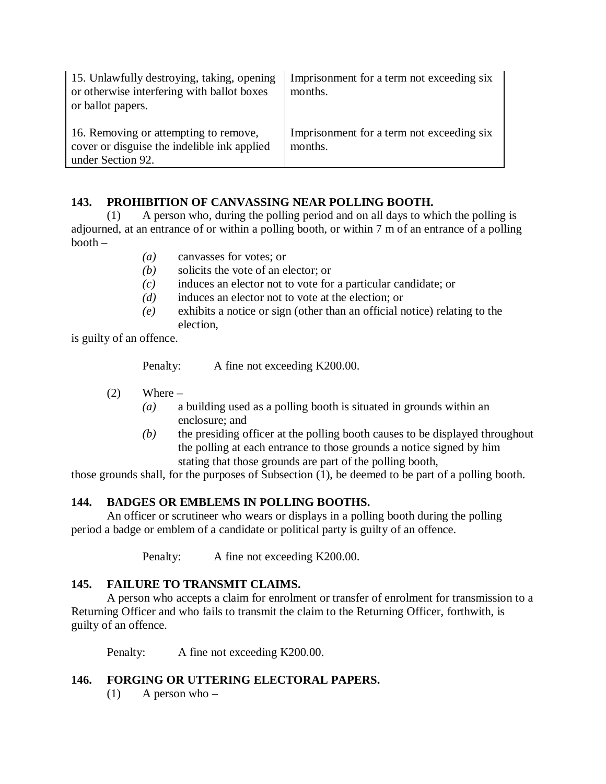| 15. Unlawfully destroying, taking, opening<br>or otherwise interfering with ballot boxes<br>or ballot papers. | Imprisonment for a term not exceeding six<br>months. |
|---------------------------------------------------------------------------------------------------------------|------------------------------------------------------|
| 16. Removing or attempting to remove,<br>cover or disguise the indelible ink applied<br>under Section 92.     | Imprisonment for a term not exceeding six<br>months. |

# **143. PROHIBITION OF CANVASSING NEAR POLLING BOOTH.**

(1) A person who, during the polling period and on all days to which the polling is adjourned, at an entrance of or within a polling booth, or within 7 m of an entrance of a polling booth –

- *(a)* canvasses for votes; or
- *(b)* solicits the vote of an elector; or
- *(c)* induces an elector not to vote for a particular candidate; or
- *(d)* induces an elector not to vote at the election; or
- *(e)* exhibits a notice or sign (other than an official notice) relating to the election,

is guilty of an offence.

Penalty: A fine not exceeding K200.00.

- $(2)$  Where
	- *(a)* a building used as a polling booth is situated in grounds within an enclosure; and
	- *(b)* the presiding officer at the polling booth causes to be displayed throughout the polling at each entrance to those grounds a notice signed by him stating that those grounds are part of the polling booth,

those grounds shall, for the purposes of Subsection (1), be deemed to be part of a polling booth.

## **144. BADGES OR EMBLEMS IN POLLING BOOTHS.**

An officer or scrutineer who wears or displays in a polling booth during the polling period a badge or emblem of a candidate or political party is guilty of an offence.

Penalty: A fine not exceeding K200.00.

## **145. FAILURE TO TRANSMIT CLAIMS.**

A person who accepts a claim for enrolment or transfer of enrolment for transmission to a Returning Officer and who fails to transmit the claim to the Returning Officer, forthwith, is guilty of an offence.

Penalty: A fine not exceeding K200.00.

## **146. FORGING OR UTTERING ELECTORAL PAPERS.**

(1) A person who  $-$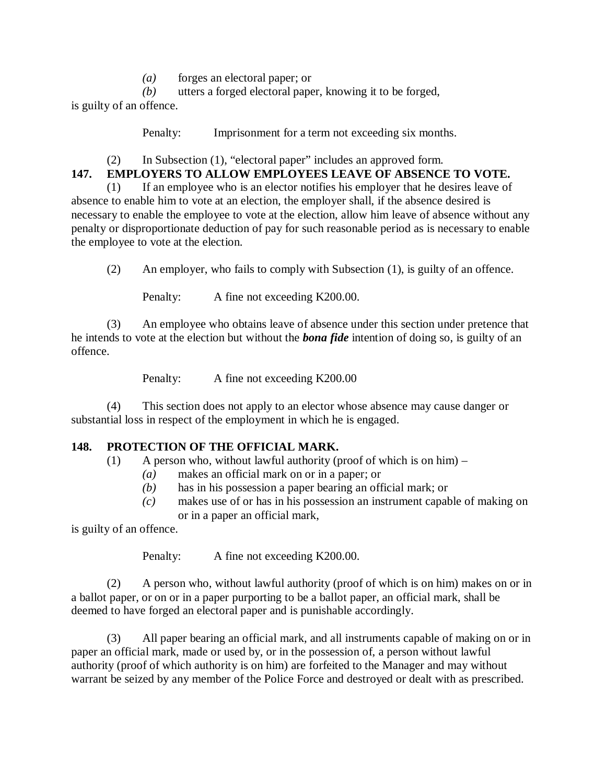*(a)* forges an electoral paper; or

*(b)* utters a forged electoral paper, knowing it to be forged, is guilty of an offence.

Penalty: Imprisonment for a term not exceeding six months.

# (2) In Subsection (1), "electoral paper" includes an approved form.

# **147. EMPLOYERS TO ALLOW EMPLOYEES LEAVE OF ABSENCE TO VOTE.**

(1) If an employee who is an elector notifies his employer that he desires leave of absence to enable him to vote at an election, the employer shall, if the absence desired is necessary to enable the employee to vote at the election, allow him leave of absence without any penalty or disproportionate deduction of pay for such reasonable period as is necessary to enable the employee to vote at the election.

(2) An employer, who fails to comply with Subsection (1), is guilty of an offence.

Penalty: A fine not exceeding K200.00.

(3) An employee who obtains leave of absence under this section under pretence that he intends to vote at the election but without the *bona fide* intention of doing so, is guilty of an offence.

Penalty: A fine not exceeding K200.00

(4) This section does not apply to an elector whose absence may cause danger or substantial loss in respect of the employment in which he is engaged.

## **148. PROTECTION OF THE OFFICIAL MARK.**

(1) A person who, without lawful authority (proof of which is on him)  $-$ 

- *(a)* makes an official mark on or in a paper; or
- *(b)* has in his possession a paper bearing an official mark; or
- *(c)* makes use of or has in his possession an instrument capable of making on or in a paper an official mark,

is guilty of an offence.

Penalty: A fine not exceeding K200.00.

(2) A person who, without lawful authority (proof of which is on him) makes on or in a ballot paper, or on or in a paper purporting to be a ballot paper, an official mark, shall be deemed to have forged an electoral paper and is punishable accordingly.

(3) All paper bearing an official mark, and all instruments capable of making on or in paper an official mark, made or used by, or in the possession of, a person without lawful authority (proof of which authority is on him) are forfeited to the Manager and may without warrant be seized by any member of the Police Force and destroyed or dealt with as prescribed.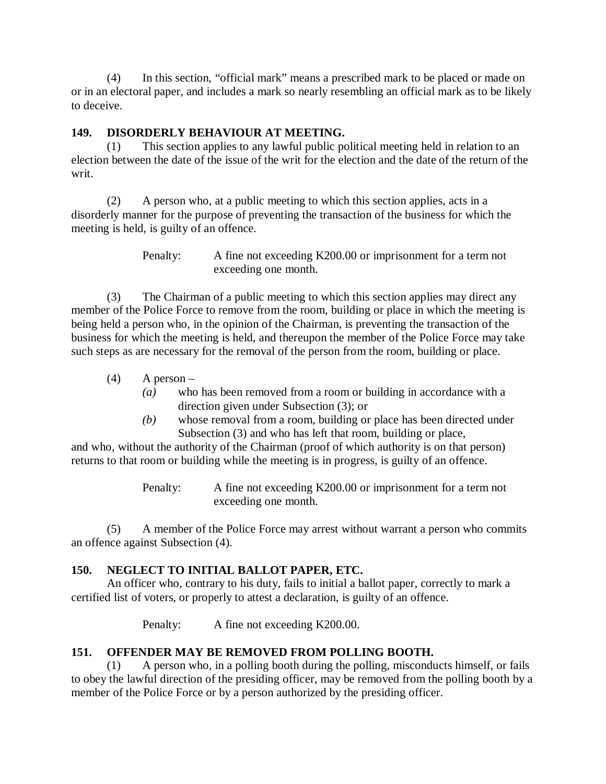(4) In this section, "official mark" means a prescribed mark to be placed or made on or in an electoral paper, and includes a mark so nearly resembling an official mark as to be likely to deceive.

## **149. DISORDERLY BEHAVIOUR AT MEETING.**

(1) This section applies to any lawful public political meeting held in relation to an election between the date of the issue of the writ for the election and the date of the return of the writ.

(2) A person who, at a public meeting to which this section applies, acts in a disorderly manner for the purpose of preventing the transaction of the business for which the meeting is held, is guilty of an offence.

> Penalty: A fine not exceeding K200.00 or imprisonment for a term not exceeding one month.

(3) The Chairman of a public meeting to which this section applies may direct any member of the Police Force to remove from the room, building or place in which the meeting is being held a person who, in the opinion of the Chairman, is preventing the transaction of the business for which the meeting is held, and thereupon the member of the Police Force may take such steps as are necessary for the removal of the person from the room, building or place.

- $(4)$  A person
	- *(a)* who has been removed from a room or building in accordance with a direction given under Subsection (3); or
	- *(b)* whose removal from a room, building or place has been directed under Subsection (3) and who has left that room, building or place,

and who, without the authority of the Chairman (proof of which authority is on that person) returns to that room or building while the meeting is in progress, is guilty of an offence.

> Penalty: A fine not exceeding K200.00 or imprisonment for a term not exceeding one month.

(5) A member of the Police Force may arrest without warrant a person who commits an offence against Subsection (4).

# **150. NEGLECT TO INITIAL BALLOT PAPER, ETC.**

An officer who, contrary to his duty, fails to initial a ballot paper, correctly to mark a certified list of voters, or properly to attest a declaration, is guilty of an offence.

Penalty: A fine not exceeding K200.00.

# **151. OFFENDER MAY BE REMOVED FROM POLLING BOOTH.**

(1) A person who, in a polling booth during the polling, misconducts himself, or fails to obey the lawful direction of the presiding officer, may be removed from the polling booth by a member of the Police Force or by a person authorized by the presiding officer.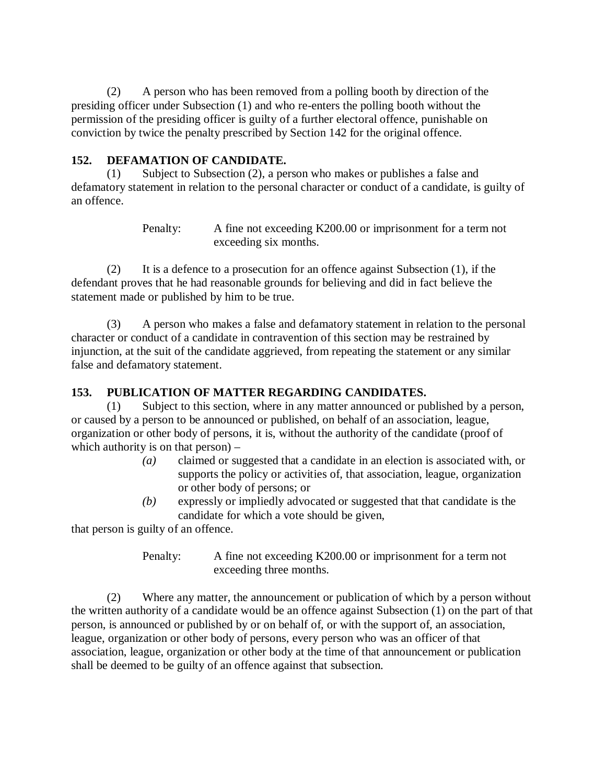(2) A person who has been removed from a polling booth by direction of the presiding officer under Subsection (1) and who re-enters the polling booth without the permission of the presiding officer is guilty of a further electoral offence, punishable on conviction by twice the penalty prescribed by Section 142 for the original offence.

## **152. DEFAMATION OF CANDIDATE.**

(1) Subject to Subsection (2), a person who makes or publishes a false and defamatory statement in relation to the personal character or conduct of a candidate, is guilty of an offence.

> Penalty: A fine not exceeding K200.00 or imprisonment for a term not exceeding six months.

(2) It is a defence to a prosecution for an offence against Subsection (1), if the defendant proves that he had reasonable grounds for believing and did in fact believe the statement made or published by him to be true.

(3) A person who makes a false and defamatory statement in relation to the personal character or conduct of a candidate in contravention of this section may be restrained by injunction, at the suit of the candidate aggrieved, from repeating the statement or any similar false and defamatory statement.

## **153. PUBLICATION OF MATTER REGARDING CANDIDATES.**

(1) Subject to this section, where in any matter announced or published by a person, or caused by a person to be announced or published, on behalf of an association, league, organization or other body of persons, it is, without the authority of the candidate (proof of which authority is on that person) –

- *(a)* claimed or suggested that a candidate in an election is associated with, or supports the policy or activities of, that association, league, organization or other body of persons; or
- *(b)* expressly or impliedly advocated or suggested that that candidate is the candidate for which a vote should be given,

that person is guilty of an offence.

Penalty: A fine not exceeding K200.00 or imprisonment for a term not exceeding three months.

(2) Where any matter, the announcement or publication of which by a person without the written authority of a candidate would be an offence against Subsection (1) on the part of that person, is announced or published by or on behalf of, or with the support of, an association, league, organization or other body of persons, every person who was an officer of that association, league, organization or other body at the time of that announcement or publication shall be deemed to be guilty of an offence against that subsection.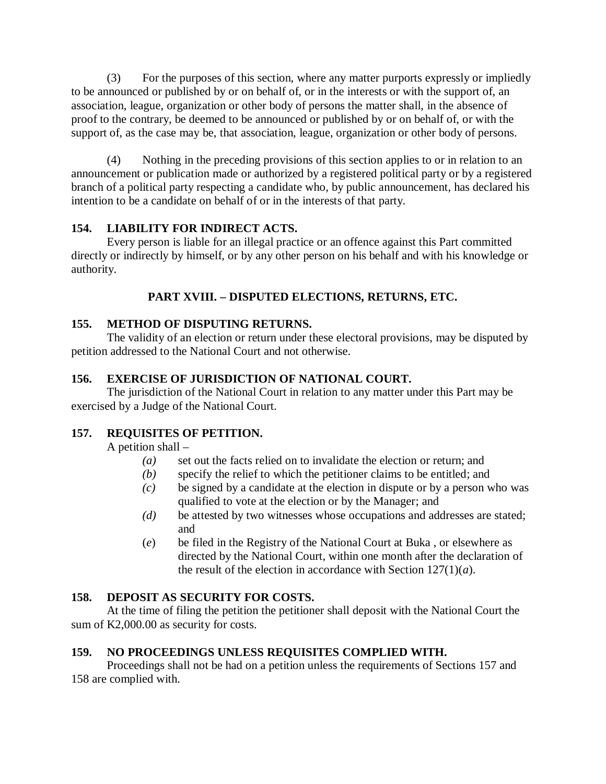(3) For the purposes of this section, where any matter purports expressly or impliedly to be announced or published by or on behalf of, or in the interests or with the support of, an association, league, organization or other body of persons the matter shall, in the absence of proof to the contrary, be deemed to be announced or published by or on behalf of, or with the support of, as the case may be, that association, league, organization or other body of persons.

(4) Nothing in the preceding provisions of this section applies to or in relation to an announcement or publication made or authorized by a registered political party or by a registered branch of a political party respecting a candidate who, by public announcement, has declared his intention to be a candidate on behalf of or in the interests of that party.

# **154. LIABILITY FOR INDIRECT ACTS.**

Every person is liable for an illegal practice or an offence against this Part committed directly or indirectly by himself, or by any other person on his behalf and with his knowledge or authority.

# **PART XVIII. – DISPUTED ELECTIONS, RETURNS, ETC.**

# **155. METHOD OF DISPUTING RETURNS.**

The validity of an election or return under these electoral provisions, may be disputed by petition addressed to the National Court and not otherwise.

# **156. EXERCISE OF JURISDICTION OF NATIONAL COURT.**

The jurisdiction of the National Court in relation to any matter under this Part may be exercised by a Judge of the National Court.

# **157. REQUISITES OF PETITION.**

A petition shall –

- *(a)* set out the facts relied on to invalidate the election or return; and
- *(b)* specify the relief to which the petitioner claims to be entitled; and
- *(c)* be signed by a candidate at the election in dispute or by a person who was qualified to vote at the election or by the Manager; and
- *(d)* be attested by two witnesses whose occupations and addresses are stated; and
- (*e*) be filed in the Registry of the National Court at Buka , or elsewhere as directed by the National Court, within one month after the declaration of the result of the election in accordance with Section 127(1)(*a*).

# **158. DEPOSIT AS SECURITY FOR COSTS.**

At the time of filing the petition the petitioner shall deposit with the National Court the sum of K2,000.00 as security for costs.

## **159. NO PROCEEDINGS UNLESS REQUISITES COMPLIED WITH.**

Proceedings shall not be had on a petition unless the requirements of Sections 157 and 158 are complied with.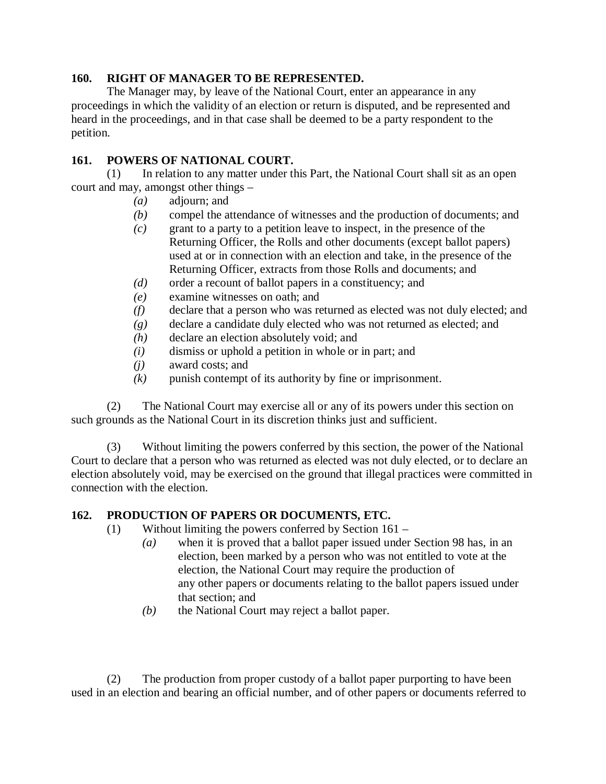### **160. RIGHT OF MANAGER TO BE REPRESENTED.**

The Manager may, by leave of the National Court, enter an appearance in any proceedings in which the validity of an election or return is disputed, and be represented and heard in the proceedings, and in that case shall be deemed to be a party respondent to the petition.

### **161. POWERS OF NATIONAL COURT.**

(1) In relation to any matter under this Part, the National Court shall sit as an open court and may, amongst other things –

- *(a)* adjourn; and
- *(b)* compel the attendance of witnesses and the production of documents; and
- *(c)* grant to a party to a petition leave to inspect, in the presence of the Returning Officer, the Rolls and other documents (except ballot papers) used at or in connection with an election and take, in the presence of the Returning Officer, extracts from those Rolls and documents; and
- *(d)* order a recount of ballot papers in a constituency; and
- *(e)* examine witnesses on oath; and
- *(f)* declare that a person who was returned as elected was not duly elected; and
- *(g)* declare a candidate duly elected who was not returned as elected; and
- *(h)* declare an election absolutely void; and
- *(i)* dismiss or uphold a petition in whole or in part; and
- *(j)* award costs; and
- *(k)* punish contempt of its authority by fine or imprisonment.

(2) The National Court may exercise all or any of its powers under this section on such grounds as the National Court in its discretion thinks just and sufficient.

(3) Without limiting the powers conferred by this section, the power of the National Court to declare that a person who was returned as elected was not duly elected, or to declare an election absolutely void, may be exercised on the ground that illegal practices were committed in connection with the election.

#### **162. PRODUCTION OF PAPERS OR DOCUMENTS, ETC.**

- (1) Without limiting the powers conferred by Section 161
	- *(a)* when it is proved that a ballot paper issued under Section 98 has, in an election, been marked by a person who was not entitled to vote at the election, the National Court may require the production of any other papers or documents relating to the ballot papers issued under that section; and
	- *(b)* the National Court may reject a ballot paper.

(2) The production from proper custody of a ballot paper purporting to have been used in an election and bearing an official number, and of other papers or documents referred to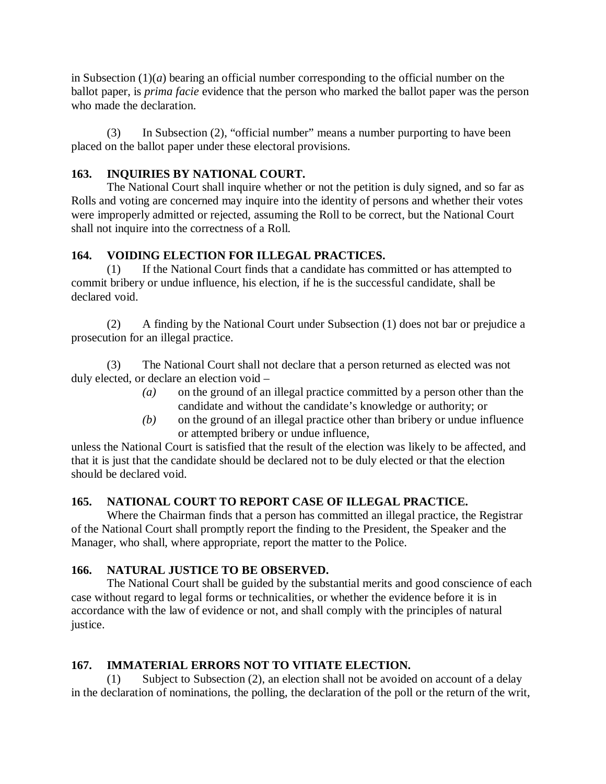in Subsection (1)(*a*) bearing an official number corresponding to the official number on the ballot paper, is *prima facie* evidence that the person who marked the ballot paper was the person who made the declaration.

(3) In Subsection (2), "official number" means a number purporting to have been placed on the ballot paper under these electoral provisions.

# **163. INQUIRIES BY NATIONAL COURT.**

The National Court shall inquire whether or not the petition is duly signed, and so far as Rolls and voting are concerned may inquire into the identity of persons and whether their votes were improperly admitted or rejected, assuming the Roll to be correct, but the National Court shall not inquire into the correctness of a Roll.

# **164. VOIDING ELECTION FOR ILLEGAL PRACTICES.**

(1) If the National Court finds that a candidate has committed or has attempted to commit bribery or undue influence, his election, if he is the successful candidate, shall be declared void.

(2) A finding by the National Court under Subsection (1) does not bar or prejudice a prosecution for an illegal practice.

(3) The National Court shall not declare that a person returned as elected was not duly elected, or declare an election void –

- *(a)* on the ground of an illegal practice committed by a person other than the candidate and without the candidate's knowledge or authority; or
- *(b)* on the ground of an illegal practice other than bribery or undue influence or attempted bribery or undue influence,

unless the National Court is satisfied that the result of the election was likely to be affected, and that it is just that the candidate should be declared not to be duly elected or that the election should be declared void.

# **165. NATIONAL COURT TO REPORT CASE OF ILLEGAL PRACTICE.**

Where the Chairman finds that a person has committed an illegal practice, the Registrar of the National Court shall promptly report the finding to the President, the Speaker and the Manager, who shall, where appropriate, report the matter to the Police.

## **166. NATURAL JUSTICE TO BE OBSERVED.**

The National Court shall be guided by the substantial merits and good conscience of each case without regard to legal forms or technicalities, or whether the evidence before it is in accordance with the law of evidence or not, and shall comply with the principles of natural justice.

## **167. IMMATERIAL ERRORS NOT TO VITIATE ELECTION.**

(1) Subject to Subsection (2), an election shall not be avoided on account of a delay in the declaration of nominations, the polling, the declaration of the poll or the return of the writ,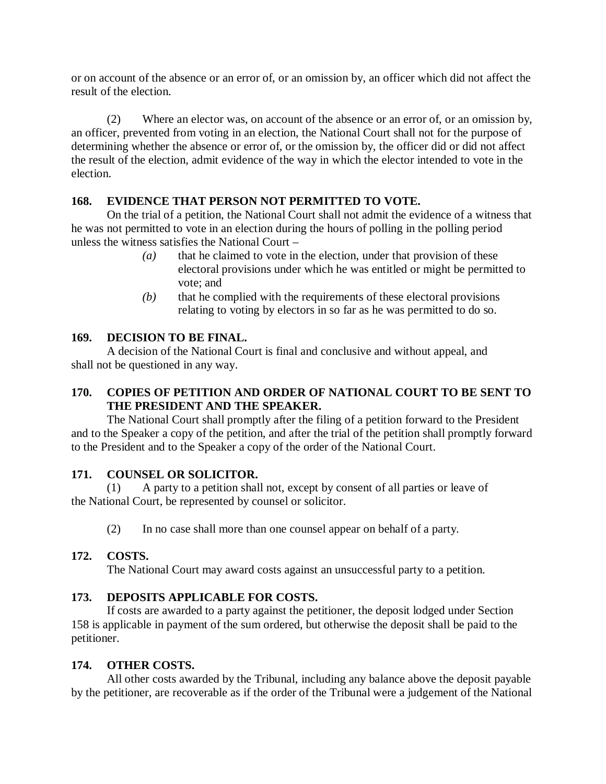or on account of the absence or an error of, or an omission by, an officer which did not affect the result of the election.

(2) Where an elector was, on account of the absence or an error of, or an omission by, an officer, prevented from voting in an election, the National Court shall not for the purpose of determining whether the absence or error of, or the omission by, the officer did or did not affect the result of the election, admit evidence of the way in which the elector intended to vote in the election.

## **168. EVIDENCE THAT PERSON NOT PERMITTED TO VOTE.**

On the trial of a petition, the National Court shall not admit the evidence of a witness that he was not permitted to vote in an election during the hours of polling in the polling period unless the witness satisfies the National Court –

- *(a)* that he claimed to vote in the election, under that provision of these electoral provisions under which he was entitled or might be permitted to vote; and
- *(b)* that he complied with the requirements of these electoral provisions relating to voting by electors in so far as he was permitted to do so.

# **169. DECISION TO BE FINAL.**

A decision of the National Court is final and conclusive and without appeal, and shall not be questioned in any way.

# **170. COPIES OF PETITION AND ORDER OF NATIONAL COURT TO BE SENT TO THE PRESIDENT AND THE SPEAKER.**

The National Court shall promptly after the filing of a petition forward to the President and to the Speaker a copy of the petition, and after the trial of the petition shall promptly forward to the President and to the Speaker a copy of the order of the National Court.

## **171. COUNSEL OR SOLICITOR.**

(1) A party to a petition shall not, except by consent of all parties or leave of the National Court, be represented by counsel or solicitor.

(2) In no case shall more than one counsel appear on behalf of a party.

# **172. COSTS.**

The National Court may award costs against an unsuccessful party to a petition.

## **173. DEPOSITS APPLICABLE FOR COSTS.**

If costs are awarded to a party against the petitioner, the deposit lodged under Section 158 is applicable in payment of the sum ordered, but otherwise the deposit shall be paid to the petitioner.

## **174. OTHER COSTS.**

All other costs awarded by the Tribunal, including any balance above the deposit payable by the petitioner, are recoverable as if the order of the Tribunal were a judgement of the National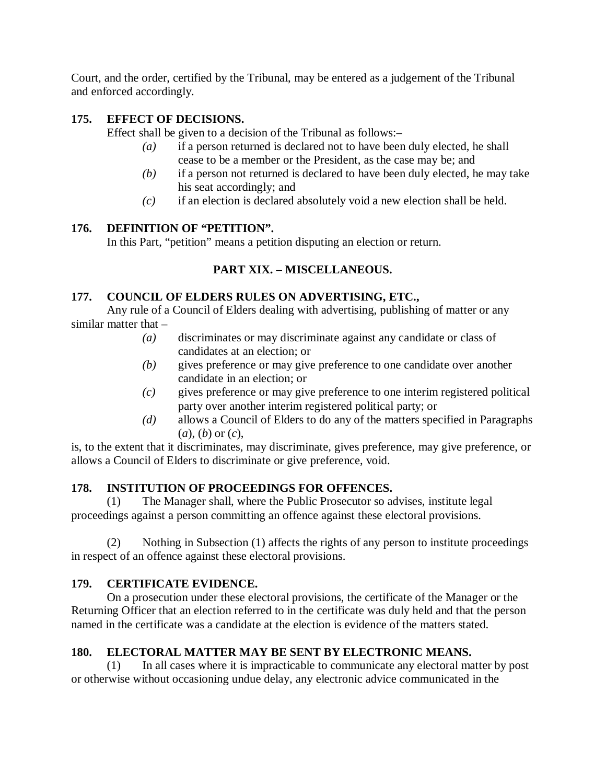Court, and the order, certified by the Tribunal, may be entered as a judgement of the Tribunal and enforced accordingly.

# **175. EFFECT OF DECISIONS.**

Effect shall be given to a decision of the Tribunal as follows:–

- *(a)* if a person returned is declared not to have been duly elected, he shall cease to be a member or the President, as the case may be; and
- *(b)* if a person not returned is declared to have been duly elected, he may take his seat accordingly; and
- *(c)* if an election is declared absolutely void a new election shall be held.

# **176. DEFINITION OF "PETITION".**

In this Part, "petition" means a petition disputing an election or return.

# **PART XIX. – MISCELLANEOUS.**

# **177. COUNCIL OF ELDERS RULES ON ADVERTISING, ETC.,**

Any rule of a Council of Elders dealing with advertising, publishing of matter or any similar matter that –

- *(a)* discriminates or may discriminate against any candidate or class of candidates at an election; or
- *(b)* gives preference or may give preference to one candidate over another candidate in an election; or
- *(c)* gives preference or may give preference to one interim registered political party over another interim registered political party; or
- *(d)* allows a Council of Elders to do any of the matters specified in Paragraphs (*a*), (*b*) or (*c*),

is, to the extent that it discriminates, may discriminate, gives preference, may give preference, or allows a Council of Elders to discriminate or give preference, void.

# **178. INSTITUTION OF PROCEEDINGS FOR OFFENCES.**

(1) The Manager shall, where the Public Prosecutor so advises, institute legal proceedings against a person committing an offence against these electoral provisions.

(2) Nothing in Subsection (1) affects the rights of any person to institute proceedings in respect of an offence against these electoral provisions.

# **179. CERTIFICATE EVIDENCE.**

On a prosecution under these electoral provisions, the certificate of the Manager or the Returning Officer that an election referred to in the certificate was duly held and that the person named in the certificate was a candidate at the election is evidence of the matters stated.

# **180. ELECTORAL MATTER MAY BE SENT BY ELECTRONIC MEANS.**

(1) In all cases where it is impracticable to communicate any electoral matter by post or otherwise without occasioning undue delay, any electronic advice communicated in the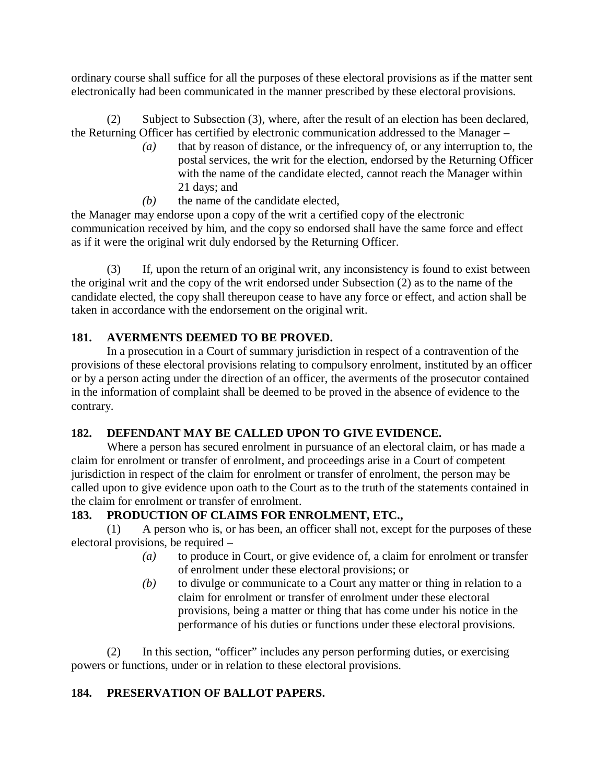ordinary course shall suffice for all the purposes of these electoral provisions as if the matter sent electronically had been communicated in the manner prescribed by these electoral provisions.

(2) Subject to Subsection (3), where, after the result of an election has been declared, the Returning Officer has certified by electronic communication addressed to the Manager –

- *(a)* that by reason of distance, or the infrequency of, or any interruption to, the postal services, the writ for the election, endorsed by the Returning Officer with the name of the candidate elected, cannot reach the Manager within 21 days; and
- *(b)* the name of the candidate elected,

the Manager may endorse upon a copy of the writ a certified copy of the electronic communication received by him, and the copy so endorsed shall have the same force and effect as if it were the original writ duly endorsed by the Returning Officer.

(3) If, upon the return of an original writ, any inconsistency is found to exist between the original writ and the copy of the writ endorsed under Subsection (2) as to the name of the candidate elected, the copy shall thereupon cease to have any force or effect, and action shall be taken in accordance with the endorsement on the original writ.

# **181. AVERMENTS DEEMED TO BE PROVED.**

In a prosecution in a Court of summary jurisdiction in respect of a contravention of the provisions of these electoral provisions relating to compulsory enrolment, instituted by an officer or by a person acting under the direction of an officer, the averments of the prosecutor contained in the information of complaint shall be deemed to be proved in the absence of evidence to the contrary.

# **182. DEFENDANT MAY BE CALLED UPON TO GIVE EVIDENCE.**

Where a person has secured enrolment in pursuance of an electoral claim, or has made a claim for enrolment or transfer of enrolment, and proceedings arise in a Court of competent jurisdiction in respect of the claim for enrolment or transfer of enrolment, the person may be called upon to give evidence upon oath to the Court as to the truth of the statements contained in the claim for enrolment or transfer of enrolment.

# **183. PRODUCTION OF CLAIMS FOR ENROLMENT, ETC.,**

(1) A person who is, or has been, an officer shall not, except for the purposes of these electoral provisions, be required –

- *(a)* to produce in Court, or give evidence of, a claim for enrolment or transfer of enrolment under these electoral provisions; or
- *(b)* to divulge or communicate to a Court any matter or thing in relation to a claim for enrolment or transfer of enrolment under these electoral provisions, being a matter or thing that has come under his notice in the performance of his duties or functions under these electoral provisions.

(2) In this section, "officer" includes any person performing duties, or exercising powers or functions, under or in relation to these electoral provisions.

# **184. PRESERVATION OF BALLOT PAPERS.**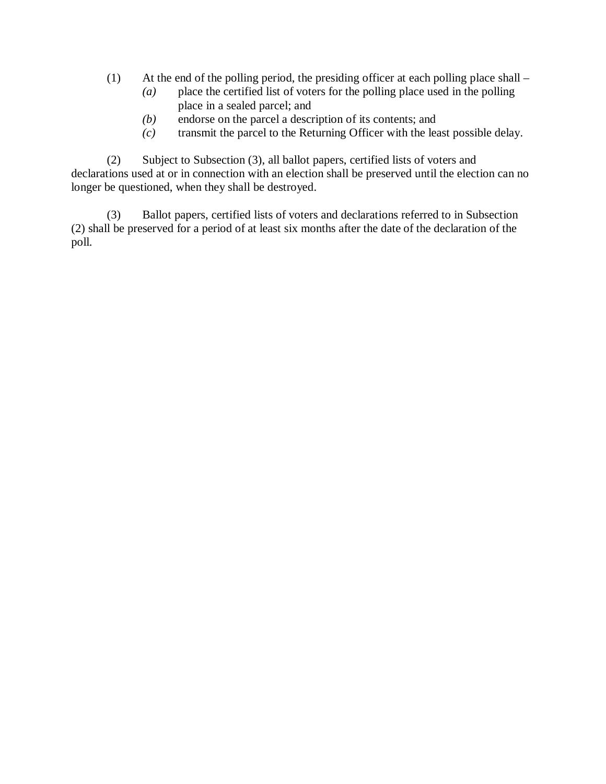- (1) At the end of the polling period, the presiding officer at each polling place shall
	- *(a)* place the certified list of voters for the polling place used in the polling place in a sealed parcel; and
	- *(b)* endorse on the parcel a description of its contents; and
	- *(c)* transmit the parcel to the Returning Officer with the least possible delay.

(2) Subject to Subsection (3), all ballot papers, certified lists of voters and declarations used at or in connection with an election shall be preserved until the election can no longer be questioned, when they shall be destroyed.

(3) Ballot papers, certified lists of voters and declarations referred to in Subsection (2) shall be preserved for a period of at least six months after the date of the declaration of the poll.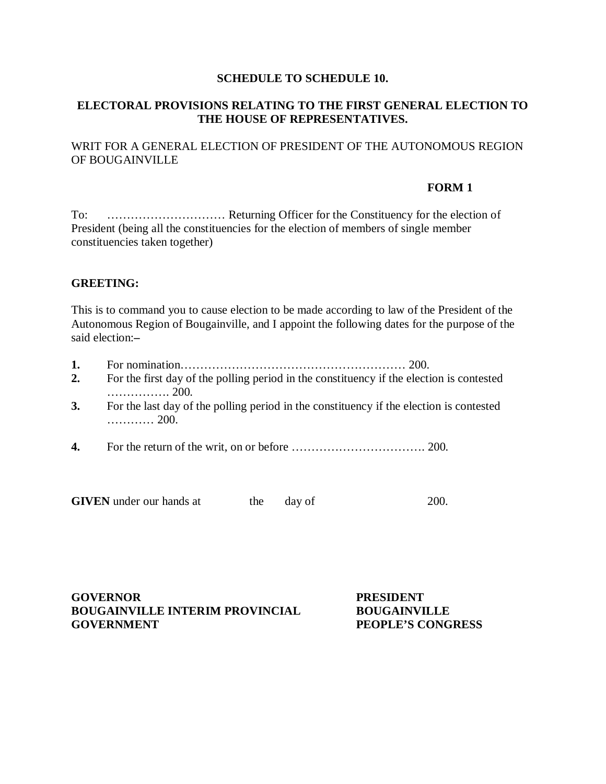#### **SCHEDULE TO SCHEDULE 10.**

#### **ELECTORAL PROVISIONS RELATING TO THE FIRST GENERAL ELECTION TO THE HOUSE OF REPRESENTATIVES.**

WRIT FOR A GENERAL ELECTION OF PRESIDENT OF THE AUTONOMOUS REGION OF BOUGAINVILLE

#### **FORM 1**

To: ………………………… Returning Officer for the Constituency for the election of President (being all the constituencies for the election of members of single member constituencies taken together)

#### **GREETING:**

This is to command you to cause election to be made according to law of the President of the Autonomous Region of Bougainville, and I appoint the following dates for the purpose of the said election:**–**

- **1.** For nomination………………………………………………… 200.
- **2.** For the first day of the polling period in the constituency if the election is contested ……………. 200.
- **3.** For the last day of the polling period in the constituency if the election is contested ………… 200.
- **4.** For the return of the writ, on or before ……………………………. 200.

**GIVEN** under our hands at the day of 200.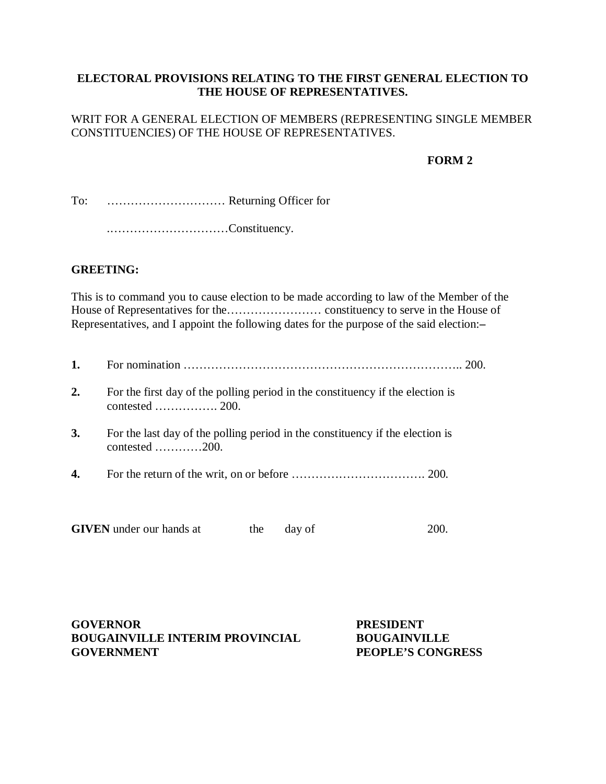#### **ELECTORAL PROVISIONS RELATING TO THE FIRST GENERAL ELECTION TO THE HOUSE OF REPRESENTATIVES.**

### WRIT FOR A GENERAL ELECTION OF MEMBERS (REPRESENTING SINGLE MEMBER CONSTITUENCIES) OF THE HOUSE OF REPRESENTATIVES.

#### **FORM 2**

To: ………………………… Returning Officer for

.…………………………Constituency.

#### **GREETING:**

This is to command you to cause election to be made according to law of the Member of the House of Representatives for the…………………… constituency to serve in the House of Representatives, and I appoint the following dates for the purpose of the said election:**–**

| 1. |                                                                                                                           |  |
|----|---------------------------------------------------------------------------------------------------------------------------|--|
| 2. | For the first day of the polling period in the constituency if the election is<br>contested $\ldots$ , $\ldots$ , $200$ . |  |
| 3. | For the last day of the polling period in the constituency if the election is<br>contested $\dots \dots \dots 200$ .      |  |
| 4. |                                                                                                                           |  |
|    |                                                                                                                           |  |

**GIVEN** under our hands at the day of 200.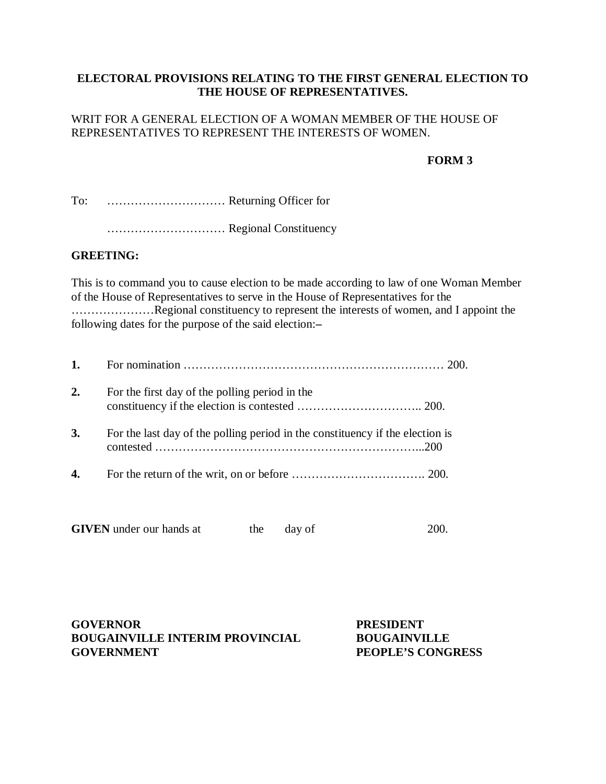#### **ELECTORAL PROVISIONS RELATING TO THE FIRST GENERAL ELECTION TO THE HOUSE OF REPRESENTATIVES.**

### WRIT FOR A GENERAL ELECTION OF A WOMAN MEMBER OF THE HOUSE OF REPRESENTATIVES TO REPRESENT THE INTERESTS OF WOMEN.

#### **FORM 3**

To: ………………………… Returning Officer for

………………………… Regional Constituency

#### **GREETING:**

This is to command you to cause election to be made according to law of one Woman Member of the House of Representatives to serve in the House of Representatives for the …………………Regional constituency to represent the interests of women, and I appoint the following dates for the purpose of the said election:**–**

| 2. | For the first day of the polling period in the                                |  |
|----|-------------------------------------------------------------------------------|--|
| 3. | For the last day of the polling period in the constituency if the election is |  |
| 4. |                                                                               |  |

| <b>GIVEN</b> under our hands at | the | day of | 200. |
|---------------------------------|-----|--------|------|
|                                 |     |        |      |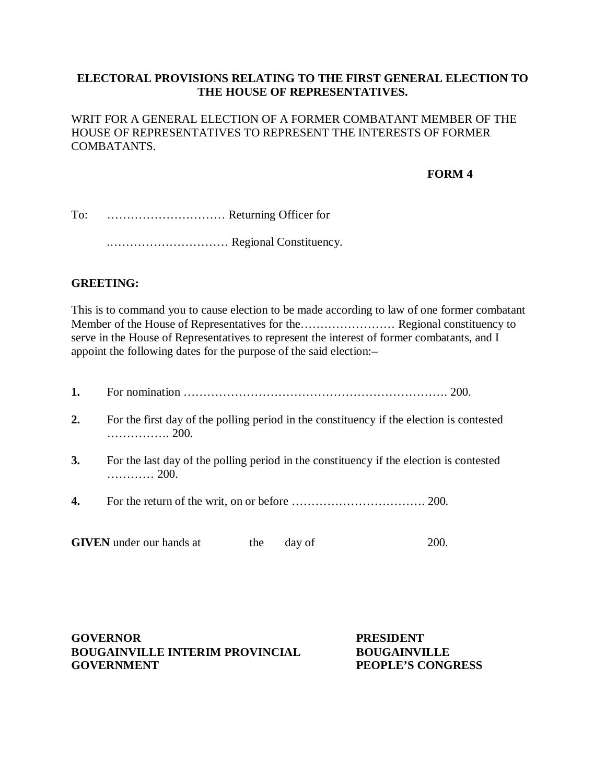### **ELECTORAL PROVISIONS RELATING TO THE FIRST GENERAL ELECTION TO THE HOUSE OF REPRESENTATIVES.**

WRIT FOR A GENERAL ELECTION OF A FORMER COMBATANT MEMBER OF THE HOUSE OF REPRESENTATIVES TO REPRESENT THE INTERESTS OF FORMER COMBATANTS.

### **FORM 4**

To: ………………………… Returning Officer for

.………………………… Regional Constituency.

## **GREETING:**

This is to command you to cause election to be made according to law of one former combatant Member of the House of Representatives for the…………………… Regional constituency to serve in the House of Representatives to represent the interest of former combatants, and I appoint the following dates for the purpose of the said election:**–**

| 1. |                                                                                                    |
|----|----------------------------------------------------------------------------------------------------|
| 2. | For the first day of the polling period in the constituency if the election is contested<br>. 200. |
| 3. | For the last day of the polling period in the constituency if the election is contested<br>. 200.  |
| 4. |                                                                                                    |
|    |                                                                                                    |

**GIVEN** under our hands at the day of 200.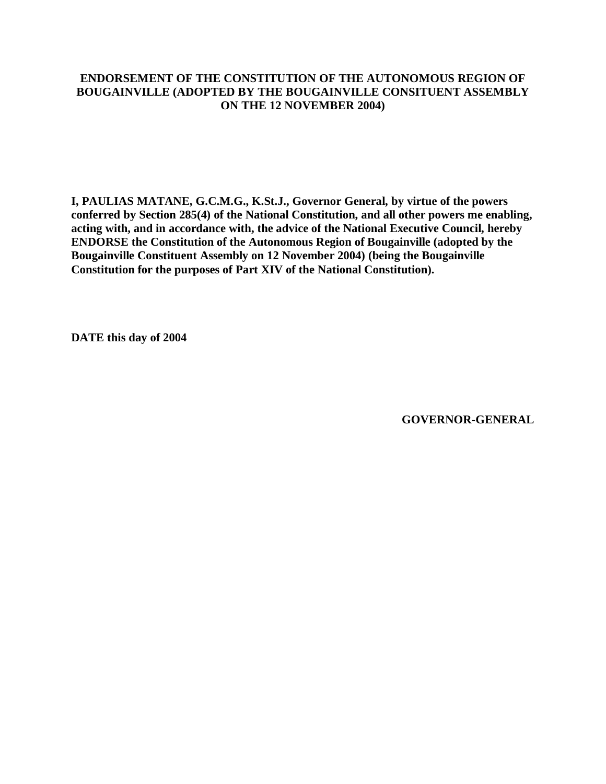### **ENDORSEMENT OF THE CONSTITUTION OF THE AUTONOMOUS REGION OF BOUGAINVILLE (ADOPTED BY THE BOUGAINVILLE CONSITUENT ASSEMBLY ON THE 12 NOVEMBER 2004)**

**I, PAULIAS MATANE, G.C.M.G., K.St.J., Governor General, by virtue of the powers conferred by Section 285(4) of the National Constitution, and all other powers me enabling, acting with, and in accordance with, the advice of the National Executive Council, hereby ENDORSE the Constitution of the Autonomous Region of Bougainville (adopted by the Bougainville Constituent Assembly on 12 November 2004) (being the Bougainville Constitution for the purposes of Part XIV of the National Constitution).**

**DATE this day of 2004**

**GOVERNOR-GENERAL**